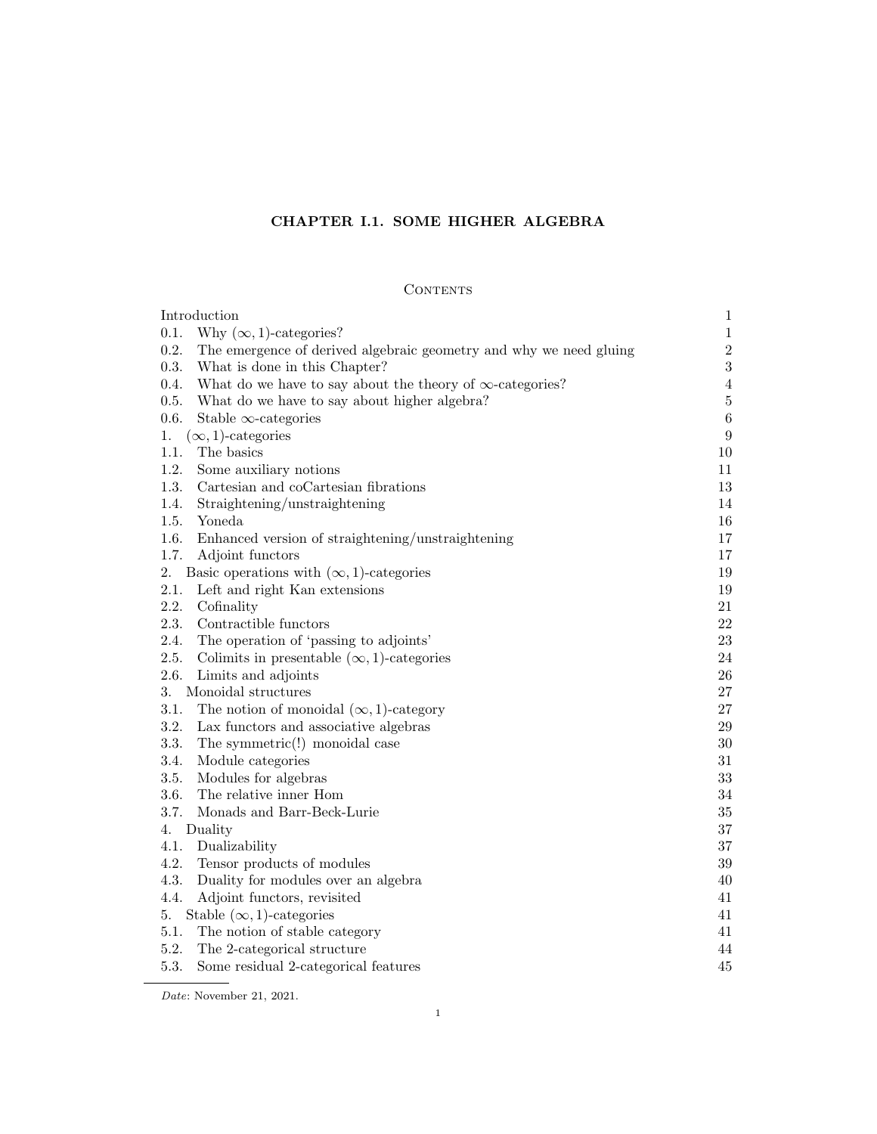# CHAPTER I.1. SOME HIGHER ALGEBRA

# **CONTENTS**

| Introduction                                                               | $\mathbf{1}$   |
|----------------------------------------------------------------------------|----------------|
| 0.1.<br>Why $(\infty, 1)$ -categories?                                     | $\mathbf{1}$   |
| 0.2.<br>The emergence of derived algebraic geometry and why we need gluing | $\sqrt{2}$     |
| 0.3.<br>What is done in this Chapter?                                      | $\sqrt{3}$     |
| 0.4.<br>What do we have to say about the theory of $\infty$ -categories?   | $\overline{4}$ |
| 0.5.<br>What do we have to say about higher algebra?                       | $\bf 5$        |
| 0.6.<br>Stable $\infty$ -categories                                        | $\,6\,$        |
| $(\infty, 1)$ -categories<br>1.                                            | 9              |
| 1.1.<br>The basics                                                         | 10             |
| 1.2.<br>Some auxiliary notions                                             | 11             |
| 1.3.<br>Cartesian and coCartesian fibrations                               | 13             |
| 1.4.<br>Straightening/unstraightening                                      | 14             |
| 1.5.<br>Yoneda                                                             | 16             |
| 1.6.<br>Enhanced version of straightening/unstraightening                  | 17             |
| 1.7.<br>Adjoint functors                                                   | 17             |
| 2.<br>Basic operations with $(\infty, 1)$ -categories                      | 19             |
| 2.1.<br>Left and right Kan extensions                                      | 19             |
| 2.2.<br>Cofinality                                                         | $21\,$         |
| 2.3.<br>Contractible functors                                              | $22\,$         |
| The operation of 'passing to adjoints'<br>2.4.                             | 23             |
| 2.5.<br>Colimits in presentable $(\infty, 1)$ -categories                  | 24             |
| 2.6.<br>Limits and adjoints                                                | $26\,$         |
| 3.<br>Monoidal structures                                                  | $27\,$         |
| 3.1.<br>The notion of monoidal $(\infty, 1)$ -category                     | 27             |
| 3.2.<br>Lax functors and associative algebras                              | $\,29$         |
| 3.3.<br>The symmetric(!) monoidal case                                     | $30\,$         |
| 3.4.<br>Module categories                                                  | 31             |
| 3.5.<br>Modules for algebras                                               | $33\,$         |
| 3.6.<br>The relative inner Hom                                             | $34\,$         |
| 3.7.<br>Monads and Barr-Beck-Lurie                                         | $35\,$         |
| Duality<br>4.                                                              | 37             |
| 4.1.<br>Dualizability                                                      | 37             |
| 4.2.<br>Tensor products of modules                                         | $39\,$         |
| 4.3.<br>Duality for modules over an algebra                                | 40             |
| 4.4.<br>Adjoint functors, revisited                                        | 41             |
| Stable $(\infty, 1)$ -categories<br>5.                                     | 41             |
| 5.1.<br>The notion of stable category                                      | 41             |
| 5.2.<br>The 2-categorical structure                                        | 44             |
| 5.3.<br>Some residual 2-categorical features                               | 45             |

Date: November 21, 2021.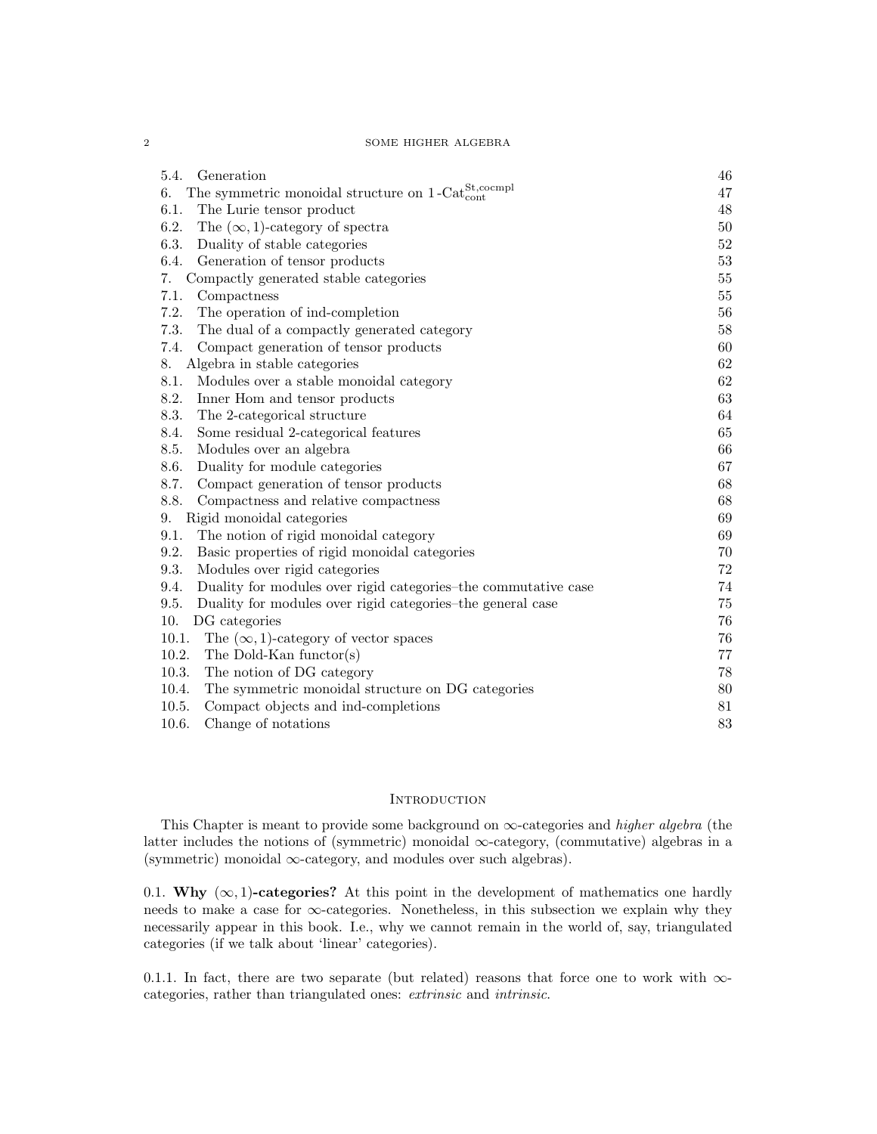| 5.4.<br>Generation                                                                        | 46     |
|-------------------------------------------------------------------------------------------|--------|
| The symmetric monoidal structure on $1\text{-Cat}_{\text{cont}}^{\text{St,coempl}}$<br>6. | 47     |
| 6.1.<br>The Lurie tensor product                                                          | 48     |
| 6.2.<br>The $(\infty, 1)$ -category of spectra                                            | 50     |
| 6.3.<br>Duality of stable categories                                                      | 52     |
| 6.4.<br>Generation of tensor products                                                     | $53\,$ |
| Compactly generated stable categories<br>7.                                               | $55\,$ |
| 7.1.<br>Compactness                                                                       | 55     |
| 7.2.<br>The operation of ind-completion                                                   | 56     |
| 7.3.<br>The dual of a compactly generated category                                        | 58     |
| 7.4.<br>Compact generation of tensor products                                             | 60     |
| Algebra in stable categories<br>8.                                                        | 62     |
| 8.1.<br>Modules over a stable monoidal category                                           | 62     |
| 8.2.<br>Inner Hom and tensor products                                                     | 63     |
| 8.3.<br>The 2-categorical structure                                                       | 64     |
| 8.4.<br>Some residual 2-categorical features                                              | 65     |
| 8.5.<br>Modules over an algebra                                                           | 66     |
| 8.6.<br>Duality for module categories                                                     | 67     |
| 8.7.<br>Compact generation of tensor products                                             | 68     |
| 8.8.<br>Compactness and relative compactness                                              | 68     |
| Rigid monoidal categories<br>9.                                                           | 69     |
| The notion of rigid monoidal category<br>9.1.                                             | 69     |
| Basic properties of rigid monoidal categories<br>9.2.                                     | 70     |
| 9.3.<br>Modules over rigid categories                                                     | $72\,$ |
| Duality for modules over rigid categories-the commutative case<br>9.4.                    | 74     |
| 9.5.<br>Duality for modules over rigid categories-the general case                        | 75     |
| 10.<br>DG categories                                                                      | 76     |
| 10.1.<br>The $(\infty, 1)$ -category of vector spaces                                     | 76     |
| The Dold-Kan functor(s)<br>10.2.                                                          | 77     |
| The notion of DG category<br>10.3.                                                        | 78     |
| The symmetric monoidal structure on DG categories<br>10.4.                                | 80     |
| 10.5.<br>Compact objects and ind-completions                                              | 81     |
| 10.6.<br>Change of notations                                                              | 83     |

# **INTRODUCTION**

This Chapter is meant to provide some background on  $\infty$ -categories and *higher algebra* (the latter includes the notions of (symmetric) monoidal  $\infty$ -category, (commutative) algebras in a (symmetric) monoidal  $\infty$ -category, and modules over such algebras).

0.1. Why  $(\infty, 1)$ -categories? At this point in the development of mathematics one hardly needs to make a case for  $\infty$ -categories. Nonetheless, in this subsection we explain why they necessarily appear in this book. I.e., why we cannot remain in the world of, say, triangulated categories (if we talk about 'linear' categories).

0.1.1. In fact, there are two separate (but related) reasons that force one to work with  $\infty$ categories, rather than triangulated ones: extrinsic and intrinsic.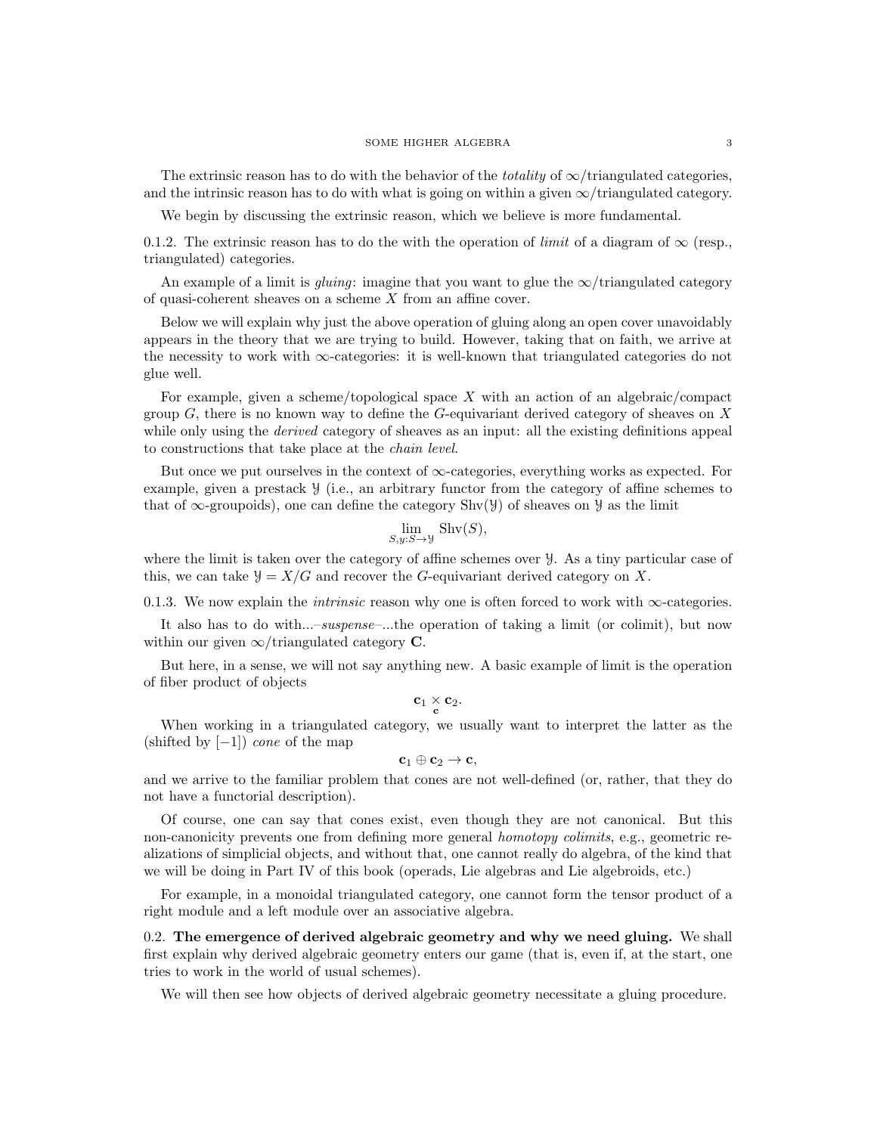The extrinsic reason has to do with the behavior of the *totality* of  $\infty$ /triangulated categories, and the intrinsic reason has to do with what is going on within a given  $\infty$ /triangulated category.

We begin by discussing the extrinsic reason, which we believe is more fundamental.

0.1.2. The extrinsic reason has to do the with the operation of *limit* of a diagram of  $\infty$  (resp., triangulated) categories.

An example of a limit is *gluing*: imagine that you want to glue the  $\infty$ /triangulated category of quasi-coherent sheaves on a scheme X from an affine cover.

Below we will explain why just the above operation of gluing along an open cover unavoidably appears in the theory that we are trying to build. However, taking that on faith, we arrive at the necessity to work with  $\infty$ -categories: it is well-known that triangulated categories do not glue well.

For example, given a scheme/topological space  $X$  with an action of an algebraic/compact group  $G$ , there is no known way to define the  $G$ -equivariant derived category of sheaves on X while only using the *derived* category of sheaves as an input: all the existing definitions appeal to constructions that take place at the chain level.

But once we put ourselves in the context of  $\infty$ -categories, everything works as expected. For example, given a prestack Y (i.e., an arbitrary functor from the category of affine schemes to that of  $\infty$ -groupoids), one can define the category Shv(Y) of sheaves on Y as the limit

$$
\lim_{S,y:S \to \mathcal{Y}} \operatorname{Shv}(S),
$$

where the limit is taken over the category of affine schemes over Y. As a tiny particular case of this, we can take  $\mathcal{Y} = X/G$  and recover the G-equivariant derived category on X.

0.1.3. We now explain the *intrinsic* reason why one is often forced to work with  $\infty$ -categories.

It also has to do with...–suspense–...the operation of taking a limit (or colimit), but now within our given  $\infty$ /triangulated category C.

But here, in a sense, we will not say anything new. A basic example of limit is the operation of fiber product of objects

$$
\mathbf{c}_1 \underset{\mathbf{c}}{\times} \mathbf{c}_2.
$$

When working in a triangulated category, we usually want to interpret the latter as the (shifted by  $[-1]$ ) *cone* of the map

$$
\mathbf{c}_1\oplus \mathbf{c}_2\to \mathbf{c},
$$

and we arrive to the familiar problem that cones are not well-defined (or, rather, that they do not have a functorial description).

Of course, one can say that cones exist, even though they are not canonical. But this non-canonicity prevents one from defining more general *homotopy colimits*, e.g., geometric realizations of simplicial objects, and without that, one cannot really do algebra, of the kind that we will be doing in Part IV of this book (operads, Lie algebras and Lie algebroids, etc.)

For example, in a monoidal triangulated category, one cannot form the tensor product of a right module and a left module over an associative algebra.

0.2. The emergence of derived algebraic geometry and why we need gluing. We shall first explain why derived algebraic geometry enters our game (that is, even if, at the start, one tries to work in the world of usual schemes).

We will then see how objects of derived algebraic geometry necessitate a gluing procedure.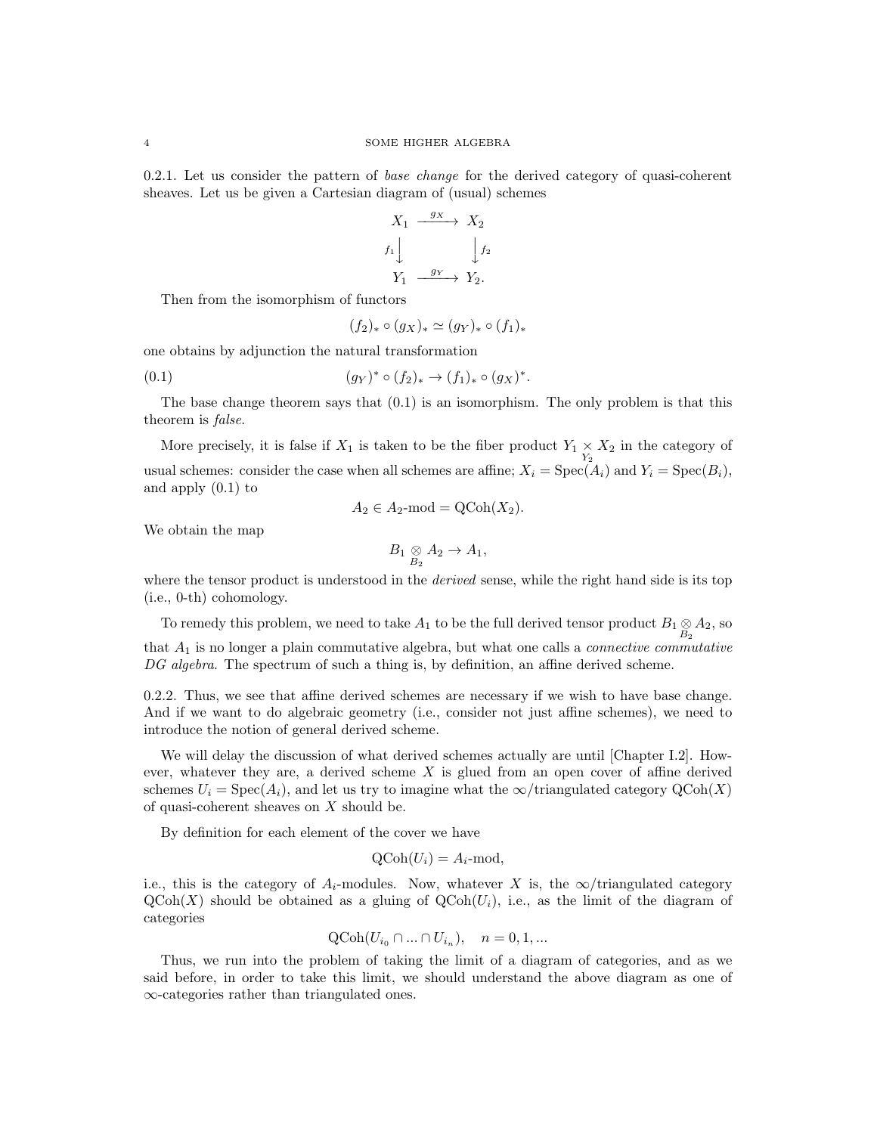0.2.1. Let us consider the pattern of *base change* for the derived category of quasi-coherent sheaves. Let us be given a Cartesian diagram of (usual) schemes

$$
X_1 \xrightarrow{g_X} X_2
$$
  

$$
f_1 \downarrow \qquad \qquad f_2
$$
  

$$
Y_1 \xrightarrow{g_Y} Y_2.
$$

Then from the isomorphism of functors

$$
(f_2)_* \circ (g_X)_* \simeq (g_Y)_* \circ (f_1)_*
$$

one obtains by adjunction the natural transformation

(0.1) 
$$
(g_Y)^* \circ (f_2)_* \to (f_1)_* \circ (g_X)^*.
$$

The base change theorem says that  $(0.1)$  is an isomorphism. The only problem is that this theorem is false.

More precisely, it is false if  $X_1$  is taken to be the fiber product  $Y_1 \times X_2$  in the category of usual schemes: consider the case when all schemes are affine;  $X_i = \text{Spec}(A_i)$  and  $Y_i = \text{Spec}(B_i)$ , and apply (0.1) to

$$
A_2 \in A_2 \text{-mod} = \text{QCoh}(X_2).
$$

We obtain the map

$$
B_1\underset{B_2}{\otimes}A_2\rightarrow A_1,
$$

where the tensor product is understood in the *derived* sense, while the right hand side is its top (i.e., 0-th) cohomology.

To remedy this problem, we need to take  $A_1$  to be the full derived tensor product  $B_1 \underset{B_2}{\otimes} A_2$ , so

that  $A_1$  is no longer a plain commutative algebra, but what one calls a *connective commutative* DG algebra. The spectrum of such a thing is, by definition, an affine derived scheme.

0.2.2. Thus, we see that affine derived schemes are necessary if we wish to have base change. And if we want to do algebraic geometry (i.e., consider not just affine schemes), we need to introduce the notion of general derived scheme.

We will delay the discussion of what derived schemes actually are until [Chapter I.2]. However, whatever they are, a derived scheme  $X$  is glued from an open cover of affine derived schemes  $U_i = \text{Spec}(A_i)$ , and let us try to imagine what the  $\infty$ /triangulated category  $\text{QCoh}(X)$ of quasi-coherent sheaves on X should be.

By definition for each element of the cover we have

$$
\mathrm{QCoh}(U_i) = A_i \text{-mod},
$$

i.e., this is the category of  $A_i$ -modules. Now, whatever X is, the  $\infty$ /triangulated category  $QCoh(X)$  should be obtained as a gluing of  $QCoh(U_i)$ , i.e., as the limit of the diagram of categories

$$
\text{QCoh}(U_{i_0} \cap \ldots \cap U_{i_n}), \quad n = 0, 1, \ldots
$$

Thus, we run into the problem of taking the limit of a diagram of categories, and as we said before, in order to take this limit, we should understand the above diagram as one of ∞-categories rather than triangulated ones.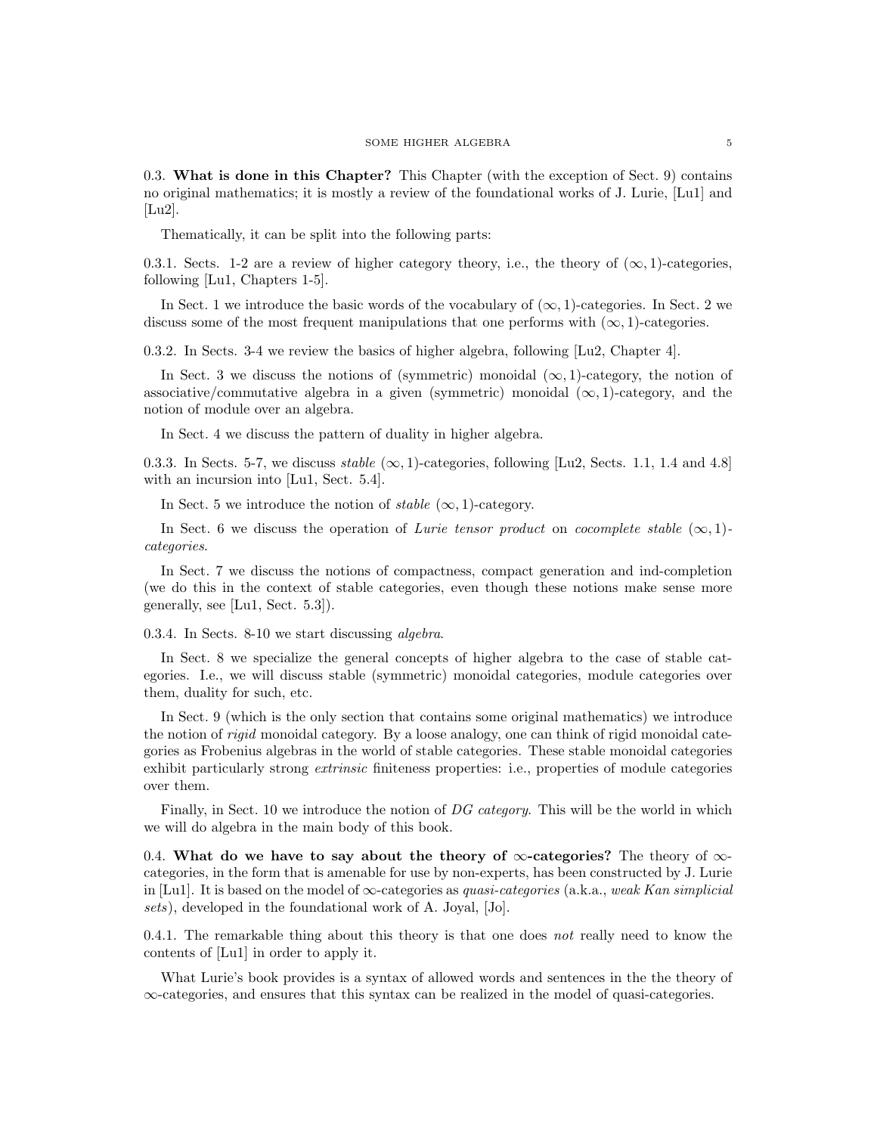0.3. What is done in this Chapter? This Chapter (with the exception of Sect. 9) contains no original mathematics; it is mostly a review of the foundational works of J. Lurie, [Lu1] and [Lu2].

Thematically, it can be split into the following parts:

0.3.1. Sects. 1-2 are a review of higher category theory, i.e., the theory of  $(\infty, 1)$ -categories, following [Lu1, Chapters 1-5].

In Sect. 1 we introduce the basic words of the vocabulary of  $(\infty, 1)$ -categories. In Sect. 2 we discuss some of the most frequent manipulations that one performs with  $(\infty, 1)$ -categories.

0.3.2. In Sects. 3-4 we review the basics of higher algebra, following [Lu2, Chapter 4].

In Sect. 3 we discuss the notions of (symmetric) monoidal  $(\infty, 1)$ -category, the notion of associative/commutative algebra in a given (symmetric) monoidal  $(\infty, 1)$ -category, and the notion of module over an algebra.

In Sect. 4 we discuss the pattern of duality in higher algebra.

0.3.3. In Sects. 5-7, we discuss stable  $(\infty, 1)$ -categories, following [Lu2, Sects. 1.1, 1.4 and 4.8] with an incursion into [Lu1, Sect. 5.4].

In Sect. 5 we introduce the notion of *stable*  $(\infty, 1)$ -category.

In Sect. 6 we discuss the operation of Lurie tensor product on cocomplete stable  $(\infty, 1)$ categories.

In Sect. 7 we discuss the notions of compactness, compact generation and ind-completion (we do this in the context of stable categories, even though these notions make sense more generally, see [Lu1, Sect. 5.3]).

0.3.4. In Sects. 8-10 we start discussing algebra.

In Sect. 8 we specialize the general concepts of higher algebra to the case of stable categories. I.e., we will discuss stable (symmetric) monoidal categories, module categories over them, duality for such, etc.

In Sect. 9 (which is the only section that contains some original mathematics) we introduce the notion of rigid monoidal category. By a loose analogy, one can think of rigid monoidal categories as Frobenius algebras in the world of stable categories. These stable monoidal categories exhibit particularly strong *extrinsic* finiteness properties: i.e., properties of module categories over them.

Finally, in Sect. 10 we introduce the notion of DG category. This will be the world in which we will do algebra in the main body of this book.

0.4. What do we have to say about the theory of  $\infty$ -categories? The theory of  $\infty$ categories, in the form that is amenable for use by non-experts, has been constructed by J. Lurie in [Lu1]. It is based on the model of  $\infty$ -categories as *quasi-categories* (a.k.a., weak Kan simplicial sets), developed in the foundational work of A. Joyal, [Jo].

0.4.1. The remarkable thing about this theory is that one does not really need to know the contents of [Lu1] in order to apply it.

What Lurie's book provides is a syntax of allowed words and sentences in the the theory of ∞-categories, and ensures that this syntax can be realized in the model of quasi-categories.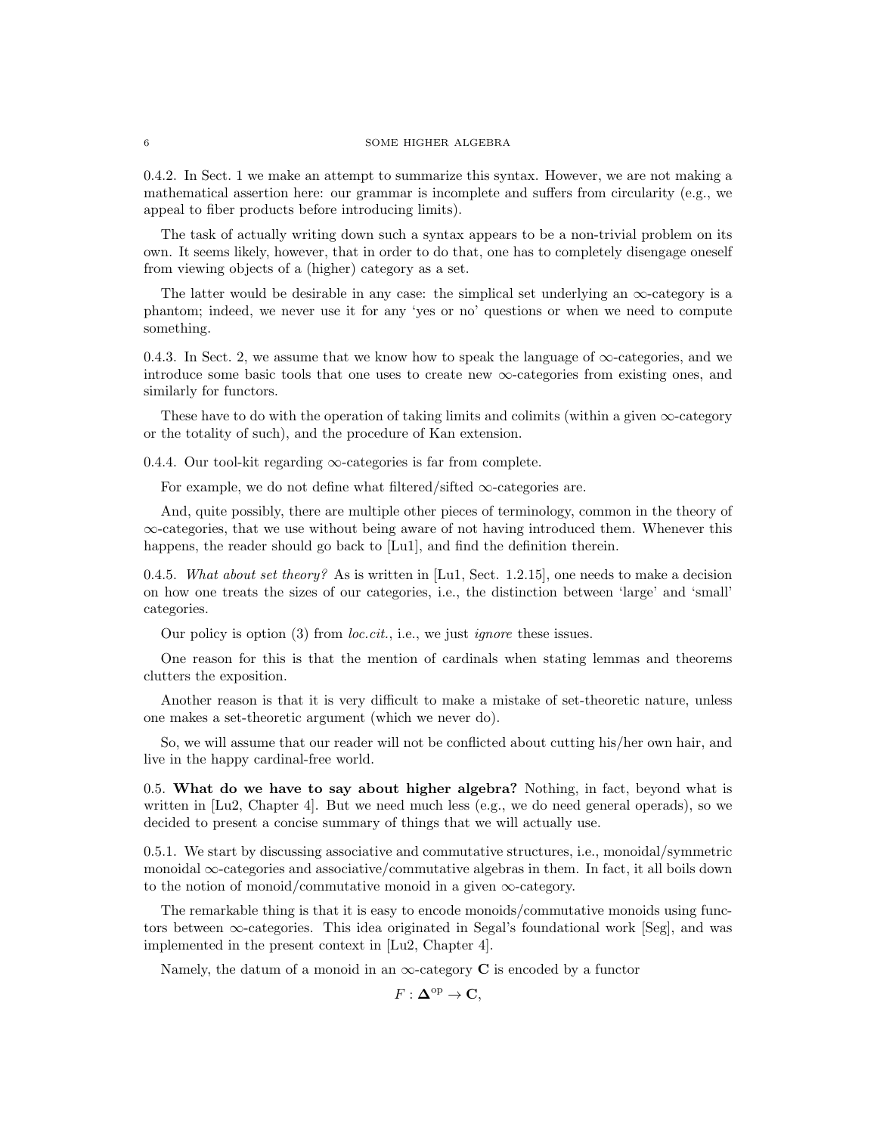0.4.2. In Sect. 1 we make an attempt to summarize this syntax. However, we are not making a mathematical assertion here: our grammar is incomplete and suffers from circularity (e.g., we appeal to fiber products before introducing limits).

The task of actually writing down such a syntax appears to be a non-trivial problem on its own. It seems likely, however, that in order to do that, one has to completely disengage oneself from viewing objects of a (higher) category as a set.

The latter would be desirable in any case: the simplical set underlying an  $\infty$ -category is a phantom; indeed, we never use it for any 'yes or no' questions or when we need to compute something.

0.4.3. In Sect. 2, we assume that we know how to speak the language of  $\infty$ -categories, and we introduce some basic tools that one uses to create new ∞-categories from existing ones, and similarly for functors.

These have to do with the operation of taking limits and colimits (within a given  $\infty$ -category or the totality of such), and the procedure of Kan extension.

0.4.4. Our tool-kit regarding  $\infty$ -categories is far from complete.

For example, we do not define what filtered/sifted  $\infty$ -categories are.

And, quite possibly, there are multiple other pieces of terminology, common in the theory of ∞-categories, that we use without being aware of not having introduced them. Whenever this happens, the reader should go back to [Lu1], and find the definition therein.

0.4.5. What about set theory? As is written in [Lu1, Sect. 1.2.15], one needs to make a decision on how one treats the sizes of our categories, i.e., the distinction between 'large' and 'small' categories.

Our policy is option  $(3)$  from *loc.cit.*, i.e., we just *ignore* these issues.

One reason for this is that the mention of cardinals when stating lemmas and theorems clutters the exposition.

Another reason is that it is very difficult to make a mistake of set-theoretic nature, unless one makes a set-theoretic argument (which we never do).

So, we will assume that our reader will not be conflicted about cutting his/her own hair, and live in the happy cardinal-free world.

0.5. What do we have to say about higher algebra? Nothing, in fact, beyond what is written in [Lu2, Chapter 4]. But we need much less (e.g., we do need general operads), so we decided to present a concise summary of things that we will actually use.

0.5.1. We start by discussing associative and commutative structures, i.e., monoidal/symmetric monoidal ∞-categories and associative/commutative algebras in them. In fact, it all boils down to the notion of monoid/commutative monoid in a given  $\infty$ -category.

The remarkable thing is that it is easy to encode monoids/commutative monoids using functors between  $\infty$ -categories. This idea originated in Segal's foundational work [Seg], and was implemented in the present context in [Lu2, Chapter 4].

Namely, the datum of a monoid in an  $\infty$ -category C is encoded by a functor

 $F: \mathbf{\Delta}^{\mathrm{op}} \to \mathbf{C},$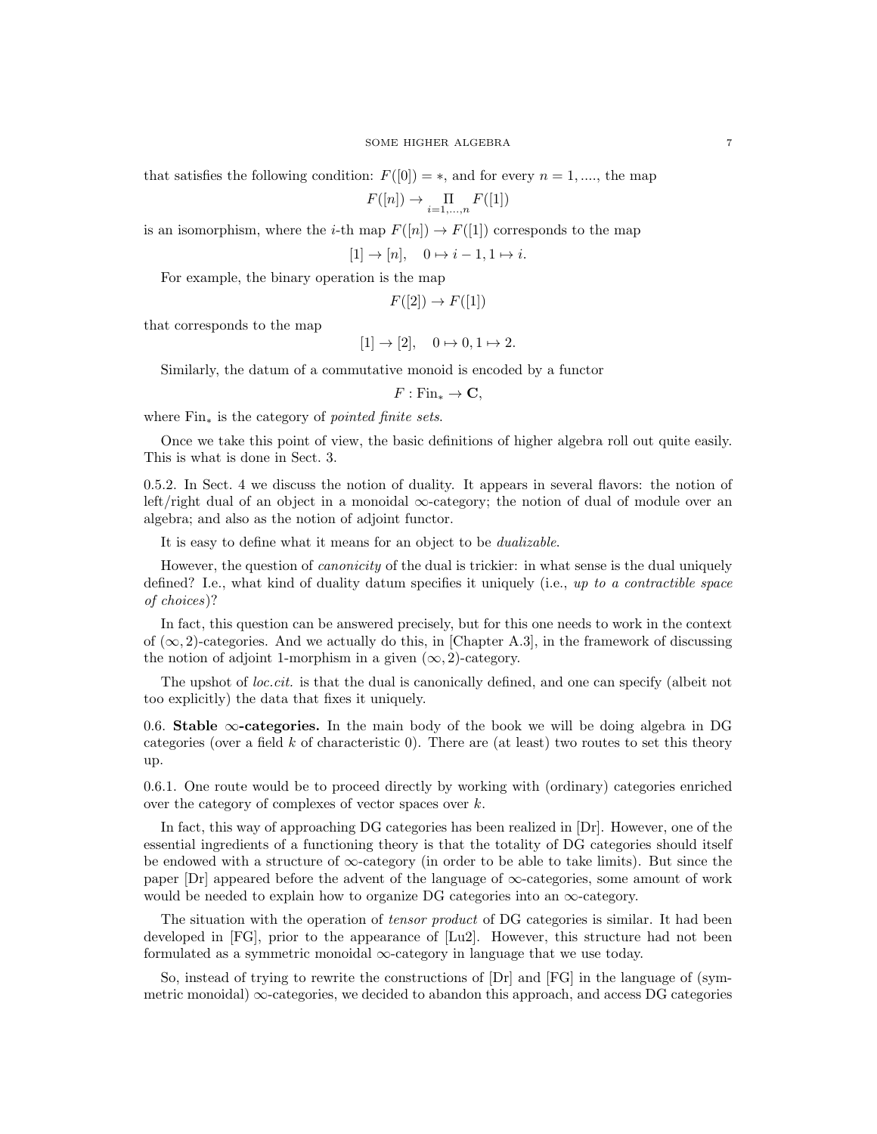that satisfies the following condition:  $F([0]) = *$ , and for every  $n = 1, \dots,$  the map

$$
F([n]) \to \prod_{i=1,\ldots,n} F([1])
$$

is an isomorphism, where the *i*-th map  $F([n]) \to F([1])$  corresponds to the map

 $[1] \rightarrow [n], \quad 0 \mapsto i - 1, 1 \mapsto i.$ 

For example, the binary operation is the map

 $F([2]) \to F([1])$ 

that corresponds to the map

$$
[1] \to [2], \quad 0 \mapsto 0, 1 \mapsto 2.
$$

Similarly, the datum of a commutative monoid is encoded by a functor

 $F: \text{Fin}_{*} \to \mathbf{C},$ 

where  $Fin_*$  is the category of *pointed finite sets*.

Once we take this point of view, the basic definitions of higher algebra roll out quite easily. This is what is done in Sect. 3.

0.5.2. In Sect. 4 we discuss the notion of duality. It appears in several flavors: the notion of left/right dual of an object in a monoidal  $\infty$ -category; the notion of dual of module over an algebra; and also as the notion of adjoint functor.

It is easy to define what it means for an object to be dualizable.

However, the question of *canonicity* of the dual is trickier: in what sense is the dual uniquely defined? I.e., what kind of duality datum specifies it uniquely (i.e., up to a contractible space of choices)?

In fact, this question can be answered precisely, but for this one needs to work in the context of  $(\infty, 2)$ -categories. And we actually do this, in [Chapter A.3], in the framework of discussing the notion of adjoint 1-morphism in a given  $(\infty, 2)$ -category.

The upshot of loc.cit. is that the dual is canonically defined, and one can specify (albeit not too explicitly) the data that fixes it uniquely.

0.6. Stable  $\infty$ -categories. In the main body of the book we will be doing algebra in DG categories (over a field k of characteristic 0). There are (at least) two routes to set this theory up.

0.6.1. One route would be to proceed directly by working with (ordinary) categories enriched over the category of complexes of vector spaces over k.

In fact, this way of approaching DG categories has been realized in [Dr]. However, one of the essential ingredients of a functioning theory is that the totality of DG categories should itself be endowed with a structure of  $\infty$ -category (in order to be able to take limits). But since the paper  $\text{Dr}$  appeared before the advent of the language of  $\infty$ -categories, some amount of work would be needed to explain how to organize DG categories into an  $\infty$ -category.

The situation with the operation of *tensor product* of DG categories is similar. It had been developed in [FG], prior to the appearance of [Lu2]. However, this structure had not been formulated as a symmetric monoidal  $\infty$ -category in language that we use today.

So, instead of trying to rewrite the constructions of [Dr] and [FG] in the language of (symmetric monoidal)  $\infty$ -categories, we decided to abandon this approach, and access DG categories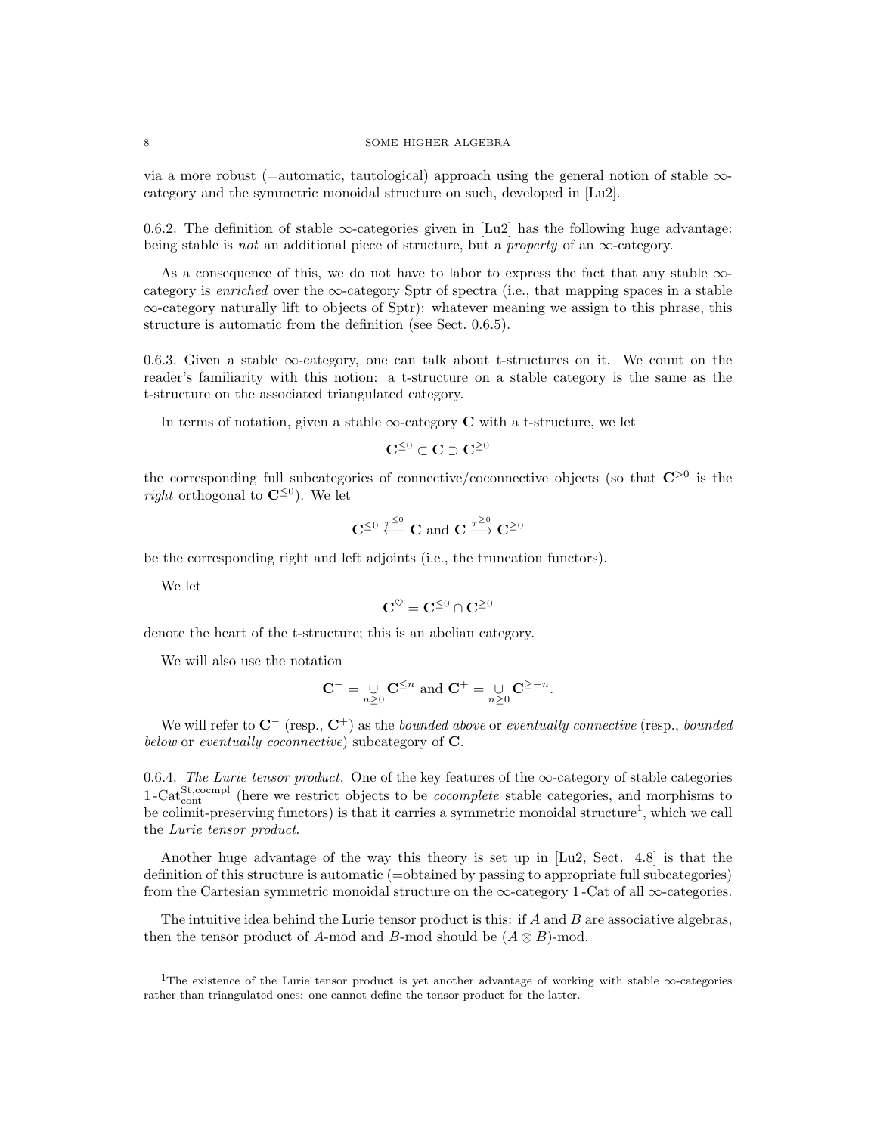via a more robust (=automatic, tautological) approach using the general notion of stable  $\infty$ category and the symmetric monoidal structure on such, developed in [Lu2].

0.6.2. The definition of stable  $\infty$ -categories given in [Lu2] has the following huge advantage: being stable is *not* an additional piece of structure, but a *property* of an  $\infty$ -category.

As a consequence of this, we do not have to labor to express the fact that any stable  $\infty$ category is enriched over the  $\infty$ -category Sptr of spectra (i.e., that mapping spaces in a stable ∞-category naturally lift to objects of Sptr): whatever meaning we assign to this phrase, this structure is automatic from the definition (see Sect. 0.6.5).

0.6.3. Given a stable ∞-category, one can talk about t-structures on it. We count on the reader's familiarity with this notion: a t-structure on a stable category is the same as the t-structure on the associated triangulated category.

In terms of notation, given a stable  $\infty$ -category **C** with a t-structure, we let

$$
\mathbf{C}^{\leq 0} \subset \mathbf{C} \supset \mathbf{C}^{\geq 0}
$$

the corresponding full subcategories of connective/coconnective objects (so that  $\mathbb{C}^{>0}$  is the *right* orthogonal to  $\mathbb{C}^{\leq 0}$ . We let

$$
\mathbf{C}^{\leq 0} \stackrel{\tau^{\leq 0}}{\longleftarrow} \mathbf{C} \text{ and } \mathbf{C} \stackrel{\tau^{\geq 0}}{\longrightarrow} \mathbf{C}^{\geq 0}
$$

be the corresponding right and left adjoints (i.e., the truncation functors).

We let

$$
\mathbf{C}^\heartsuit=\mathbf{C}^{\leq 0}\cap\mathbf{C}^{\geq 0}
$$

denote the heart of the t-structure; this is an abelian category.

We will also use the notation

$$
\mathbf{C}^- = \bigcup_{n \geq 0} \mathbf{C}^{\leq n} \text{ and } \mathbf{C}^+ = \bigcup_{n \geq 0} \mathbf{C}^{\geq -n}.
$$

We will refer to  $\mathbf{C}^-$  (resp.,  $\mathbf{C}^+$ ) as the bounded above or eventually connective (resp., bounded below or eventually coconnective) subcategory of **C**.

0.6.4. The Lurie tensor product. One of the key features of the  $\infty$ -category of stable categories 1-Cat<sup>St</sup>,cocmpl (here we restrict objects to be *cocomplete* stable categories, and morphisms to be colimit-preserving functors) is that it carries a symmetric monoidal structure<sup>1</sup>, which we call the Lurie tensor product.

Another huge advantage of the way this theory is set up in [Lu2, Sect. 4.8] is that the definition of this structure is automatic (=obtained by passing to appropriate full subcategories) from the Cartesian symmetric monoidal structure on the  $\infty$ -category 1 -Cat of all  $\infty$ -categories.

The intuitive idea behind the Lurie tensor product is this: if  $A$  and  $B$  are associative algebras, then the tensor product of A-mod and B-mod should be  $(A \otimes B)$ -mod.

<sup>1</sup>The existence of the Lurie tensor product is yet another advantage of working with stable ∞-categories rather than triangulated ones: one cannot define the tensor product for the latter.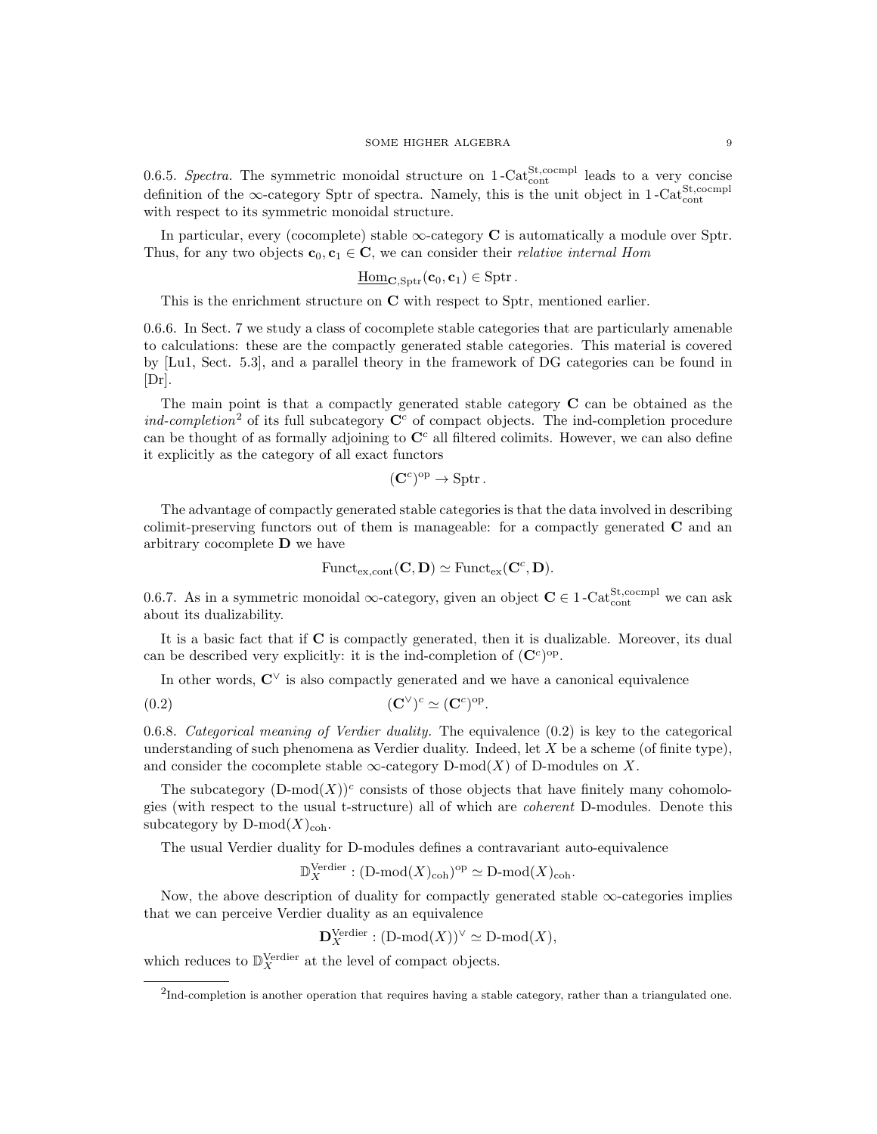0.6.5. Spectra. The symmetric monoidal structure on  $1$ -Cat $_{\text{cont}}^{\text{St,comp1}}$  leads to a very concise definition of the ∞-category Sptr of spectra. Namely, this is the unit object in 1-Cat<sup>St</sup>,cocmpl with respect to its symmetric monoidal structure.

In particular, every (cocomplete) stable  $\infty$ -category **C** is automatically a module over Sptr. Thus, for any two objects  $\mathbf{c}_0, \mathbf{c}_1 \in \mathbb{C}$ , we can consider their *relative internal Hom* 

$$
\underline{\mathrm{Hom}}_{\mathbf{C}, \mathrm{Sptr}}(\mathbf{c}_0, \mathbf{c}_1) \in \mathrm{Sptr} \, .
$$

This is the enrichment structure on C with respect to Sptr, mentioned earlier.

0.6.6. In Sect. 7 we study a class of cocomplete stable categories that are particularly amenable to calculations: these are the compactly generated stable categories. This material is covered by [Lu1, Sect. 5.3], and a parallel theory in the framework of DG categories can be found in [Dr].

The main point is that a compactly generated stable category C can be obtained as the ind-completion<sup>2</sup> of its full subcategory  $\mathbb{C}^c$  of compact objects. The ind-completion procedure can be thought of as formally adjoining to  $\mathbb{C}^c$  all filtered colimits. However, we can also define it explicitly as the category of all exact functors

$$
(\mathbf{C}^c)^{\mathrm{op}} \to \mathrm{Sptr}.
$$

The advantage of compactly generated stable categories is that the data involved in describing colimit-preserving functors out of them is manageable: for a compactly generated C and an arbitrary cocomplete D we have

$$
\mathrm{Funct}_{\mathrm{ex}, \mathrm{cont}}(\mathbf{C}, \mathbf{D}) \simeq \mathrm{Funct}_{\mathrm{ex}}(\mathbf{C}^c, \mathbf{D}).
$$

0.6.7. As in a symmetric monoidal  $\infty$ -category, given an object  $C \in 1$ -Cat<sup>St</sup>,cocmpl we can ask about its dualizability.

It is a basic fact that if C is compactly generated, then it is dualizable. Moreover, its dual can be described very explicitly: it is the ind-completion of  $(\mathbf{C}^c)^{\text{op}}$ .

In other words,  $\mathbf{C}^{\vee}$  is also compactly generated and we have a canonical equivalence

$$
(0.2) \qquad \qquad (\mathbf{C}^{\vee})^c \simeq (\mathbf{C}^c)^{\mathrm{op}}.
$$

0.6.8. Categorical meaning of Verdier duality. The equivalence (0.2) is key to the categorical understanding of such phenomena as Verdier duality. Indeed, let  $X$  be a scheme (of finite type), and consider the cocomplete stable  $\infty$ -category D-mod(X) of D-modules on X.

The subcategory  $(D\text{-mod}(X))^c$  consists of those objects that have finitely many cohomologies (with respect to the usual t-structure) all of which are coherent D-modules. Denote this subcategory by  $D\text{-mod}(X)_{\text{coh}}$ .

The usual Verdier duality for D-modules defines a contravariant auto-equivalence

$$
\mathbb{D}_{X}^{\mathrm{Verdier}} : (\mathrm{D\text{-}mod}(X)_{\mathrm{coh}})^{\mathrm{op}} \simeq \mathrm{D\text{-}mod}(X)_{\mathrm{coh}}.
$$

Now, the above description of duality for compactly generated stable  $\infty$ -categories implies that we can perceive Verdier duality as an equivalence

 $\mathbf{D}_X^{\text{Verdier}} : (\text{D-mod}(X))^\vee \simeq \text{D-mod}(X),$ 

which reduces to  $\mathbb{D}_{X}^{\text{Verdier}}$  at the level of compact objects.

 ${}^{2}$ Ind-completion is another operation that requires having a stable category, rather than a triangulated one.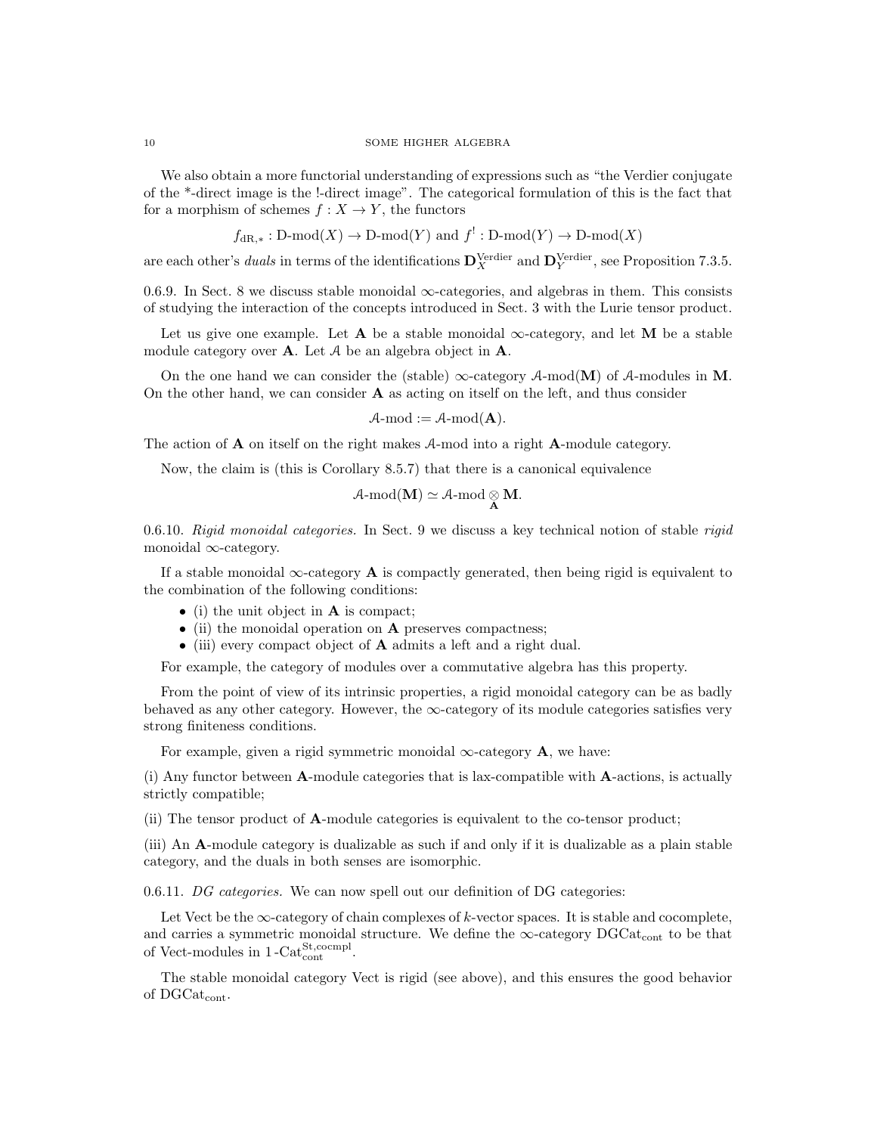We also obtain a more functorial understanding of expressions such as "the Verdier conjugate of the \*-direct image is the !-direct image". The categorical formulation of this is the fact that for a morphism of schemes  $f : X \to Y$ , the functors

$$
f_{dR,*}: D\text{-mod}(X) \to D\text{-mod}(Y) \text{ and } f^!: D\text{-mod}(Y) \to D\text{-mod}(X)
$$

are each other's *duals* in terms of the identifications  $\mathbf{D}_X^{\text{Verdier}}$  and  $\mathbf{D}_Y^{\text{Verdier}}$ , see Proposition 7.3.5.

0.6.9. In Sect. 8 we discuss stable monoidal  $\infty$ -categories, and algebras in them. This consists of studying the interaction of the concepts introduced in Sect. 3 with the Lurie tensor product.

Let us give one example. Let **A** be a stable monoidal  $\infty$ -category, and let **M** be a stable module category over **A**. Let  $A$  be an algebra object in **A**.

On the one hand we can consider the (stable)  $\infty$ -category A-mod(M) of A-modules in M. On the other hand, we can consider  $A$  as acting on itself on the left, and thus consider

$$
A\text{-mod} := A\text{-mod}(\mathbf{A}).
$$

The action of A on itself on the right makes A-mod into a right A-module category.

Now, the claim is (this is Corollary 8.5.7) that there is a canonical equivalence

$$
\mathcal{A}\text{-}\mathrm{mod}(M)\simeq \mathcal{A}\text{-}\mathrm{mod}\underset{A}{\otimes} M.
$$

0.6.10. Rigid monoidal categories. In Sect. 9 we discuss a key technical notion of stable rigid monoidal ∞-category.

If a stable monoidal  $\infty$ -category **A** is compactly generated, then being rigid is equivalent to the combination of the following conditions:

- (i) the unit object in **A** is compact;
- (ii) the monoidal operation on **A** preserves compactness;
- (iii) every compact object of A admits a left and a right dual.

For example, the category of modules over a commutative algebra has this property.

From the point of view of its intrinsic properties, a rigid monoidal category can be as badly behaved as any other category. However, the ∞-category of its module categories satisfies very strong finiteness conditions.

For example, given a rigid symmetric monoidal  $\infty$ -category **A**, we have:

(i) Any functor between A-module categories that is lax-compatible with A-actions, is actually strictly compatible;

(ii) The tensor product of A-module categories is equivalent to the co-tensor product;

(iii) An A-module category is dualizable as such if and only if it is dualizable as a plain stable category, and the duals in both senses are isomorphic.

0.6.11. DG categories. We can now spell out our definition of DG categories:

Let Vect be the  $\infty$ -category of chain complexes of k-vector spaces. It is stable and cocomplete, and carries a symmetric monoidal structure. We define the  $\infty$ -category DGCat<sub>cont</sub> to be that of Vect-modules in  $1$ -Cat $_{\text{cont}}^{\text{St,coempl}}$ .

The stable monoidal category Vect is rigid (see above), and this ensures the good behavior of DGCatcont.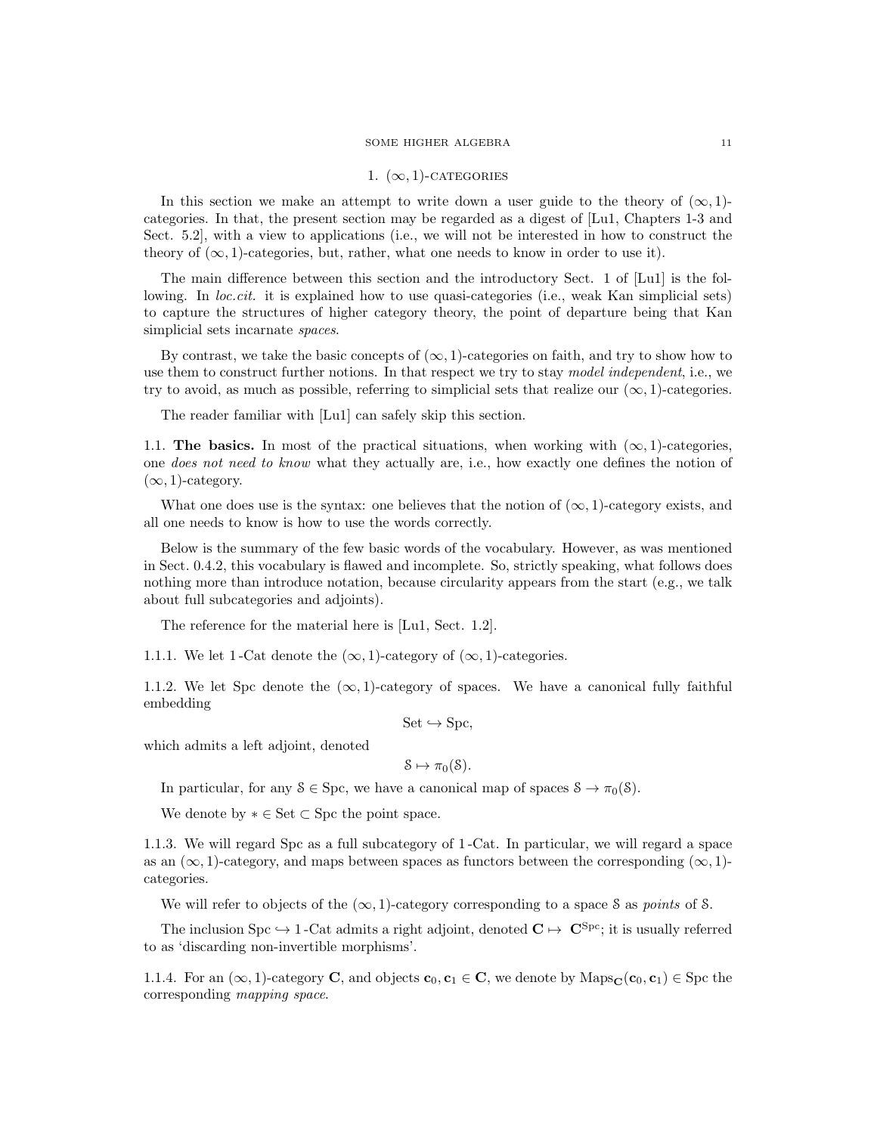### 1.  $(\infty, 1)$ -CATEGORIES

In this section we make an attempt to write down a user guide to the theory of  $(\infty, 1)$ categories. In that, the present section may be regarded as a digest of [Lu1, Chapters 1-3 and Sect. 5.2], with a view to applications (i.e., we will not be interested in how to construct the theory of  $(\infty, 1)$ -categories, but, rather, what one needs to know in order to use it).

The main difference between this section and the introductory Sect. 1 of [Lu1] is the following. In *loc.cit.* it is explained how to use quasi-categories (i.e., weak Kan simplicial sets) to capture the structures of higher category theory, the point of departure being that Kan simplicial sets incarnate *spaces*.

By contrast, we take the basic concepts of  $(\infty, 1)$ -categories on faith, and try to show how to use them to construct further notions. In that respect we try to stay model independent, i.e., we try to avoid, as much as possible, referring to simplicial sets that realize our  $(\infty, 1)$ -categories.

The reader familiar with [Lu1] can safely skip this section.

1.1. The basics. In most of the practical situations, when working with  $(\infty, 1)$ -categories, one *does not need to know* what they actually are, i.e., how exactly one defines the notion of  $(\infty, 1)$ -category.

What one does use is the syntax: one believes that the notion of  $(\infty, 1)$ -category exists, and all one needs to know is how to use the words correctly.

Below is the summary of the few basic words of the vocabulary. However, as was mentioned in Sect. 0.4.2, this vocabulary is flawed and incomplete. So, strictly speaking, what follows does nothing more than introduce notation, because circularity appears from the start (e.g., we talk about full subcategories and adjoints).

The reference for the material here is [Lu1, Sect. 1.2].

1.1.1. We let 1-Cat denote the  $(\infty, 1)$ -category of  $(\infty, 1)$ -categories.

1.1.2. We let Spc denote the  $(\infty, 1)$ -category of spaces. We have a canonical fully faithful embedding

 $Set \hookrightarrow Spec,$ 

which admits a left adjoint, denoted

 $\mathcal{S} \mapsto \pi_0(\mathcal{S}).$ 

In particular, for any  $S \in \text{Spc}$ , we have a canonical map of spaces  $S \to \pi_0(S)$ .

We denote by  $* \in \mathsf{Set} \subset \mathsf{Spc}$  the point space.

1.1.3. We will regard Spc as a full subcategory of 1 -Cat. In particular, we will regard a space as an  $(\infty, 1)$ -category, and maps between spaces as functors between the corresponding  $(\infty, 1)$ categories.

We will refer to objects of the  $(\infty, 1)$ -category corresponding to a space S as *points* of S.

The inclusion Spc  $\hookrightarrow$  1 -Cat admits a right adjoint, denoted  $\mathbf{C} \mapsto \mathbf{C}^{\text{Spc}}$ ; it is usually referred to as 'discarding non-invertible morphisms'.

1.1.4. For an  $(\infty, 1)$ -category **C**, and objects **c**<sub>0</sub>, **c**<sub>1</sub>  $\in$  **C**, we denote by Maps<sub>C</sub>(**c**<sub>0</sub>, **c**<sub>1</sub>)  $\in$  Spc the corresponding mapping space.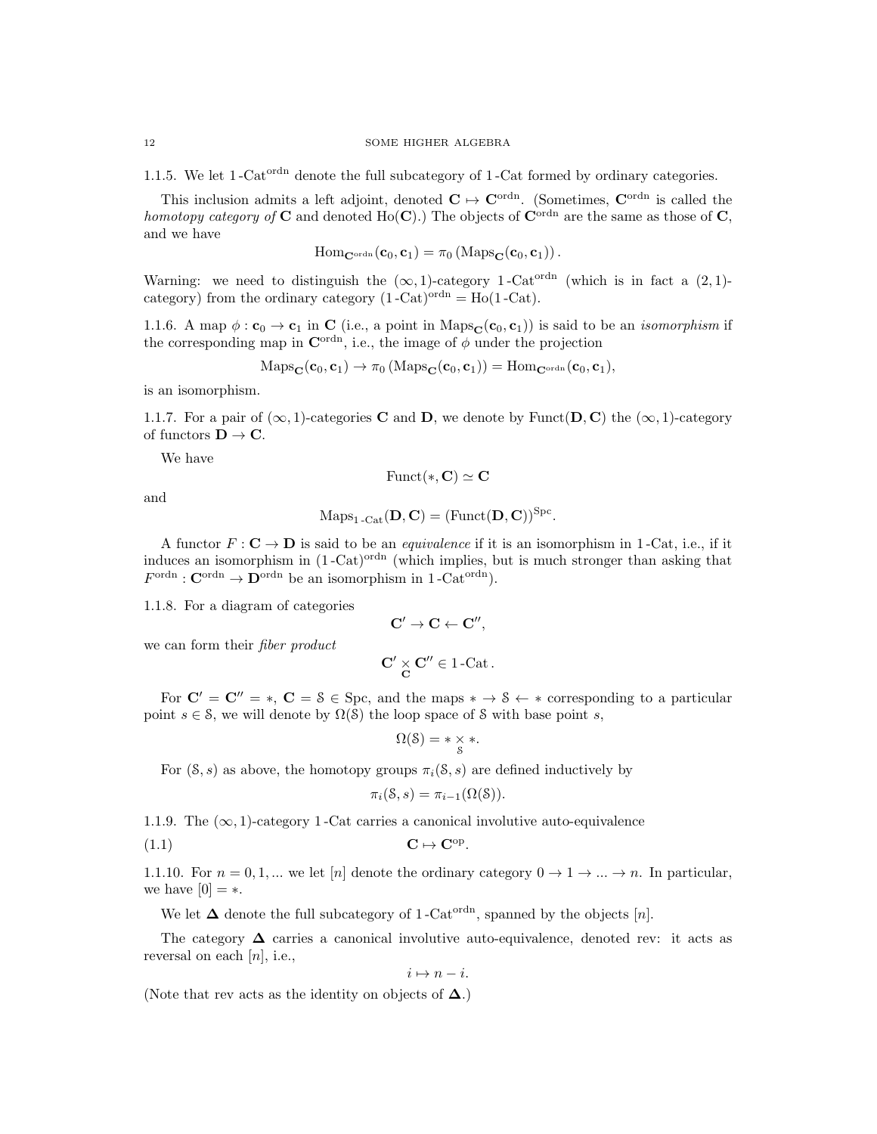1.1.5. We let  $1$ -Cat<sup>ordn</sup> denote the full subcategory of  $1$ -Cat formed by ordinary categories.

This inclusion admits a left adjoint, denoted  $C \mapsto C^{\text{ordn}}$ . (Sometimes,  $C^{\text{ordn}}$  is called the homotopy category of C and denoted H<sub>O</sub>(C).) The objects of C<sup>ordn</sup> are the same as those of C, and we have

$$
\mathrm{Hom}_{\mathbf{C}^{\mathrm{ordn}}}(\mathbf{c}_0,\mathbf{c}_1)=\pi_0\left(\mathrm{Maps}_{\mathbf{C}}(\mathbf{c}_0,\mathbf{c}_1)\right).
$$

Warning: we need to distinguish the  $(\infty, 1)$ -category 1-Cat<sup>ordn</sup> (which is in fact a  $(2, 1)$ category) from the ordinary category  $(1 - \text{Cat})^{\text{ordn}} = \text{Ho}(1 - \text{Cat})$ .

1.1.6. A map  $\phi : \mathbf{c}_0 \to \mathbf{c}_1$  in C (i.e., a point in Maps $_{\mathbf{C}}(\mathbf{c}_0, \mathbf{c}_1)$ ) is said to be an *isomorphism* if the corresponding map in  $\mathbf{C}^{\text{ordn}}$ , i.e., the image of  $\phi$  under the projection

$$
\mathrm{Maps}_{\mathbf{C}}(\mathbf{c}_0, \mathbf{c}_1) \to \pi_0\left(\mathrm{Maps}_{\mathbf{C}}(\mathbf{c}_0, \mathbf{c}_1)\right) = \mathrm{Hom}_{\mathbf{C}^{\mathrm{ordn}}}(\mathbf{c}_0, \mathbf{c}_1),
$$

is an isomorphism.

1.1.7. For a pair of  $(\infty, 1)$ -categories **C** and **D**, we denote by Funct(**D**, **C**) the  $(\infty, 1)$ -category of functors  $\mathbf{D} \to \mathbf{C}$ .

We have

Funct(\*, C)  $\simeq$  C

and

$$
Maps_{1\text{-}\mathrm{Cat}}(\mathbf{D}, \mathbf{C}) = (\mathrm{Funct}(\mathbf{D}, \mathbf{C}))^{Spc}.
$$

A functor  $F: \mathbf{C} \to \mathbf{D}$  is said to be an *equivalence* if it is an isomorphism in 1-Cat, i.e., if it induces an isomorphism in  $(1 - \text{Cat})^{\text{ordn}}$  (which implies, but is much stronger than asking that  $F^{\text{ordn}} : \mathbf{C}^{\text{ordn}} \to \mathbf{D}^{\text{ordn}}$  be an isomorphism in 1-Cat<sup>ordn</sup>).

1.1.8. For a diagram of categories

$$
C'\rightarrow C\leftarrow C'',
$$

we can form their fiber product

$$
\mathbf{C'} \underset{\mathbf{C}}{\times} \mathbf{C''} \in 1\text{-Cat}\,.
$$

For  $C' = C'' = *$ ,  $C = \S \in Spc$ , and the maps  $* \to \S \leftarrow *$  corresponding to a particular point  $s \in \mathcal{S}$ , we will denote by  $\Omega(\mathcal{S})$  the loop space of S with base point s,

$$
\Omega(\mathcal{S}) = * \underset{\mathcal{S}}{\times} *.
$$

For  $(S, s)$  as above, the homotopy groups  $\pi_i(S, s)$  are defined inductively by

$$
\pi_i(\mathcal{S}, s) = \pi_{i-1}(\Omega(\mathcal{S})).
$$

1.1.9. The  $(\infty, 1)$ -category 1-Cat carries a canonical involutive auto-equivalence

$$
C \mapsto C^{\mathrm{op}}.
$$

1.1.10. For  $n = 0, 1, ...$  we let [n] denote the ordinary category  $0 \to 1 \to ... \to n$ . In particular, we have  $[0] = *$ .

We let  $\Delta$  denote the full subcategory of 1-Cat<sup>ordn</sup>, spanned by the objects [n].

The category  $\Delta$  carries a canonical involutive auto-equivalence, denoted rev: it acts as reversal on each  $[n]$ , i.e.,

 $i \mapsto n - i$ .

(Note that rev acts as the identity on objects of  $\Delta$ .)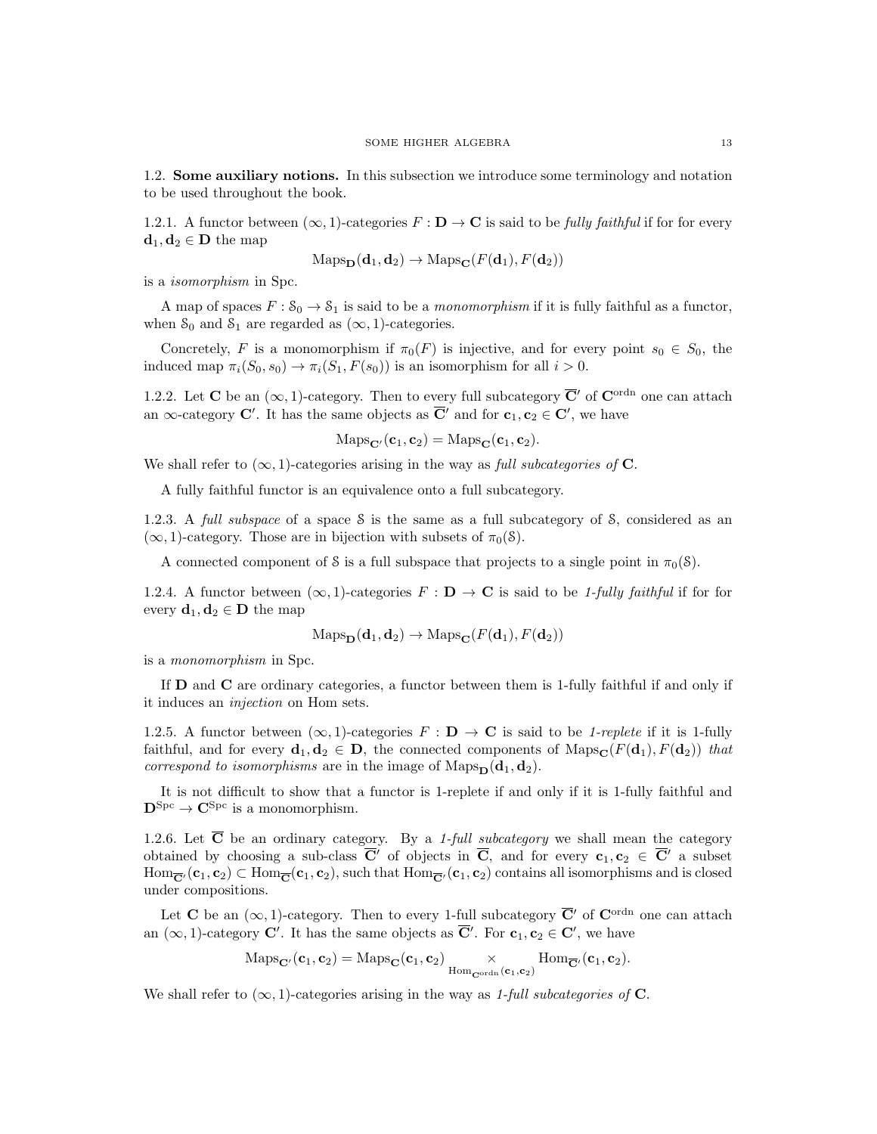1.2. Some auxiliary notions. In this subsection we introduce some terminology and notation to be used throughout the book.

1.2.1. A functor between  $(\infty, 1)$ -categories  $F : \mathbf{D} \to \mathbf{C}$  is said to be fully faithful if for for every  $\mathbf{d}_1, \mathbf{d}_2 \in \mathbf{D}$  the map

$$
\mathrm{Maps}_{\mathbf{D}}(\mathbf{d}_1, \mathbf{d}_2) \to \mathrm{Maps}_{\mathbf{C}}(F(\mathbf{d}_1), F(\mathbf{d}_2))
$$

is a isomorphism in Spc.

A map of spaces  $F: \mathcal{S}_0 \to \mathcal{S}_1$  is said to be a *monomorphism* if it is fully faithful as a functor, when  $S_0$  and  $S_1$  are regarded as  $(\infty, 1)$ -categories.

Concretely, F is a monomorphism if  $\pi_0(F)$  is injective, and for every point  $s_0 \in S_0$ , the induced map  $\pi_i(S_0, s_0) \to \pi_i(S_1, F(s_0))$  is an isomorphism for all  $i > 0$ .

1.2.2. Let C be an  $(\infty, 1)$ -category. Then to every full subcategory  $\overline{C}'$  of C<sup>ordn</sup> one can attach an  $\infty$ -category **C'**. It has the same objects as  $\overline{C}'$  and for  $c_1, c_2 \in C'$ , we have

$$
Maps_{\mathbf{C}'}(\mathbf{c}_1, \mathbf{c}_2) = Maps_{\mathbf{C}}(\mathbf{c}_1, \mathbf{c}_2).
$$

We shall refer to  $(\infty, 1)$ -categories arising in the way as full subcategories of C.

A fully faithful functor is an equivalence onto a full subcategory.

1.2.3. A full subspace of a space S is the same as a full subcategory of S, considered as an  $(\infty, 1)$ -category. Those are in bijection with subsets of  $\pi_0(\mathcal{S})$ .

A connected component of S is a full subspace that projects to a single point in  $\pi_0(\mathcal{S})$ .

1.2.4. A functor between  $(\infty, 1)$ -categories  $F : D \to \mathbf{C}$  is said to be 1-fully faithful if for for every  $\mathbf{d}_1, \mathbf{d}_2 \in \mathbf{D}$  the map

$$
\mathrm{Maps}_{\mathbf{D}}(\mathbf{d}_1, \mathbf{d}_2) \to \mathrm{Maps}_{\mathbf{C}}(F(\mathbf{d}_1), F(\mathbf{d}_2))
$$

is a monomorphism in Spc.

If D and C are ordinary categories, a functor between them is 1-fully faithful if and only if it induces an injection on Hom sets.

1.2.5. A functor between  $(\infty, 1)$ -categories  $F : \mathbf{D} \to \mathbf{C}$  is said to be 1-replete if it is 1-fully faithful, and for every  $\mathbf{d}_1, \mathbf{d}_2 \in \mathbf{D}$ , the connected components of Maps<sub>C</sub>( $F(\mathbf{d}_1), F(\mathbf{d}_2)$ ) that *correspond to isomorphisms* are in the image of  $\text{Maps}_{\mathbf{D}}(\mathbf{d}_1, \mathbf{d}_2)$ .

It is not difficult to show that a functor is 1-replete if and only if it is 1-fully faithful and  $\mathbf{D}^{\text{Spc}} \to \mathbf{C}^{\text{Spc}}$  is a monomorphism.

1.2.6. Let  $\overline{C}$  be an ordinary category. By a 1-full subcategory we shall mean the category obtained by choosing a sub-class  $\overline{C}'$  of objects in  $\overline{C}$ , and for every  $c_1, c_2 \in \overline{C}'$  a subset  $\text{Hom}_{\overline{C}}(\mathbf{c}_1, \mathbf{c}_2) \subset \text{Hom}_{\overline{C}}(\mathbf{c}_1, \mathbf{c}_2)$ , such that  $\text{Hom}_{\overline{C}}(\mathbf{c}_1, \mathbf{c}_2)$  contains all isomorphisms and is closed under compositions.

Let C be an  $(\infty, 1)$ -category. Then to every 1-full subcategory  $\overline{C}'$  of  $C^{\text{ordn}}$  one can attach an  $(\infty, 1)$ -category **C'**. It has the same objects as  $\overline{\mathbf{C}}'$ . For  $\mathbf{c}_1, \mathbf{c}_2 \in \mathbf{C}'$ , we have

$$
\mathrm{Maps}_{\mathbf{C}'}(\mathbf{c}_1, \mathbf{c}_2) = \mathrm{Maps}_{\mathbf{C}}(\mathbf{c}_1, \mathbf{c}_2) \underset{\mathrm{Hom}_{\mathbf{C}^{\mathrm{ordn}}}(\mathbf{c}_1, \mathbf{c}_2)}{\times} \mathrm{Hom}_{\overline{\mathbf{C}}'}(\mathbf{c}_1, \mathbf{c}_2).
$$

We shall refer to  $(\infty, 1)$ -categories arising in the way as 1-full subcategories of **C**.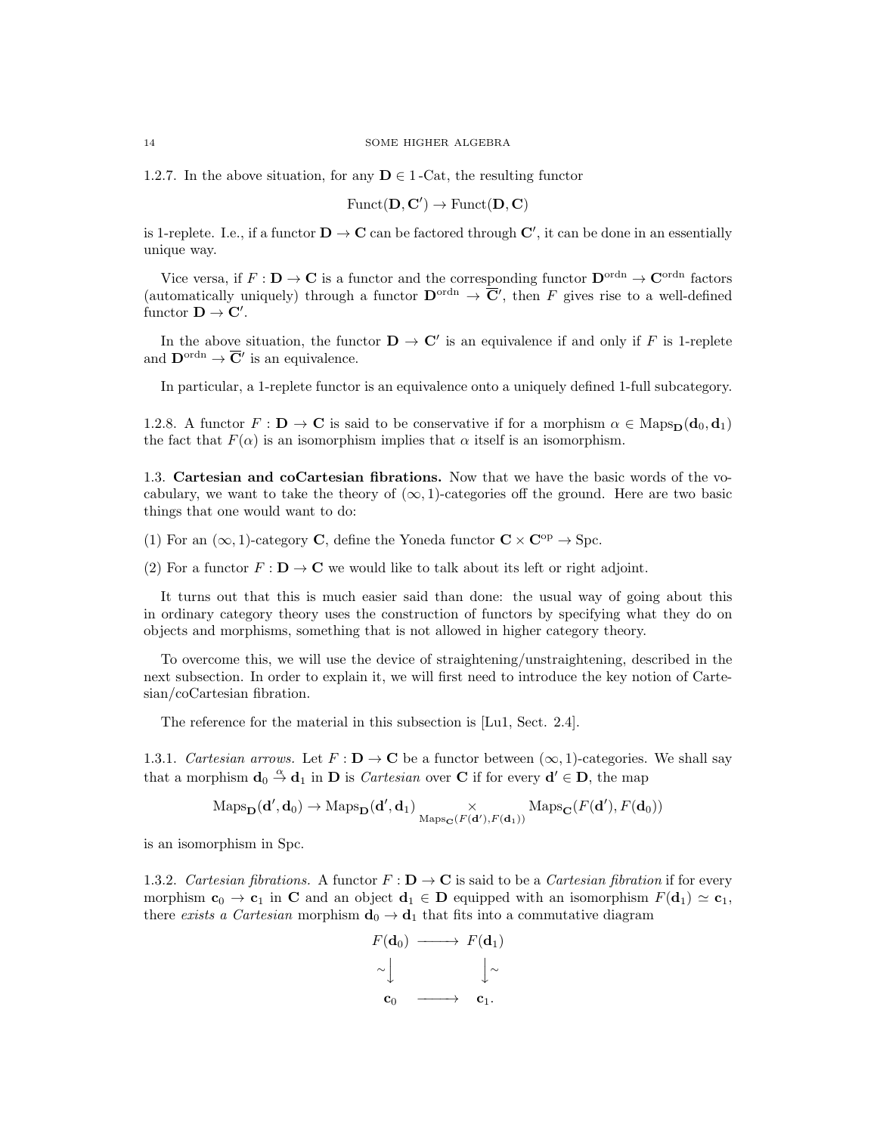1.2.7. In the above situation, for any  $D \in 1$ -Cat, the resulting functor

$$
\text{Funct}(\mathbf{D}, \mathbf{C}') \to \text{Funct}(\mathbf{D}, \mathbf{C})
$$

is 1-replete. I.e., if a functor  $D \to C$  can be factored through  $C'$ , it can be done in an essentially unique way.

Vice versa, if  $F: D \to \mathbf{C}$  is a functor and the corresponding functor  $D^{\text{ordn}} \to \mathbf{C}^{\text{ordn}}$  factors (automatically uniquely) through a functor  $\mathbf{D}^{\text{ordn}} \to \overline{\mathbf{C}}'$ , then F gives rise to a well-defined functor  $\mathbf{D} \to \mathbf{C}'$ .

In the above situation, the functor  $\mathbf{D} \to \mathbf{C}'$  is an equivalence if and only if F is 1-replete and  $\mathbf{D}^{\text{ordn}} \to \overline{\mathbf{C}}'$  is an equivalence.

In particular, a 1-replete functor is an equivalence onto a uniquely defined 1-full subcategory.

1.2.8. A functor  $F : D \to \mathbf{C}$  is said to be conservative if for a morphism  $\alpha \in \text{Maps}_{\mathbf{D}}(\mathbf{d}_0, \mathbf{d}_1)$ the fact that  $F(\alpha)$  is an isomorphism implies that  $\alpha$  itself is an isomorphism.

1.3. Cartesian and coCartesian fibrations. Now that we have the basic words of the vocabulary, we want to take the theory of  $(\infty, 1)$ -categories off the ground. Here are two basic things that one would want to do:

(1) For an  $(\infty, 1)$ -category **C**, define the Yoneda functor  $C \times C^{op} \rightarrow Spc$ .

(2) For a functor  $F : \mathbf{D} \to \mathbf{C}$  we would like to talk about its left or right adjoint.

It turns out that this is much easier said than done: the usual way of going about this in ordinary category theory uses the construction of functors by specifying what they do on objects and morphisms, something that is not allowed in higher category theory.

To overcome this, we will use the device of straightening/unstraightening, described in the next subsection. In order to explain it, we will first need to introduce the key notion of Cartesian/coCartesian fibration.

The reference for the material in this subsection is [Lu1, Sect. 2.4].

1.3.1. Cartesian arrows. Let  $F: \mathbf{D} \to \mathbf{C}$  be a functor between  $(\infty, 1)$ -categories. We shall say that a morphism  $\mathbf{d}_0 \stackrel{\alpha}{\to} \mathbf{d}_1$  in  $\mathbf{D}$  is *Cartesian* over **C** if for every  $\mathbf{d}' \in \mathbf{D}$ , the map

$$
\mathrm{Maps}_{\mathbf{D}}(\mathbf{d}',\mathbf{d}_0) \to \mathrm{Maps}_{\mathbf{D}}(\mathbf{d}',\mathbf{d}_1) \underset{\mathrm{Maps}_{\mathbf{C}}(F(\mathbf{d}'),F(\mathbf{d}_1))}{\times} \mathrm{Maps}_{\mathbf{C}}(F(\mathbf{d}'),F(\mathbf{d}_0))
$$

is an isomorphism in Spc.

1.3.2. Cartesian fibrations. A functor  $F : \mathbf{D} \to \mathbf{C}$  is said to be a Cartesian fibration if for every morphism  $c_0 \to c_1$  in C and an object  $d_1 \in D$  equipped with an isomorphism  $F(d_1) \simeq c_1$ , there exists a Cartesian morphism  $\mathbf{d}_0 \to \mathbf{d}_1$  that fits into a commutative diagram

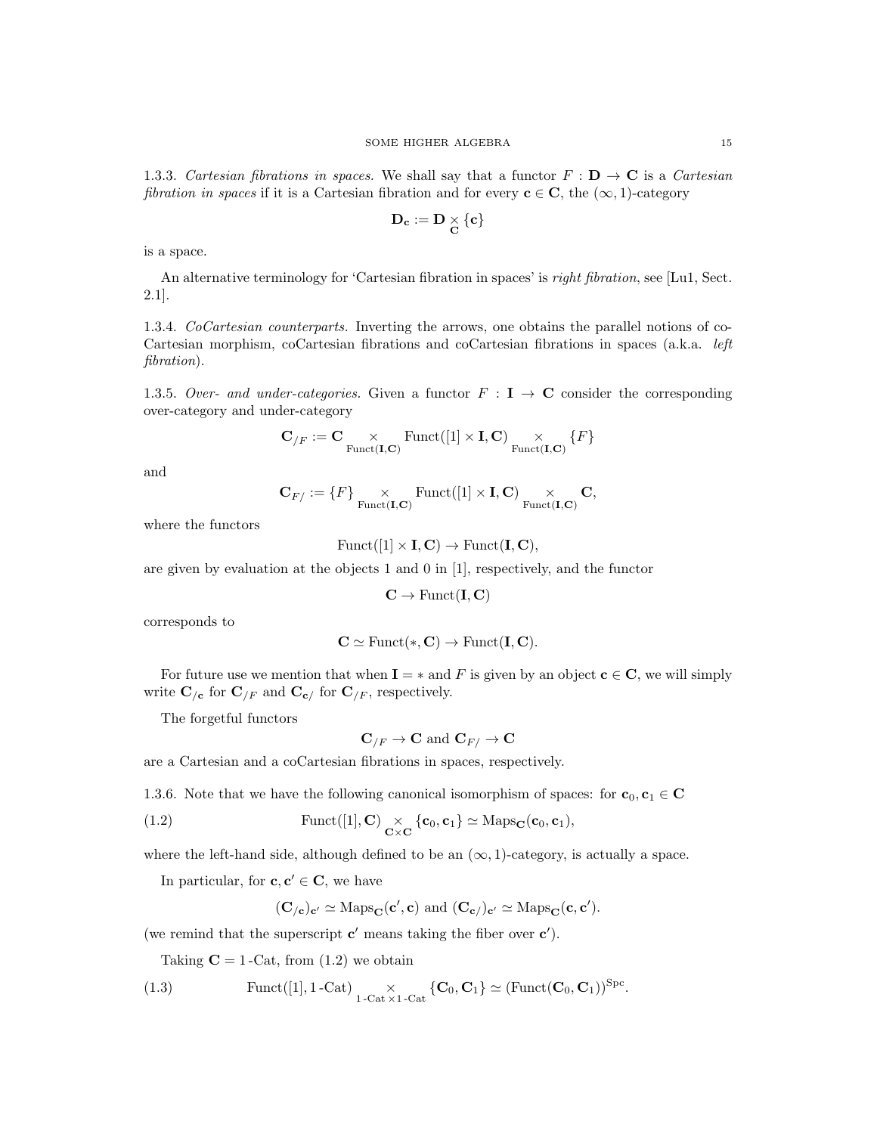1.3.3. Cartesian fibrations in spaces. We shall say that a functor  $F : D \to \mathbf{C}$  is a Cartesian fibration in spaces if it is a Cartesian fibration and for every  $c \in C$ , the  $(\infty, 1)$ -category

$$
\mathbf{D_c}:=\mathbf{D}\underset{\mathbf{C}}{\times}\{\mathbf{c}\}
$$

is a space.

An alternative terminology for 'Cartesian fibration in spaces' is *right fibration*, see [Lu1, Sect. 2.1].

1.3.4. CoCartesian counterparts. Inverting the arrows, one obtains the parallel notions of co-Cartesian morphism, coCartesian fibrations and coCartesian fibrations in spaces (a.k.a. left fibration).

1.3.5. Over- and under-categories. Given a functor  $F : I \rightarrow C$  consider the corresponding over-category and under-category

$$
\mathbf{C}_{/F} := \mathbf{C} \underset{\mathrm{Funct}(\mathbf{I}, \mathbf{C})}{\times} \mathrm{Funct}([1]\times\mathbf{I}, \mathbf{C}) \underset{\mathrm{Funct}(\mathbf{I}, \mathbf{C})}{\times} \{F\}
$$

and

$$
\mathbf{C}_{F/} := \{F\} \underset{\text{Funct}(\mathbf{I}, \mathbf{C})}{\times} \text{Funct}([1] \times \mathbf{I}, \mathbf{C}) \underset{\text{Funct}(\mathbf{I}, \mathbf{C})}{\times} \mathbf{C},
$$

where the functors

$$
Funct([1] \times I, \mathbf{C}) \to Funct(\mathbf{I}, \mathbf{C}),
$$

are given by evaluation at the objects 1 and 0 in [1], respectively, and the functor

$$
\mathbf{C} \to \mathrm{Funct}(\mathbf{I},\mathbf{C})
$$

corresponds to

$$
C \simeq \mathrm{Funct}(*, C) \to \mathrm{Funct}(I, C).
$$

For future use we mention that when  $\mathbf{I} = *$  and F is given by an object  $\mathbf{c} \in \mathbf{C}$ , we will simply write  $\mathbf{C}_{/\mathbf{c}}$  for  $\mathbf{C}_{/F}$  and  $\mathbf{C}_{\mathbf{c}/F}$  for  $\mathbf{C}_{/F}$ , respectively.

The forgetful functors

$$
\mathbf{C}_{/F} \to \mathbf{C} \text{ and } \mathbf{C}_{F/} \to \mathbf{C}
$$

are a Cartesian and a coCartesian fibrations in spaces, respectively.

1.3.6. Note that we have the following canonical isomorphism of spaces: for  $c_0, c_1 \in \mathbb{C}$ 

(1.2) 
$$
\text{Funct}([1], \mathbf{C}) \underset{\mathbf{C} \times \mathbf{C}}{\times} \{ \mathbf{c}_0, \mathbf{c}_1 \} \simeq \text{Maps}_{\mathbf{C}}(\mathbf{c}_0, \mathbf{c}_1),
$$

where the left-hand side, although defined to be an  $(\infty, 1)$ -category, is actually a space.

In particular, for  $c, c' \in \mathbb{C}$ , we have

$$
(\mathbf{C}_{/\mathbf{c}})_{\mathbf{c}'} \simeq \mathrm{Maps}_{\mathbf{C}}(\mathbf{c}', \mathbf{c}) \text{ and } (\mathbf{C}_{\mathbf{c}/})_{\mathbf{c}'} \simeq \mathrm{Maps}_{\mathbf{C}}(\mathbf{c}, \mathbf{c}').
$$

(we remind that the superscript  $\mathbf{c}'$  means taking the fiber over  $\mathbf{c}'$ ).

Taking  $C = 1$ -Cat, from  $(1.2)$  we obtain

(1.3) 
$$
\text{Funct}([1], 1\text{-Cat}) \underset{1\text{-Cat}\times 1\text{-Cat}}{\times} \{ \mathbf{C}_0, \mathbf{C}_1 \} \simeq (\text{Funct}(\mathbf{C}_0, \mathbf{C}_1))^{\text{Spc}}.
$$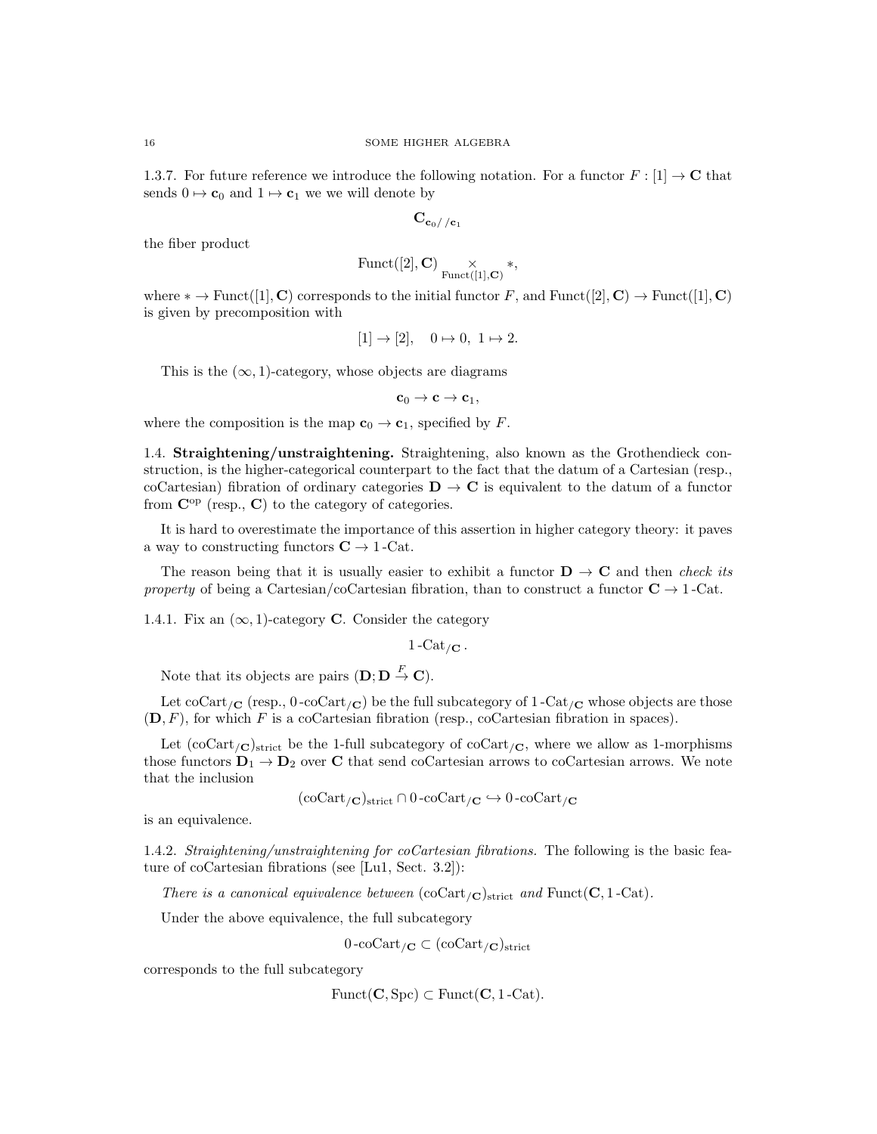1.3.7. For future reference we introduce the following notation. For a functor  $F : [1] \rightarrow \mathbb{C}$  that sends  $0 \mapsto c_0$  and  $1 \mapsto c_1$  we we will denote by

$$
\mathbf{C}_{\mathbf{c}_0//\mathbf{c}_1}
$$

the fiber product

$$
\mathrm{Funct}([2], \mathbf{C}) \underset{\mathrm{Funct}([1], \mathbf{C})}{\times} *,
$$

where \* → Funct([1], C) corresponds to the initial functor F, and Funct([2], C) → Funct([1], C) is given by precomposition with

$$
[1] \rightarrow [2], \quad 0 \mapsto 0, \ 1 \mapsto 2.
$$

This is the  $(\infty, 1)$ -category, whose objects are diagrams

 $c_0 \rightarrow c \rightarrow c_1$ ,

where the composition is the map  $\mathbf{c}_0 \to \mathbf{c}_1$ , specified by F.

1.4. Straightening/unstraightening. Straightening, also known as the Grothendieck construction, is the higher-categorical counterpart to the fact that the datum of a Cartesian (resp., coCartesian) fibration of ordinary categories  $\mathbf{D} \to \mathbf{C}$  is equivalent to the datum of a functor from  $\mathbf{C}^{\mathrm{op}}$  (resp.,  $\mathbf{C}$ ) to the category of categories.

It is hard to overestimate the importance of this assertion in higher category theory: it paves a way to constructing functors  $C \rightarrow 1$ -Cat.

The reason being that it is usually easier to exhibit a functor  $\mathbf{D} \to \mathbf{C}$  and then *check its* property of being a Cartesian/coCartesian fibration, than to construct a functor  $C \rightarrow 1$ -Cat.

1.4.1. Fix an  $(\infty, 1)$ -category **C**. Consider the category

 $1 - \text{Cat}_{/\mathbf{C}}$ .

Note that its objects are pairs  $(D; D \stackrel{F}{\to} C)$ .

Let coCart<sub>/C</sub> (resp.,  $0$ -coCart<sub>/C</sub>) be the full subcategory of  $1$ -Cat<sub>/C</sub> whose objects are those  $(D, F)$ , for which F is a coCartesian fibration (resp., coCartesian fibration in spaces).

Let  $(\text{coCart}_{\mathcal{O}})_{\text{strict}}$  be the 1-full subcategory of  $\text{coCart}_{\mathcal{O}}$ , where we allow as 1-morphisms those functors  $D_1 \rightarrow D_2$  over C that send coCartesian arrows to coCartesian arrows. We note that the inclusion

 $(\mathrm{coCart}_{/\mathbf{C}})_{\mathrm{strict}} \cap 0 \text{--} \mathrm{coCart}_{/\mathbf{C}} \hookrightarrow 0 \text{--} \mathrm{coCart}_{/\mathbf{C}}$ 

is an equivalence.

1.4.2. Straightening/unstraightening for coCartesian fibrations. The following is the basic feature of coCartesian fibrations (see [Lu1, Sect. 3.2]):

There is a canonical equivalence between  $(\mathrm{coCart}_{/\mathbf{C}})_{\mathrm{strict}}$  and  $\mathrm{Funct}(\mathbf{C}, 1-\mathrm{Cat})$ .

Under the above equivalence, the full subcategory

$$
0\text{-coCart}_{/\mathbf{C}} \subset (\text{coCart}_{/\mathbf{C}})_{\text{strict}}
$$

corresponds to the full subcategory

 $Funct(\mathbf{C}, \text{Spc}) \subset Funct(\mathbf{C}, 1-\text{Cat}).$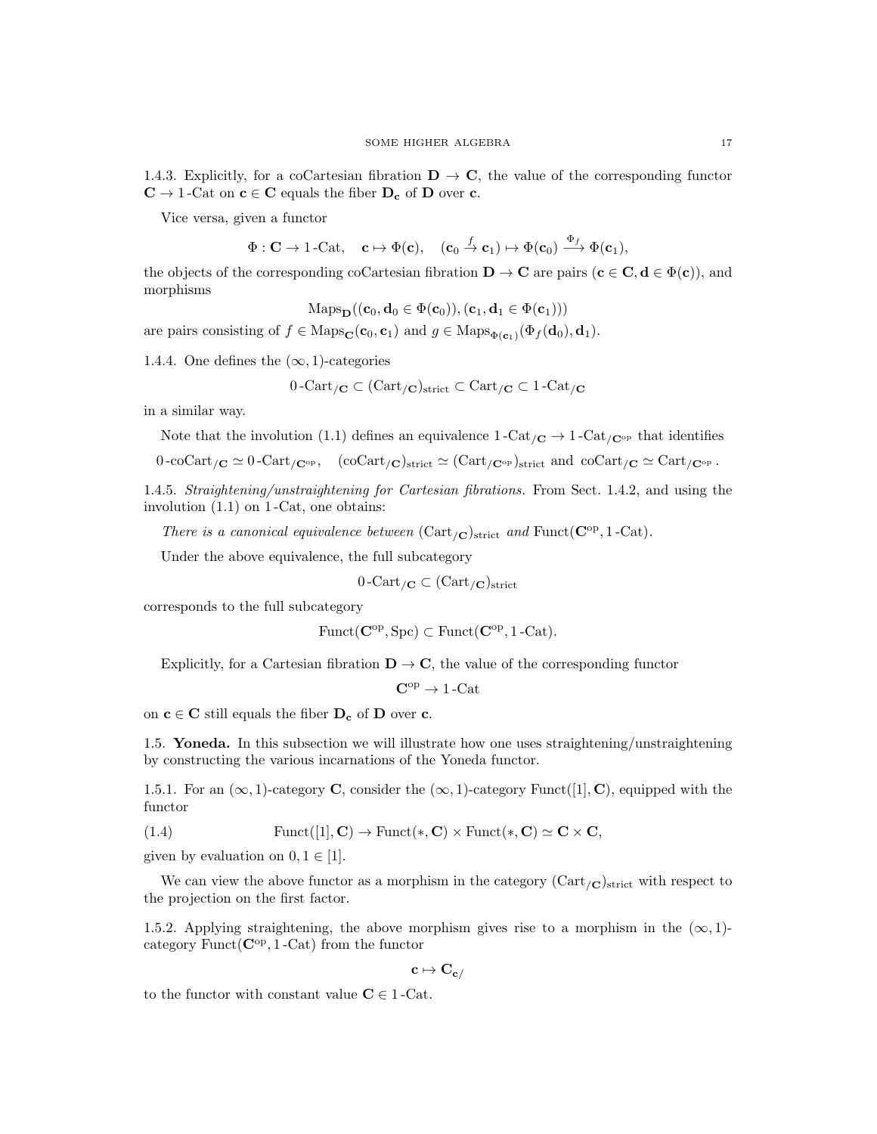1.4.3. Explicitly, for a coCartesian fibration  $\mathbf{D} \to \mathbf{C}$ , the value of the corresponding functor  $\mathbf{C} \to 1\operatorname{-Cat}$  on  $\mathbf{c} \in \mathbf{C}$  equals the fiber  $\mathbf{D_c}$  of  $\mathbf{D}$  over  $\mathbf{c}.$ 

Vice versa, given a functor

$$
\Phi: \mathbf{C} \to 1\text{-}\mathrm{Cat}, \quad \mathbf{c} \mapsto \Phi(\mathbf{c}), \quad (\mathbf{c}_0 \xrightarrow{f} \mathbf{c}_1) \mapsto \Phi(\mathbf{c}_0) \xrightarrow{\Phi_f} \Phi(\mathbf{c}_1),
$$

the objects of the corresponding coCartesian fibration  $\mathbf{D} \to \mathbf{C}$  are pairs  $(\mathbf{c} \in \mathbf{C}, \mathbf{d} \in \Phi(\mathbf{c}))$ , and morphisms

$$
\mathrm{Maps}_{\mathbf{D}}((\mathbf{c}_0, \mathbf{d}_0 \in \Phi(\mathbf{c}_0)), (\mathbf{c}_1, \mathbf{d}_1 \in \Phi(\mathbf{c}_1)))
$$

are pairs consisting of  $f \in \text{Maps}_{\mathbf{C}}(\mathbf{c}_0, \mathbf{c}_1)$  and  $g \in \text{Maps}_{\Phi(\mathbf{c}_1)}(\Phi_f(\mathbf{d}_0), \mathbf{d}_1)$ .

1.4.4. One defines the  $(\infty, 1)$ -categories

$$
0\text{-Cart}_{/\mathbf{C}} \subset (\text{Cart}_{/\mathbf{C}})_{\text{strict}} \subset \text{Cart}_{/\mathbf{C}} \subset 1\text{-Cat}_{/\mathbf{C}}
$$

in a similar way.

Note that the involution (1.1) defines an equivalence 
$$
1-\text{Cat}_{/\mathbf{C}} \to 1-\text{Cat}_{/\mathbf{C}^{\text{op}}}
$$
 that identifies

$$
0\text{-coCart}_{/C} \simeq 0\text{-Cart}_{/C^{\text{op}}}, \quad (\text{coCart}_{/C})_{\text{strict}} \simeq (\text{Cart}_{/C^{\text{op}}})_{\text{strict}} \text{ and } \text{coCart}_{/C} \simeq \text{Cart}_{/C^{\text{op}}}.
$$

1.4.5. Straightening/unstraightening for Cartesian fibrations. From Sect. 1.4.2, and using the involution (1.1) on 1 -Cat, one obtains:

There is a canonical equivalence between  $(\text{Cart}_{/\mathbf{C}})_{\text{strict}}$  and  $\text{Funct}(\mathbf{C}^{\text{op}}, 1-\text{Cat})$ .

Under the above equivalence, the full subcategory

$$
0\operatorname{-Cart}_{/\mathbf C}\subset (\operatorname{Cart}_{/\mathbf C})_{\operatorname{strict}}
$$

corresponds to the full subcategory

$$
Funct(\mathbf{C}^{\mathrm{op}}, \mathrm{Spc}) \subset Funct(\mathbf{C}^{\mathrm{op}}, 1\text{-Cat}).
$$

Explicitly, for a Cartesian fibration  $D \to C$ , the value of the corresponding functor

 $C^{op} \rightarrow 1$  -Cat

on  $c \in C$  still equals the fiber  $D_c$  of D over c.

1.5. Yoneda. In this subsection we will illustrate how one uses straightening/unstraightening by constructing the various incarnations of the Yoneda functor.

1.5.1. For an  $(\infty, 1)$ -category C, consider the  $(\infty, 1)$ -category Funct $([1], \mathbf{C})$ , equipped with the functor

(1.4) 
$$
Funct([1], \mathbf{C}) \to Funct(*, \mathbf{C}) \times Funct(*, \mathbf{C}) \simeq \mathbf{C} \times \mathbf{C},
$$

given by evaluation on  $0, 1 \in [1]$ .

We can view the above functor as a morphism in the category  $(\text{Cart}_{/\mathbf{C}})_{\text{strict}}$  with respect to the projection on the first factor.

1.5.2. Applying straightening, the above morphism gives rise to a morphism in the  $(\infty, 1)$ category  $\text{Funct}(\mathbf{C}^{\text{op}}, 1-\text{Cat})$  from the functor

 $c \mapsto C_{c/}$ 

to the functor with constant value  $C \in 1$ -Cat.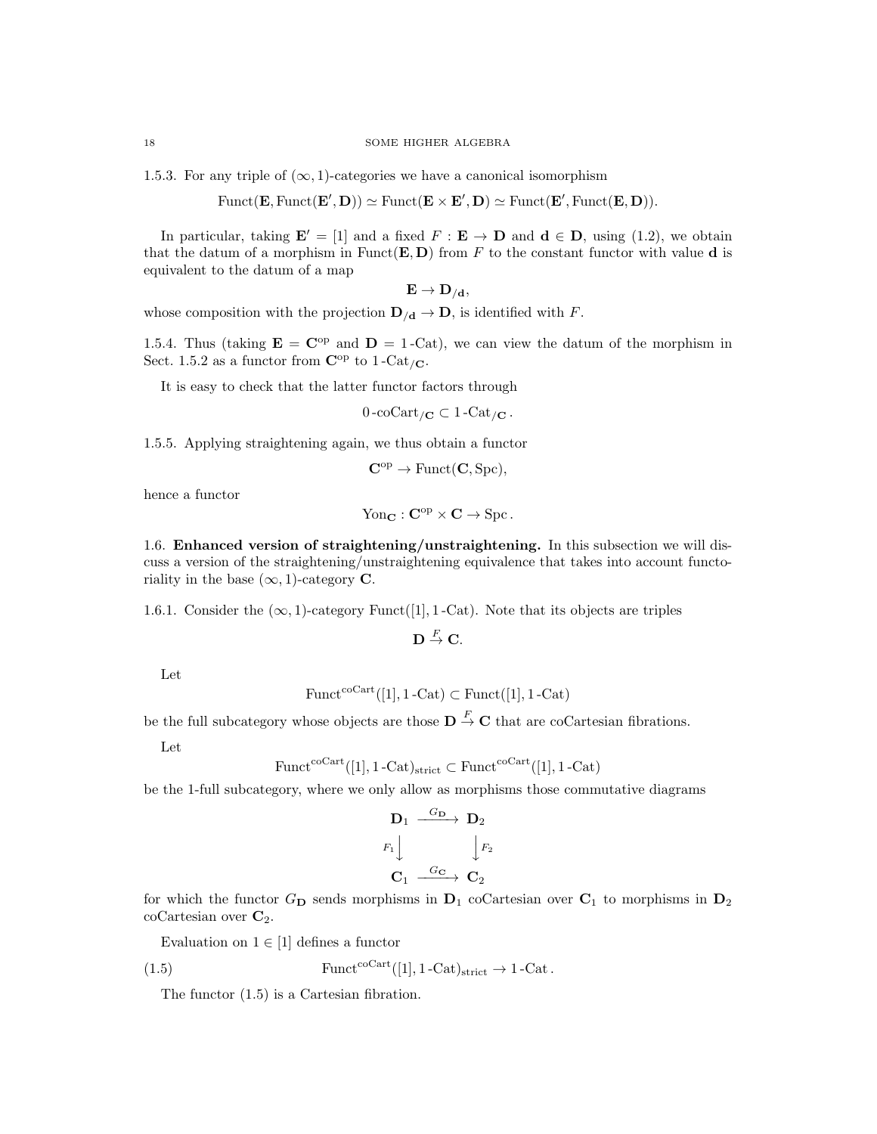1.5.3. For any triple of  $(\infty, 1)$ -categories we have a canonical isomorphism

 $\text{Funct}(\mathbf{E}, \text{Funct}(\mathbf{E}', \mathbf{D})) \simeq \text{Funct}(\mathbf{E} \times \mathbf{E}', \mathbf{D}) \simeq \text{Funct}(\mathbf{E}', \text{Funct}(\mathbf{E}, \mathbf{D})).$ 

In particular, taking  $\mathbf{E}' = [1]$  and a fixed  $F : \mathbf{E} \to \mathbf{D}$  and  $\mathbf{d} \in \mathbf{D}$ , using (1.2), we obtain that the datum of a morphism in Funct $(E, D)$  from F to the constant functor with value d is equivalent to the datum of a map

$$
\mathbf{E}\rightarrow \mathbf{D}_{/\mathbf{d}},
$$

whose composition with the projection  $\mathbf{D}_{/\mathbf{d}} \to \mathbf{D}$ , is identified with F.

1.5.4. Thus (taking  $\mathbf{E} = \mathbf{C}^{\mathrm{op}}$  and  $\mathbf{D} = 1$ -Cat), we can view the datum of the morphism in Sect. 1.5.2 as a functor from  $\mathbf{C}^{\mathrm{op}}$  to 1-Cat<sub>/C</sub>.

It is easy to check that the latter functor factors through

 $0$ -coCart<sub>/C</sub>  $\subset 1$ -Cat<sub>/C</sub>.

1.5.5. Applying straightening again, we thus obtain a functor

 $\mathbf{C}^{\mathrm{op}} \to \mathrm{Funct}(\mathbf{C}, \mathrm{Spc}).$ 

hence a functor

$$
Yon_{\mathbf{C}} : \mathbf{C}^{op} \times \mathbf{C} \to \text{Spc}.
$$

1.6. Enhanced version of straightening/unstraightening. In this subsection we will discuss a version of the straightening/unstraightening equivalence that takes into account functoriality in the base  $(\infty, 1)$ -category **C**.

1.6.1. Consider the  $(\infty, 1)$ -category Funct([1], 1-Cat). Note that its objects are triples

 $\mathbf{D}\stackrel{F}{\rightarrow}\mathbf{C}.$ 

Let

$$
\text{Funct}^{\text{coCart}}([1], 1\text{-Cat}) \subset \text{Funct}([1], 1\text{-Cat})
$$

be the full subcategory whose objects are those  $\mathbf{D} \stackrel{F}{\to} \mathbf{C}$  that are coCartesian fibrations.

Let

$$
\text{Funct}^{\text{coCart}}([1], 1\text{-Cat})_{\text{strict}} \subset \text{Funct}^{\text{coCart}}([1], 1\text{-Cat})
$$

be the 1-full subcategory, where we only allow as morphisms those commutative diagrams

$$
\begin{array}{ccc}\n\mathbf{D}_1 & \xrightarrow{G_{\mathbf{D}}} & \mathbf{D}_2 \\
F_1 & & \downarrow F_2 \\
\mathbf{C}_1 & \xrightarrow{G_{\mathbf{C}}} & \mathbf{C}_2\n\end{array}
$$

for which the functor  $G_{\mathbf{D}}$  sends morphisms in  $\mathbf{D}_1$  coCartesian over  $\mathbf{C}_1$  to morphisms in  $\mathbf{D}_2$  $coCartesian over  $\mathbb{C}_2$ .$ 

Evaluation on  $1 \in [1]$  defines a functor

(1.5) 
$$
Funct^{coCart}([1], 1-Cat)_{strict} \rightarrow 1-Cat.
$$

The functor (1.5) is a Cartesian fibration.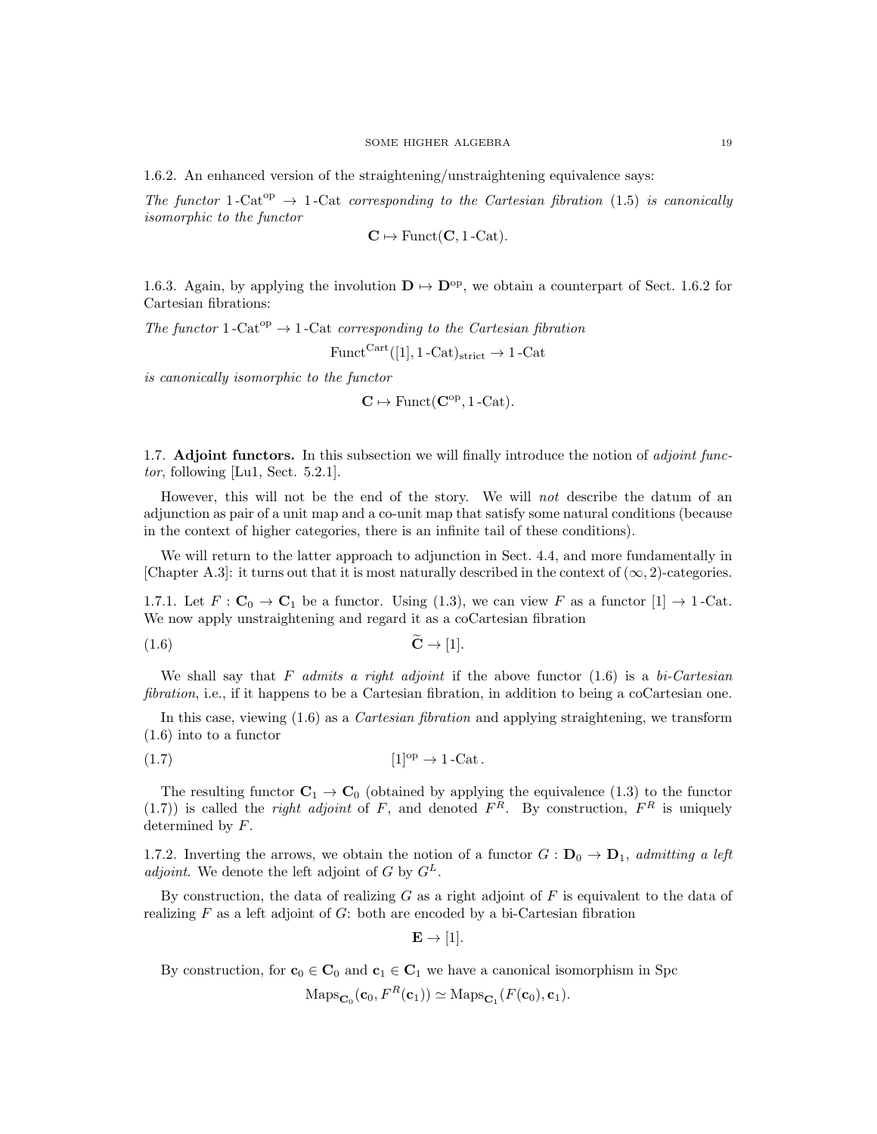1.6.2. An enhanced version of the straightening/unstraightening equivalence says:

The functor 1-Cat<sup>op</sup>  $\rightarrow$  1-Cat corresponding to the Cartesian fibration (1.5) is canonically isomorphic to the functor

$$
\mathbf{C} \mapsto \mathrm{Funct}(\mathbf{C}, 1\text{-}\mathrm{Cat}).
$$

1.6.3. Again, by applying the involution  $\mathbf{D} \mapsto \mathbf{D}^{\text{op}}$ , we obtain a counterpart of Sect. 1.6.2 for Cartesian fibrations:

The functor  $1$ -Cat<sup>op</sup>  $\rightarrow$  1-Cat corresponding to the Cartesian fibration

 $Funct<sup>Cart</sup>(1, 1 - Cat)<sub>strict</sub> \rightarrow 1 - Cat$ 

is canonically isomorphic to the functor

 $\mathbf{C} \mapsto \text{Funct}(\mathbf{C}^{\text{op}}, 1\text{-}\text{Cat}).$ 

1.7. **Adjoint functors.** In this subsection we will finally introduce the notion of *adjoint func*tor, following [Lu1, Sect. 5.2.1].

However, this will not be the end of the story. We will not describe the datum of an adjunction as pair of a unit map and a co-unit map that satisfy some natural conditions (because in the context of higher categories, there is an infinite tail of these conditions).

We will return to the latter approach to adjunction in Sect. 4.4, and more fundamentally in [Chapter A.3]: it turns out that it is most naturally described in the context of  $(\infty, 2)$ -categories.

1.7.1. Let  $F: \mathbf{C}_0 \to \mathbf{C}_1$  be a functor. Using (1.3), we can view F as a functor  $[1] \to 1$ -Cat. We now apply unstraightening and regard it as a coCartesian fibration

$$
\tilde{\mathbf{C}} \to [1].
$$

We shall say that F admits a right adjoint if the above functor  $(1.6)$  is a bi-Cartesian fibration, i.e., if it happens to be a Cartesian fibration, in addition to being a coCartesian one.

In this case, viewing  $(1.6)$  as a *Cartesian fibration* and applying straightening, we transform (1.6) into to a functor

$$
(1.7) \t\t [1]^\text{op} \to 1\text{-Cat}.
$$

The resulting functor  $C_1 \rightarrow C_0$  (obtained by applying the equivalence (1.3) to the functor (1.7)) is called the *right adjoint* of F, and denoted  $F<sup>R</sup>$ . By construction,  $F<sup>R</sup>$  is uniquely determined by F.

1.7.2. Inverting the arrows, we obtain the notion of a functor  $G: \mathbf{D}_0 \to \mathbf{D}_1$ , admitting a left adjoint. We denote the left adjoint of G by  $G^L$ .

By construction, the data of realizing  $G$  as a right adjoint of  $F$  is equivalent to the data of realizing  $F$  as a left adjoint of  $G$ : both are encoded by a bi-Cartesian fibration

 $\mathbf{E} \rightarrow [1].$ 

By construction, for  $\mathbf{c}_0 \in \mathbf{C}_0$  and  $\mathbf{c}_1 \in \mathbf{C}_1$  we have a canonical isomorphism in Spc

 $\text{Maps}_{\mathbf{C}_0}(\mathbf{c}_0, F^R(\mathbf{c}_1)) \simeq \text{Maps}_{\mathbf{C}_1}(F(\mathbf{c}_0), \mathbf{c}_1).$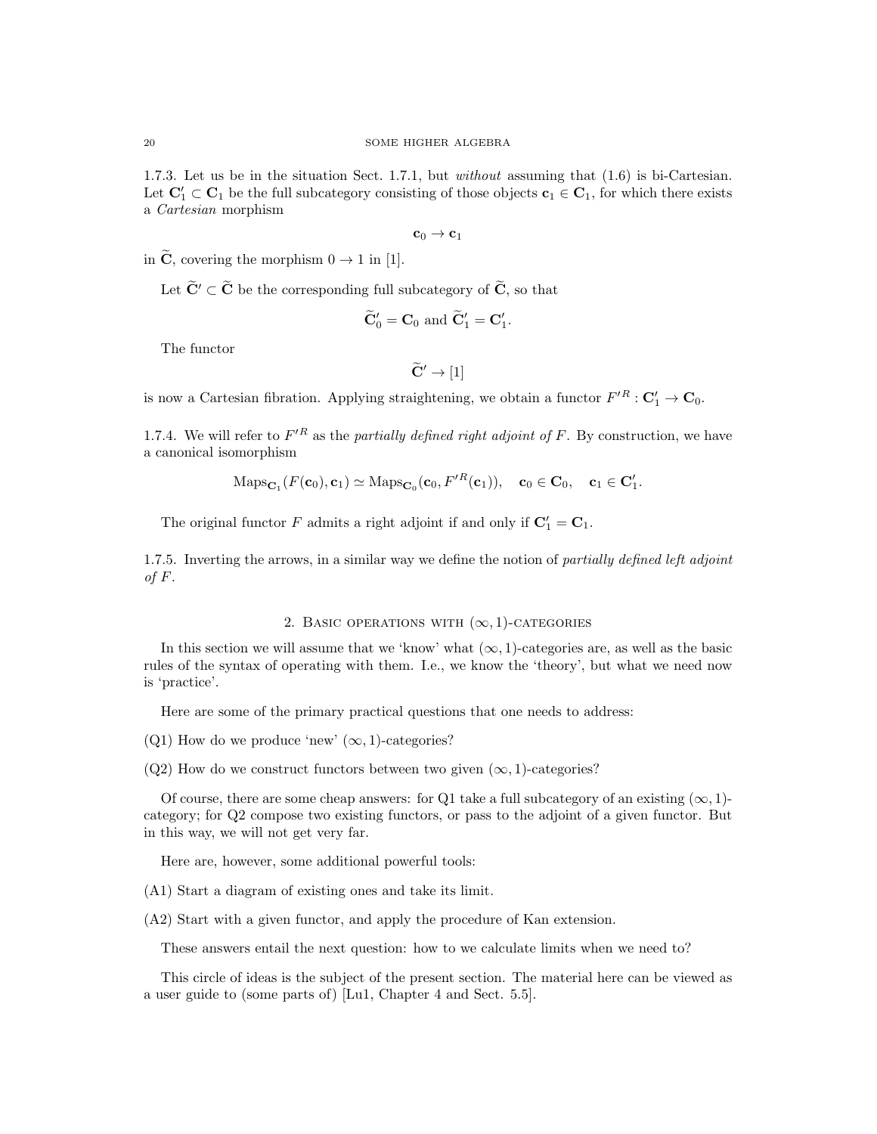1.7.3. Let us be in the situation Sect. 1.7.1, but without assuming that (1.6) is bi-Cartesian. Let  $\mathbf{C}'_1 \subset \mathbf{C}_1$  be the full subcategory consisting of those objects  $\mathbf{c}_1 \in \mathbf{C}_1$ , for which there exists a Cartesian morphism

$$
\mathbf{c}_0 \to \mathbf{c}_1
$$

in  $\widetilde{\mathbf{C}}$ , covering the morphism  $0 \to 1$  in [1].

Let  $\widetilde{\mathbf{C}}' \subset \widetilde{\mathbf{C}}$  be the corresponding full subcategory of  $\widetilde{\mathbf{C}}$ , so that

$$
\widetilde{\mathbf{C}}'_0 = \mathbf{C}_0 \text{ and } \widetilde{\mathbf{C}}'_1 = \mathbf{C}'_1.
$$

The functor

$$
\widetilde{\mathbf{C}}'\to[1]
$$

is now a Cartesian fibration. Applying straightening, we obtain a functor  $F'^R : \mathbf{C}'_1 \to \mathbf{C}_0$ .

1.7.4. We will refer to  $F^{\prime R}$  as the partially defined right adjoint of F. By construction, we have a canonical isomorphism

$$
\mathrm{Maps}_{\mathbf{C}_1}(F(\mathbf{c}_0), \mathbf{c}_1) \simeq \mathrm{Maps}_{\mathbf{C}_0}(\mathbf{c}_0, F'^R(\mathbf{c}_1)), \quad \mathbf{c}_0 \in \mathbf{C}_0, \quad \mathbf{c}_1 \in \mathbf{C}'_1.
$$

The original functor F admits a right adjoint if and only if  $C'_1 = C_1$ .

1.7.5. Inverting the arrows, in a similar way we define the notion of partially defined left adjoint of  $F$ .

# 2. BASIC OPERATIONS WITH  $(\infty, 1)$ -CATEGORIES

In this section we will assume that we 'know' what  $(\infty, 1)$ -categories are, as well as the basic rules of the syntax of operating with them. I.e., we know the 'theory', but what we need now is 'practice'.

Here are some of the primary practical questions that one needs to address:

(Q1) How do we produce 'new'  $(\infty, 1)$ -categories?

(Q2) How do we construct functors between two given  $(\infty, 1)$ -categories?

Of course, there are some cheap answers: for Q1 take a full subcategory of an existing  $(\infty, 1)$ category; for Q2 compose two existing functors, or pass to the adjoint of a given functor. But in this way, we will not get very far.

Here are, however, some additional powerful tools:

(A1) Start a diagram of existing ones and take its limit.

(A2) Start with a given functor, and apply the procedure of Kan extension.

These answers entail the next question: how to we calculate limits when we need to?

This circle of ideas is the subject of the present section. The material here can be viewed as a user guide to (some parts of) [Lu1, Chapter 4 and Sect. 5.5].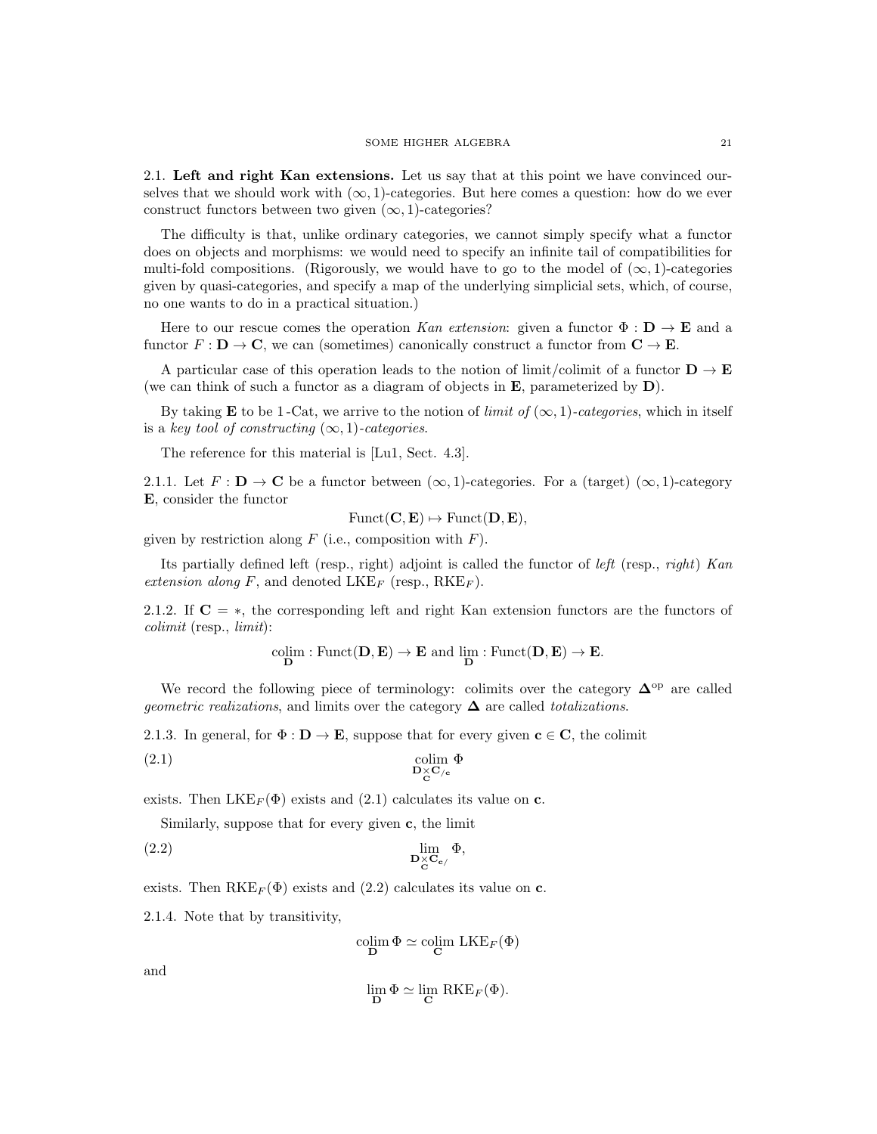2.1. Left and right Kan extensions. Let us say that at this point we have convinced ourselves that we should work with  $(\infty, 1)$ -categories. But here comes a question: how do we ever construct functors between two given  $(\infty, 1)$ -categories?

The difficulty is that, unlike ordinary categories, we cannot simply specify what a functor does on objects and morphisms: we would need to specify an infinite tail of compatibilities for multi-fold compositions. (Rigorously, we would have to go to the model of  $(\infty, 1)$ -categories given by quasi-categories, and specify a map of the underlying simplicial sets, which, of course, no one wants to do in a practical situation.)

Here to our rescue comes the operation Kan extension: given a functor  $\Phi : \mathbf{D} \to \mathbf{E}$  and a functor  $F : D \to \mathbb{C}$ , we can (sometimes) canonically construct a functor from  $\mathbb{C} \to \mathbb{E}$ .

A particular case of this operation leads to the notion of limit/colimit of a functor  $D \to E$ (we can think of such a functor as a diagram of objects in  $E$ , parameterized by  $D$ ).

By taking **E** to be 1-Cat, we arrive to the notion of *limit of*  $(\infty, 1)$ -categories, which in itself is a key tool of constructing  $(\infty, 1)$ -categories.

The reference for this material is [Lu1, Sect. 4.3].

2.1.1. Let  $F: \mathbf{D} \to \mathbf{C}$  be a functor between  $(\infty, 1)$ -categories. For a (target)  $(\infty, 1)$ -category E, consider the functor

$$
Funct(C, E) \mapsto Funct(D, E),
$$

given by restriction along  $F$  (i.e., composition with  $F$ ).

Its partially defined left (resp., right) adjoint is called the functor of *left* (resp., *right*) Kan extension along F, and denoted LKE<sub>F</sub> (resp.,  $RKE_F$ ).

2.1.2. If  $C = *$ , the corresponding left and right Kan extension functors are the functors of colimit (resp., limit):

$$
\underset{\mathbf{D}}{\mathrm{colim}}:\mathrm{Funct}(\mathbf{D},\mathbf{E})\rightarrow\mathbf{E}\ \mathrm{and}\ \underset{\mathbf{D}}{\mathrm{lim}}:\mathrm{Funct}(\mathbf{D},\mathbf{E})\rightarrow\mathbf{E}.
$$

We record the following piece of terminology: colimits over the category  $\Delta^{\rm op}$  are called *geometric realizations*, and limits over the category  $\Delta$  are called *totalizations*.

2.1.3. In general, for  $\Phi : \mathbf{D} \to \mathbf{E}$ , suppose that for every given  $\mathbf{c} \in \mathbf{C}$ , the colimit

(2.1) 
$$
\underset{\mathbf{D} \times \mathbf{C}_{/c}}{\text{colim }} \Phi
$$

exists. Then  $LKE_F(\Phi)$  exists and (2.1) calculates its value on c.

Similarly, suppose that for every given c, the limit

$$
\lim_{\mathbf{D}_{\mathbf{C}} \mathbf{C}_{\mathbf{C}}/\mathbf{D}_{\mathbf{C}}} \Phi,
$$

exists. Then  $RKE_F(\Phi)$  exists and (2.2) calculates its value on c.

2.1.4. Note that by transitivity,

$$
\operatornamewithlimits{colim}_{\mathbf D} \Phi \simeq \operatornamewithlimits{colim}_{\mathbf C} \ \mathrm{LKE}_F(\Phi)
$$

and

$$
\lim_{\mathbf{D}} \Phi \simeq \lim_{\mathbf{C}} \, \mathrm{RKE}_F(\Phi).
$$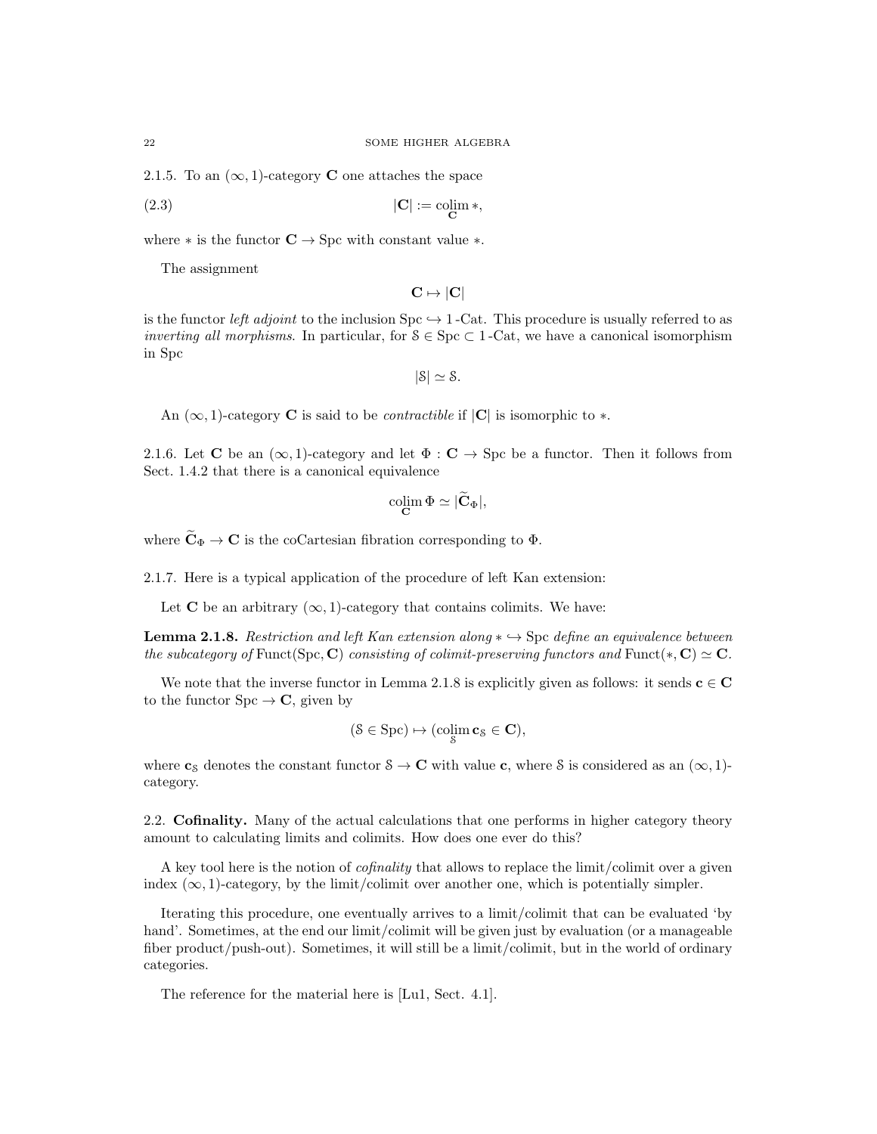2.1.5. To an  $(\infty, 1)$ -category **C** one attaches the space

$$
|\mathbf{C}| := \underset{\mathbf{C}}{\text{colim}} * \tag{2.3}
$$

where  $*$  is the functor  $C \rightarrow$  Spc with constant value  $*$ .

The assignment

$$
\mathbf{C} \mapsto |\mathbf{C}|
$$

is the functor left adjoint to the inclusion Spc  $\rightarrow$  1 -Cat. This procedure is usually referred to as inverting all morphisms. In particular, for  $S \in \text{Spc} \subset 1$ -Cat, we have a canonical isomorphism in Spc

 $|S| \simeq S$ .

An  $(\infty, 1)$ -category **C** is said to be *contractible* if  $|C|$  is isomorphic to  $*$ .

2.1.6. Let **C** be an  $(\infty, 1)$ -category and let  $\Phi : \mathbf{C} \to \text{Spc}$  be a functor. Then it follows from Sect. 1.4.2 that there is a canonical equivalence

$$
\operatornamewithlimits{colim}_{{\mathbf C}}\Phi\simeq |\widetilde{{\mathbf C}}_\Phi|,
$$

where  $\widetilde{\mathbf{C}}_{\Phi} \to \mathbf{C}$  is the coCartesian fibration corresponding to  $\Phi$ .

2.1.7. Here is a typical application of the procedure of left Kan extension:

Let C be an arbitrary  $(\infty, 1)$ -category that contains colimits. We have:

**Lemma 2.1.8.** Restriction and left Kan extension along  $* \rightarrow$  Spc define an equivalence between the subcategory of Funct(Spc, C) consisting of colimit-preserving functors and Funct( $*, C$ )  $\simeq C$ .

We note that the inverse functor in Lemma 2.1.8 is explicitly given as follows: it sends  $\mathbf{c} \in \mathbf{C}$ to the functor  $Spc \rightarrow C$ , given by

$$
(\mathcal{S} \in \mathrm{Spc}) \mapsto (\operatorname*{colim}_\mathcal{S} \mathbf{c}_\mathcal{S} \in \mathbf{C}),
$$

where  $c_S$  denotes the constant functor  $S \to \mathbb{C}$  with value c, where S is considered as an  $(\infty, 1)$ category.

2.2. Cofinality. Many of the actual calculations that one performs in higher category theory amount to calculating limits and colimits. How does one ever do this?

A key tool here is the notion of cofinality that allows to replace the limit/colimit over a given index  $(\infty, 1)$ -category, by the limit/colimit over another one, which is potentially simpler.

Iterating this procedure, one eventually arrives to a limit/colimit that can be evaluated 'by hand'. Sometimes, at the end our limit/colimit will be given just by evaluation (or a manageable fiber product/push-out). Sometimes, it will still be a limit/colimit, but in the world of ordinary categories.

The reference for the material here is [Lu1, Sect. 4.1].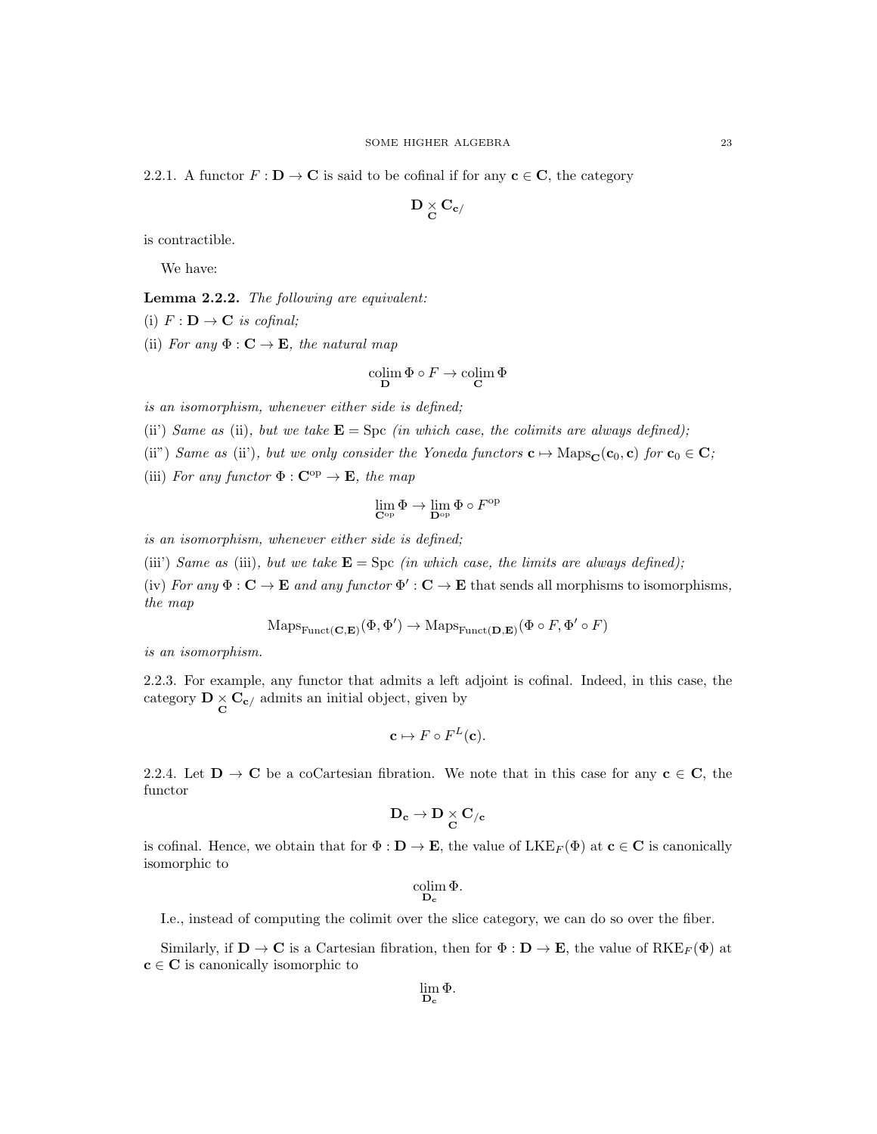2.2.1. A functor  $F : \mathbf{D} \to \mathbf{C}$  is said to be cofinal if for any  $\mathbf{c} \in \mathbf{C}$ , the category

$$
{\bf D}\mathop{\times}_{\bf C}{\bf C}_{\bf c/}
$$

is contractible.

We have:

Lemma 2.2.2. The following are equivalent:

(i)  $F: \mathbf{D} \to \mathbf{C}$  is cofinal;

(ii) For any  $\Phi : \mathbf{C} \to \mathbf{E}$ , the natural map

$$
\underset{\mathbf{D}}{\text{colim }} \Phi \circ F \to \underset{\mathbf{C}}{\text{colim }} \Phi
$$

is an isomorphism, whenever either side is defined;

(ii) Same as (ii), but we take  $\mathbf{E} = \text{Spc}$  (in which case, the colimits are always defined);

- (ii") Same as (ii'), but we only consider the Yoneda functors  $\mathbf{c} \mapsto \mathrm{Maps}_\mathbf{C}(\mathbf{c}_0, \mathbf{c})$  for  $\mathbf{c}_0 \in \mathbf{C}$ ;
- (iii) For any functor  $\Phi : \mathbf{C}^{\mathrm{op}} \to \mathbf{E}$ , the map

$$
\lim_{\mathbf{C}^{\mathrm{op}}} \Phi \rightarrow \lim_{\mathbf{D}^{\mathrm{op}}} \Phi \circ F^{\mathrm{op}}
$$

is an isomorphism, whenever either side is defined;

(iii') Same as (iii), but we take  $\mathbf{E} = \text{Spc}$  (in which case, the limits are always defined);

(iv) For any  $\Phi : \mathbf{C} \to \mathbf{E}$  and any functor  $\Phi' : \mathbf{C} \to \mathbf{E}$  that sends all morphisms to isomorphisms, the map

$$
\mathrm{Maps}_{\mathrm{Funct}(\mathbf{C}, \mathbf{E})}(\Phi, \Phi') \to \mathrm{Maps}_{\mathrm{Funct}(\mathbf{D}, \mathbf{E})}(\Phi \circ F, \Phi' \circ F)
$$

is an isomorphism.

2.2.3. For example, any functor that admits a left adjoint is cofinal. Indeed, in this case, the category  $\mathbf{D} \times \mathbf{C}_{\mathbf{c}}$  admits an initial object, given by

$$
\mathbf{c} \mapsto F \circ F^L(\mathbf{c}).
$$

2.2.4. Let  $D \to C$  be a coCartesian fibration. We note that in this case for any  $c \in C$ , the functor

$$
\mathbf{D_c}\rightarrow\mathbf{D}\underset{\mathbf{C}}{\times}\mathbf{C}_{/\mathbf{c}}
$$

is cofinal. Hence, we obtain that for  $\Phi : \mathbf{D} \to \mathbf{E}$ , the value of  $LKE_F(\Phi)$  at  $\mathbf{c} \in \mathbf{C}$  is canonically isomorphic to

$$
\operatornamewithlimits{colim}_{\mathbf{D_c}} \Phi.
$$

I.e., instead of computing the colimit over the slice category, we can do so over the fiber.

Similarly, if  $\mathbf{D} \to \mathbf{C}$  is a Cartesian fibration, then for  $\Phi : \mathbf{D} \to \mathbf{E}$ , the value of  $RKE_F(\Phi)$  at  $c \in C$  is canonically isomorphic to

$$
\lim_{{\mathbf D}_{\mathbf c}} \Phi.
$$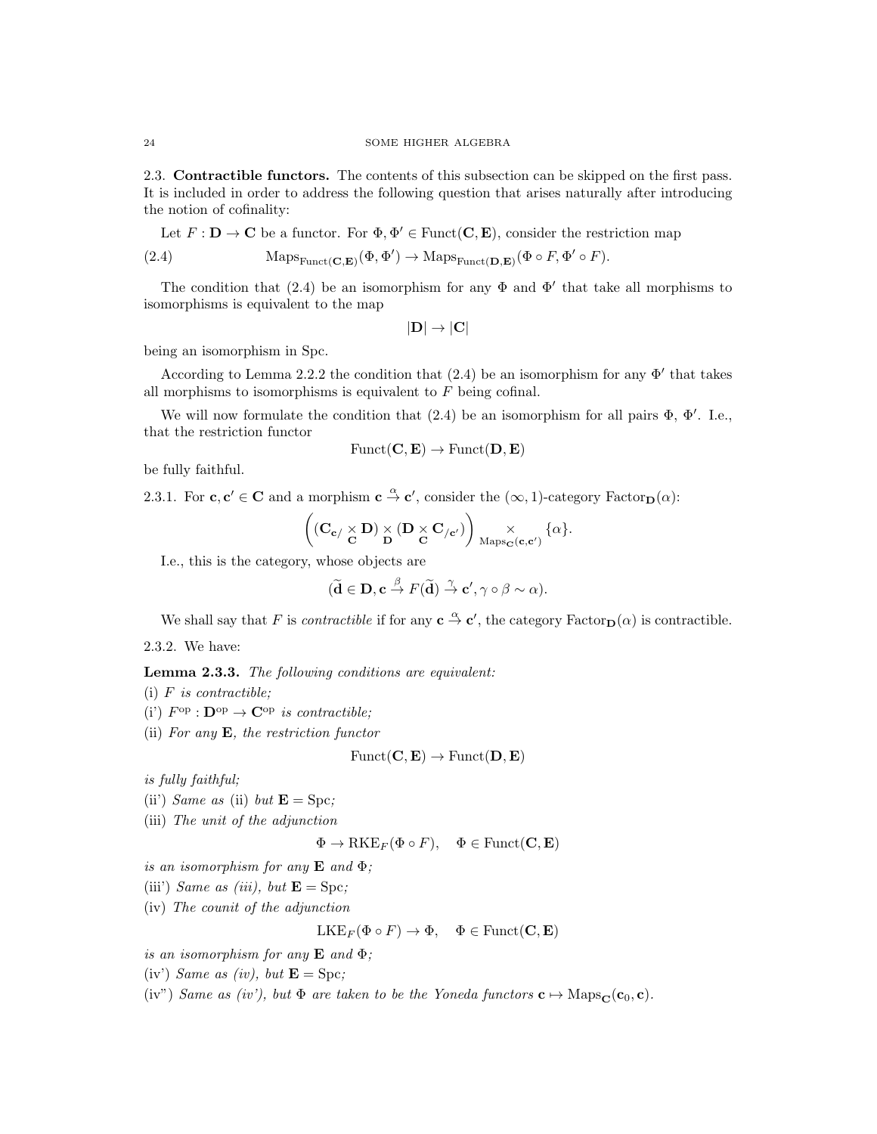2.3. Contractible functors. The contents of this subsection can be skipped on the first pass. It is included in order to address the following question that arises naturally after introducing the notion of cofinality:

Let 
$$
F : \mathbf{D} \to \mathbf{C}
$$
 be a functor. For  $\Phi, \Phi' \in \text{Funct}(\mathbf{C}, \mathbf{E})$ , consider the restriction map  
(2.4)  $\text{Maps}_{\text{Funct}(\mathbf{C}, \mathbf{E})}(\Phi, \Phi') \to \text{Maps}_{\text{Funct}(\mathbf{D}, \mathbf{E})}(\Phi \circ F, \Phi' \circ F)$ .

The condition that (2.4) be an isomorphism for any  $\Phi$  and  $\Phi'$  that take all morphisms to isomorphisms is equivalent to the map

$$
|\mathbf{D}| \to |\mathbf{C}|
$$

being an isomorphism in Spc.

According to Lemma 2.2.2 the condition that  $(2.4)$  be an isomorphism for any  $\Phi'$  that takes all morphisms to isomorphisms is equivalent to  $F$  being cofinal.

We will now formulate the condition that  $(2.4)$  be an isomorphism for all pairs  $\Phi$ ,  $\Phi'$ . I.e., that the restriction functor

$$
\mathrm{Funct}(\mathbf{C}, \mathbf{E}) \to \mathrm{Funct}(\mathbf{D}, \mathbf{E})
$$

be fully faithful.

2.3.1. For  $c, c' \in \mathbf{C}$  and a morphism  $c \stackrel{\alpha}{\to} c'$ , consider the  $(\infty, 1)$ -category Factor<sub>D</sub> $(\alpha)$ :

$$
\left((\mathbf{C}_{\mathbf{c}/\begin{array}{c}\times\\\mathbf{C}\end{array}}\mathbf{D})\underset{\mathbf{D}}{\times}(\mathbf{D}\underset{\mathbf{C}}{\times}\mathbf{C}_{/c'})\right)\underset{\mathrm{Maps}_\mathbf{C}(\mathbf{c},\mathbf{c'})}{\times}\{\alpha\}.
$$

I.e., this is the category, whose objects are

$$
(\widetilde{\mathbf{d}} \in \mathbf{D}, \mathbf{c} \stackrel{\beta}{\to} F(\widetilde{\mathbf{d}}) \stackrel{\gamma}{\to} \mathbf{c}', \gamma \circ \beta \sim \alpha).
$$

We shall say that F is *contractible* if for any  $\mathbf{c} \stackrel{\alpha}{\to} \mathbf{c}'$ , the category Factor<sub>D</sub>( $\alpha$ ) is contractible.

2.3.2. We have:

Lemma 2.3.3. The following conditions are equivalent:

- (i)  $F$  is contractible;
- (i')  $F^{\rm op}: \mathbf{D}^{\rm op} \to \mathbf{C}^{\rm op}$  is contractible;
- (ii) For any  $\mathbf{E}$ , the restriction functor

$$
Funct(C, E) \rightarrow Funct(D, E)
$$

is fully faithful;

(ii) Same as (ii) but  $\mathbf{E} = \text{Spc}$ ;

(iii) The unit of the adjunction

$$
\Phi \to \mathrm{RKE}_F(\Phi \circ F), \quad \Phi \in \mathrm{Funct}(\mathbf{C}, \mathbf{E})
$$

is an isomorphism for any  $E$  and  $\Phi$ ;

(iii) Same as (iii), but  $\mathbf{E} = \text{Spc}$ ;

(iv) The counit of the adjunction

$$
\mathrm{LKE}_F(\Phi \circ F) \to \Phi, \quad \Phi \in \mathrm{Funct}(\mathbf{C}, \mathbf{E})
$$

is an isomorphism for any  $E$  and  $\Phi$ ;

(iv) Same as (iv), but  $\mathbf{E} = \text{Spc}$ ;

(iv") Same as (iv'), but  $\Phi$  are taken to be the Yoneda functors  $\mathbf{c} \mapsto \text{Maps}_{\mathbf{C}}(\mathbf{c}_0, \mathbf{c})$ .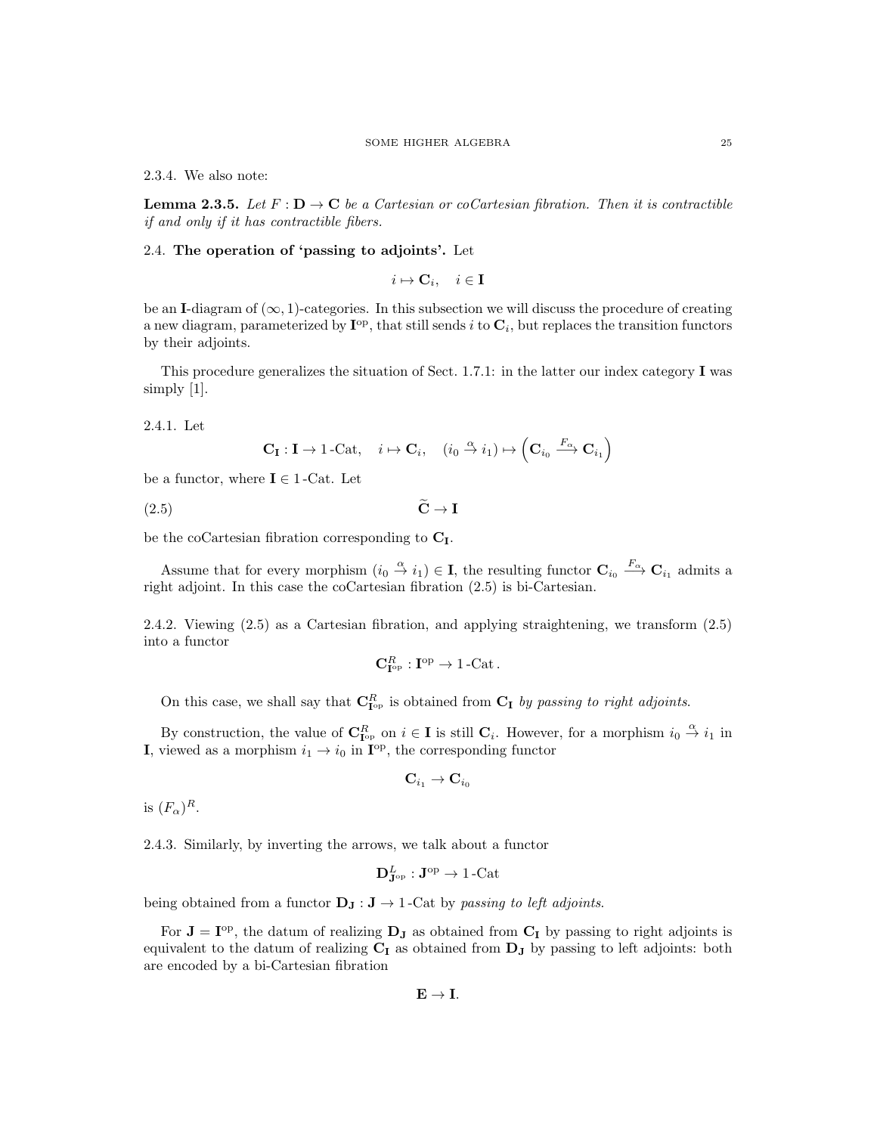2.3.4. We also note:

**Lemma 2.3.5.** Let  $F : D \to C$  be a Cartesian or coCartesian fibration. Then it is contractible if and only if it has contractible fibers.

# 2.4. The operation of 'passing to adjoints'. Let

$$
i \mapsto \mathbf{C}_i, \quad i \in \mathbf{I}
$$

be an I-diagram of  $(\infty, 1)$ -categories. In this subsection we will discuss the procedure of creating a new diagram, parameterized by  $I^{op}$ , that still sends i to  $C_i$ , but replaces the transition functors by their adjoints.

This procedure generalizes the situation of Sect. 1.7.1: in the latter our index category I was simply [1].

2.4.1. Let

$$
\mathbf{C}_{\mathbf{I}} : \mathbf{I} \to 1\text{-}\mathrm{Cat}, \quad i \mapsto \mathbf{C}_i, \quad (i_0 \stackrel{\alpha}{\to} i_1) \mapsto \left(\mathbf{C}_{i_0} \stackrel{F_\alpha}{\longrightarrow} \mathbf{C}_{i_1}\right)
$$

be a functor, where  $\mathbf{I} \in 1$ -Cat. Let

$$
(2.5) \t\t \tilde{\mathbf{C}} \to \mathbf{I}
$$

be the coCartesian fibration corresponding to  $C_I$ .

Assume that for every morphism  $(i_0 \stackrel{\alpha}{\to} i_1) \in I$ , the resulting functor  $\mathbf{C}_{i_0} \stackrel{F_{\alpha}}{\longrightarrow} \mathbf{C}_{i_1}$  admits a right adjoint. In this case the coCartesian fibration (2.5) is bi-Cartesian.

2.4.2. Viewing (2.5) as a Cartesian fibration, and applying straightening, we transform (2.5) into a functor

$$
\mathbf{C}_{\mathbf{I}^{\mathrm{op}}}^{R}:\mathbf{I}^{\mathrm{op}}\to 1\text{-Cat}\,.
$$

On this case, we shall say that  $C_{I^{op}}^R$  is obtained from  $C_I$  by passing to right adjoints.

By construction, the value of  $\mathbf{C}_{\mathbf{I}^{\mathrm{op}}}^R$  on  $i \in \mathbf{I}$  is still  $\mathbf{C}_i$ . However, for a morphism  $i_0 \stackrel{\alpha}{\to} i_1$  in **I**, viewed as a morphism  $i_1 \rightarrow i_0$  in  $I^{\text{op}}$ , the corresponding functor

$$
\mathbf{C}_{i_1} \to \mathbf{C}_{i_0}
$$

is  $(F_{\alpha})^R$ .

2.4.3. Similarly, by inverting the arrows, we talk about a functor

$$
\mathbf{D}_{\mathbf{J}^\mathrm{op}}^L : \mathbf{J}^\mathrm{op} \to 1\text{-}\mathrm{Cat}
$$

being obtained from a functor  $D_J : J \to 1$ -Cat by passing to left adjoints.

For  $J = I<sup>op</sup>$ , the datum of realizing  $D_J$  as obtained from  $C_I$  by passing to right adjoints is equivalent to the datum of realizing  $C_I$  as obtained from  $D_J$  by passing to left adjoints: both are encoded by a bi-Cartesian fibration

 $E \rightarrow I.$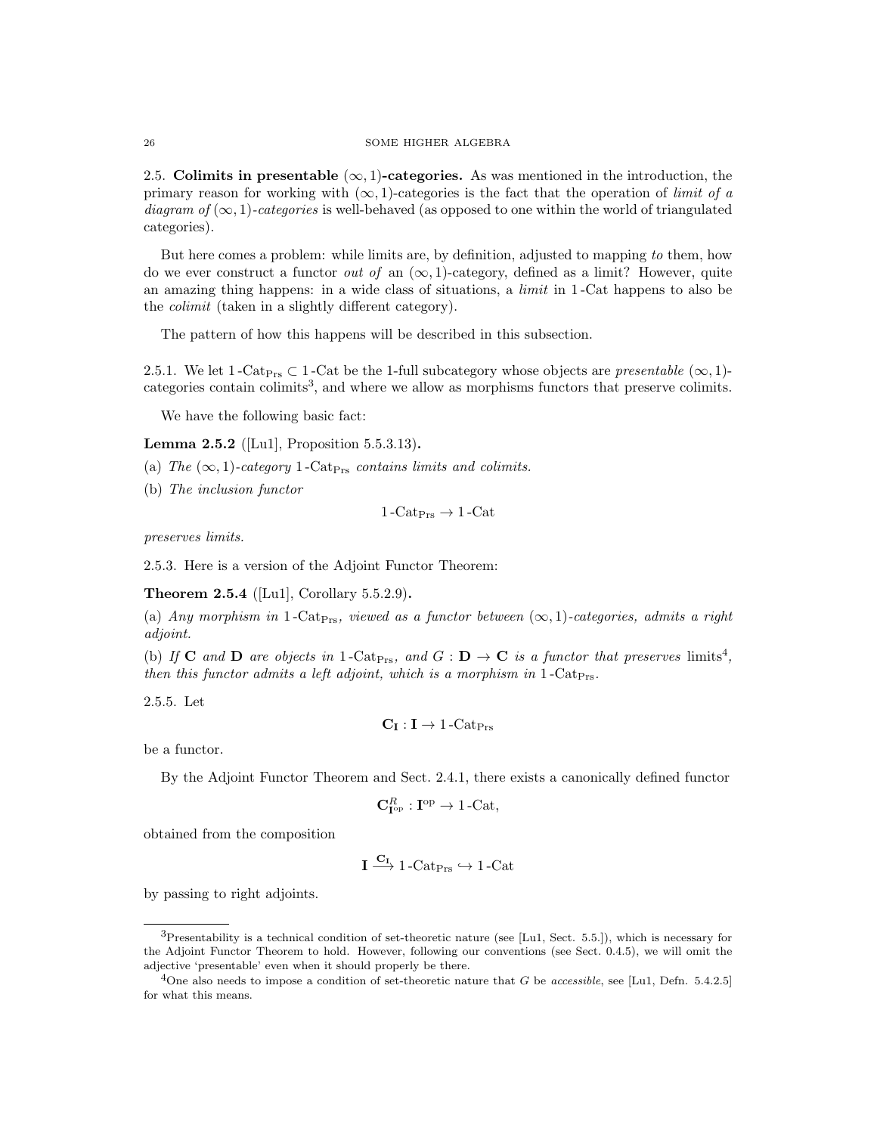2.5. Colimits in presentable  $(\infty, 1)$ -categories. As was mentioned in the introduction, the primary reason for working with  $(\infty, 1)$ -categories is the fact that the operation of *limit of a* diagram of  $(\infty, 1)$ -categories is well-behaved (as opposed to one within the world of triangulated categories).

But here comes a problem: while limits are, by definition, adjusted to mapping to them, how do we ever construct a functor *out of* an  $(\infty, 1)$ -category, defined as a limit? However, quite an amazing thing happens: in a wide class of situations, a limit in 1 -Cat happens to also be the colimit (taken in a slightly different category).

The pattern of how this happens will be described in this subsection.

2.5.1. We let 1 -Cat<sub>Prs</sub>  $\subset$  1 -Cat be the 1-full subcategory whose objects are *presentable* ( $\infty$ , 1)categories contain colimits<sup>3</sup>, and where we allow as morphisms functors that preserve colimits.

We have the following basic fact:

**Lemma 2.5.2** ([Lu1], Proposition 5.5.3.13).

(a) The  $(\infty, 1)$ -category 1-Cat<sub>Prs</sub> contains limits and colimits.

(b) The inclusion functor

 $1 - \text{Cat}_{\text{Prs}} \rightarrow 1 - \text{Cat}$ 

preserves limits.

2.5.3. Here is a version of the Adjoint Functor Theorem:

Theorem 2.5.4 ([Lu1], Corollary 5.5.2.9).

(a) Any morphism in 1-Cat<sub>Prs</sub>, viewed as a functor between  $(\infty, 1)$ -categories, admits a right adjoint.

(b) If **C** and **D** are objects in 1-Cat<sub>Prs</sub>, and  $G : \mathbf{D} \to \mathbf{C}$  is a functor that preserves limits<sup>4</sup>, then this functor admits a left adjoint, which is a morphism in  $1$ -Cat<sub>Prs</sub>.

2.5.5. Let

$$
\mathbf{C}_{\mathbf{I}}:\mathbf{I}\rightarrow1\text{-}\mathrm{Cat}_{\mathrm{Prs}}
$$

be a functor.

By the Adjoint Functor Theorem and Sect. 2.4.1, there exists a canonically defined functor

$$
\mathbf{C}_{\mathbf{I}^{\mathrm{op}}}^R : \mathbf{I}^{\mathrm{op}} \to 1\text{-}\mathrm{Cat},
$$

obtained from the composition

$$
\mathbf{I} \xrightarrow{\mathbf{C}_{\mathbf{I}}} 1\text{-}\mathrm{Cat}_{\mathrm{Prs}} \hookrightarrow 1\text{-}\mathrm{Cat}
$$

by passing to right adjoints.

 ${}^{3}$ Presentability is a technical condition of set-theoretic nature (see [Lu1, Sect. 5.5.]), which is necessary for the Adjoint Functor Theorem to hold. However, following our conventions (see Sect. 0.4.5), we will omit the adjective 'presentable' even when it should properly be there.

<sup>&</sup>lt;sup>4</sup>One also needs to impose a condition of set-theoretic nature that G be accessible, see [Lu1, Defn. 5.4.2.5] for what this means.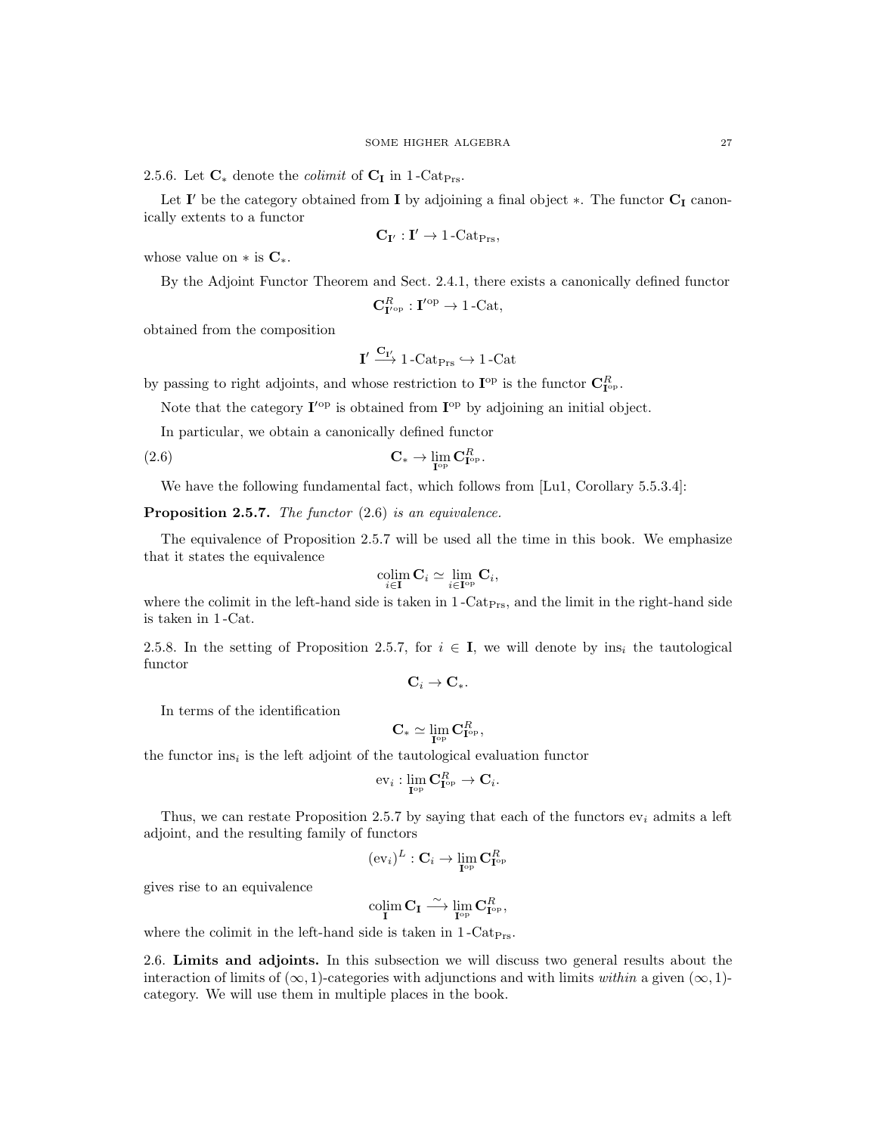2.5.6. Let  $\mathbf{C}_{*}$  denote the *colimit* of  $\mathbf{C}_{I}$  in 1-Cat<sub>Prs</sub>.

Let  $I'$  be the category obtained from I by adjoining a final object  $*$ . The functor  $C_I$  canonically extents to a functor

$$
\mathbf{C}_{\mathbf{I}'}: \mathbf{I}' \rightarrow 1\text{-}\mathrm{Cat}_{\mathrm{Prs}},
$$

whose value on  $*$  is  $\mathbf{C}_{*}$ .

By the Adjoint Functor Theorem and Sect. 2.4.1, there exists a canonically defined functor

$$
\mathbf{C}_{\mathbf{I}'^{\mathrm{op}}}^{R}:\mathbf{I}'^{\mathrm{op}}\to 1\text{-Cat},
$$

obtained from the composition

$$
\mathbf{I}' \xrightarrow{\mathbf{C}_{\mathbf{I}'}} 1\text{-}\mathrm{Cat}_{\mathrm{Prs}} \hookrightarrow 1\text{-}\mathrm{Cat}
$$

by passing to right adjoints, and whose restriction to  $\mathbf{I}^{\mathrm{op}}$  is the functor  $\mathbf{C}_{\mathbf{I}^{\mathrm{op}}}^R$ .

Note that the category  $I'^{\text{op}}$  is obtained from  $I^{\text{op}}$  by adjoining an initial object.

In particular, we obtain a canonically defined functor

(2.6) 
$$
\mathbf{C}_{*} \to \lim_{\mathbf{I}^{\text{op}}} \mathbf{C}_{\mathbf{I}^{\text{op}}}^{R}.
$$

We have the following fundamental fact, which follows from [Lu1, Corollary 5.5.3.4]:

**Proposition 2.5.7.** The functor  $(2.6)$  is an equivalence.

The equivalence of Proposition 2.5.7 will be used all the time in this book. We emphasize that it states the equivalence

$$
\operatornamewithlimits{colim}_{i\in\mathbf{I}} \mathbf{C}_i\simeq \lim_{i\in\mathbf{I}^{\mathrm{op}}} \mathbf{C}_i,
$$

where the colimit in the left-hand side is taken in  $1$ -Cat<sub>Prs</sub>, and the limit in the right-hand side is taken in 1 -Cat.

2.5.8. In the setting of Proposition 2.5.7, for  $i \in I$ , we will denote by ins<sub>i</sub> the tautological functor

$$
\mathbf{C}_i \to \mathbf{C}_*.
$$

In terms of the identification

$$
\mathbf{C}_{*} \simeq \lim_{\mathbf{I}^{\mathrm{op}}} \mathbf{C}_{\mathbf{I}^{\mathrm{op}}}^{R},
$$

the functor  $ins_i$  is the left adjoint of the tautological evaluation functor

$$
\mathrm{ev}_i:\lim_{\mathbf{I}^\mathrm{op}} \mathbf{C}^R_{\mathbf{I}^\mathrm{op}} \to \mathbf{C}_i.
$$

Thus, we can restate Proposition 2.5.7 by saying that each of the functors  $ev_i$  admits a left adjoint, and the resulting family of functors

$$
(\mathrm{ev}_i)^L: \mathbf{C}_i \to \lim_{\mathbf{I}^\mathrm{op}} \mathbf{C}_{\mathbf{I}^\mathrm{op}}^R
$$

gives rise to an equivalence

$$
\underset{\mathbf{I}}{\operatorname{colim}}\,\mathbf{C}_{\mathbf{I}}\stackrel{\sim}{\longrightarrow}\underset{\mathbf{I}^{\operatorname{op}}}{\operatorname{lim}}\,\mathbf{C}_{\mathbf{I}^{\operatorname{op}}}^{R},
$$

where the colimit in the left-hand side is taken in  $1$ -Cat<sub>Prs</sub>.

2.6. Limits and adjoints. In this subsection we will discuss two general results about the interaction of limits of  $(\infty, 1)$ -categories with adjunctions and with limits within a given  $(\infty, 1)$ category. We will use them in multiple places in the book.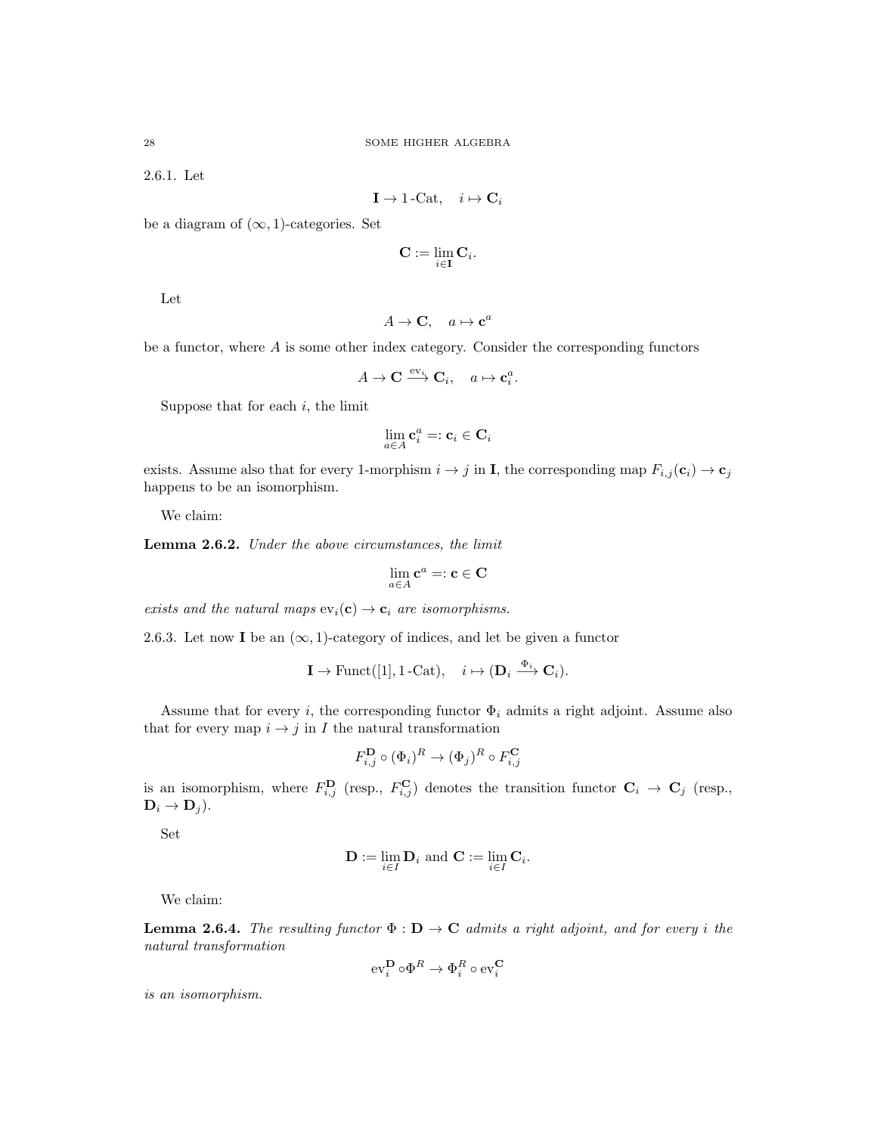2.6.1. Let

$$
\mathbf{I} \to 1\text{-}\mathrm{Cat}, \quad i \mapsto \mathbf{C}_i
$$

be a diagram of  $(\infty, 1)$ -categories. Set

$$
\mathbf{C} := \lim_{i \in \mathbf{I}} \mathbf{C}_i.
$$

Let

$$
A \to \mathbf{C}, \quad a \mapsto \mathbf{c}^a
$$

be a functor, where  $A$  is some other index category. Consider the corresponding functors

$$
A \to \mathbf{C} \xrightarrow{\text{ev}_i} \mathbf{C}_i, \quad a \mapsto \mathbf{c}_i^a.
$$

Suppose that for each  $i$ , the limit

$$
\lim_{a \in A} \mathbf{c}_i^a =: \mathbf{c}_i \in \mathbf{C}_i
$$

exists. Assume also that for every 1-morphism  $i \to j$  in **I**, the corresponding map  $F_{i,j}(\mathbf{c}_i) \to \mathbf{c}_j$ happens to be an isomorphism.

We claim:

Lemma 2.6.2. Under the above circumstances, the limit

$$
\lim_{a\in A} \mathbf{c}^a =: \mathbf{c} \in \mathbf{C}
$$

exists and the natural maps  $ev_i(c) \rightarrow c_i$  are isomorphisms.

2.6.3. Let now **I** be an  $(\infty, 1)$ -category of indices, and let be given a functor

$$
\mathbf{I} \to \text{Funct}([1], 1\text{-Cat}), \quad i \mapsto (\mathbf{D}_i \xrightarrow{\Phi_i} \mathbf{C}_i).
$$

Assume that for every i, the corresponding functor  $\Phi_i$  admits a right adjoint. Assume also that for every map  $i \rightarrow j$  in I the natural transformation

$$
F_{i,j}^{\mathbf{D}} \circ (\Phi_i)^R \to (\Phi_j)^R \circ F_{i,j}^{\mathbf{C}}
$$

is an isomorphism, where  $F_{i,j}^{\mathbf{D}}$  (resp.,  $F_{i,j}^{\mathbf{C}}$ ) denotes the transition functor  $\mathbf{C}_i \to \mathbf{C}_j$  (resp.,  $\mathbf{D}_i \rightarrow \mathbf{D}_j$ ).

Set

$$
\mathbf{D} := \lim_{i \in I} \mathbf{D}_i \text{ and } \mathbf{C} := \lim_{i \in I} \mathbf{C}_i.
$$

We claim:

**Lemma 2.6.4.** The resulting functor  $\Phi : \mathbf{D} \to \mathbf{C}$  admits a right adjoint, and for every i the natural transformation

$$
\text{ev}_i^{\mathbf{D}} \circ \Phi^R \to \Phi_i^R \circ \text{ev}_i^{\mathbf{C}}
$$

is an isomorphism.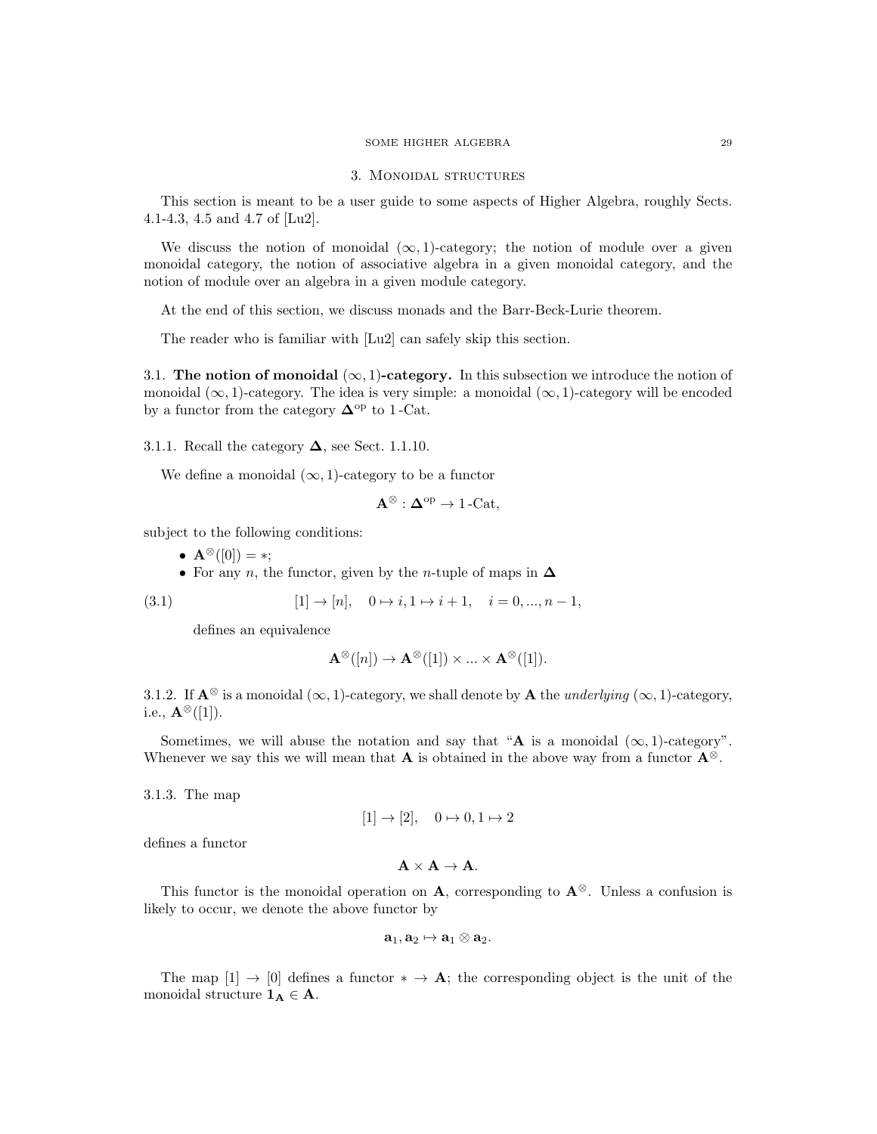## 3. Monoidal structures

This section is meant to be a user guide to some aspects of Higher Algebra, roughly Sects. 4.1-4.3, 4.5 and 4.7 of [Lu2].

We discuss the notion of monoidal  $(\infty, 1)$ -category; the notion of module over a given monoidal category, the notion of associative algebra in a given monoidal category, and the notion of module over an algebra in a given module category.

At the end of this section, we discuss monads and the Barr-Beck-Lurie theorem.

The reader who is familiar with [Lu2] can safely skip this section.

3.1. The notion of monoidal  $(\infty, 1)$ -category. In this subsection we introduce the notion of monoidal  $(\infty, 1)$ -category. The idea is very simple: a monoidal  $(\infty, 1)$ -category will be encoded by a functor from the category  $\mathbf{\Delta}^{\text{op}}$  to 1 -Cat.

3.1.1. Recall the category  $\Delta$ , see Sect. 1.1.10.

We define a monoidal  $(\infty, 1)$ -category to be a functor

$$
\mathbf{A}^{\otimes} : \mathbf{\Delta}^{\mathrm{op}} \to 1\text{-}\mathrm{Cat},
$$

subject to the following conditions:

- ${\bf A}^{\otimes}([0]) = *;$
- For any *n*, the functor, given by the *n*-tuple of maps in  $\Delta$

(3.1) 
$$
[1] \to [n], \quad 0 \to i, 1 \to i+1, \quad i = 0, ..., n-1,
$$

defines an equivalence

$$
\mathbf{A}^{\otimes}([n]) \to \mathbf{A}^{\otimes}([1]) \times \ldots \times \mathbf{A}^{\otimes}([1]).
$$

3.1.2. If  $\mathbf{A}^{\otimes}$  is a monoidal  $(\infty, 1)$ -category, we shall denote by  $\mathbf{A}$  the *underlying*  $(\infty, 1)$ -category, i.e.,  ${\bf A}^{\otimes}([1])$ .

Sometimes, we will abuse the notation and say that "A is a monoidal  $(\infty, 1)$ -category". Whenever we say this we will mean that **A** is obtained in the above way from a functor  $\mathbf{A}^{\otimes}$ .

3.1.3. The map

$$
[1] \to [2], \quad 0 \mapsto 0, 1 \mapsto 2
$$

defines a functor

$$
\mathbf{A}\times\mathbf{A}\rightarrow\mathbf{A}.
$$

This functor is the monoidal operation on A, corresponding to  $A^{\otimes}$ . Unless a confusion is likely to occur, we denote the above functor by

$$
\mathbf{a}_1, \mathbf{a}_2 \mapsto \mathbf{a}_1 \otimes \mathbf{a}_2.
$$

The map  $[1] \rightarrow [0]$  defines a functor  $* \rightarrow A$ ; the corresponding object is the unit of the monoidal structure  $\mathbf{1}_{\mathbf{A}} \in \mathbf{A}$ .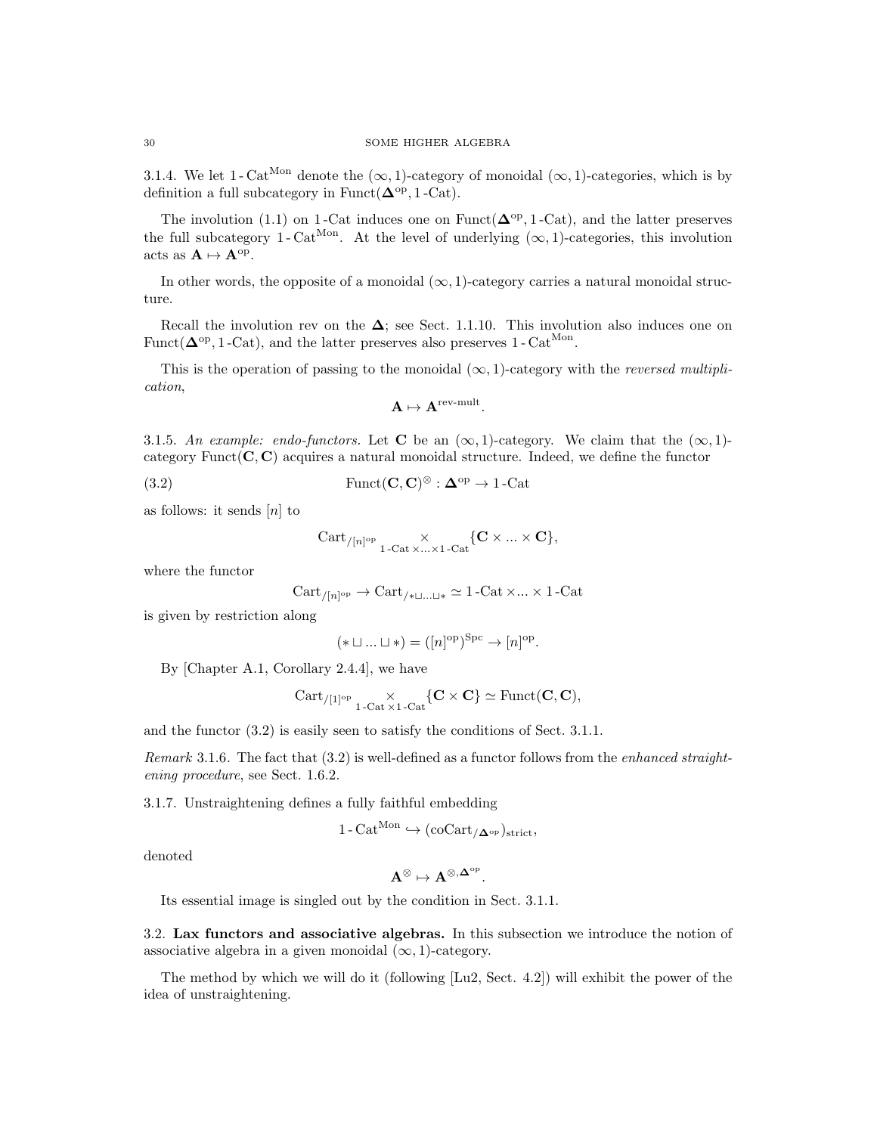3.1.4. We let 1 - Cat<sup>Mon</sup> denote the  $(\infty, 1)$ -category of monoidal  $(\infty, 1)$ -categories, which is by definition a full subcategory in Funct( $\Delta^{\text{op}}$ , 1 -Cat).

The involution (1.1) on 1-Cat induces one on Funct( $\Delta^{\rm op}$ , 1-Cat), and the latter preserves the full subcategory 1-Cat<sup>Mon</sup>. At the level of underlying  $(\infty, 1)$ -categories, this involution acts as  $\mathbf{A} \mapsto \mathbf{A}^{\mathrm{op}}$ .

In other words, the opposite of a monoidal  $(\infty, 1)$ -category carries a natural monoidal structure.

Recall the involution rev on the  $\Delta$ ; see Sect. 1.1.10. This involution also induces one on Funct( $\Delta^{\text{op}}$ , 1 -Cat), and the latter preserves also preserves 1 - Cat<sup>Mon</sup>.

This is the operation of passing to the monoidal  $(\infty, 1)$ -category with the *reversed multipli*cation,

$$
\mathbf{A}\mapsto \mathbf{A}^{\mathrm{rev-mult}}.
$$

3.1.5. An example: endo-functors. Let C be an  $(\infty, 1)$ -category. We claim that the  $(\infty, 1)$ category Funct $(C, C)$  acquires a natural monoidal structure. Indeed, we define the functor

(3.2) Funct(**C**, **C**)<sup>⊗</sup> :  $\mathbf{\Delta}^{\text{op}} \to 1$ -Cat

as follows: it sends  $[n]$  to

$$
\operatorname{Cart}_{/[n]^{\rm op}} \underset{1\text{-}\operatorname{Cat}\times\ldots\times 1\text{-}\operatorname{Cat}}{\times} \{ \mathbf{C} \times \ldots \times \mathbf{C} \},
$$

where the functor

$$
Cart_{/[n]^{op}} \to \text{Cart}_{/* \sqcup ... \sqcup *} \simeq 1\text{-Cat} \times ... \times 1\text{-Cat}
$$

is given by restriction along

$$
(* \sqcup ... \sqcup *) = ([n]^{\text{op}})^{\text{Spc}} \to [n]^{\text{op}}.
$$

By [Chapter A.1, Corollary 2.4.4], we have

$$
\mathrm{Cart}_{/[1]^{\rm op}} \underset{1\operatorname{-Cat}\times 1\operatorname{-Cat}}{\times} \{ \mathbf{C} \times \mathbf{C} \} \simeq \mathrm{Funct}(\mathbf{C},\mathbf{C}),
$$

and the functor (3.2) is easily seen to satisfy the conditions of Sect. 3.1.1.

*Remark* 3.1.6. The fact that  $(3.2)$  is well-defined as a functor follows from the *enhanced straight*ening procedure, see Sect. 1.6.2.

3.1.7. Unstraightening defines a fully faithful embedding

$$
1-\mathrm{Cat}^{\mathrm{Mon}} \hookrightarrow (\mathrm{coCart}_{/\mathbf{\Delta}^\mathrm{op}})_{\mathrm{strict}},
$$

denoted

$$
A^{\otimes} \mapsto A^{\otimes, \Delta^{\rm op}}.
$$

Its essential image is singled out by the condition in Sect. 3.1.1.

3.2. Lax functors and associative algebras. In this subsection we introduce the notion of associative algebra in a given monoidal  $(\infty, 1)$ -category.

The method by which we will do it (following [Lu2, Sect. 4.2]) will exhibit the power of the idea of unstraightening.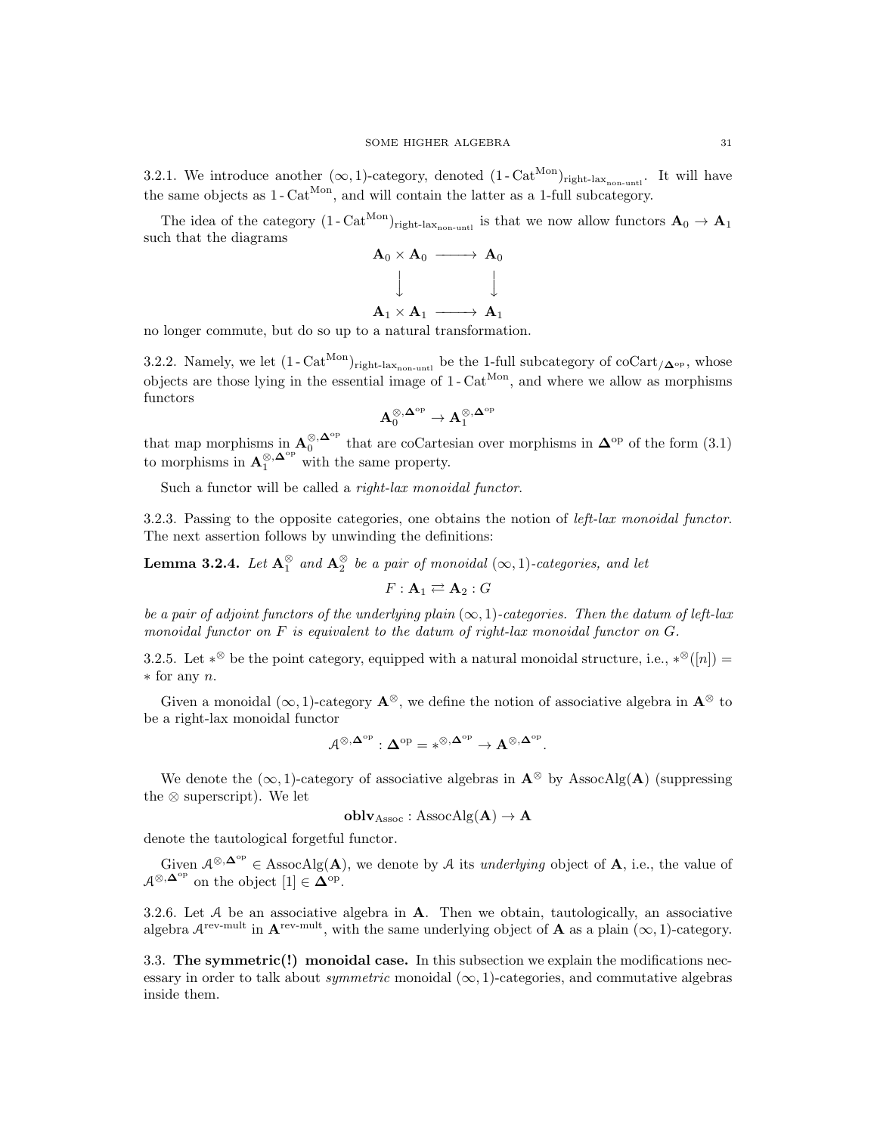3.2.1. We introduce another  $(\infty, 1)$ -category, denoted  $(1 - \text{Cat}^{\text{Mon}})_{\text{right-lax}_{\text{non-unt}}}.$  It will have the same objects as  $1 - \text{Cat}^{\text{Mon}}$ , and will contain the latter as a 1-full subcategory.

The idea of the category  $(1 - \text{Cat}^{\text{Mon}})_{\text{right-lax}_{\text{non-unit}}}$  is that we now allow functors  $\mathbf{A}_0 \to \mathbf{A}_1$ such that the diagrams



no longer commute, but do so up to a natural transformation.

3.2.2. Namely, we let  $(1 - \text{Cat}^{\text{Mon}})_{\text{right-lax}_{\text{non-untl}}}$  be the 1-full subcategory of  $\text{coCart}_{/\mathbf{\Delta}^{\text{op}}}$ , whose objects are those lying in the essential image of  $1 - \text{Cat}^{\text{Mon}}$ , and where we allow as morphisms functors

$$
\mathbf{A}_0^{\otimes, \mathbf{\Delta}^{\mathrm{op}}} \to \mathbf{A}_1^{\otimes, \mathbf{\Delta}^{\mathrm{op}}}
$$

that map morphisms in  $\mathbf{A}_0^{\otimes,\mathbf{\Delta}^{\mathrm{op}}}$  that are coCartesian over morphisms in  $\mathbf{\Delta}^{\mathrm{op}}$  of the form (3.1) to morphisms in  $\mathbf{A}_1^{\otimes,\mathbf{\Delta}^{\mathrm{op}}}$  with the same property.

Such a functor will be called a *right-lax monoidal functor*.

3.2.3. Passing to the opposite categories, one obtains the notion of left-lax monoidal functor. The next assertion follows by unwinding the definitions:

**Lemma 3.2.4.** Let  $A_1^{\otimes}$  and  $A_2^{\otimes}$  be a pair of monoidal  $(\infty, 1)$ -categories, and let

$$
F: \mathbf{A}_1 \rightleftarrows \mathbf{A}_2 : G
$$

be a pair of adjoint functors of the underlying plain  $(\infty, 1)$ -categories. Then the datum of left-lax monoidal functor on F is equivalent to the datum of right-lax monoidal functor on G.

3.2.5. Let  $*^{\otimes}$  be the point category, equipped with a natural monoidal structure, i.e.,  $*^{\otimes}([n]) =$ ∗ for any n.

Given a monoidal ( $\infty$ , 1)-category  $\mathbf{A}^{\otimes}$ , we define the notion of associative algebra in  $\mathbf{A}^{\otimes}$  to be a right-lax monoidal functor

$$
\mathcal{A}^{\otimes,\mathbf{\Delta}^{\mathrm{op}}} : \mathbf{\Delta}^{\mathrm{op}} = *^{\otimes,\mathbf{\Delta}^{\mathrm{op}}} \to \mathbf{A}^{\otimes,\mathbf{\Delta}^{\mathrm{op}}}.
$$

We denote the  $(\infty, 1)$ -category of associative algebras in  $\mathbf{A}^{\otimes}$  by AssocAlg( $\mathbf{A}$ ) (suppressing the ⊗ superscript). We let

$$
oblv_{\mathrm{Assoc}}: {\mathrm{AssocAlg}}(A) \to A
$$

denote the tautological forgetful functor.

Given  $\mathcal{A}^{\otimes,\Delta^{\mathrm{op}}}\in\mathrm{AssocAlg}(\mathbf{A})$ , we denote by A its underlying object of **A**, i.e., the value of  $\mathcal{A}^{\otimes,\mathbf{\Delta}^{\mathrm{op}}}$  on the object  $[1] \in \mathbf{\Delta}^{\mathrm{op}}$ .

3.2.6. Let  $A$  be an associative algebra in  $A$ . Then we obtain, tautologically, an associative algebra  $A^{\text{rev-mult}}$  in  $A^{\text{rev-mult}}$ , with the same underlying object of A as a plain  $(\infty, 1)$ -category.

3.3. The symmetric(!) monoidal case. In this subsection we explain the modifications necessary in order to talk about *symmetric* monoidal  $(\infty, 1)$ -categories, and commutative algebras inside them.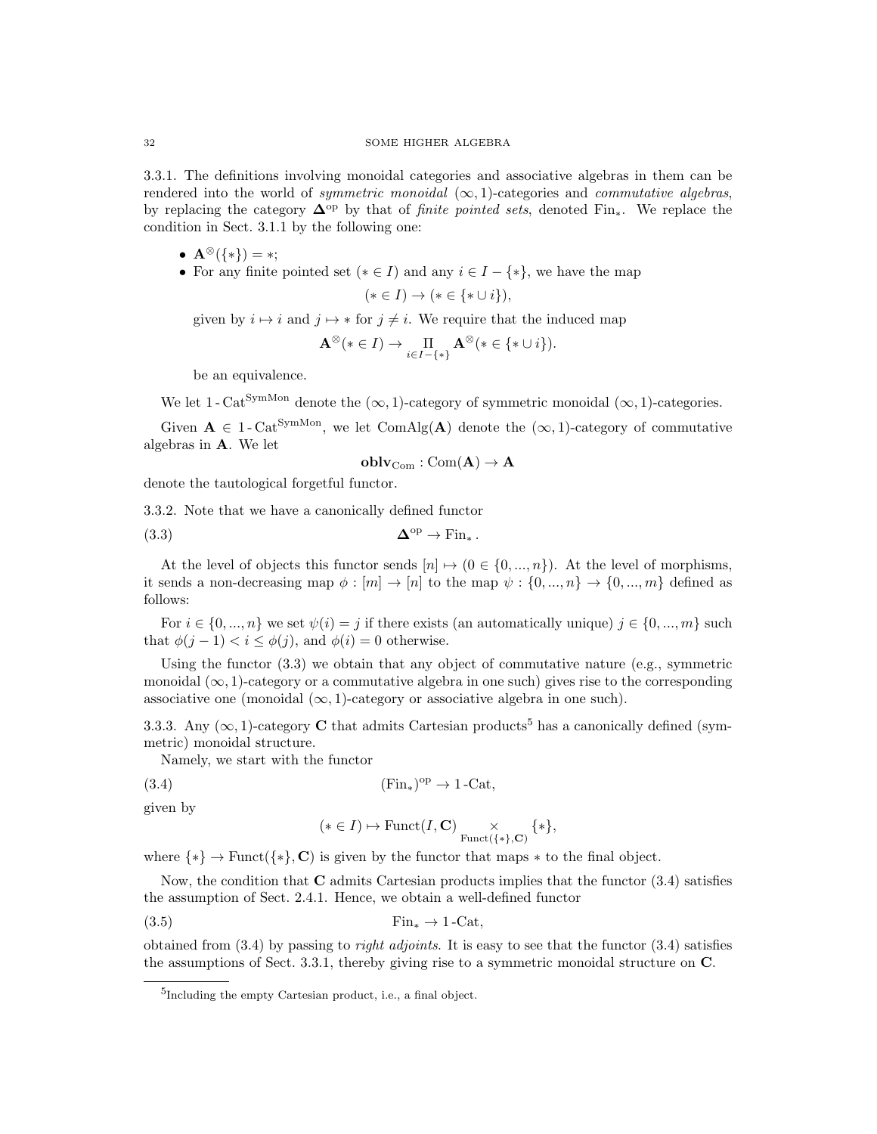3.3.1. The definitions involving monoidal categories and associative algebras in them can be rendered into the world of *symmetric monoidal*  $(\infty, 1)$ -categories and *commutative algebras*, by replacing the category  $\Delta^{op}$  by that of *finite pointed sets*, denoted Fin<sub>\*</sub>. We replace the condition in Sect. 3.1.1 by the following one:

- $A^{\otimes}(\{*\}) = *;$
- For any finite pointed set  $(* \in I)$  and any  $i \in I \{*\}$ , we have the map

$$
(* \in I) \rightarrow (* \in \{*\cup i\}),
$$

given by  $i \mapsto i$  and  $j \mapsto *$  for  $j \neq i$ . We require that the induced map

$$
\mathbf{A}^{\otimes}(* \in I) \to \prod_{i \in I - \{*\}} \mathbf{A}^{\otimes}(* \in \{*\cup i\}).
$$

be an equivalence.

We let 1 - Cat<sup>SymMon</sup> denote the  $(\infty, 1)$ -category of symmetric monoidal  $(\infty, 1)$ -categories.

Given  $A \in 1$ -Cat<sup>SymMon</sup>, we let ComAlg(A) denote the  $(\infty, 1)$ -category of commutative algebras in A. We let

$$
\bf{oblv}_{Com}: Com({\bf A}) \rightarrow {\bf A}
$$

denote the tautological forgetful functor.

3.3.2. Note that we have a canonically defined functor

$$
\mathbf{\Delta}^{\mathrm{op}} \to \mathrm{Fin}_*.
$$

At the level of objects this functor sends  $[n] \mapsto (0 \in \{0, ..., n\})$ . At the level of morphisms, it sends a non-decreasing map  $\phi : [m] \to [n]$  to the map  $\psi : \{0, ..., n\} \to \{0, ..., m\}$  defined as follows:

For  $i \in \{0, ..., n\}$  we set  $\psi(i) = j$  if there exists (an automatically unique)  $j \in \{0, ..., m\}$  such that  $\phi(j-1) < i \leq \phi(j)$ , and  $\phi(i) = 0$  otherwise.

Using the functor  $(3.3)$  we obtain that any object of commutative nature (e.g., symmetric monoidal  $(\infty, 1)$ -category or a commutative algebra in one such) gives rise to the corresponding associative one (monoidal  $(\infty, 1)$ -category or associative algebra in one such).

3.3.3. Any ( $\infty$ , 1)-category **C** that admits Cartesian products<sup>5</sup> has a canonically defined (symmetric) monoidal structure.

Namely, we start with the functor

$$
(3.4) \t\t\t\t(Fin_*)^{op} \to 1-\text{Cat},
$$

given by

$$
(* \in I) \mapsto \mathrm{Funct}(I, \mathbf{C}) \underset{\mathrm{Funct}(\{*\}, \mathbf{C})}{\times} \{*\},
$$

where  $\{*\} \rightarrow \text{Funct}(\{*\}, \mathbf{C})$  is given by the functor that maps  $*$  to the final object.

Now, the condition that  $C$  admits Cartesian products implies that the functor  $(3.4)$  satisfies the assumption of Sect. 2.4.1. Hence, we obtain a well-defined functor

$$
\text{Fin}_{*} \to 1\text{-Cat},
$$

obtained from  $(3.4)$  by passing to *right adjoints*. It is easy to see that the functor  $(3.4)$  satisfies the assumptions of Sect. 3.3.1, thereby giving rise to a symmetric monoidal structure on C.

<sup>5</sup> Including the empty Cartesian product, i.e., a final object.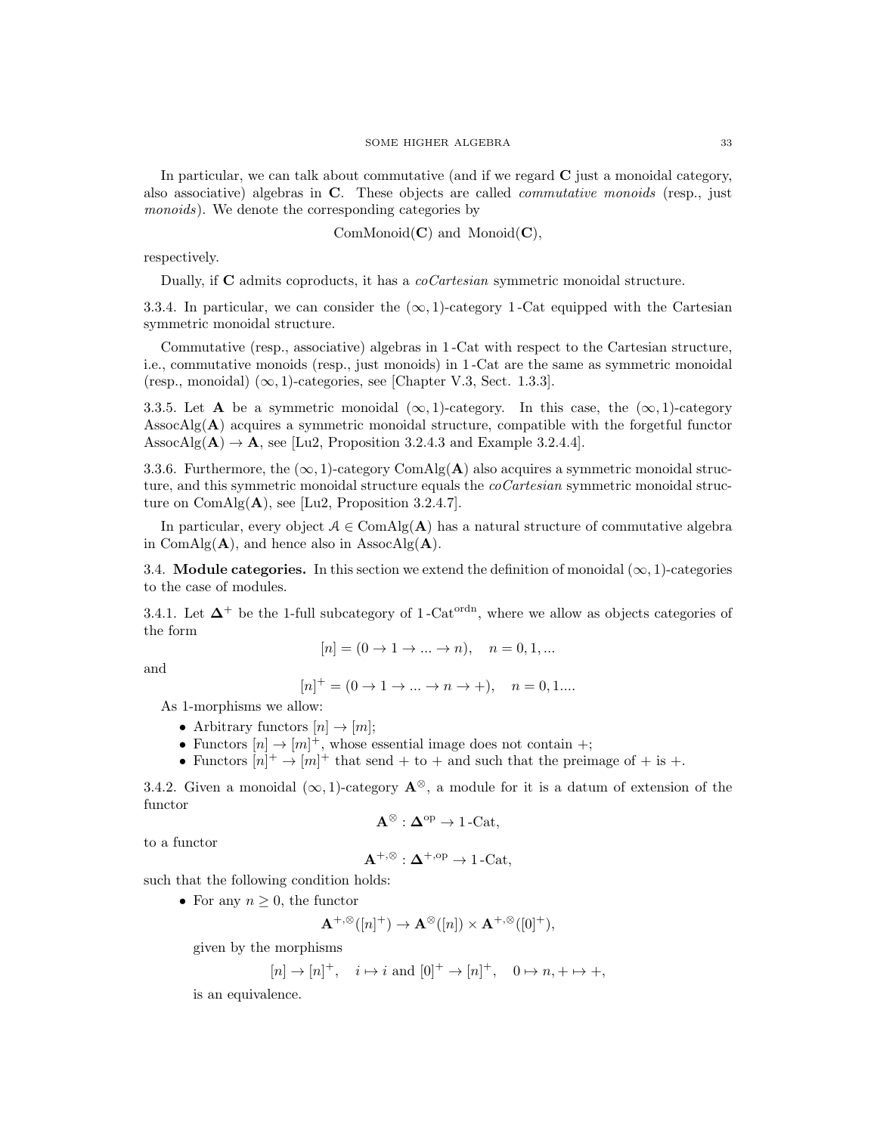In particular, we can talk about commutative (and if we regard  $C$  just a monoidal category, also associative) algebras in C. These objects are called *commutative monoids* (resp., just monoids). We denote the corresponding categories by

 $ComMonoid(\mathbf{C})$  and  $Monoid(\mathbf{C})$ ,

respectively.

Dually, if C admits coproducts, it has a *coCartesian* symmetric monoidal structure.

3.3.4. In particular, we can consider the  $(\infty, 1)$ -category 1-Cat equipped with the Cartesian symmetric monoidal structure.

Commutative (resp., associative) algebras in 1 -Cat with respect to the Cartesian structure, i.e., commutative monoids (resp., just monoids) in 1 -Cat are the same as symmetric monoidal (resp., monoidal)  $(\infty, 1)$ -categories, see [Chapter V.3, Sect. 1.3.3].

3.3.5. Let **A** be a symmetric monoidal  $(\infty, 1)$ -category. In this case, the  $(\infty, 1)$ -category AssocAlg $(A)$  acquires a symmetric monoidal structure, compatible with the forgetful functor AssocAlg( $\mathbf{A}$ )  $\rightarrow \mathbf{A}$ , see [Lu2, Proposition 3.2.4.3 and Example 3.2.4.4].

3.3.6. Furthermore, the  $(\infty, 1)$ -category ComAlg(A) also acquires a symmetric monoidal structure, and this symmetric monoidal structure equals the *coCartesian* symmetric monoidal structure on  $ComAlg(A)$ , see [Lu2, Proposition 3.2.4.7].

In particular, every object  $A \in \text{ComAlg}(\mathbf{A})$  has a natural structure of commutative algebra in ComAlg( $\bf{A}$ ), and hence also in AssocAlg( $\bf{A}$ ).

3.4. **Module categories.** In this section we extend the definition of monoidal  $(\infty, 1)$ -categories to the case of modules.

3.4.1. Let  $\Delta^+$  be the 1-full subcategory of 1-Cat<sup>ordn</sup>, where we allow as objects categories of the form

$$
[n] = (0 \to 1 \to \dots \to n), \quad n = 0, 1, \dots
$$

and

$$
[n]^{+} = (0 \to 1 \to \dots \to n \to +), \quad n = 0, 1 \dots
$$

As 1-morphisms we allow:

- Arbitrary functors  $[n] \rightarrow [m];$
- Functors  $[n] \to [m]^+$ , whose essential image does not contain +;
- Functors  $[n]^+ \rightarrow [m]^+$  that send + to + and such that the preimage of + is +.

3.4.2. Given a monoidal  $(\infty, 1)$ -category  $\mathbf{A}^{\otimes}$ , a module for it is a datum of extension of the functor

$$
\mathbf{A}^{\otimes} : \mathbf{\Delta}^{\mathrm{op}} \to 1\text{-}\mathrm{Cat},
$$

to a functor

$$
\mathbf{A}^{+,\otimes}: \mathbf{\Delta}^{+,\mathrm{op}} \to 1\text{-}\mathrm{Cat},
$$

such that the following condition holds:

• For any  $n \geq 0$ , the functor

$$
\mathbf{A}^{+,\otimes}([n]^+) \to \mathbf{A}^{\otimes}([n]) \times \mathbf{A}^{+,\otimes}([0]^+),
$$

given by the morphisms

$$
[n] \rightarrow [n]^+, \quad i \mapsto i \text{ and } [0]^+ \rightarrow [n]^+, \quad 0 \mapsto n, + \mapsto +,
$$

is an equivalence.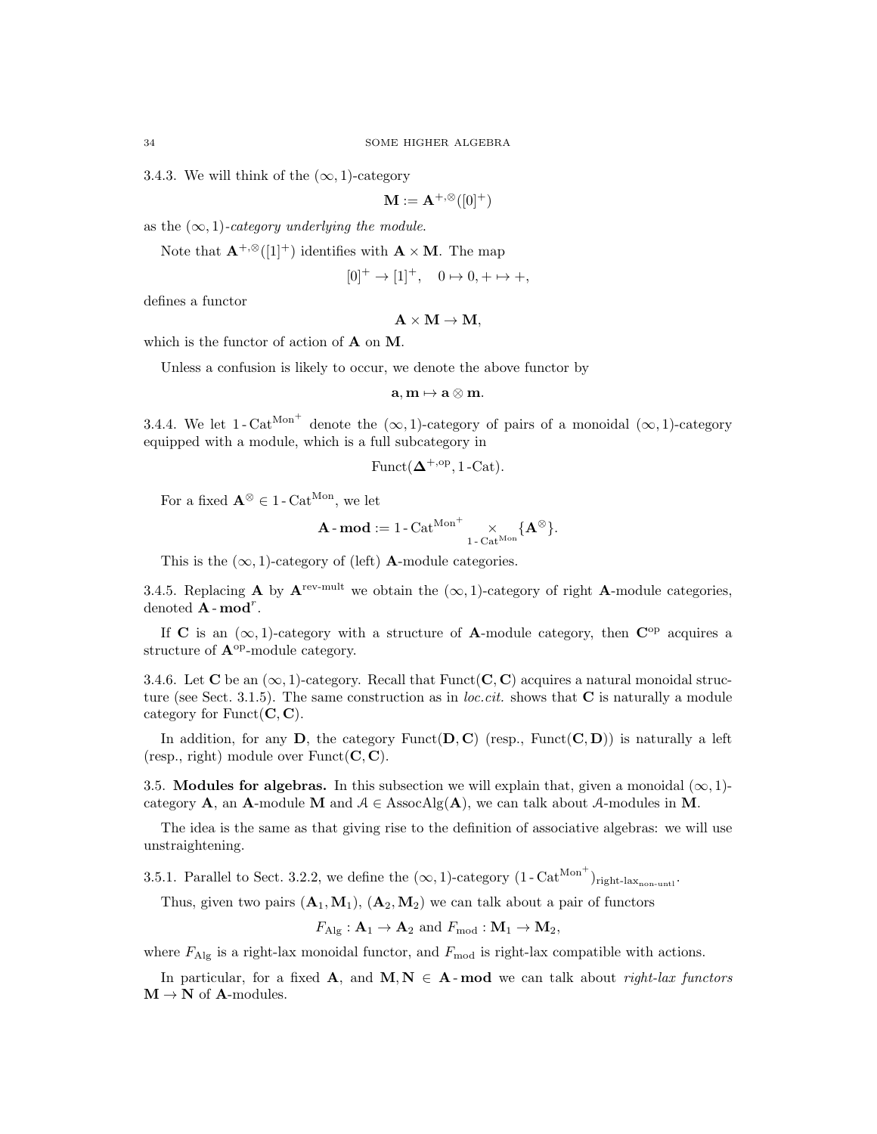3.4.3. We will think of the  $(\infty, 1)$ -category

$$
\mathbf{M} := \mathbf{A}^{+,\otimes}([0]^+)
$$

as the  $(\infty, 1)$ -category underlying the module.

Note that  $\mathbf{A}^{+,\otimes}([1]^+)$  identifies with  $\mathbf{A} \times \mathbf{M}$ . The map

$$
[0]^+ \to [1]^+, \quad 0 \mapsto 0, + \mapsto +,
$$

defines a functor

$$
\mathbf{A}\times\mathbf{M}\rightarrow\mathbf{M,}
$$

which is the functor of action of **A** on **M**.

Unless a confusion is likely to occur, we denote the above functor by

$$
\mathbf{a},\mathbf{m}\mapsto \mathbf{a}\otimes \mathbf{m}.
$$

3.4.4. We let 1-Cat<sup>Mon+</sup> denote the  $(\infty, 1)$ -category of pairs of a monoidal  $(\infty, 1)$ -category equipped with a module, which is a full subcategory in

$$
\mathrm{Funct}(\Delta^{+, \mathrm{op}}, 1\text{-}\mathrm{Cat}).
$$

For a fixed  $\mathbf{A}^{\otimes} \in 1$  - Cat<sup>Mon</sup>, we let

$$
\mathbf{A}\operatorname{-\mathbf{mod}}:=1\operatorname{-\mathbf{Cat}}^{\mathrm{Mon}^+}\underset{\operatorname{1-Cat}^{\mathrm{Mon}}}{\times} \{\mathbf{A}^{\otimes}\}.
$$

This is the  $(\infty, 1)$ -category of (left) **A**-module categories.

3.4.5. Replacing A by  ${\bf A}^{\rm rev-mult}$  we obtain the  $(\infty, 1)$ -category of right A-module categories, denoted  $\mathbf{A}$ -mod<sup>r</sup>.

If C is an  $(\infty, 1)$ -category with a structure of A-module category, then  $\mathbb{C}^{\text{op}}$  acquires a structure of  $\mathbf{A}^{\text{op}}$ -module category.

3.4.6. Let C be an  $(\infty, 1)$ -category. Recall that Funct(C,C) acquires a natural monoidal structure (see Sect. 3.1.5). The same construction as in *loc.cit.* shows that  $C$  is naturally a module category for  $Funct(C, C)$ .

In addition, for any D, the category Funct $(D, C)$  (resp., Funct $(C, D)$ ) is naturally a left (resp., right) module over  $Funct(C, C)$ .

3.5. Modules for algebras. In this subsection we will explain that, given a monoidal  $(\infty, 1)$ category **A**, an **A**-module **M** and  $A \in$  AssocAlg(**A**), we can talk about A-modules in **M**.

The idea is the same as that giving rise to the definition of associative algebras: we will use unstraightening.

3.5.1. Parallel to Sect. 3.2.2, we define the  $(\infty, 1)$ -category  $(1 - \text{Cat}^{\text{Mon}^+})_{\text{right-lax}_{\text{non-unit}}}$ .

Thus, given two pairs  $(A_1, M_1)$ ,  $(A_2, M_2)$  we can talk about a pair of functors

 $F_{\text{Alg}}: \mathbf{A}_1 \to \mathbf{A}_2$  and  $F_{\text{mod}}: \mathbf{M}_1 \to \mathbf{M}_2$ ,

where  $F_{\text{Alg}}$  is a right-lax monoidal functor, and  $F_{\text{mod}}$  is right-lax compatible with actions.

In particular, for a fixed **A**, and **M**,  $N \in A$ -**mod** we can talk about *right-lax functors*  $M \rightarrow N$  of A-modules.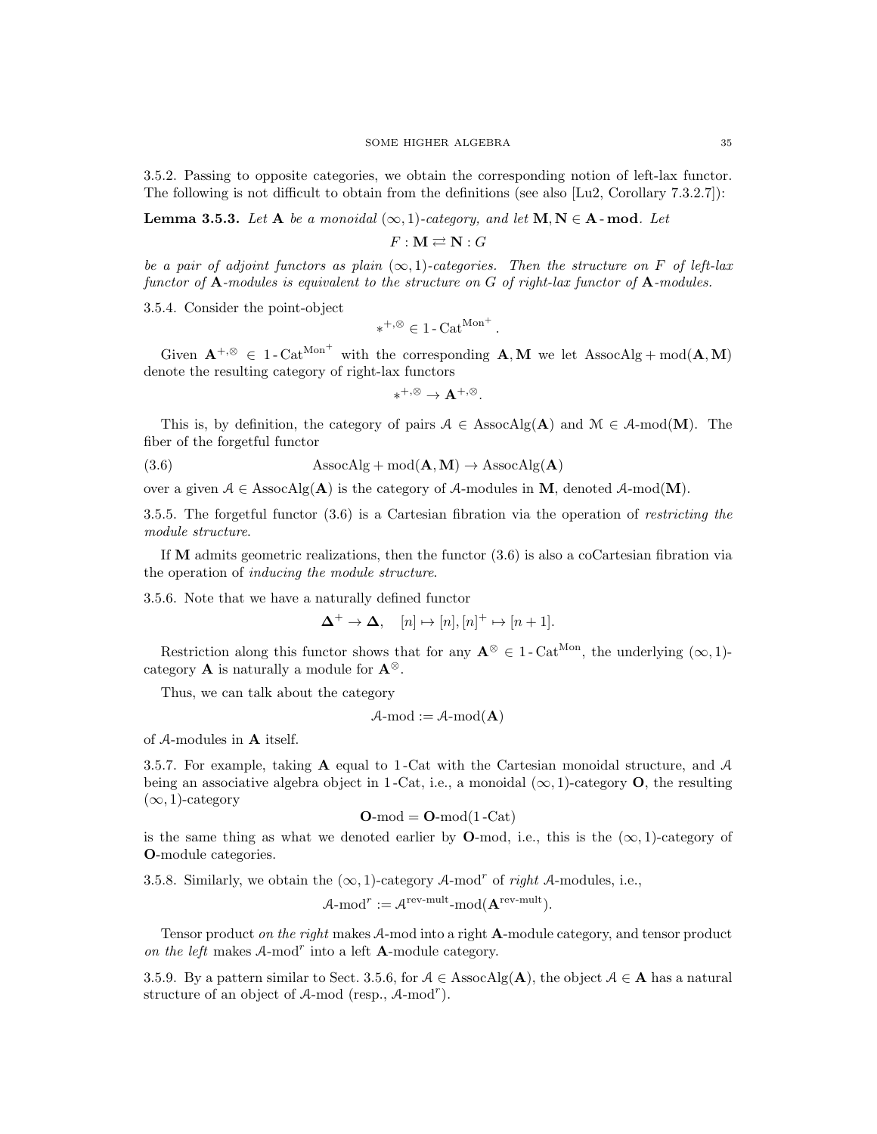3.5.2. Passing to opposite categories, we obtain the corresponding notion of left-lax functor. The following is not difficult to obtain from the definitions (see also [Lu2, Corollary 7.3.2.7]):

**Lemma 3.5.3.** Let A be a monoidal  $(\infty, 1)$ -category, and let  $M, N \in A$ -mod. Let

 $F: M \rightleftarrows N: G$ 

be a pair of adjoint functors as plain  $(\infty, 1)$ -categories. Then the structure on F of left-lax functor of  $\bf{A}$ -modules is equivalent to the structure on G of right-lax functor of  $\bf{A}$ -modules.

3.5.4. Consider the point-object

$$
*^{+,\otimes} \in 1\text{-}\mathrm{Cat}^{\mathrm{Mon}^+}.
$$

Given  $A^{+,\otimes} \in 1$ -Cat<sup>Mon<sup>+</sup></sup> with the corresponding  $A, M$  we let AssocAlg + mod( $A, M$ ) denote the resulting category of right-lax functors

 $*^{+,\otimes} \to \mathbf{A}^{+,\otimes}.$ 

This is, by definition, the category of pairs  $A \in \text{AssocAlg}(\mathbf{A})$  and  $\mathcal{M} \in \mathcal{A}\text{-mod}(\mathbf{M})$ . The fiber of the forgetful functor

(3.6) 
$$
AssocAlg + mod(\mathbf{A}, \mathbf{M}) \rightarrow AssocAlg(\mathbf{A})
$$

over a given  $A \in \text{AssocAlg}(\mathbf{A})$  is the category of A-modules in **M**, denoted A-mod(**M**).

3.5.5. The forgetful functor (3.6) is a Cartesian fibration via the operation of restricting the module structure.

If  **admits geometric realizations, then the functor**  $(3.6)$  **is also a coCartesian fibration via** the operation of inducing the module structure.

3.5.6. Note that we have a naturally defined functor

$$
\Delta^+ \to \Delta, \quad [n] \mapsto [n], [n]^+ \mapsto [n+1].
$$

Restriction along this functor shows that for any  $\mathbf{A}^{\otimes} \in 1$ -Cat<sup>Mon</sup>, the underlying  $(\infty, 1)$ category **A** is naturally a module for  $\mathbf{A}^{\otimes}$ .

Thus, we can talk about the category

$$
A\text{-mod} := A\text{-mod}(\mathbf{A})
$$

of A-modules in A itself.

3.5.7. For example, taking  $\bf{A}$  equal to 1-Cat with the Cartesian monoidal structure, and  $\bf{A}$ being an associative algebra object in 1-Cat, i.e., a monoidal  $(\infty, 1)$ -category **O**, the resulting  $(\infty, 1)$ -category

$$
O\text{-mod} = O\text{-mod}(1\text{-Cat})
$$

is the same thing as what we denoted earlier by **O**-mod, i.e., this is the  $(\infty, 1)$ -category of O-module categories.

3.5.8. Similarly, we obtain the  $(\infty, 1)$ -category A-mod<sup>r</sup> of right A-modules, i.e.,

$$
\mathcal{A}\text{-mod}^r := \mathcal{A}^{\text{rev-mult}} \text{-mod}(\mathbf{A}^{\text{rev-mult}}).
$$

Tensor product on the right makes A-mod into a right **A**-module category, and tensor product on the left makes  $A$ -mod<sup>r</sup> into a left  $A$ -module category.

3.5.9. By a pattern similar to Sect. 3.5.6, for  $A \in \text{AssocAlg}(\mathbf{A})$ , the object  $A \in \mathbf{A}$  has a natural structure of an object of  $A$ -mod (resp.,  $A$ -mod<sup>r</sup>).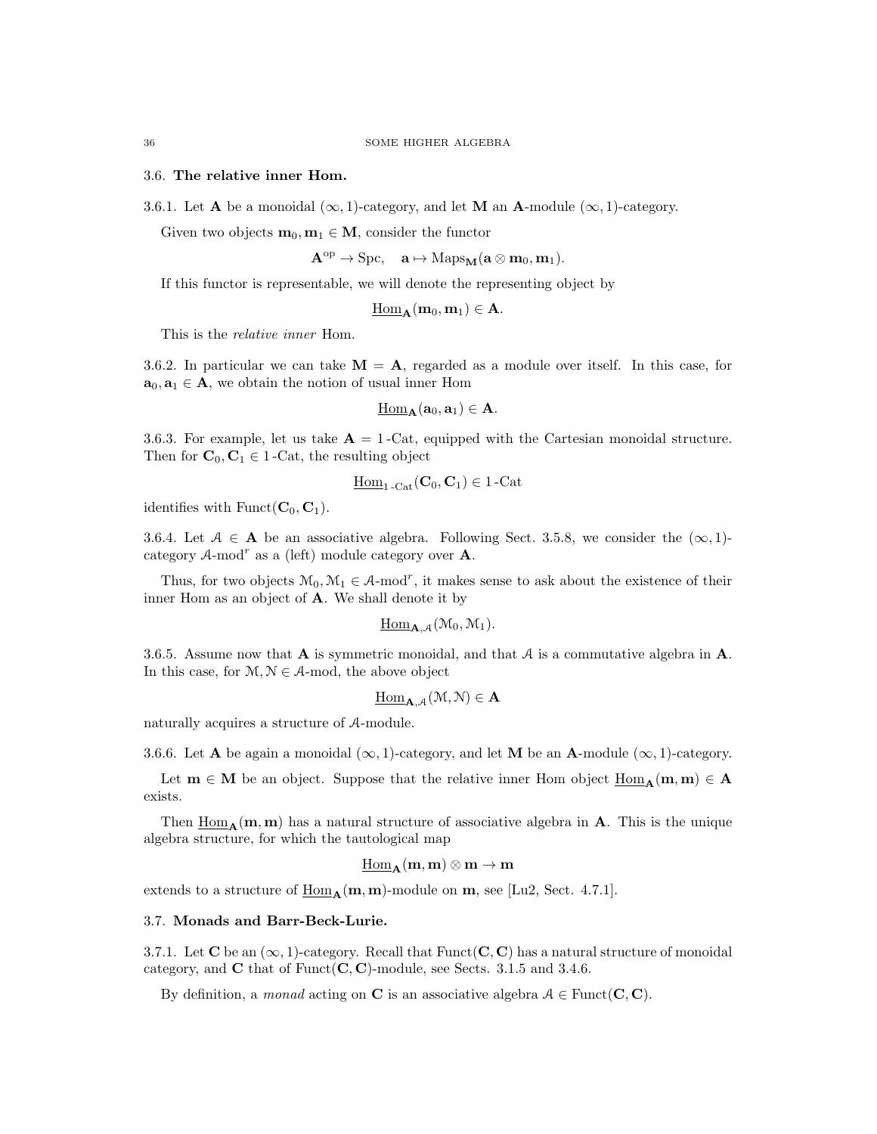# 3.6. The relative inner Hom.

3.6.1. Let **A** be a monoidal  $(\infty, 1)$ -category, and let **M** an **A**-module  $(\infty, 1)$ -category.

Given two objects  $\mathbf{m}_0, \mathbf{m}_1 \in \mathbf{M}$ , consider the functor

 $\mathbf{A}^{\text{op}} \to \text{Spc}, \quad \mathbf{a} \mapsto \text{Maps}_{\mathbf{M}}(\mathbf{a} \otimes \mathbf{m}_0, \mathbf{m}_1).$ 

If this functor is representable, we will denote the representing object by

$$
\underline{\operatorname{Hom}}_{\mathbf{A}}(\mathbf{m}_0, \mathbf{m}_1) \in \mathbf{A}.
$$

This is the relative inner Hom.

3.6.2. In particular we can take  $M = A$ , regarded as a module over itself. In this case, for  $\mathbf{a}_0, \mathbf{a}_1 \in \mathbf{A}$ , we obtain the notion of usual inner Hom

$$
\underline{\operatorname{Hom}}_{\mathbf A}(\mathbf a_0,\mathbf a_1)\in \mathbf A.
$$

3.6.3. For example, let us take  $\mathbf{A} = 1$ -Cat, equipped with the Cartesian monoidal structure. Then for  $\mathbf{C}_0, \mathbf{C}_1 \in 1$ -Cat, the resulting object

$$
\underline{\operatorname{Hom}}_{1\text{-}\operatorname{Cat}}(\mathbf{C}_0,\mathbf{C}_1)\in 1\text{-}\operatorname{Cat}
$$

identifies with Funct( $\mathbf{C}_0$ ,  $\mathbf{C}_1$ ).

3.6.4. Let  $A \in \mathbf{A}$  be an associative algebra. Following Sect. 3.5.8, we consider the  $(\infty, 1)$ category  $A$ -mod<sup>r</sup> as a (left) module category over **A**.

Thus, for two objects  $M_0, M_1 \in \mathcal{A}$ -mod<sup>r</sup>, it makes sense to ask about the existence of their inner Hom as an object of A. We shall denote it by

$$
\underline{\operatorname{Hom}}_{\mathbf{A},\mathcal{A}}(\mathfrak{M}_0,\mathfrak{M}_1).
$$

3.6.5. Assume now that  $\bf{A}$  is symmetric monoidal, and that  $\bf{A}$  is a commutative algebra in  $\bf{A}$ . In this case, for  $M, N \in \mathcal{A}$ -mod, the above object

$$
\underline{\operatorname{Hom}}_{\mathbf{A},\mathcal{A}}(\mathfrak{M},\mathcal{N})\in\mathbf{A}
$$

naturally acquires a structure of A-module.

3.6.6. Let **A** be again a monoidal  $(\infty, 1)$ -category, and let **M** be an **A**-module  $(\infty, 1)$ -category.

Let  $m \in M$  be an object. Suppose that the relative inner Hom object  $\underline{Hom}_{A}(m, m) \in A$ exists.

Then  $\underline{Hom}_{\mathbf{A}}(\mathbf{m}, \mathbf{m})$  has a natural structure of associative algebra in  $\mathbf{A}$ . This is the unique algebra structure, for which the tautological map

$$
\underline{\mathrm{Hom}}_{\mathbf{A}}(\mathbf{m},\mathbf{m})\otimes\mathbf{m}\to\mathbf{m}
$$

extends to a structure of  $\underline{\text{Hom}}_{\mathbf{A}}(\mathbf{m}, \mathbf{m})$ -module on  $\mathbf{m}$ , see [Lu2, Sect. 4.7.1].

# 3.7. Monads and Barr-Beck-Lurie.

3.7.1. Let C be an  $(\infty, 1)$ -category. Recall that Funct $(C, C)$  has a natural structure of monoidal category, and  $C$  that of Funct $(C, C)$ -module, see Sects. 3.1.5 and 3.4.6.

By definition, a monad acting on C is an associative algebra  $A \in$  Funct(C, C).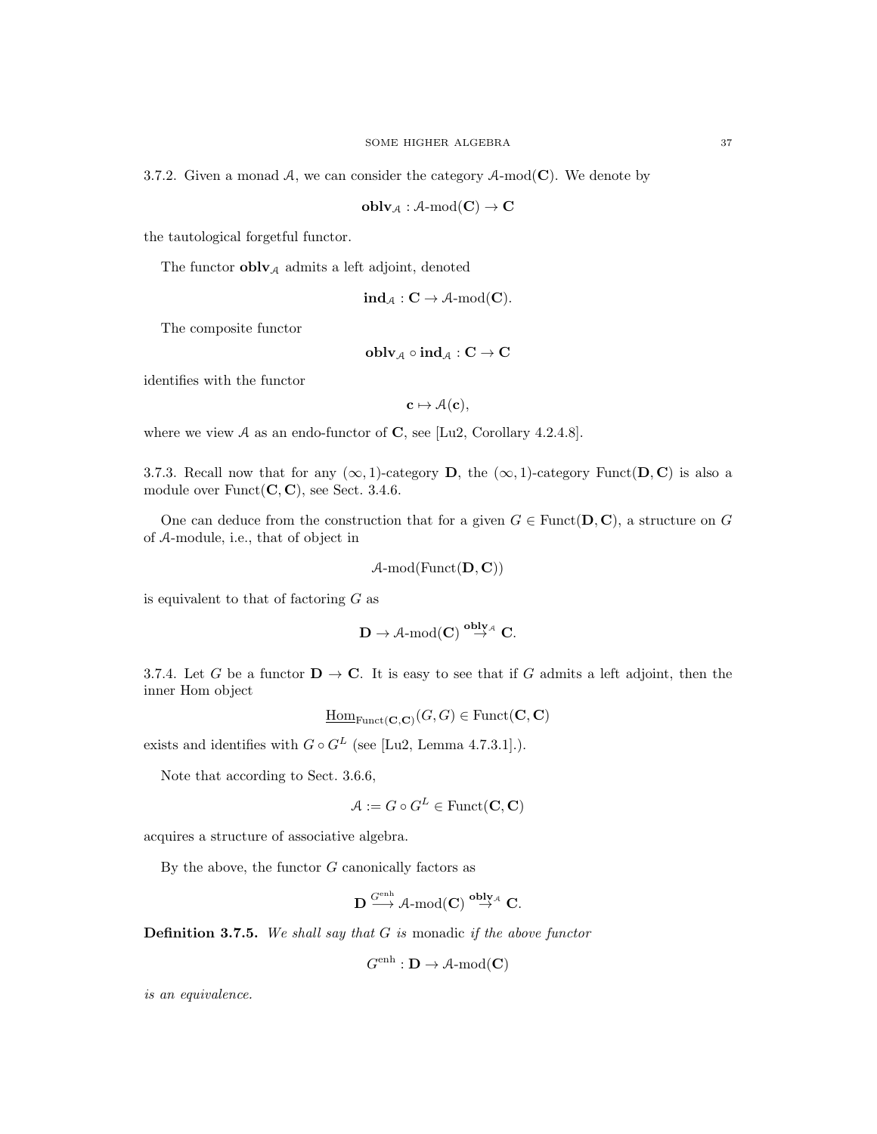3.7.2. Given a monad A, we can consider the category  $A\text{-mod}(\mathbf{C})$ . We denote by

 $\textbf{oblv}_{\mathcal{A}} : \mathcal{A}\text{-mod}(\mathbf{C}) \to \mathbf{C}$ 

the tautological forgetful functor.

The functor  $\textbf{oblv}_{\mathcal{A}}$  admits a left adjoint, denoted

$$
\mathbf{ind}_{\mathcal{A}} : \mathbf{C} \to \mathcal{A}\text{-mod}(\mathbf{C}).
$$

The composite functor

$$
\mathbf{oblv}_\mathcal{A} \circ \mathbf{ind}_\mathcal{A} : \mathbf{C} \to \mathbf{C}
$$

identifies with the functor

$$
\mathbf{c}\mapsto \mathcal{A}(\mathbf{c}),
$$

where we view  $A$  as an endo-functor of  $C$ , see [Lu2, Corollary 4.2.4.8].

3.7.3. Recall now that for any  $(\infty, 1)$ -category D, the  $(\infty, 1)$ -category Funct(D, C) is also a module over  $Funct(C, C)$ , see Sect. 3.4.6.

One can deduce from the construction that for a given  $G \in$  Funct $(D, C)$ , a structure on G of A-module, i.e., that of object in

$$
A\text{-mod}(\mathrm{Funct}(\mathbf{D},\mathbf{C}))
$$

is equivalent to that of factoring  $G$  as

$$
\mathbf{D}\to \mathcal{A}\text{-mod}(\mathbf{C})\stackrel{{\bf{oblv}}_{\mathcal{A}}}{\to}\mathbf{C}.
$$

3.7.4. Let G be a functor  $\mathbf{D} \to \mathbf{C}$ . It is easy to see that if G admits a left adjoint, then the inner Hom object

$$
\underline{\mathrm{Hom}}_{\mathrm{Funct}(\mathbf{C},\mathbf{C})}(G,G) \in \mathrm{Funct}(\mathbf{C},\mathbf{C})
$$

exists and identifies with  $G \circ G^L$  (see [Lu2, Lemma 4.7.3.1].).

Note that according to Sect. 3.6.6,

$$
\mathcal{A} := G \circ G^L \in \text{Funct}(\mathbf{C}, \mathbf{C})
$$

acquires a structure of associative algebra.

By the above, the functor  $G$  canonically factors as

$$
\mathbf{D} \stackrel{G^{\operatorname{enh}}}{\longrightarrow} \operatorname{\mathcal{A}-mod}}(\mathbf{C}) \stackrel{{\bf oblv}_{\mathcal{A}}}{\rightarrow} \mathbf{C}.
$$

**Definition 3.7.5.** We shall say that  $G$  is monadic if the above functor

$$
G^{\text{enh}}: \mathbf{D} \to \mathcal{A}\text{-}\mathrm{mod}(\mathbf{C})
$$

is an equivalence.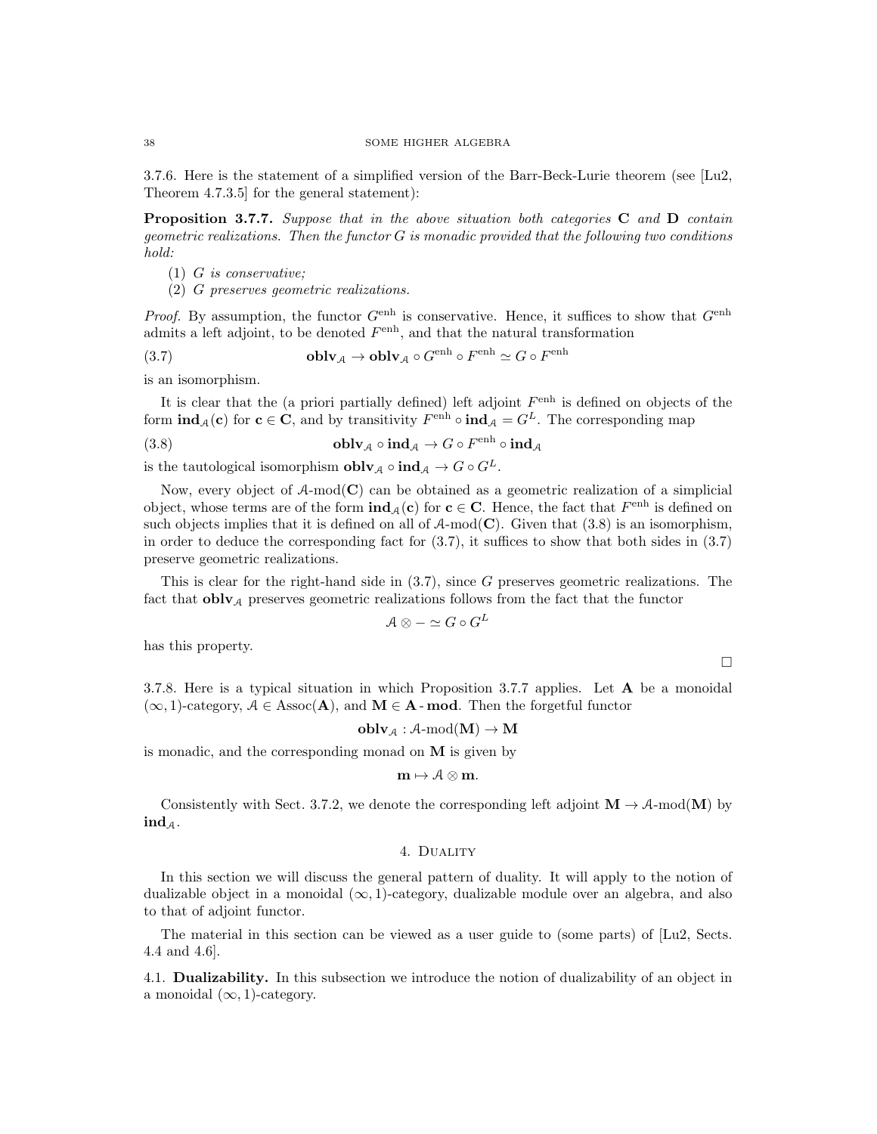3.7.6. Here is the statement of a simplified version of the Barr-Beck-Lurie theorem (see [Lu2, Theorem 4.7.3.5] for the general statement):

Proposition 3.7.7. Suppose that in the above situation both categories C and D contain  $geometric \; realizations.$  Then the functor  $G$  is monadic provided that the following two conditions hold:

- (1) G is conservative;
- (2) G preserves geometric realizations.

*Proof.* By assumption, the functor  $G^{\text{enh}}$  is conservative. Hence, it suffices to show that  $G^{\text{enh}}$ admits a left adjoint, to be denoted  $F<sup>enh</sup>$ , and that the natural transformation

(3.7) 
$$
\mathbf{oblv}_{\mathcal{A}} \to \mathbf{oblv}_{\mathcal{A}} \circ G^{\text{enh}} \circ F^{\text{enh}} \simeq G \circ F^{\text{enh}}
$$

is an isomorphism.

It is clear that the (a priori partially defined) left adjoint  $F<sup>enh</sup>$  is defined on objects of the form  $\text{ind}_{\mathcal{A}}(c)$  for  $c \in C$ , and by transitivity  $F^{\text{enh}} \circ \text{ind}_{\mathcal{A}} = G^L$ . The corresponding map

(3.8) 
$$
\mathbf{oblv}_{\mathcal{A}} \circ \mathbf{ind}_{\mathcal{A}} \to G \circ F^{\text{enh}} \circ \mathbf{ind}_{\mathcal{A}}
$$

is the tautological isomorphism  ${\bf oblv}_\mathcal{A} \circ {\bf ind}_\mathcal{A} \to G \circ G^L$ .

Now, every object of  $A\text{-mod}(\mathbb{C})$  can be obtained as a geometric realization of a simplicial object, whose terms are of the form  $\text{ind}_{\mathcal{A}}(c)$  for  $c \in C$ . Hence, the fact that  $F<sup>enh</sup>$  is defined on such objects implies that it is defined on all of  $A\text{-mod}(\mathbb{C})$ . Given that  $(3.8)$  is an isomorphism, in order to deduce the corresponding fact for (3.7), it suffices to show that both sides in (3.7) preserve geometric realizations.

This is clear for the right-hand side in  $(3.7)$ , since G preserves geometric realizations. The fact that  $\textbf{oblv}_{\mathcal{A}}$  preserves geometric realizations follows from the fact that the functor

$$
\mathcal{A} \otimes -\simeq G \circ G^L
$$

has this property.

 $\Box$ 

3.7.8. Here is a typical situation in which Proposition 3.7.7 applies. Let A be a monoidal  $(\infty, 1)$ -category,  $A \in \text{Assoc}(A)$ , and  $M \in A$ -**mod**. Then the forgetful functor

$$
\mathbf{oblv}_{\mathcal{A}} : \mathcal{A}\text{-}\mathrm{mod}(\mathbf{M}) \to \mathbf{M}
$$

is monadic, and the corresponding monad on M is given by

$$
\mathbf{m}\mapsto \mathcal{A}\otimes\mathbf{m}.
$$

Consistently with Sect. 3.7.2, we denote the corresponding left adjoint  $\mathbf{M} \to \mathcal{A}\text{-mod}(\mathbf{M})$  by  $ind_A$ .

# 4. Duality

In this section we will discuss the general pattern of duality. It will apply to the notion of dualizable object in a monoidal  $(\infty, 1)$ -category, dualizable module over an algebra, and also to that of adjoint functor.

The material in this section can be viewed as a user guide to (some parts) of [Lu2, Sects. 4.4 and 4.6].

4.1. Dualizability. In this subsection we introduce the notion of dualizability of an object in a monoidal  $(\infty, 1)$ -category.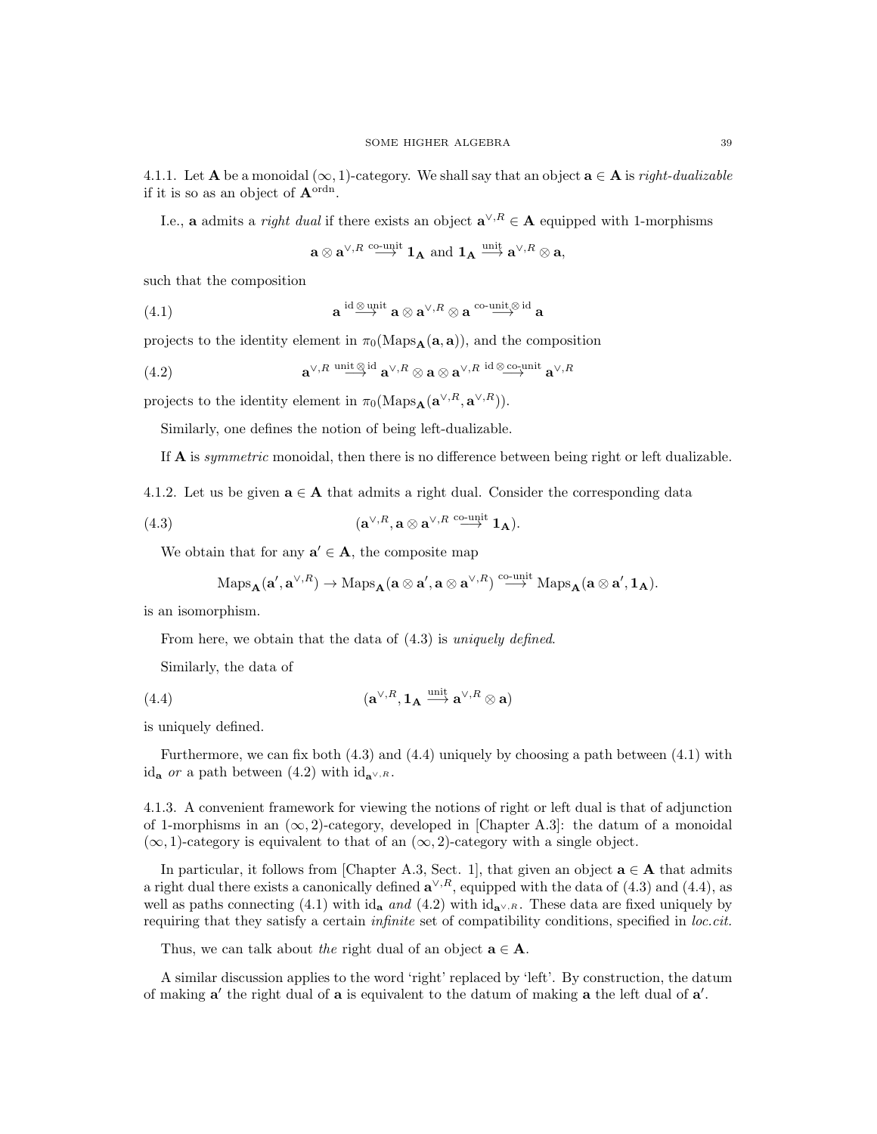4.1.1. Let **A** be a monoidal  $(\infty, 1)$ -category. We shall say that an object  $\mathbf{a} \in \mathbf{A}$  is *right-dualizable* if it is so as an object of  $\mathbf{A}^{\text{ordn}}$ .

I.e., a admits a *right dual* if there exists an object  $\mathbf{a}^{\vee,R} \in \mathbf{A}$  equipped with 1-morphisms

$$
\mathbf{a} \otimes \mathbf{a}^{\vee, R} \overset{\text{co-unit}}{\longrightarrow} \mathbf{1}_{\mathbf{A}} \text{ and } \mathbf{1}_{\mathbf{A}} \overset{\text{unit}}{\longrightarrow} \mathbf{a}^{\vee, R} \otimes \mathbf{a},
$$

such that the composition

(4.1) 
$$
\mathbf{a} \stackrel{\mathrm{id} \otimes \mathrm{unit}}{\longrightarrow} \mathbf{a} \otimes \mathbf{a}^{\vee,R} \otimes \mathbf{a} \stackrel{\mathrm{co-unit} \otimes \mathrm{id}}{\longrightarrow} \mathbf{a}
$$

projects to the identity element in  $\pi_0(Maps_A(a, a))$ , and the composition

(4.2) 
$$
\mathbf{a}^{\vee,R} \stackrel{\text{unit } \otimes \text{ id}}{\longrightarrow} \mathbf{a}^{\vee,R} \otimes \mathbf{a} \otimes \mathbf{a}^{\vee,R} \stackrel{\text{id } \otimes \text{co-unit}}{\longrightarrow} \mathbf{a}^{\vee,R}
$$

projects to the identity element in  $\pi_0(\text{Maps}_{\mathbf{A}}(\mathbf{a}^{\vee,R}, \mathbf{a}^{\vee,R}))$ .

Similarly, one defines the notion of being left-dualizable.

If A is symmetric monoidal, then there is no difference between being right or left dualizable.

4.1.2. Let us be given  $a \in A$  that admits a right dual. Consider the corresponding data

(4.3) 
$$
(\mathbf{a}^{\vee,R}, \mathbf{a} \otimes \mathbf{a}^{\vee,R} \stackrel{\text{co-unit}}{\longrightarrow} \mathbf{1}_{\mathbf{A}}).
$$

We obtain that for any  $a' \in A$ , the composite map

$$
\mathrm{Maps}_{\mathbf{A}}(\mathbf{a}', \mathbf{a}^{\vee, R}) \to \mathrm{Maps}_{\mathbf{A}}(\mathbf{a} \otimes \mathbf{a}', \mathbf{a} \otimes \mathbf{a}^{\vee, R}) \stackrel{\mathrm{co-unit}}{\longrightarrow} \mathrm{Maps}_{\mathbf{A}}(\mathbf{a} \otimes \mathbf{a}', \mathbf{1}_{\mathbf{A}}).
$$

is an isomorphism.

From here, we obtain that the data of  $(4.3)$  is *uniquely defined*.

Similarly, the data of

(4.4) 
$$
(\mathbf{a}^{\vee,R}, \mathbf{1}_{\mathbf{A}} \stackrel{\text{unit}}{\longrightarrow} \mathbf{a}^{\vee,R} \otimes \mathbf{a})
$$

is uniquely defined.

Furthermore, we can fix both (4.3) and (4.4) uniquely by choosing a path between (4.1) with id<sub>a</sub> or a path between (4.2) with id<sub>a</sub> $\vee$ , R.

4.1.3. A convenient framework for viewing the notions of right or left dual is that of adjunction of 1-morphisms in an  $(\infty, 2)$ -category, developed in [Chapter A.3]: the datum of a monoidal  $(\infty, 1)$ -category is equivalent to that of an  $(\infty, 2)$ -category with a single object.

In particular, it follows from [Chapter A.3, Sect. 1], that given an object  $\mathbf{a} \in \mathbf{A}$  that admits a right dual there exists a canonically defined  $\mathbf{a}^{\vee,R}$ , equipped with the data of (4.3) and (4.4), as well as paths connecting (4.1) with id<sub>a</sub> and (4.2) with id<sub>a</sub> $\vee$ ,R. These data are fixed uniquely by requiring that they satisfy a certain *infinite* set of compatibility conditions, specified in loc.cit.

Thus, we can talk about the right dual of an object  $\mathbf{a} \in \mathbf{A}$ .

A similar discussion applies to the word 'right' replaced by 'left'. By construction, the datum of making  $a'$  the right dual of  $a$  is equivalent to the datum of making  $a$  the left dual of  $a'$ .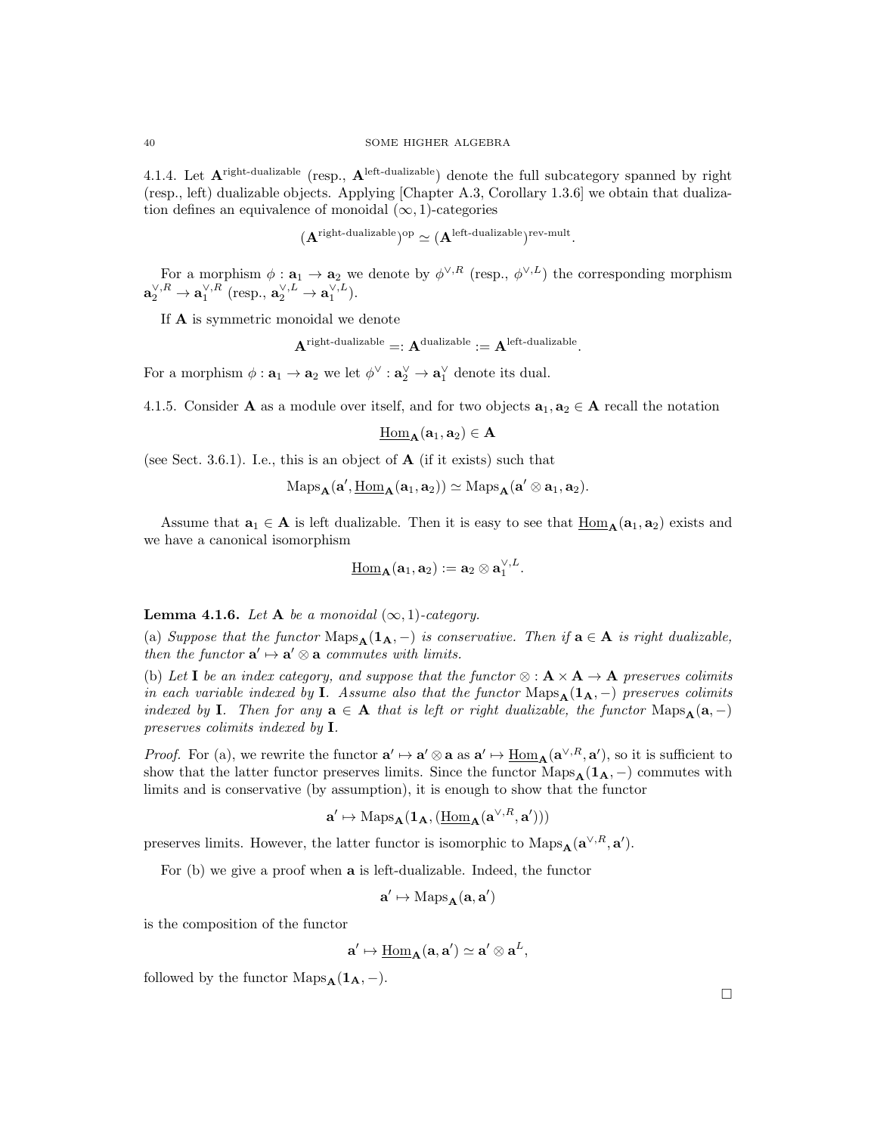4.1.4. Let  $A^{\text{right-dualizable}}$  (resp.,  $A^{\text{left-dualizable}}$ ) denote the full subcategory spanned by right (resp., left) dualizable objects. Applying [Chapter A.3, Corollary 1.3.6] we obtain that dualization defines an equivalence of monoidal  $(\infty, 1)$ -categories

$$
(\mathbf{A}^{\text{right-dualizable}})^{\text{op}} \simeq (\mathbf{A}^{\text{left-dualizable}})^{\text{rev-mult}}.
$$

For a morphism  $\phi: \mathbf{a}_1 \to \mathbf{a}_2$  we denote by  $\phi^{\vee,R}$  (resp.,  $\phi^{\vee,L}$ ) the corresponding morphism  $\mathbf{a}_{2}^{\vee,R}\to\mathbf{a}_{1}^{\vee,R}$  (resp.,  $\mathbf{a}_{2}^{\vee,L}\to\mathbf{a}_{1}^{\vee,L}$ ).

If  ${\bf A}$  is symmetric monoidal we denote

$$
\mathbf{A}^{\text{right-dualizable}} =: \mathbf{A}^{\text{dualizable}} := \mathbf{A}^{\text{left-dualizable}}.
$$

For a morphism  $\phi : \mathbf{a}_1 \to \mathbf{a}_2$  we let  $\phi^{\vee} : \mathbf{a}_2^{\vee} \to \mathbf{a}_1^{\vee}$  denote its dual.

4.1.5. Consider A as a module over itself, and for two objects  $a_1, a_2 \in A$  recall the notation

$$
\underline{\mathrm{Hom}}_{\mathbf{A}}(\mathbf{a}_1,\mathbf{a}_2)\in \mathbf{A}
$$

(see Sect. 3.6.1). I.e., this is an object of  $A$  (if it exists) such that

$$
\mathrm{Maps}_{\mathbf{A}}(\mathbf{a}', \underline{\mathrm{Hom}}_{\mathbf{A}}(\mathbf{a}_1, \mathbf{a}_2)) \simeq \mathrm{Maps}_{\mathbf{A}}(\mathbf{a}' \otimes \mathbf{a}_1, \mathbf{a}_2).
$$

Assume that  $a_1 \in A$  is left dualizable. Then it is easy to see that  $\underline{Hom}_{A}(a_1, a_2)$  exists and we have a canonical isomorphism

$$
\underline{\mathrm{Hom}}_{\mathbf{A}}(\mathbf{a}_1, \mathbf{a}_2) := \mathbf{a}_2 \otimes \mathbf{a}_1^{\vee, L}.
$$

**Lemma 4.1.6.** Let **A** be a monoidal  $(\infty, 1)$ -category.

(a) Suppose that the functor  $\text{Maps}_{\mathbf{A}}(\mathbf{1}_{\mathbf{A}},-)$  is conservative. Then if  $\mathbf{a} \in \mathbf{A}$  is right dualizable, then the functor  $\mathbf{a}' \mapsto \mathbf{a}' \otimes \mathbf{a}$  commutes with limits.

(b) Let I be an index category, and suppose that the functor  $\otimes : \mathbf{A} \times \mathbf{A} \to \mathbf{A}$  preserves colimits in each variable indexed by I. Assume also that the functor Maps $_A(1_A, -)$  preserves colimits indexed by I. Then for any  $\mathbf{a} \in \mathbf{A}$  that is left or right dualizable, the functor  $\text{Maps}_{\mathbf{A}}(\mathbf{a},-)$ preserves colimits indexed by I.

*Proof.* For (a), we rewrite the functor  $\mathbf{a}' \mapsto \mathbf{a}' \otimes \mathbf{a}$  as  $\mathbf{a}' \mapsto \underline{\text{Hom}}_{\mathbf{A}}(\mathbf{a}^{\vee,R}, \mathbf{a}')$ , so it is sufficient to show that the latter functor preserves limits. Since the functor Maps $_A(1_A, -)$  commutes with limits and is conservative (by assumption), it is enough to show that the functor

$$
\mathbf{a}' \mapsto \mathrm{Maps}_{\mathbf{A}}(\mathbf{1}_{\mathbf{A}}, (\underline{\mathrm{Hom}}_{\mathbf{A}}(\mathbf{a}^{\vee,R}, \mathbf{a}')))
$$

preserves limits. However, the latter functor is isomorphic to  $\text{Maps}_{\mathbf{A}}(\mathbf{a}^{\vee,R}, \mathbf{a}')$ .

For (b) we give a proof when a is left-dualizable. Indeed, the functor

$$
\mathbf{a}' \mapsto \mathrm{Maps}_{\mathbf{A}}(\mathbf{a}, \mathbf{a}')
$$

is the composition of the functor

$$
\mathbf{a}' \mapsto \underline{\mathrm{Hom}}_{\mathbf{A}}(\mathbf{a}, \mathbf{a}') \simeq \mathbf{a}' \otimes \mathbf{a}^L,
$$

followed by the functor  $\text{Maps}_{\mathbf{A}}(\mathbf{1}_{\mathbf{A}}, -).$ 

 $\Box$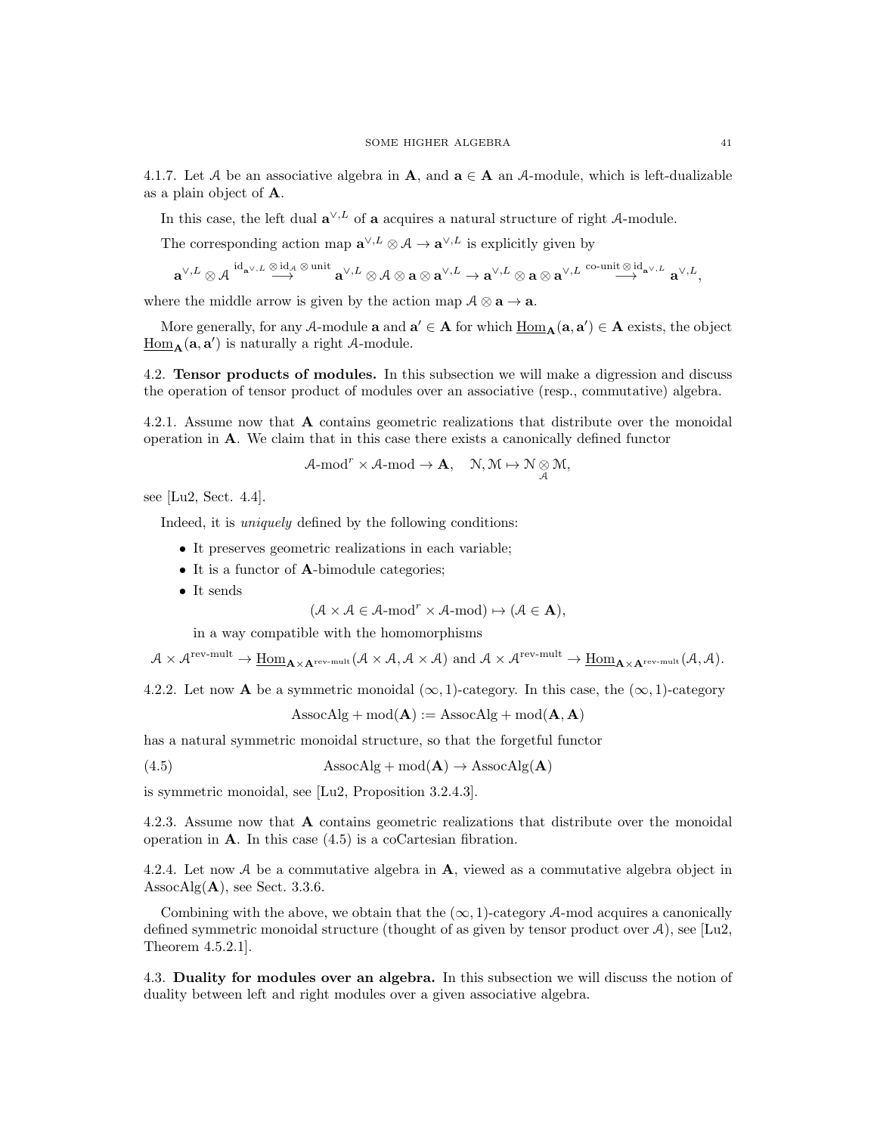4.1.7. Let A be an associative algebra in A, and  $a \in A$  an A-module, which is left-dualizable as a plain object of A.

In this case, the left dual  $\mathbf{a}^{\vee,L}$  of a acquires a natural structure of right A-module.

The corresponding action map  $\mathbf{a}^{\vee,L} \otimes A \to \mathbf{a}^{\vee,L}$  is explicitly given by

$$
\mathbf{a}^{\vee,L} \otimes \mathcal{A} \xrightarrow{\mathrm{id}_{\mathbf{a}^{\vee},L} \xrightarrow{\otimes \mathrm{id}_{\mathcal{A}}} \mathbf{a}^{\vee,\mathrm{inif}} \mathbf{a}^{\vee,L} \otimes \mathcal{A} \otimes \mathbf{a} \otimes \mathbf{a}^{\vee,L} \rightarrow \mathbf{a}^{\vee,L} \otimes \mathbf{a} \otimes \mathbf{a}^{\vee,L} \xrightarrow{\mathrm{co-unit} \otimes \mathrm{id}_{\mathbf{a}^{\vee},L}} \mathbf{a}^{\vee,L},
$$

where the middle arrow is given by the action map  $A \otimes a \rightarrow a$ .

More generally, for any A-module **a** and  $a' \in A$  for which  $\underline{Hom}_A(a, a') \in A$  exists, the object  $\underline{\text{Hom}}_{\mathbf{A}}(\mathbf{a}, \mathbf{a}')$  is naturally a right A-module.

4.2. Tensor products of modules. In this subsection we will make a digression and discuss the operation of tensor product of modules over an associative (resp., commutative) algebra.

4.2.1. Assume now that A contains geometric realizations that distribute over the monoidal operation in A. We claim that in this case there exists a canonically defined functor

$$
\mathcal{A}\text{-mod}^r\times\mathcal{A}\text{-mod}\to\mathbf{A},\quad\mathcal{N},\mathcal{M}\mapsto\mathcal{N}\underset{\mathcal{A}}{\otimes}\mathcal{M},
$$

see [Lu2, Sect. 4.4].

Indeed, it is uniquely defined by the following conditions:

- It preserves geometric realizations in each variable;
- It is a functor of **A**-bimodule categories;
- It sends

$$
(\mathcal{A} \times \mathcal{A} \in \mathcal{A}\text{-mod}^r \times \mathcal{A}\text{-mod}) \mapsto (\mathcal{A} \in \mathbf{A}),
$$

in a way compatible with the homomorphisms

 $\mathcal{A}\times\mathcal{A}^{\text{rev-mult}}\to \underline{\mathrm{Hom}}_{\mathbf{A}\times\mathbf{A}^{\text{rev-mult}}}(\mathcal{A}\times\mathcal{A},\mathcal{A}\times\mathcal{A})\text{ and } \mathcal{A}\times\mathcal{A}^{\text{rev-mult}}\to \underline{\mathrm{Hom}}_{\mathbf{A}\times\mathbf{A}^{\text{rev-mult}}}(\mathcal{A},\mathcal{A}).$ 

4.2.2. Let now **A** be a symmetric monoidal  $(\infty, 1)$ -category. In this case, the  $(\infty, 1)$ -category

$$
Associated A isocAlg + mod(A) := AssocAlg + mod(A, A)
$$

has a natural symmetric monoidal structure, so that the forgetful functor

(4.5) AssocAlg + mod( $\mathbf{A}$ )  $\rightarrow$  AssocAlg( $\mathbf{A}$ )

is symmetric monoidal, see [Lu2, Proposition 3.2.4.3].

4.2.3. Assume now that A contains geometric realizations that distribute over the monoidal operation in  $\bf{A}$ . In this case (4.5) is a coCartesian fibration.

4.2.4. Let now A be a commutative algebra in  $\bf{A}$ , viewed as a commutative algebra object in  $\text{AssocAlg}(\mathbf{A})$ , see Sect. 3.3.6.

Combining with the above, we obtain that the  $(\infty, 1)$ -category A-mod acquires a canonically defined symmetric monoidal structure (thought of as given by tensor product over  $A$ ), see [Lu2, Theorem 4.5.2.1].

4.3. Duality for modules over an algebra. In this subsection we will discuss the notion of duality between left and right modules over a given associative algebra.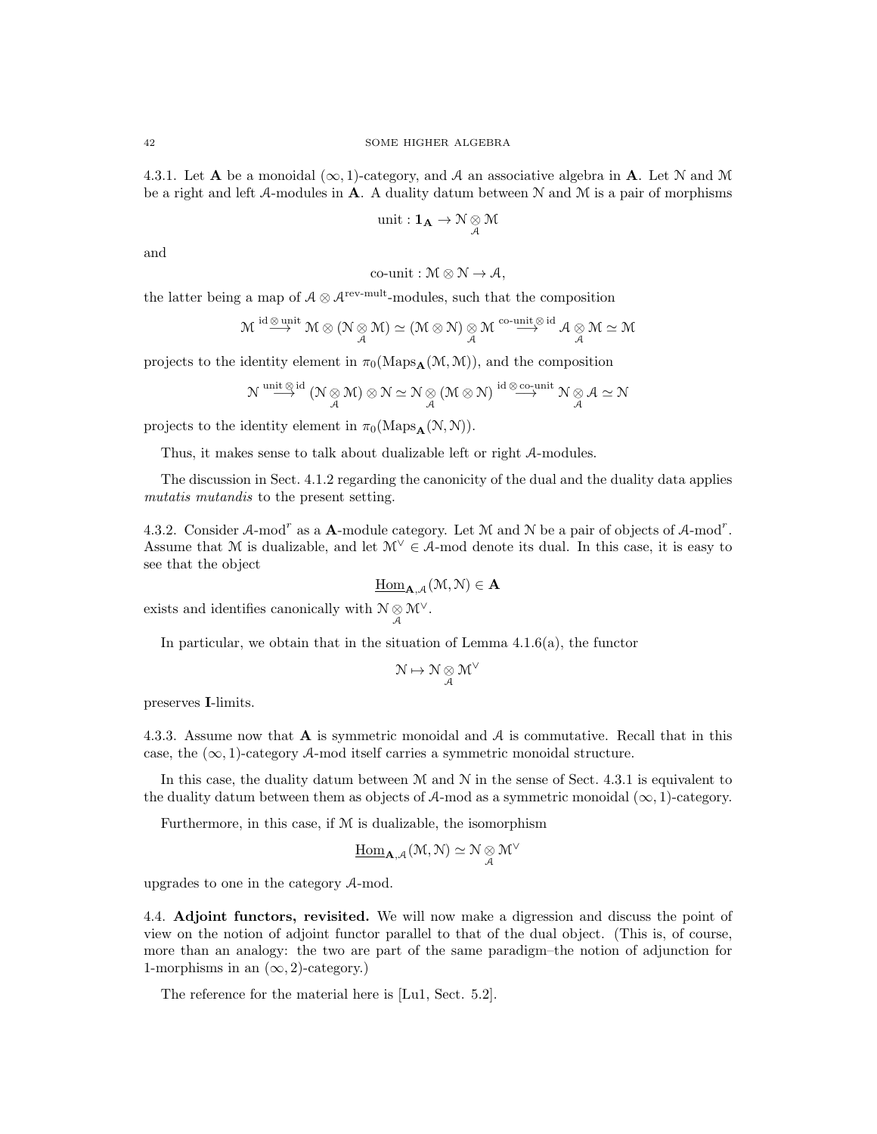4.3.1. Let **A** be a monoidal  $(\infty, 1)$ -category, and A an associative algebra in **A**. Let N and M be a right and left A-modules in A. A duality datum between  $N$  and  $M$  is a pair of morphisms

unit : 
$$
\mathbf{1}_{\mathbf{A}} \to \mathcal{N} \underset{\mathcal{A}}{\otimes} \mathcal{M}
$$

and

co-unit: 
$$
\mathcal{M} \otimes \mathcal{N} \to \mathcal{A}
$$
,

the latter being a map of  $A \otimes A^{\text{rev-mult}}$ -modules, such that the composition

$$
\mathcal{M} \overset{\mathrm{id} \otimes \mathrm{unit}}{\longrightarrow} \mathcal{M} \otimes (\mathcal{N} \underset{\mathcal{A}}{\otimes} \mathcal{M}) \simeq (\mathcal{M} \otimes \mathcal{N}) \underset{\mathcal{A}}{\otimes} \mathcal{M} \overset{\mathrm{co-unit}}{\longrightarrow} \overset{\mathrm{id}}{\mathcal{A}} \mathcal{A} \underset{\mathcal{A}}{\otimes} \mathcal{M} \simeq \mathcal{M}
$$

projects to the identity element in  $\pi_0(\text{Maps}_{\mathbf{A}}(\mathcal{M}, \mathcal{M}))$ , and the composition

$$
\mathcal{N} \overset{\text{unit}\, \otimes \, \text{id}}{\longrightarrow} (\mathcal{N} \underset{\mathcal{A}}{\otimes} \mathcal{M}) \otimes \mathcal{N} \simeq \mathcal{N} \underset{\mathcal{A}}{\otimes} (\mathcal{M} \otimes \mathcal{N}) \overset{\text{id}\, \otimes \text{co-unit}}{\longrightarrow} \mathcal{N} \underset{\mathcal{A}}{\otimes} \mathcal{A} \simeq \mathcal{N}
$$

projects to the identity element in  $\pi_0(\text{Maps}_A(\mathcal{N}, \mathcal{N}))$ .

Thus, it makes sense to talk about dualizable left or right A-modules.

The discussion in Sect. 4.1.2 regarding the canonicity of the dual and the duality data applies mutatis mutandis to the present setting.

4.3.2. Consider  $A$ -mod<sup>r</sup> as a **A**-module category. Let M and N be a pair of objects of  $A$ -mod<sup>r</sup>. Assume that M is dualizable, and let  $\mathcal{M}^{\vee} \in \mathcal{A}$ -mod denote its dual. In this case, it is easy to see that the object

$$
\underline{\mathrm{Hom}}_{\mathbf{A},\mathcal{A}}(\mathfrak{M},\mathbb{N})\in\mathbf{A}
$$

exists and identifies canonically with  $\mathcal{N} \underset{\mathcal{A}}{\otimes} \mathcal{M}^{\vee}$ .

In particular, we obtain that in the situation of Lemma  $4.1.6(a)$ , the functor

$$
\mathcal{N}\mapsto\mathcal{N}\underset{\mathcal{A}}{\otimes}\mathcal{M}^{\vee}
$$

preserves I-limits.

4.3.3. Assume now that  $\bf{A}$  is symmetric monoidal and  $\bf{A}$  is commutative. Recall that in this case, the  $(\infty, 1)$ -category A-mod itself carries a symmetric monoidal structure.

In this case, the duality datum between  $M$  and  $N$  in the sense of Sect. 4.3.1 is equivalent to the duality datum between them as objects of A-mod as a symmetric monoidal  $(\infty, 1)$ -category.

Furthermore, in this case, if M is dualizable, the isomorphism

$$
\underline{\mathrm{Hom}}_{\mathbf{A},\mathcal{A}}(\mathcal{M},\mathcal{N})\simeq \mathcal{N}\underset{\mathcal{A}}{\otimes}\mathcal{M}^{\vee}
$$

upgrades to one in the category A-mod.

4.4. Adjoint functors, revisited. We will now make a digression and discuss the point of view on the notion of adjoint functor parallel to that of the dual object. (This is, of course, more than an analogy: the two are part of the same paradigm–the notion of adjunction for 1-morphisms in an  $(\infty, 2)$ -category.)

The reference for the material here is [Lu1, Sect. 5.2].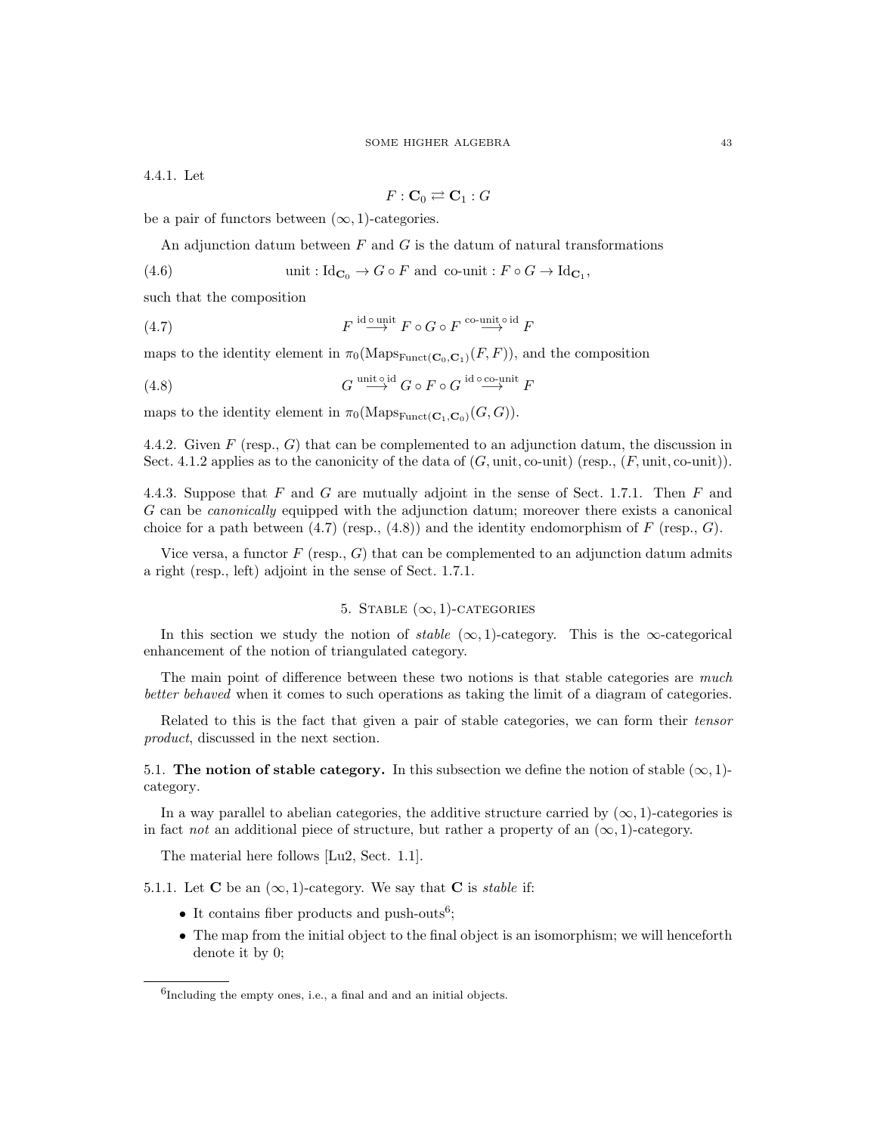4.4.1. Let

$$
F: \mathbf{C}_0 \rightleftarrows \mathbf{C}_1 : G
$$

be a pair of functors between  $(\infty, 1)$ -categories.

An adjunction datum between  $F$  and  $G$  is the datum of natural transformations

(4.6) unit :  $\mathrm{Id}_{\mathbf{C}_0} \to G \circ F$  and co-unit :  $F \circ G \to \mathrm{Id}_{\mathbf{C}_1}$ ,

such that the composition

(4.7) 
$$
F \overset{\text{id} \text{ outit}}{\longrightarrow} F \circ G \circ F \overset{\text{co-unit} \circ \text{id}}{\longrightarrow} F
$$

maps to the identity element in  $\pi_0(\text{Maps}_{\text{Funct}}(\mathbf{C}_0, \mathbf{C}_1)(F, F))$ , and the composition

(4.8) 
$$
G \stackrel{\text{unit } \circ \text{id}}{\longrightarrow} G \circ F \circ G \stackrel{\text{id } \circ \text{co-unit}}{\longrightarrow} F
$$

maps to the identity element in  $\pi_0(\text{Maps}_{\text{Funct}}(\mathbf{C}_1, \mathbf{C}_0)(G, G)).$ 

4.4.2. Given  $F$  (resp.,  $G$ ) that can be complemented to an adjunction datum, the discussion in Sect. 4.1.2 applies as to the canonicity of the data of  $(G, \text{unit}, \text{co-unit})$  (resp.,  $(F, \text{unit}, \text{co-unit})$ ).

4.4.3. Suppose that  $F$  and  $G$  are mutually adjoint in the sense of Sect. 1.7.1. Then  $F$  and G can be canonically equipped with the adjunction datum; moreover there exists a canonical choice for a path between  $(4.7)$  (resp.,  $(4.8)$ ) and the identity endomorphism of F (resp., G).

Vice versa, a functor  $F$  (resp.,  $G$ ) that can be complemented to an adjunction datum admits a right (resp., left) adjoint in the sense of Sect. 1.7.1.

# 5. STABLE  $(\infty, 1)$ -CATEGORIES

In this section we study the notion of *stable*  $(\infty, 1)$ -category. This is the  $\infty$ -categorical enhancement of the notion of triangulated category.

The main point of difference between these two notions is that stable categories are much better behaved when it comes to such operations as taking the limit of a diagram of categories.

Related to this is the fact that given a pair of stable categories, we can form their tensor product, discussed in the next section.

5.1. The notion of stable category. In this subsection we define the notion of stable  $(\infty, 1)$ category.

In a way parallel to abelian categories, the additive structure carried by  $(\infty, 1)$ -categories is in fact *not* an additional piece of structure, but rather a property of an  $(\infty, 1)$ -category.

The material here follows [Lu2, Sect. 1.1].

5.1.1. Let **C** be an  $(\infty, 1)$ -category. We say that **C** is *stable* if:

- It contains fiber products and push-outs<sup>6</sup>;
- The map from the initial object to the final object is an isomorphism; we will henceforth denote it by 0;

 $6$ Including the empty ones, i.e., a final and and an initial objects.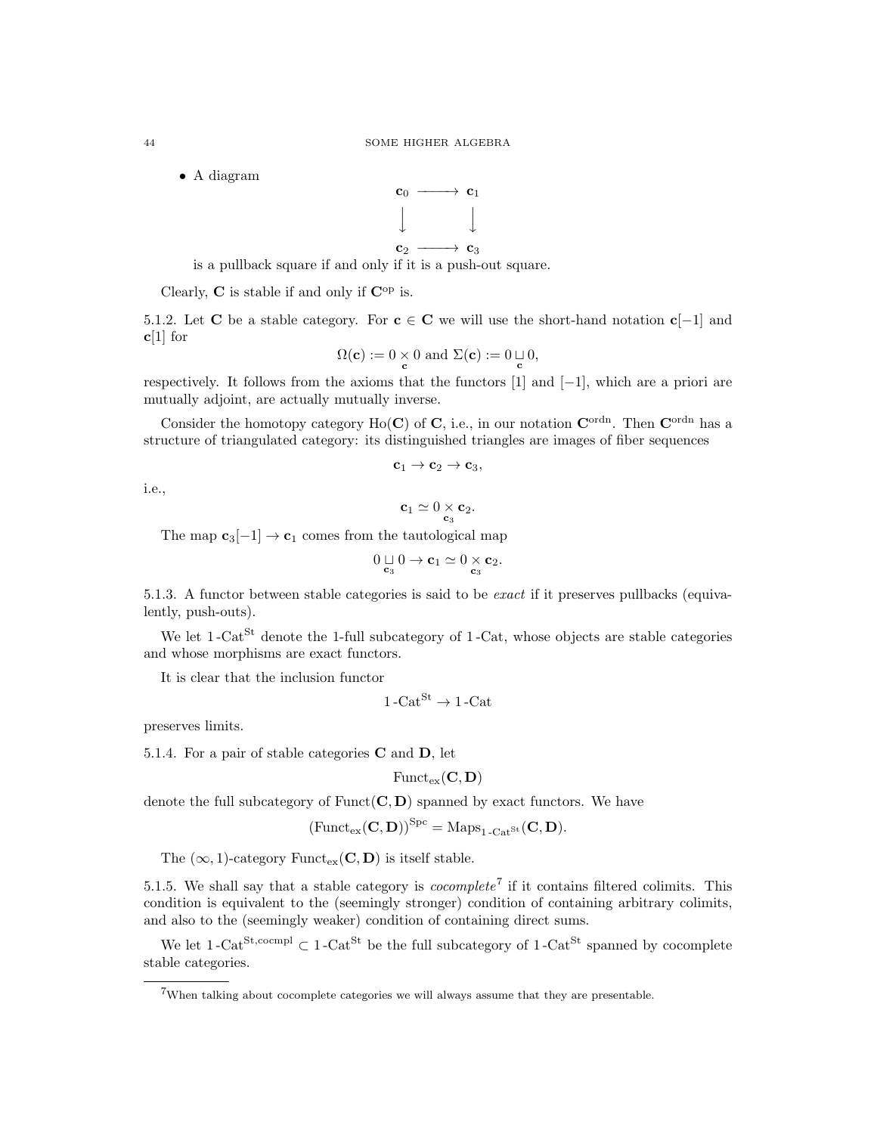• A diagram



is a pullback square if and only if it is a push-out square.

Clearly,  $C$  is stable if and only if  $C^{\rm op}$  is.

5.1.2. Let C be a stable category. For  $c \in C$  we will use the short-hand notation  $c[-1]$  and  **for** 

$$
\Omega(\mathbf{c}):=0 \underset{\mathbf{c}}{\times} 0 \text{ and } \Sigma(\mathbf{c}):=0 \mathop{\sqcup} \limits_{\mathbf{c}} 0,
$$

respectively. It follows from the axioms that the functors [1] and [−1], which are a priori are mutually adjoint, are actually mutually inverse.

Consider the homotopy category Ho(C) of C, i.e., in our notation  $\mathbf{C}^{\text{ordn}}$ . Then  $\mathbf{C}^{\text{ordn}}$  has a structure of triangulated category: its distinguished triangles are images of fiber sequences

$$
\mathbf{c}_1 \to \mathbf{c}_2 \to \mathbf{c}_3,
$$

i.e.,

$$
\mathbf{c}_1\simeq 0 \underset{\mathbf{c}_3}{\times} \mathbf{c}_2.
$$

The map  $c_3[-1] \rightarrow c_1$  comes from the tautological map

$$
0\mathop{\sqcup}\limits_{\mathbf{c}_3} 0\to \mathbf{c}_1\simeq 0\mathop{\times}\limits_{\mathbf{c}_3} \mathbf{c}_2.
$$

5.1.3. A functor between stable categories is said to be exact if it preserves pullbacks (equivalently, push-outs).

We let  $1$ -Cat<sup>St</sup> denote the 1-full subcategory of 1-Cat, whose objects are stable categories and whose morphisms are exact functors.

It is clear that the inclusion functor

$$
1-Cat^{St} \rightarrow 1-Cat
$$

preserves limits.

5.1.4. For a pair of stable categories  $C$  and  $D$ , let

 $\text{Funct}_{\text{ex}}(\mathbf{C}, \mathbf{D})$ 

denote the full subcategory of  $Funct(C, D)$  spanned by exact functors. We have

$$
\left(\mathrm{Funct}_{\mathrm{ex}}(\mathbf{C},\mathbf{D})\right)^{\mathrm{Spc}}=\mathrm{Maps}_{1\text{-}\mathrm{Cat}^{\mathrm{St}}}(\mathbf{C},\mathbf{D}).
$$

The  $(\infty, 1)$ -category Funct<sub>ex</sub>(**C**, **D**) is itself stable.

5.1.5. We shall say that a stable category is *cocomplete*<sup>7</sup> if it contains filtered colimits. This condition is equivalent to the (seemingly stronger) condition of containing arbitrary colimits, and also to the (seemingly weaker) condition of containing direct sums.

We let  $1$ -Cat<sup>St,cocmpl</sup>  $\subset 1$ -Cat<sup>St</sup> be the full subcategory of  $1$ -Cat<sup>St</sup> spanned by cocomplete stable categories.

<sup>7</sup>When talking about cocomplete categories we will always assume that they are presentable.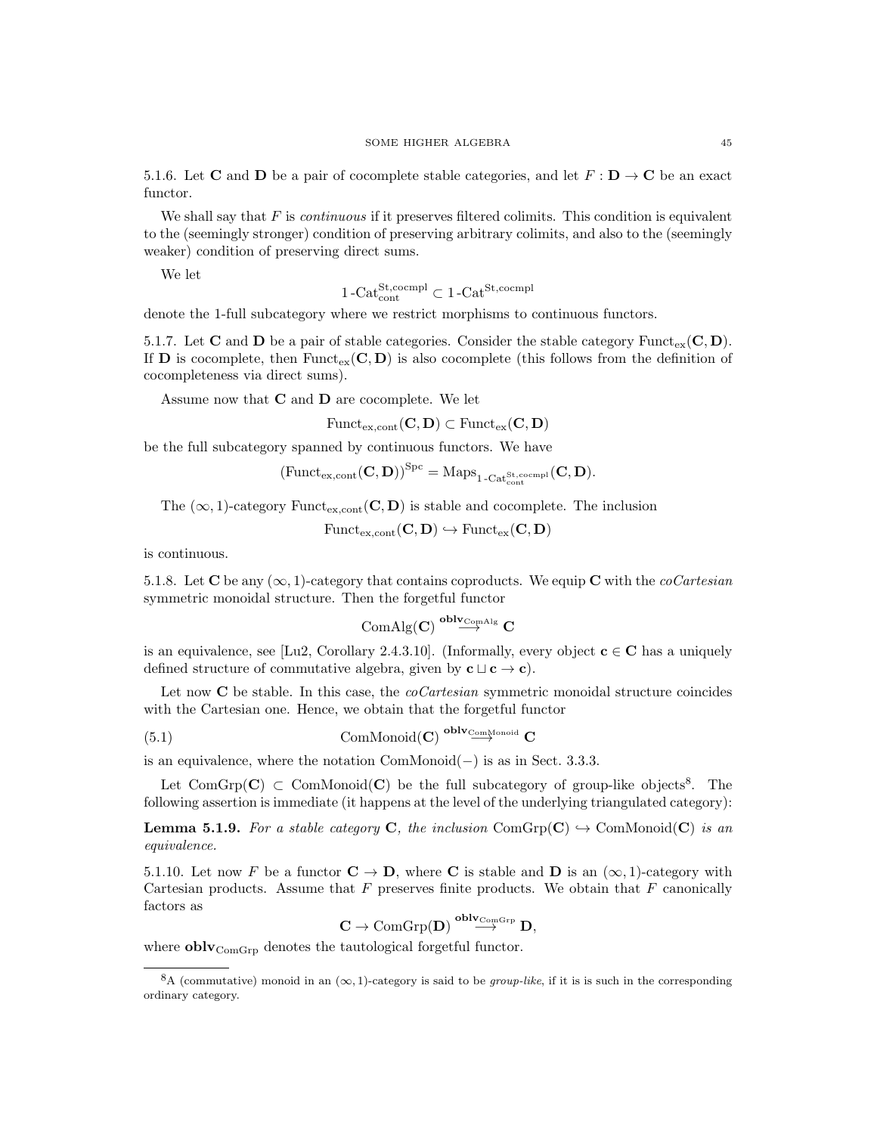5.1.6. Let **C** and **D** be a pair of cocomplete stable categories, and let  $F : D \to C$  be an exact functor.

We shall say that  $F$  is *continuous* if it preserves filtered colimits. This condition is equivalent to the (seemingly stronger) condition of preserving arbitrary colimits, and also to the (seemingly weaker) condition of preserving direct sums.

We let

$$
1\text{-Cat}_{\text{cont}}^{\text{St},\text{coempl}} \subset 1\text{-Cat}^{\text{St},\text{coempl}}
$$

denote the 1-full subcategory where we restrict morphisms to continuous functors.

5.1.7. Let **C** and **D** be a pair of stable categories. Consider the stable category Funct<sub>ex</sub>(**C**, **D**). If **D** is cocomplete, then Funct<sub>ex</sub>( $\mathbf{C}, \mathbf{D}$ ) is also cocomplete (this follows from the definition of cocompleteness via direct sums).

Assume now that C and D are cocomplete. We let

$$
\mathrm{Funct}_{\mathrm{ex},\mathrm{cont}}(\mathbf{C},\mathbf{D})\subset \mathrm{Funct}_{\mathrm{ex}}(\mathbf{C},\mathbf{D})
$$

be the full subcategory spanned by continuous functors. We have

$$
\left(\mathrm{Funct}_{\mathrm{ex},\mathrm{cont}}(\mathbf{C},\mathbf{D})\right)^{\mathrm{Spc}}=\mathrm{Maps}_{1\text{-}\mathrm{Cat}_{\mathrm{cont}}^{\mathrm{St},\mathrm{cocmpl}}}(\mathbf{C},\mathbf{D}).
$$

The  $(\infty, 1)$ -category Funct<sub>ex,cont</sub> (**C**, **D**) is stable and cocomplete. The inclusion

 $\text{Funct}_{\text{ex,cont}}(C, D) \hookrightarrow \text{Funct}_{\text{ex}}(C, D)$ 

is continuous.

5.1.8. Let C be any  $(\infty, 1)$ -category that contains coproducts. We equip C with the *coCartesian* symmetric monoidal structure. Then the forgetful functor

$$
\operatorname{ComAlg}(\mathbf{C})\stackrel{oblv_{\operatorname{ComAlg}}}{\longrightarrow}\mathbf{C}
$$

is an equivalence, see [Lu2, Corollary 2.4.3.10]. (Informally, every object  $\mathbf{c} \in \mathbf{C}$  has a uniquely defined structure of commutative algebra, given by  $c \sqcup c \rightarrow c$ .

Let now  $C$  be stable. In this case, the *coCartesian* symmetric monoidal structure coincides with the Cartesian one. Hence, we obtain that the forgetful functor

(5.1) 
$$
\text{ComMonoid}(\mathbf{C}) \overset{\text{oblv}_{\text{ComMonoid}}} \mathbf{C}
$$

is an equivalence, where the notation ComMonoid(−) is as in Sect. 3.3.3.

Let ComGrp(C)  $\subset$  ComMonoid(C) be the full subcategory of group-like objects<sup>8</sup>. The following assertion is immediate (it happens at the level of the underlying triangulated category):

**Lemma 5.1.9.** For a stable category C, the inclusion ComGrp(C)  $\rightarrow$  ComMonoid(C) is an equivalence.

5.1.10. Let now F be a functor  $C \to D$ , where C is stable and D is an  $(\infty, 1)$ -category with Cartesian products. Assume that  $F$  preserves finite products. We obtain that  $F$  canonically factors as

$$
\mathbf{C} \to \mathrm{ComGrp}(\mathbf{D}) \overset{oblv_{\mathrm{ComGrp}}}{\longrightarrow} \mathbf{D},
$$

where  ${\bf oblv}_{\rm ComGrp}$  denotes the tautological forgetful functor.

<sup>&</sup>lt;sup>8</sup>A (commutative) monoid in an  $(\infty, 1)$ -category is said to be *group-like*, if it is is such in the corresponding ordinary category.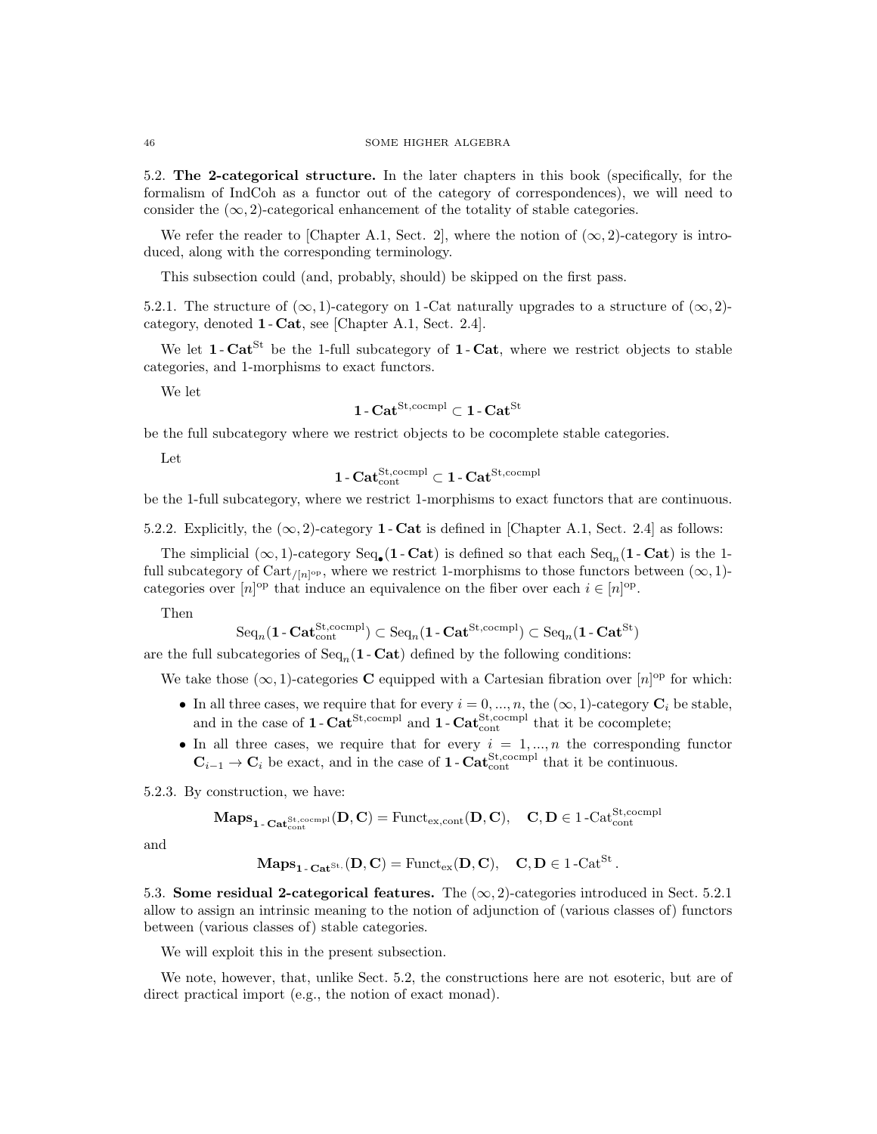5.2. The 2-categorical structure. In the later chapters in this book (specifically, for the formalism of IndCoh as a functor out of the category of correspondences), we will need to consider the  $(\infty, 2)$ -categorical enhancement of the totality of stable categories.

We refer the reader to [Chapter A.1, Sect. 2], where the notion of  $(\infty, 2)$ -category is introduced, along with the corresponding terminology.

This subsection could (and, probably, should) be skipped on the first pass.

5.2.1. The structure of  $(\infty, 1)$ -category on 1-Cat naturally upgrades to a structure of  $(\infty, 2)$ category, denoted 1 - Cat, see [Chapter A.1, Sect. 2.4].

We let  $1$ - $Cat^{St}$  be the 1-full subcategory of  $1$ - $Cat$ , where we restrict objects to stable categories, and 1-morphisms to exact functors.

We let

$$
\mathbf{1}\text{-}\mathbf{Cat}^{\mathrm{St, coempl}} \subset \mathbf{1}\text{-}\mathbf{Cat}^{\mathrm{St}}
$$

be the full subcategory where we restrict objects to be cocomplete stable categories.

Let

$$
\mathbf{1}\text{-}\mathbf{Cat}_{\mathrm{cont}}^{\mathrm{St},\mathrm{coempl}}\subset \mathbf{1}\text{-}\mathbf{Cat}^{\mathrm{St},\mathrm{coempl}}
$$

be the 1-full subcategory, where we restrict 1-morphisms to exact functors that are continuous.

5.2.2. Explicitly, the  $(\infty, 2)$ -category 1 - Cat is defined in [Chapter A.1, Sect. 2.4] as follows:

The simplicial  $(\infty, 1)$ -category  $\text{Seq}_{\bullet}(1 - \text{Cat})$  is defined so that each  $\text{Seq}_n(1 - \text{Cat})$  is the 1full subcategory of Cart<sub>/[n]</sub><sup>op</sup>, where we restrict 1-morphisms to those functors between  $(\infty, 1)$ categories over  $[n]^{op}$  that induce an equivalence on the fiber over each  $i \in [n]^{op}$ .

Then

$$
\mathrm{Seq}_n(\mathbf{1}\text{-}\mathbf{Cat}_{\mathrm{cont}}^{\mathrm{St},\mathrm{coempl}})\subset \mathrm{Seq}_n(\mathbf{1}\text{-}\mathbf{Cat}^{\mathrm{St},\mathrm{coempl}})\subset \mathrm{Seq}_n(\mathbf{1}\text{-}\mathbf{Cat}^{\mathrm{St}})
$$

are the full subcategories of  $Seq_n(1 - Cat)$  defined by the following conditions:

We take those  $(\infty, 1)$ -categories **C** equipped with a Cartesian fibration over  $[n]$ <sup>op</sup> for which:

- In all three cases, we require that for every  $i = 0, ..., n$ , the  $(\infty, 1)$ -category  $\mathbf{C}_i$  be stable, and in the case of  $1 - \text{Cat}^{\text{St,coempl}}$  and  $1 - \text{Cat}^{\text{St,coempl}}$  that it be cocomplete;
- In all three cases, we require that for every  $i = 1, ..., n$  the corresponding functor  $\mathbf{C}_{i-1} \to \mathbf{C}_i$  be exact, and in the case of **1** - Cat<sub>cont</sub> that it be continuous.

5.2.3. By construction, we have:

$$
\mathbf{Maps}_{\mathbf{1}\text{-}\mathbf{Cat}_{\mathrm{cont}}^{\mathrm{St},\mathrm{coempl}}}(\mathbf{D},\mathbf{C})=\mathrm{Funct}_{\mathrm{ex},\mathrm{cont}}(\mathbf{D},\mathbf{C}),\quad \mathbf{C},\mathbf{D}\in 1\text{-}\mathrm{Cat}_{\mathrm{cont}}^{\mathrm{St},\mathrm{coempl}}
$$

and

$$
\mathbf{Maps}_{\mathbf{1}\text{-}\mathbf{Cat}^{\mathrm{St},\mathbf{}}(\mathbf{D},\mathbf{C})=\mathrm{Funct}_{\mathrm{ex}}(\mathbf{D},\mathbf{C}),\quad \mathbf{C},\mathbf{D}\in 1\text{-}\mathrm{Cat}^{\mathrm{St}}.
$$

5.3. Some residual 2-categorical features. The  $(\infty, 2)$ -categories introduced in Sect. 5.2.1 allow to assign an intrinsic meaning to the notion of adjunction of (various classes of) functors between (various classes of) stable categories.

We will exploit this in the present subsection.

We note, however, that, unlike Sect. 5.2, the constructions here are not esoteric, but are of direct practical import (e.g., the notion of exact monad).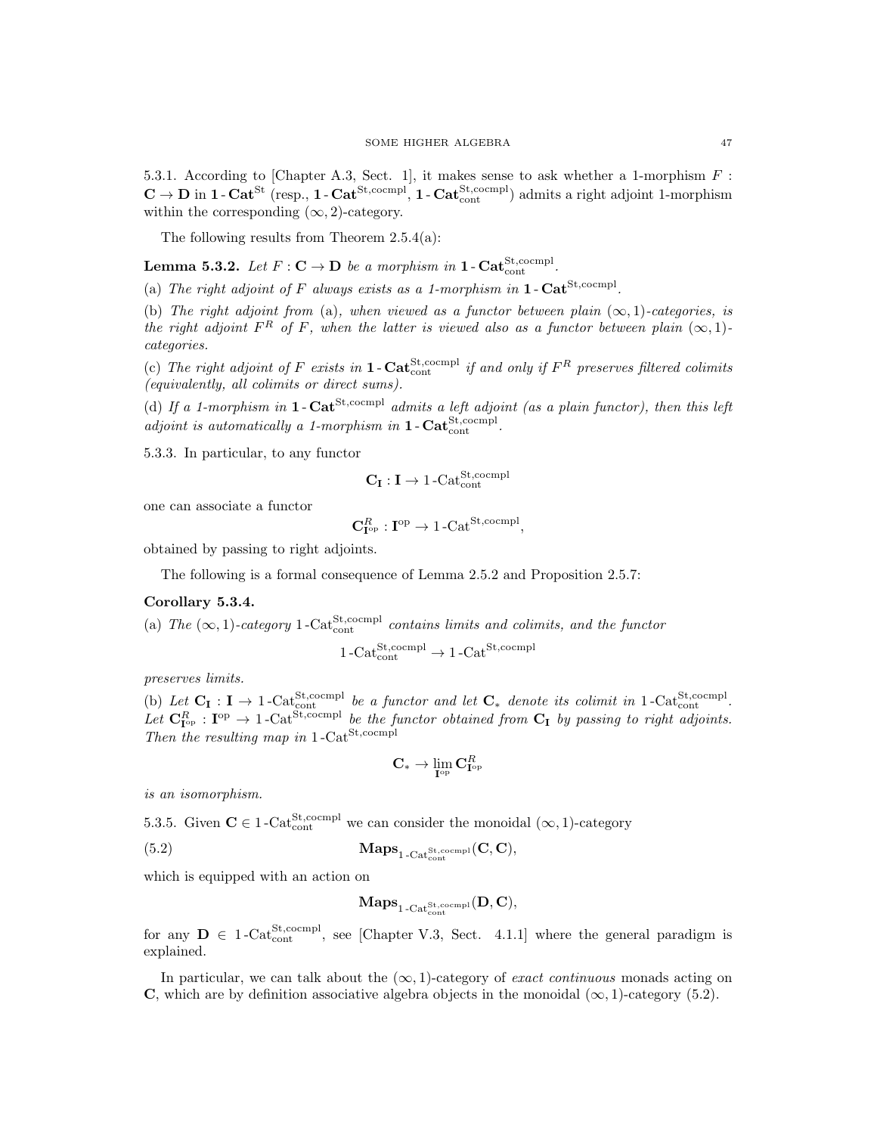5.3.1. According to [Chapter A.3, Sect. 1], it makes sense to ask whether a 1-morphism F :  $\mathbf{C} \to \mathbf{D}$  in  $1$  -  $\mathbf{Cat}^{\mathrm{St}}$  (resp.,  $1$  -  $\mathbf{Cat}^{\mathrm{St,coempl}}$ ,  $1$  -  $\mathbf{Cat}_{\mathrm{cont}}^{\mathrm{St,coempl}}$ ) admits a right adjoint 1-morphism within the corresponding  $(\infty, 2)$ -category.

The following results from Theorem 2.5.4(a):

**Lemma 5.3.2.** Let  $F: \mathbf{C} \to \mathbf{D}$  be a morphism in  $1$ - $\text{Cat}_{\text{cont}}^{\text{St,coempl}}$ .

(a) The right adjoint of F always exists as a 1-morphism in  $1$ -Cat<sup>St,cocmpl</sup>.

(b) The right adjoint from (a), when viewed as a functor between plain  $(\infty, 1)$ -categories, is the right adjoint  $F^R$  of F, when the latter is viewed also as a functor between plain  $(\infty, 1)$ categories.

(c) The right adjoint of F exists in **1** - Cat<sub>cont</sub> completed if and only if  $F^R$  preserves filtered colimits (equivalently, all colimits or direct sums).

(d) If a 1-morphism in 1- $\text{Cat}^{\text{St,coempl}}$  admits a left adjoint (as a plain functor), then this left adjoint is automatically a 1-morphism in  $1$ -Cat<sup>St</sup>,cocmpl.

5.3.3. In particular, to any functor

$$
\mathbf{C}_{\mathbf{I}}:\mathbf{I}\rightarrow1\text{-}\mathrm{Cat}_{\mathrm{cont}}^{\mathrm{St},\mathrm{coempl}}
$$

one can associate a functor

$$
\mathbf{C}_{\mathbf{I}^{\mathrm{op}}}^R : \mathbf{I}^{\mathrm{op}} \to 1\text{-}\mathrm{Cat}^{\mathrm{St, coempl}},
$$

obtained by passing to right adjoints.

The following is a formal consequence of Lemma 2.5.2 and Proposition 2.5.7:

# Corollary 5.3.4.

(a) The  $(\infty, 1)$ -category 1-Cat<sup>St</sup>,cocmpl contains limits and colimits, and the functor

$$
1 - \text{Cat}_{\text{cont}}^{\text{St,coempl}} \rightarrow 1 - \text{Cat}^{\text{St,coempl}}
$$

preserves limits.

(b) Let  $C_I : I \to 1$ -Cat<sup>St,cocmpl</sup> be a functor and let  $C_*$  denote its colimit in 1-Cat<sup>St,cocmpl</sup>. Let  $\mathbf{C}_{\mathbf{I}^{op}}^R$  :  $\mathbf{I}^{op} \to 1$ -Cat<sup>St,cocmpl</sup> be the functor obtained from  $\mathbf{C}_{\mathbf{I}}$  by passing to right adjoints. Then the resulting map in  $1$ -Cat<sup>St,cocmpl</sup>

$$
\mathbf{C}_* \to \lim_{\mathbf{I}^{\mathrm{op}}} \mathbf{C}_{\mathbf{I}^{\mathrm{op}}}^R
$$

is an isomorphism.

5.3.5. Given  $C \in 1$ -Cat<sup>St</sup>,cocmpl we can consider the monoidal  $(\infty, 1)$ -category

(5.2) 
$$
\mathbf{Maps}_{1\text{-Cat}_{\text{cont}}^{\text{St,coempl}}}(\mathbf{C}, \mathbf{C}),
$$

which is equipped with an action on

$$
\mathbf{Maps}_{1\text{-}\mathrm{Cat}_{\mathrm{cont}}^{\mathrm{St},\mathrm{cocmpl}}}(\mathbf{D},\mathbf{C}),
$$

for any  $D \in 1$ -Cat<sup>St</sup>, cocmpl, see [Chapter V.3, Sect. 4.1.1] where the general paradigm is explained.

In particular, we can talk about the  $(\infty, 1)$ -category of *exact continuous* monads acting on **C**, which are by definition associative algebra objects in the monoidal  $(\infty, 1)$ -category (5.2).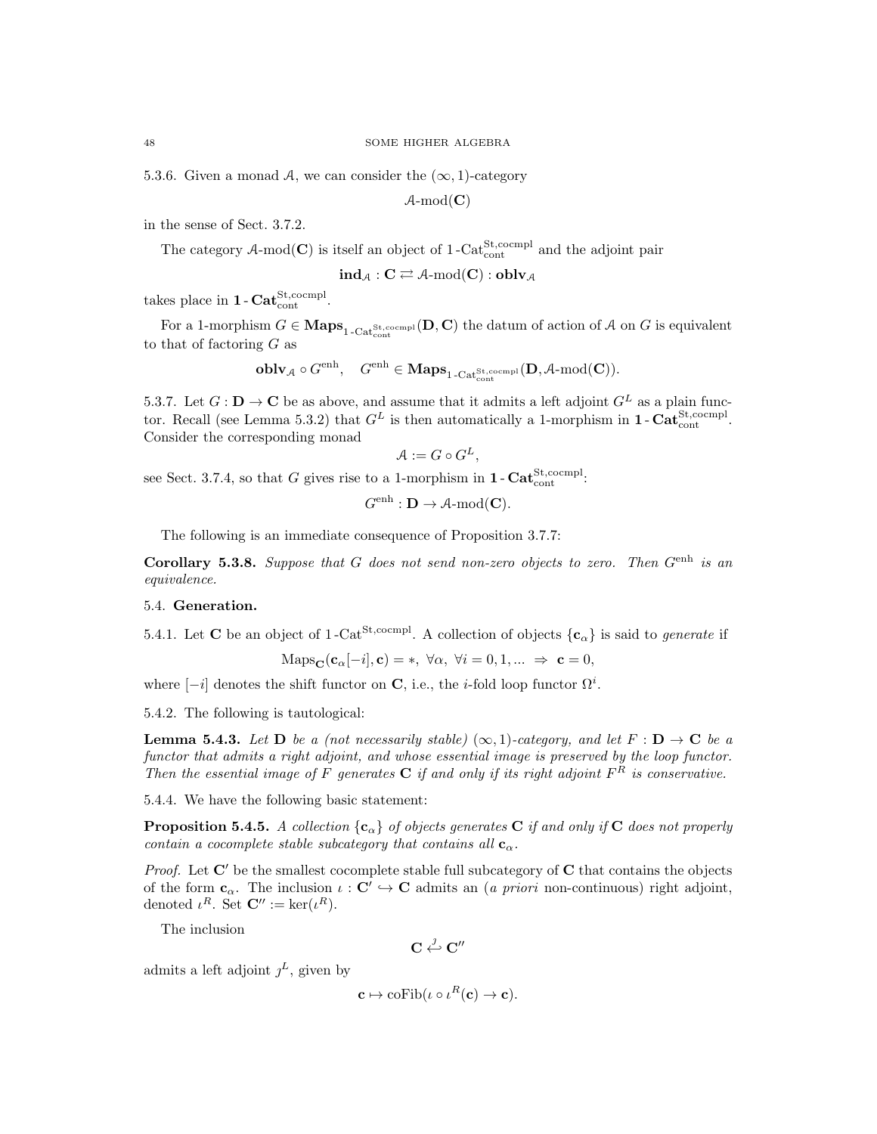5.3.6. Given a monad A, we can consider the  $(\infty, 1)$ -category

 $\mathcal{A}\text{-mod}(\mathbf{C})$ 

in the sense of Sect. 3.7.2.

The category A-mod(C) is itself an object of  $1-\text{Cat}^{\text{St,coempl}}_{\text{cont}}$  and the adjoint pair

 $\mathrm{ind}_{\mathcal{A}} : \mathbf{C} \rightleftarrows \mathcal{A}\text{-mod}(\mathbf{C}) : \mathbf{oblv}_{\mathcal{A}}$ 

takes place in  $1 - \text{Cat}_{\text{cont}}^{\text{St,coempl}}$ .

For a 1-morphism  $G \in \mathbf{Maps}_{1-\text{Cat}^{\text{St},\text{coempl}}}_{1-\text{Cat}^{\text{St}},\text{coempl}}(\mathbf{D}, \mathbf{C})$  the datum of action of A on G is equivalent to that of factoring  $G$  as

$$
\textbf{oblv}_{\mathcal{A}}\circ G^{\text{enh}}, \quad G^{\text{enh}}\in \textbf{Maps}_{1\text{-Cat}^{\text{St}, \text{coempl}}}_{1\text{-Cat}^{\text{St}, \text{coempl}}}(D,\mathcal{A}\text{-}\mathrm{mod}(C)).
$$

5.3.7. Let  $G: \mathbf{D} \to \mathbf{C}$  be as above, and assume that it admits a left adjoint  $G^L$  as a plain functor. Recall (see Lemma 5.3.2) that  $G^L$  is then automatically a 1-morphism in **1** - Cat<sup>St</sup>,<sup>cocmpl</sup>. Consider the corresponding monad

$$
\mathcal{A} := G \circ G^L,
$$

see Sect. 3.7.4, so that G gives rise to a 1-morphism in  $1 - \text{Cat}^{\text{St,coempl}}_{\text{cont}}$ :

$$
G^{\text{enh}}: \mathbf{D} \to \mathcal{A}\text{-mod}(\mathbf{C}).
$$

The following is an immediate consequence of Proposition 3.7.7:

Corollary 5.3.8. Suppose that G does not send non-zero objects to zero. Then  $G<sup>enh</sup>$  is an equivalence.

### 5.4. Generation.

5.4.1. Let **C** be an object of 1-Cat<sup>St,cocmpl</sup>. A collection of objects  $\{c_{\alpha}\}\$ is said to *generate* if

$$
\text{Maps}_{\mathbf{C}}(\mathbf{c}_{\alpha}[-i], \mathbf{c}) = *, \ \forall \alpha, \ \forall i = 0, 1, ... \ \Rightarrow \ \mathbf{c} = 0,
$$

where  $[-i]$  denotes the shift functor on C, i.e., the *i*-fold loop functor  $\Omega^i$ .

5.4.2. The following is tautological:

**Lemma 5.4.3.** Let **D** be a (not necessarily stable)  $(\infty, 1)$ -category, and let  $F : D \to C$  be a functor that admits a right adjoint, and whose essential image is preserved by the loop functor. Then the essential image of F generates  $C$  if and only if its right adjoint  $F^R$  is conservative.

5.4.4. We have the following basic statement:

**Proposition 5.4.5.** A collection  $\{c_{\alpha}\}\$  of objects generates C if and only if C does not properly contain a cocomplete stable subcategory that contains all  $\mathbf{c}_{\alpha}$ .

*Proof.* Let  $C'$  be the smallest cocomplete stable full subcategory of  $C$  that contains the objects of the form  $\mathbf{c}_{\alpha}$ . The inclusion  $\iota : \mathbf{C}' \hookrightarrow \mathbf{C}$  admits an (*a priori* non-continuous) right adjoint, denoted  $\iota^R$ . Set  $\mathbf{C}'' := \ker(\iota^R)$ .

The inclusion

$$
\mathbf{C} \stackrel{\jmath}{\hookleftarrow} \mathbf{C}''
$$

admits a left adjoint  $j^L$ , given by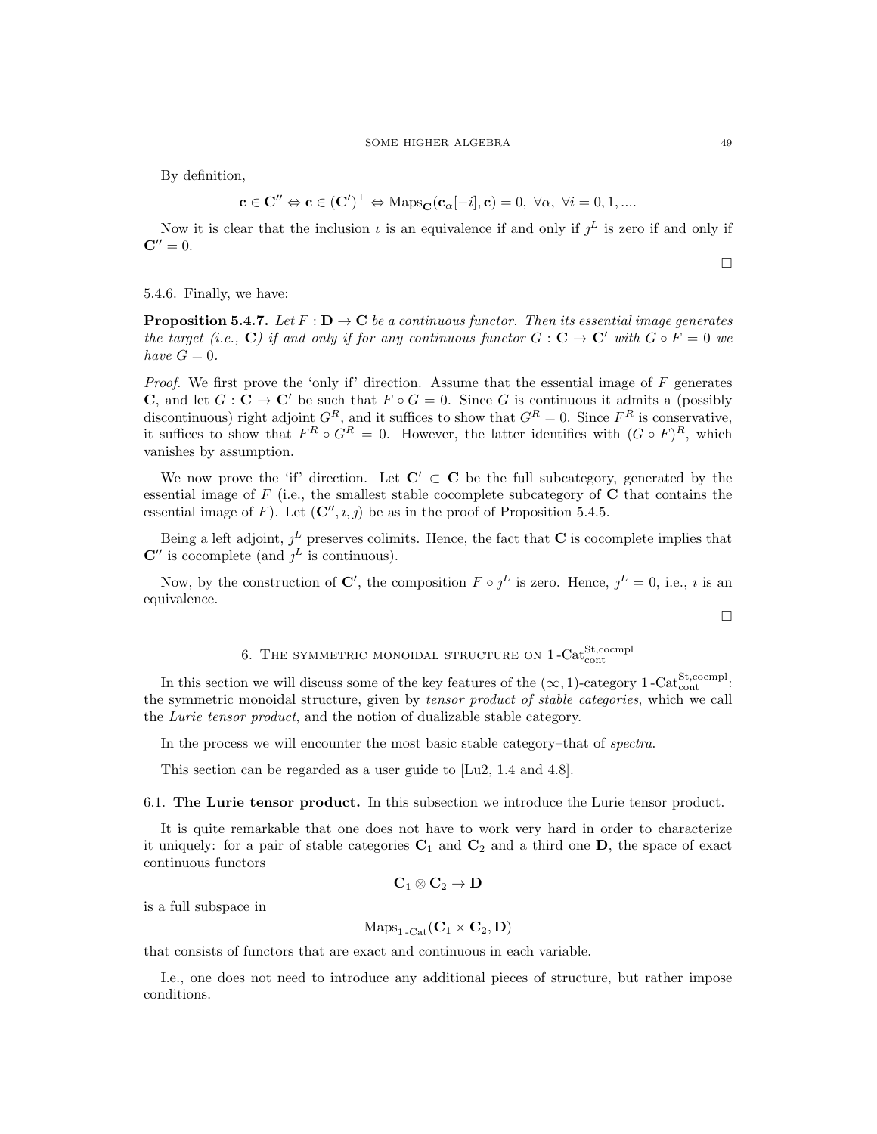By definition,

$$
\mathbf{c}\in\mathbf{C}''\Leftrightarrow\mathbf{c}\in(\mathbf{C}')^{\bot}\Leftrightarrow\mathrm{Maps}_{\mathbf{C}}(\mathbf{c}_{\alpha}[-i],\mathbf{c})=0,\;\forall\alpha,\;\forall i=0,1,....
$$

Now it is clear that the inclusion  $\iota$  is an equivalence if and only if  $j^L$  is zero if and only if  ${\bf C}'' = 0.$ 

 $\Box$ 

 $\Box$ 

5.4.6. Finally, we have:

**Proposition 5.4.7.** Let  $F : D \to \mathbb{C}$  be a continuous functor. Then its essential image generates the target (i.e., C) if and only if for any continuous functor  $G: \mathbf{C} \to \mathbf{C}'$  with  $G \circ F = 0$  we have  $G=0$ .

*Proof.* We first prove the 'only if' direction. Assume that the essential image of  $F$  generates **C**, and let  $G: \mathbb{C} \to \mathbb{C}'$  be such that  $F \circ G = 0$ . Since G is continuous it admits a (possibly discontinuous) right adjoint  $G^R$ , and it suffices to show that  $G^R = 0$ . Since  $F^R$  is conservative, it suffices to show that  $F^R \circ G^R = 0$ . However, the latter identifies with  $(G \circ F)^R$ , which vanishes by assumption.

We now prove the 'if' direction. Let  $C' \subset C$  be the full subcategory, generated by the essential image of  $F$  (i.e., the smallest stable cocomplete subcategory of  $C$  that contains the essential image of F). Let  $(C'', i, j)$  be as in the proof of Proposition 5.4.5.

Being a left adjoint,  $j^L$  preserves colimits. Hence, the fact that **C** is cocomplete implies that  $\mathbb{C}''$  is cocomplete (and  $j^L$  is continuous).

Now, by the construction of C', the composition  $F \circ \jmath^L$  is zero. Hence,  $\jmath^L = 0$ , i.e.,  $\imath$  is an equivalence.

# 6. THE SYMMETRIC MONOIDAL STRUCTURE ON  $1$ -Cat<sup>St</sup>,cocmpl

In this section we will discuss some of the key features of the  $(\infty, 1)$ -category 1-Cat<sup>St</sup>,cocmpl: the symmetric monoidal structure, given by tensor product of stable categories, which we call the Lurie tensor product, and the notion of dualizable stable category.

In the process we will encounter the most basic stable category–that of spectra.

This section can be regarded as a user guide to [Lu2, 1.4 and 4.8].

6.1. The Lurie tensor product. In this subsection we introduce the Lurie tensor product.

It is quite remarkable that one does not have to work very hard in order to characterize it uniquely: for a pair of stable categories  $C_1$  and  $C_2$  and a third one **D**, the space of exact continuous functors

$$
\mathbf{C}_1\otimes\mathbf{C}_2\to\mathbf{D}
$$

is a full subspace in

$$
\mathrm{Maps}_{1\text{-}\mathrm{Cat}}(\mathbf{C}_1\times\mathbf{C}_2,\mathbf{D})
$$

that consists of functors that are exact and continuous in each variable.

I.e., one does not need to introduce any additional pieces of structure, but rather impose conditions.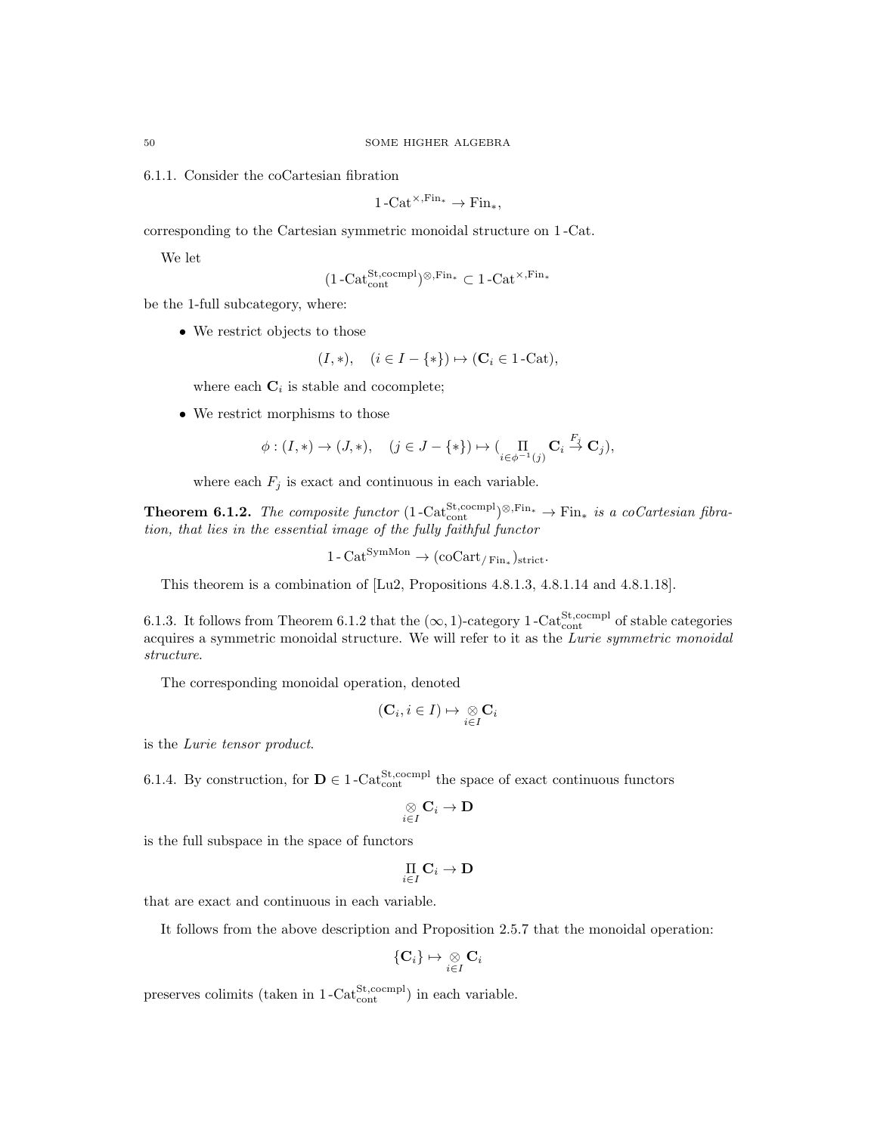6.1.1. Consider the coCartesian fibration

$$
1-\mathrm{Cat}^{\times,\mathrm{Fin}_*} \to \mathrm{Fin}_*,
$$

corresponding to the Cartesian symmetric monoidal structure on 1 -Cat.

We let

$$
(1-\mathrm{Cat}_{\mathrm{cont}}^{\mathrm{St},\mathrm{coempl}})^{\otimes,\mathrm{Fin}_*} \subset 1-\mathrm{Cat}^{\times,\mathrm{Fin}_*}
$$

be the 1-full subcategory, where:

• We restrict objects to those

$$
(I, *), \quad (i \in I - \{*\}) \mapsto (\mathbf{C}_i \in 1\text{-}\mathrm{Cat}),
$$

where each  $\mathbf{C}_i$  is stable and cocomplete;

• We restrict morphisms to those

$$
\phi: (I, *) \to (J, *), \quad (j \in J - \{*\}) \mapsto (\prod_{i \in \phi^{-1}(j)} \mathbf{C}_i \stackrel{F_j}{\to} \mathbf{C}_j),
$$

where each  $F_j$  is exact and continuous in each variable.

**Theorem 6.1.2.** The composite functor  $(1 - \text{Cat}_{\text{cont}}^{\text{St,comm}})$ <sup>⊗,Fin</sup>\*  $\rightarrow$  Fin<sub>\*</sub> is a coCartesian fibration, that lies in the essential image of the fully faithful functor

$$
1 - \mathrm{Cat}^{\mathrm{SymMon}} \to (\mathrm{coCart}_{/\mathrm{Fin}_*})_{\mathrm{strict}}.
$$

This theorem is a combination of [Lu2, Propositions 4.8.1.3, 4.8.1.14 and 4.8.1.18].

6.1.3. It follows from Theorem 6.1.2 that the  $(\infty, 1)$ -category 1 -Cat<sup>St</sup>,cocmpl of stable categories acquires a symmetric monoidal structure. We will refer to it as the Lurie symmetric monoidal structure.

The corresponding monoidal operation, denoted

$$
(\mathbf{C}_i, i \in I) \mapsto \underset{i \in I}{\otimes} \mathbf{C}_i
$$

is the Lurie tensor product.

6.1.4. By construction, for  $\mathbf{D} \in 1$ -Cat<sup>St</sup>,cocmpl the space of exact continuous functors

$$
\mathop{\otimes}\limits_{i\in I}\mathrm{C}_i\to\mathbf{D}
$$

is the full subspace in the space of functors

$$
\mathop{\Pi}\limits_{i\in I}\mathbf{C}_i\to\mathbf{D}
$$

that are exact and continuous in each variable.

It follows from the above description and Proposition 2.5.7 that the monoidal operation:

$$
\{\mathbf C_i\} \mapsto \mathop{\otimes}\limits_{i \in I} \mathbf C_i
$$

preserves colimits (taken in  $1-\text{Cat}_{\text{cont}}^{\text{St,coempl}}$ ) in each variable.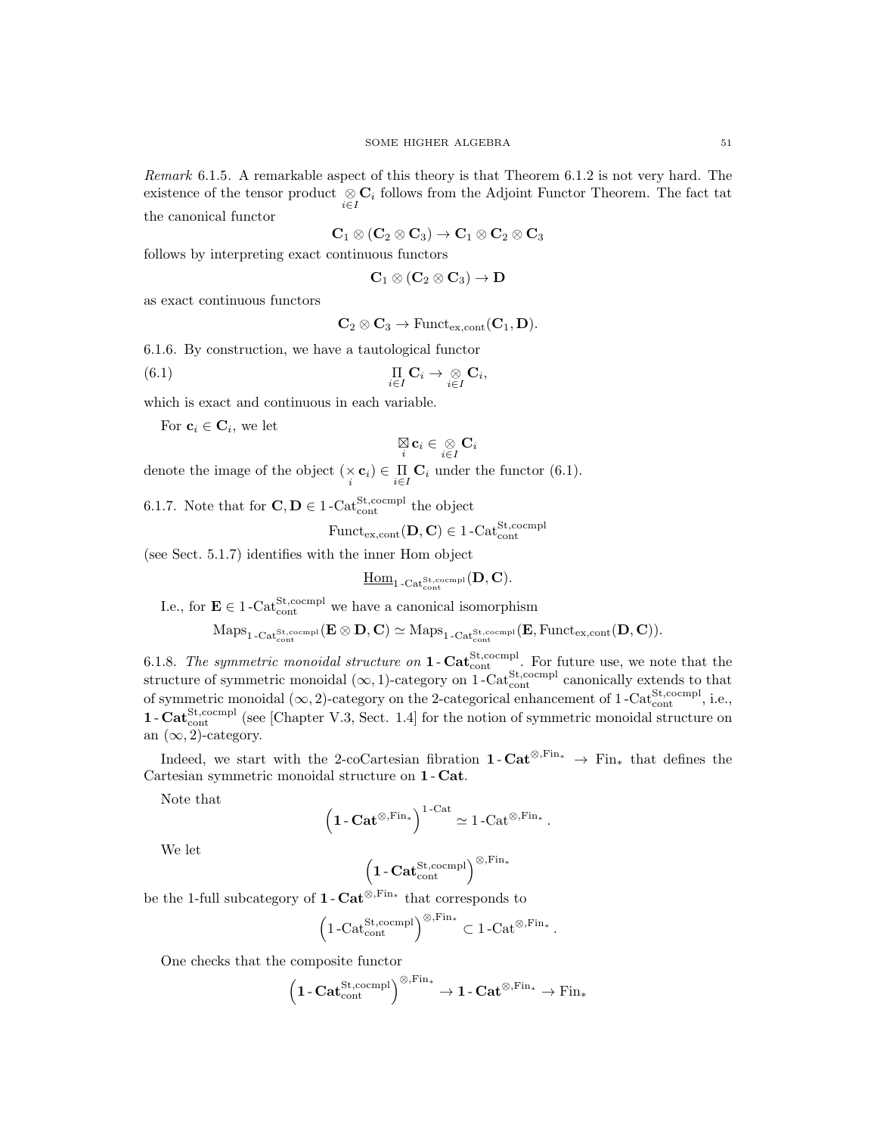Remark 6.1.5. A remarkable aspect of this theory is that Theorem 6.1.2 is not very hard. The existence of the tensor product  $\underset{i\in I}{\otimes} \mathbf{C}_i$  follows from the Adjoint Functor Theorem. The fact tat the canonical functor

$$
\mathbf{C}_1 \otimes (\mathbf{C}_2 \otimes \mathbf{C}_3) \to \mathbf{C}_1 \otimes \mathbf{C}_2 \otimes \mathbf{C}_3
$$

follows by interpreting exact continuous functors

$$
\mathbf{C}_1 \otimes (\mathbf{C}_2 \otimes \mathbf{C}_3) \to \mathbf{D}
$$

as exact continuous functors

$$
\mathbf{C}_2 \otimes \mathbf{C}_3 \to \mathrm{Funct}_{\mathrm{ex,cont}}(\mathbf{C}_1, \mathbf{D}).
$$

6.1.6. By construction, we have a tautological functor

(6.1) 
$$
\prod_{i\in I} \mathbf{C}_i \to \underset{i\in I}{\otimes} \mathbf{C}_i,
$$

which is exact and continuous in each variable.

For  $\mathbf{c}_i \in \mathbf{C}_i$ , we let

$$
\mathop{\boxtimes}\limits_i {\bf c}_i \in \mathop{\otimes}\limits_{i \in I} {\bf C}_i
$$

denote the image of the object  $(\times \mathbf{c}_i) \in \prod_{i \in I} \mathbf{C}_i$  under the functor (6.1).

6.1.7. Note that for  $\mathbf{C}, \mathbf{D} \in 1$ -Cat<sup>St</sup>,<sup>cocmpl</sup> the object

$$
\mathrm{Funct}_{\mathrm{ex}, \mathrm{cont}}(\mathbf{D}, \mathbf{C}) \in 1\text{-}\mathrm{Cat}_{\mathrm{cont}}^{\mathrm{St}, \mathrm{cocmpl}}
$$

(see Sect. 5.1.7) identifies with the inner Hom object

$$
\underline{\mathrm{Hom}}_{1\operatorname{-Cat}_{\mathrm{cont}}^{\mathrm{St},\mathrm{coempl}}}(\mathbf{D},\mathbf{C}).
$$

I.e., for  $\mathbf{E} \in 1$ -Cat<sup>St,cocmpl</sup> we have a canonical isomorphism

$$
\mathrm{Maps}_{1\text{-}\mathrm{Cat}^{\mathrm{St},\mathrm{coempl}}_{\mathrm{cont}}}(\mathbf{E}\otimes \mathbf{D},\mathbf{C})\simeq \mathrm{Maps}_{1\text{-}\mathrm{Cat}^{\mathrm{St},\mathrm{coempl}}_{\mathrm{cont}}}(\mathbf{E},\mathrm{Funct}_{\mathrm{ex},\mathrm{cont}}(\mathbf{D},\mathbf{C})).
$$

6.1.8. The symmetric monoidal structure on  $1 - \text{Cat}^{\text{St,coempl}}_{\text{cont}}$ . For future use, we note that the structure of symmetric monoidal  $(\infty, 1)$ -category on 1-Cat<sup>St</sup>,cocmpl canonically extends to that of symmetric monoidal  $(\infty, 2)$ -category on the 2-categorical enhancement of 1-Cat<sup>St</sup>,cocmp<sup>l</sup>, i.e.,  $1 - \text{Cat}^{\text{St}, \text{coempl}}_{\text{cont}}$  (see [Chapter V.3, Sect. 1.4] for the notion of symmetric monoidal structure on an  $(\infty, 2)$ -category.

Indeed, we start with the 2-coCartesian fibration  $1 - \text{Cat}^{\otimes,\text{Fin}_*} \rightarrow \text{Fin}_*$  that defines the Cartesian symmetric monoidal structure on 1 - Cat.

Note that

$$
\left(1-\mathbf{Cat}^{\otimes,\mathrm{Fin}_*}\right)^{1-\mathrm{Cat}} \simeq 1-\mathrm{Cat}^{\otimes,\mathrm{Fin}_*}.
$$

We let

$$
\left(1\text{-}\mathbf{Cat}_{\mathrm{cont}}^{\mathrm{St},\mathrm{coempl}}\right)^{\otimes,\mathrm{Fin}_\ast}
$$

be the 1-full subcategory of **1** -  $\text{Cat}^{\otimes,\text{Fin}_*}$  that corresponds to

$$
\left(1\text{-Cat}_{\text{cont}}^{\text{St},\text{coempl}}\right)^{\otimes,\text{Fin}_*}\subset 1\text{-Cat}^{\otimes,\text{Fin}_*}
$$

.

One checks that the composite functor

$$
\left(1\text{-}\mathbf{Cat}_{\mathrm{cont}}^{\mathrm{St},\mathrm{coempl}}\right)^{\otimes,\mathrm{Fin}_*}\to 1\text{-}\mathbf{Cat}^{\otimes,\mathrm{Fin}_*}\to \mathrm{Fin}_*
$$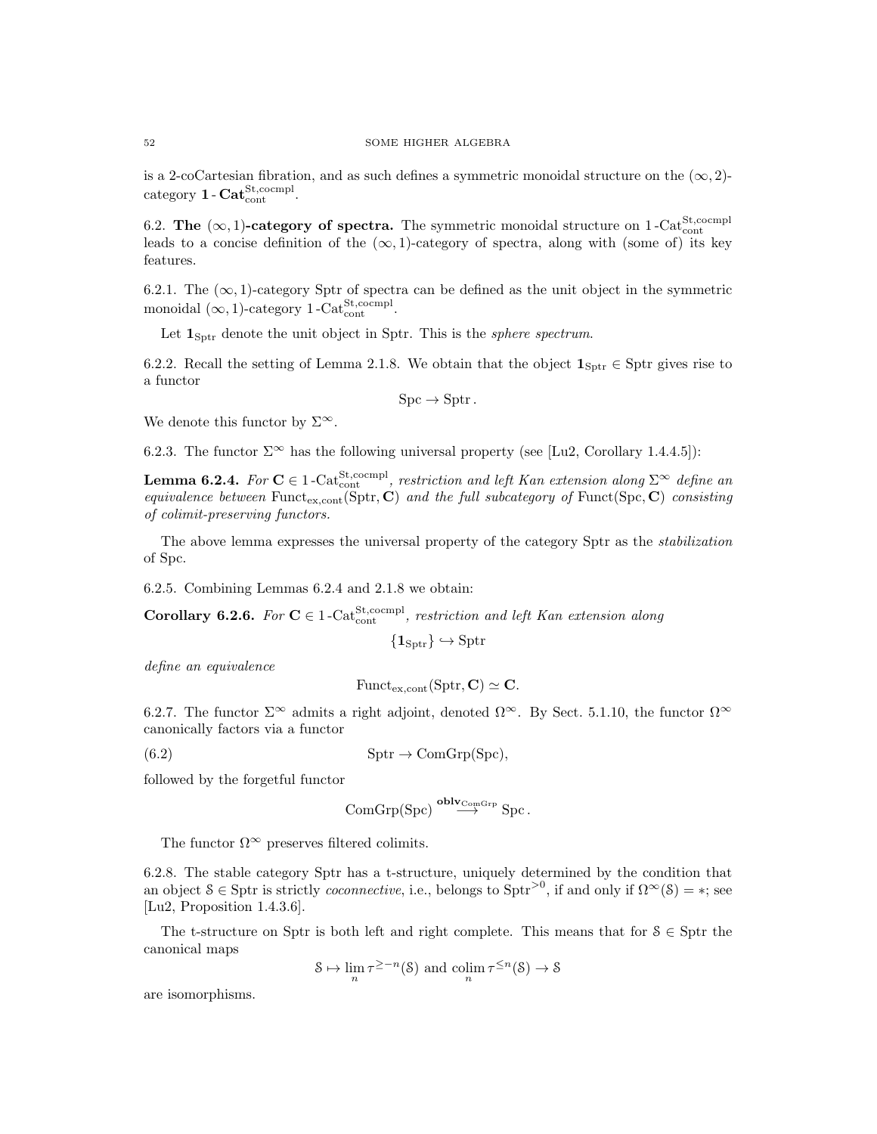is a 2-coCartesian fibration, and as such defines a symmetric monoidal structure on the  $(\infty, 2)$ - $_{\rm category}$  1 -  $\mathbf{Cat}^{\mathrm{St,coempl}}_{\mathrm{cont}}.$ 

6.2. The  $(\infty, 1)$ -category of spectra. The symmetric monoidal structure on 1-Cat<sup>St</sup>,cocmpl leads to a concise definition of the  $(\infty, 1)$ -category of spectra, along with (some of) its key features.

6.2.1. The  $(\infty, 1)$ -category Sptr of spectra can be defined as the unit object in the symmetric monoidal  $(\infty, 1)$ -category 1-Cat<sup>St</sup>,cocmpl.

Let  $1_{\text{Sptr}}$  denote the unit object in Sptr. This is the *sphere spectrum*.

6.2.2. Recall the setting of Lemma 2.1.8. We obtain that the object  $\mathbf{1}_{\text{Sptr}} \in \text{Sptr}$  gives rise to a functor

$$
Spc \to Sptr.
$$

We denote this functor by  $\Sigma^{\infty}$ .

6.2.3. The functor  $\Sigma^{\infty}$  has the following universal property (see [Lu2, Corollary 1.4.4.5]):

**Lemma 6.2.4.** For  $C \in 1$ -Cat<sup>St,cocmpl</sup>, restriction and left Kan extension along  $\Sigma^{\infty}$  define an equivalence between Funct<sub>ex,cont</sub>(Sptr, C) and the full subcategory of Funct(Spc, C) consisting of colimit-preserving functors.

The above lemma expresses the universal property of the category Sptr as the stabilization of Spc.

6.2.5. Combining Lemmas 6.2.4 and 2.1.8 we obtain:

**Corollary 6.2.6.** For  $C \in 1$ -Cat<sup>St,cocmpl</sup>, restriction and left Kan extension along

$$
\{\mathbf 1_{\operatorname{Sptr}}\}\hookrightarrow \operatorname{Sptr}
$$

define an equivalence

$$
\mathrm{Funct}_{\mathrm{ex}, \mathrm{cont}}(\mathrm{Sptr}, \mathbf{C}) \simeq \mathbf{C}.
$$

6.2.7. The functor  $\Sigma^{\infty}$  admits a right adjoint, denoted  $\Omega^{\infty}$ . By Sect. 5.1.10, the functor  $\Omega^{\infty}$ canonically factors via a functor

(6.2)  $Sptr \to ComGrp(Spc),$ 

followed by the forgetful functor

$$
\mathrm{ComGrp}( \mathrm{Spc}) \overset{\mathbf{oblv}_{\mathrm{ComGrp}}}{\longrightarrow} \mathrm{Spc}.
$$

The functor  $\Omega^{\infty}$  preserves filtered colimits.

6.2.8. The stable category Sptr has a t-structure, uniquely determined by the condition that an object  $S \in S$  ptr is strictly *coconnective*, i.e., belongs to  $S$ ptr<sup>>0</sup>, if and only if  $\Omega^{\infty}(S) = *$ ; see [Lu2, Proposition 1.4.3.6].

The t-structure on Sptr is both left and right complete. This means that for  $S \in S$  ptr the canonical maps

$$
\mathcal{S} \mapsto \lim_{n} \tau^{\geq -n}(\mathcal{S}) \text{ and } \operatorname{colim}_{n} \tau^{\leq n}(\mathcal{S}) \to \mathcal{S}
$$

are isomorphisms.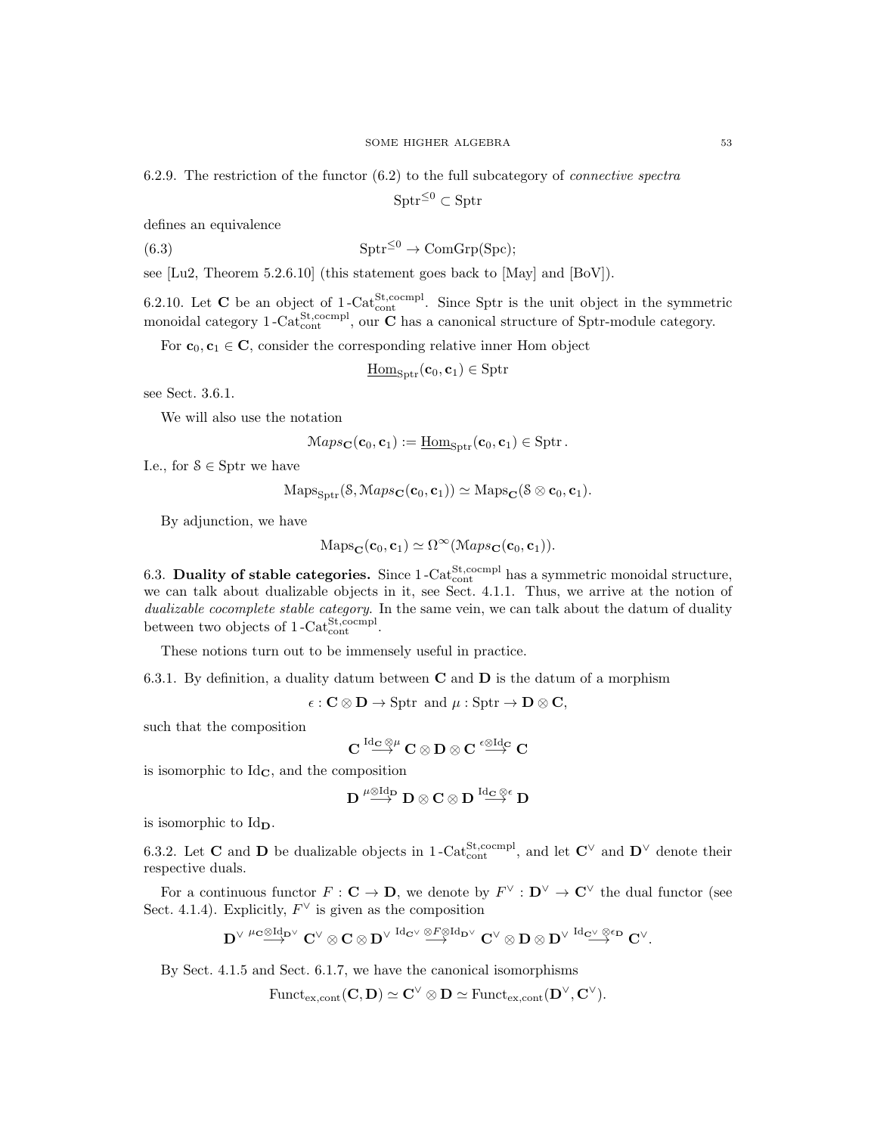6.2.9. The restriction of the functor  $(6.2)$  to the full subcategory of *connective spectra* 

 $\text{Sptr}^{\leq 0} \subset \text{Sptr}$ 

defines an equivalence

(6.3) 
$$
\mathrm{Sptr}^{\leq 0} \to \mathrm{ComGrp(Spc)};
$$

see [Lu2, Theorem 5.2.6.10] (this statement goes back to [May] and [BoV]).

6.2.10. Let **C** be an object of 1-Cat<sup>St</sup>,cocmpl. Since Sptr is the unit object in the symmetric monoidal category 1-Cat<sup>St</sup>,cocmpl<sub>,</sub> our **C** has a canonical structure of Sptr-module category.

For  $c_0, c_1 \in \mathbb{C}$ , consider the corresponding relative inner Hom object

$$
\underline{\mathrm{Hom}}_{\mathrm{Sptr}}(\mathbf{c}_0,\mathbf{c}_1) \in \mathrm{Sptr}
$$

see Sect. 3.6.1.

We will also use the notation

$$
Maps_{\mathbf{C}}(\mathbf{c}_0, \mathbf{c}_1) := \underline{\mathrm{Hom}}_{\mathrm{Sptr}}(\mathbf{c}_0, \mathbf{c}_1) \in \mathrm{Sptr}.
$$

I.e., for  $S \in S$  ptr we have

$$
Maps_{\text{Sptr}}(\mathcal{S}, Maps_{\mathbf{C}}(\mathbf{c}_0, \mathbf{c}_1)) \simeq Maps_{\mathbf{C}}(\mathcal{S} \otimes \mathbf{c}_0, \mathbf{c}_1).
$$

By adjunction, we have

$$
Maps_{\mathbf{C}}(\mathbf{c}_0, \mathbf{c}_1) \simeq \Omega^{\infty}(\mathcal{M}aps_{\mathbf{C}}(\mathbf{c}_0, \mathbf{c}_1)).
$$

6.3. Duality of stable categories. Since  $1$ -Cat<sub>cont</sub><sup>St</sup>,cocmpl has a symmetric monoidal structure, we can talk about dualizable objects in it, see Sect. 4.1.1. Thus, we arrive at the notion of dualizable cocomplete stable category. In the same vein, we can talk about the datum of duality between two objects of  $1$ -Cat<sup>St</sup>,cocmpl.

These notions turn out to be immensely useful in practice.

6.3.1. By definition, a duality datum between  $C$  and  $D$  is the datum of a morphism

 $\epsilon : \mathbf{C} \otimes \mathbf{D} \to \text{Sptr} \text{ and } \mu : \text{Sptr} \to \mathbf{D} \otimes \mathbf{C},$ 

such that the composition

$$
C\stackrel{\mathrm{Id}_\mathbf{C}\otimes\mu}{\longrightarrow} C\otimes D\otimes C\stackrel{\varepsilon\otimes\mathrm{Id}_\mathbf{C}}{\longrightarrow} C
$$

is isomorphic to  $Id_{\mathbf{C}}$ , and the composition

$$
D \stackrel{\mu \otimes \mathrm{Id}_D}{\longrightarrow} D \otimes C \otimes D \stackrel{\mathrm{Id}_C \otimes \varepsilon}{\longrightarrow} D
$$

is isomorphic to  $\mathrm{Id}_{\mathbf{D}}$ .

6.3.2. Let **C** and **D** be dualizable objects in 1-Cat<sub>cont</sub><sup>St</sup>,cocmpl<sub>,</sub> and let  $\mathbf{C}^{\vee}$  and  $\mathbf{D}^{\vee}$  denote their respective duals.

For a continuous functor  $F: \mathbf{C} \to \mathbf{D}$ , we denote by  $F^{\vee}: \mathbf{D}^{\vee} \to \mathbf{C}^{\vee}$  the dual functor (see Sect. 4.1.4). Explicitly,  $F^{\vee}$  is given as the composition

$$
D^{\vee}\stackrel{\mu\mathbf{C}\otimes\mathrm{Id}_{D^{\vee}}}{\longrightarrow}C^{\vee}\otimes C\otimes D^{\vee}\stackrel{\mathrm{Id}_{\mathbf{C}^{\vee}}}{\longrightarrow}\stackrel{\otimes F\otimes\mathrm{Id}_{D^{\vee}}}{\longrightarrow}C^{\vee}\otimes D\otimes D^{\vee}\stackrel{\mathrm{Id}_{\mathbf{C}^{\vee}}\otimes\varepsilon_D}{\longrightarrow}C^{\vee}.
$$

By Sect. 4.1.5 and Sect. 6.1.7, we have the canonical isomorphisms

 $\mathrm{Funct}_{\mathrm{ex,cont}}(\mathbf{C}, \mathbf{D}) \simeq \mathbf{C}^\vee \otimes \mathbf{D} \simeq \mathrm{Funct}_{\mathrm{ex,cont}}(\mathbf{D}^\vee, \mathbf{C}^\vee).$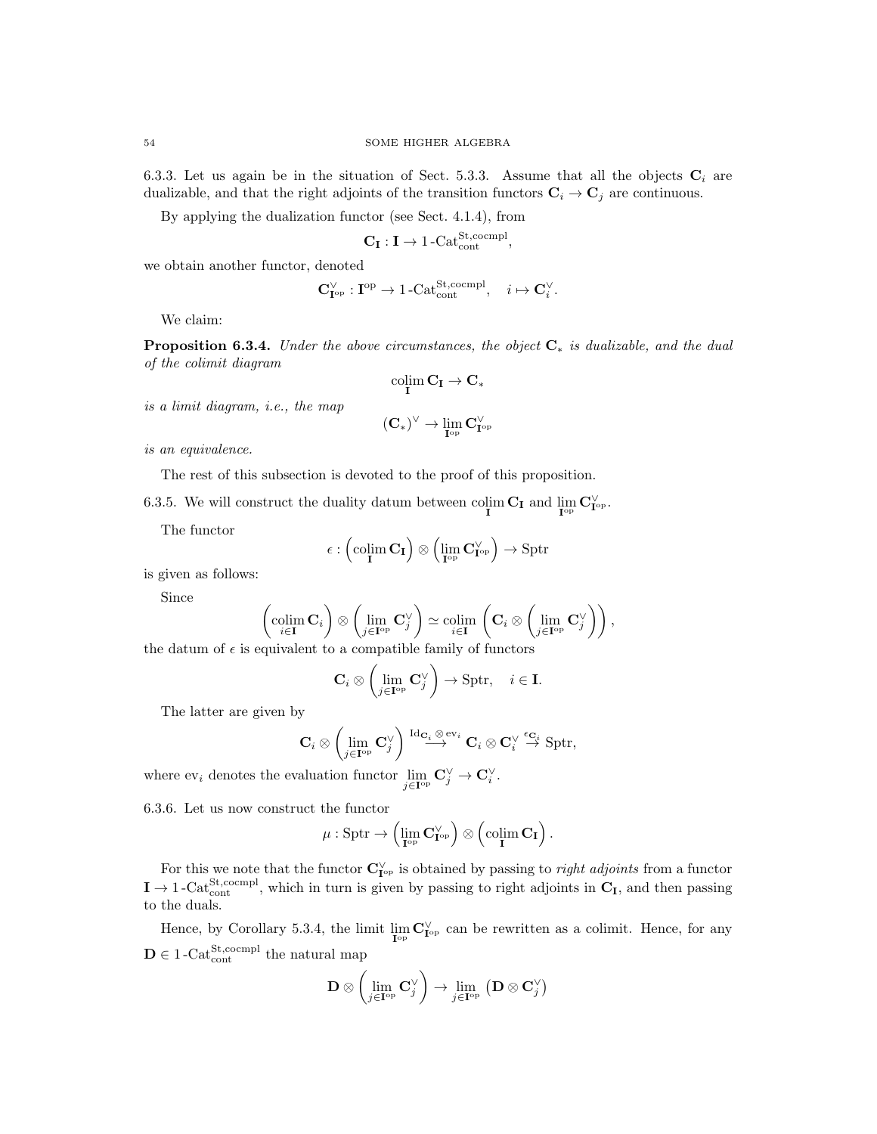6.3.3. Let us again be in the situation of Sect. 5.3.3. Assume that all the objects  $C_i$  are dualizable, and that the right adjoints of the transition functors  $\mathbf{C}_i \to \mathbf{C}_j$  are continuous.

By applying the dualization functor (see Sect. 4.1.4), from

$$
\mathbf{C}_{\mathbf{I}} : \mathbf{I} \to \text{1-Cat}_{cont}^{\text{St,coempl}},
$$

we obtain another functor, denoted

$$
\mathbf{C}^\vee_{\mathbf{I}^\mathrm{op}}:\mathbf{I}^\mathrm{op}\to 1\text{-}\mathrm{Cat}^\mathrm{St, cocmpl.}_\mathrm{cont},\quad i\mapsto \mathbf{C}_i^\vee.
$$

We claim:

**Proposition 6.3.4.** Under the above circumstances, the object  $C_*$  is dualizable, and the dual of the colimit diagram

$$
\operatornamewithlimits{colim}_I C_I \to C_*
$$

is a limit diagram, i.e., the map

$$
(\mathbf{C}_*)^\vee \to \lim_{\mathbf{I}^\mathrm{op}} \mathbf{C}_{\mathbf{I}^\mathrm{op}}^\vee
$$

is an equivalence.

The rest of this subsection is devoted to the proof of this proposition.

6.3.5. We will construct the duality datum between  $\operatorname{colim}_{\mathbf{I}} \mathbf{C}_{\mathbf{I}}$  and  $\lim_{\mathbf{I}^{\mathrm{op}}} \mathbf{C}_{\mathbf{I}^{\mathrm{op}}}^{\vee}$ .

The functor

$$
\epsilon:\left(\operatornamewithlimits{colim}_{\mathbf{I}}\mathbf{C}_{\mathbf{I}}\right)\otimes\left(\lim_{\mathbf{I}^{\operatorname{op}}} \mathbf{C}_{\mathbf{I}^{\operatorname{op}}}^{\vee}\right)\rightarrow\operatorname{Sptr}
$$

is given as follows:

Since

$$
\left(\underset{i\in\mathbf{I}}{\text{colim }}\mathbf{C}_{i}\right)\otimes\left(\underset{j\in\mathbf{I}^{\text{op}}}{\text{lim }}\mathbf{C}_{j}^{\vee}\right)\simeq\underset{i\in\mathbf{I}}{\text{colim }}\left(\mathbf{C}_{i}\otimes\left(\underset{j\in\mathbf{I}^{\text{op}}}{\text{lim }}\mathbf{C}_{j}^{\vee}\right)\right),
$$

the datum of  $\epsilon$  is equivalent to a compatible family of functors

$$
\mathbf{C}_i \otimes \left( \lim_{j \in \mathbf{I}^{\mathrm{op}}} \mathbf{C}_j^{\vee} \right) \to \mathrm{Sptr}, \quad i \in \mathbf{I}.
$$

The latter are given by

$$
\mathbf{C}_i\otimes\left(\lim_{j\in\mathbf{I}^{\mathrm{op}}} \mathbf{C}_j^\vee\right)\stackrel{\mathrm{Id}_{\mathbf{C}_i}\otimes\mathrm{ev}_i}{\longrightarrow}\mathbf{C}_i\otimes\mathbf{C}_i^\vee\stackrel{\epsilon_{\mathbf{C}_i}}{\to}\mathrm{Sptr},
$$

where  $ev_i$  denotes the evaluation functor  $\lim_{j \in I^{op}} C_j^{\vee} \to C_i^{\vee}$ .

6.3.6. Let us now construct the functor

$$
\mu: \operatorname{Sptr} \to \left( \lim_{\mathbf{I}^{\operatorname{op}}} \mathbf{C}^\vee_{\mathbf{I}^{\operatorname{op}}} \right) \otimes \left( \operatorname{colim}_\mathbf{I} \mathbf{C}_\mathbf{I} \right).
$$

For this we note that the functor  $\mathbf{C}_{\mathbf{I}^{\mathrm{op}}}^{\vee}$  is obtained by passing to *right adjoints* from a functor  $I \to 1$ -Cat<sup>St</sup>,cocmpl<sub>,</sub> which in turn is given by passing to right adjoints in  $C_I$ , and then passing to the duals.

Hence, by Corollary 5.3.4, the limit  $\lim_{\mathbf{I}^{\text{op}}} \mathbf{C}_{\mathbf{I}^{\text{op}}}^{\vee}$  can be rewritten as a colimit. Hence, for any  $\mathbf{D} \in 1$ -Cat<sup>St,cocmpl</sup> the natural map

$$
\mathbf{D} \otimes \left(\lim_{j \in \mathbf{I}^{\mathrm{op}}} \mathbf{C}_j^\vee\right) \to \lim_{j \in \mathbf{I}^{\mathrm{op}}} \left(\mathbf{D} \otimes \mathbf{C}_j^\vee\right)
$$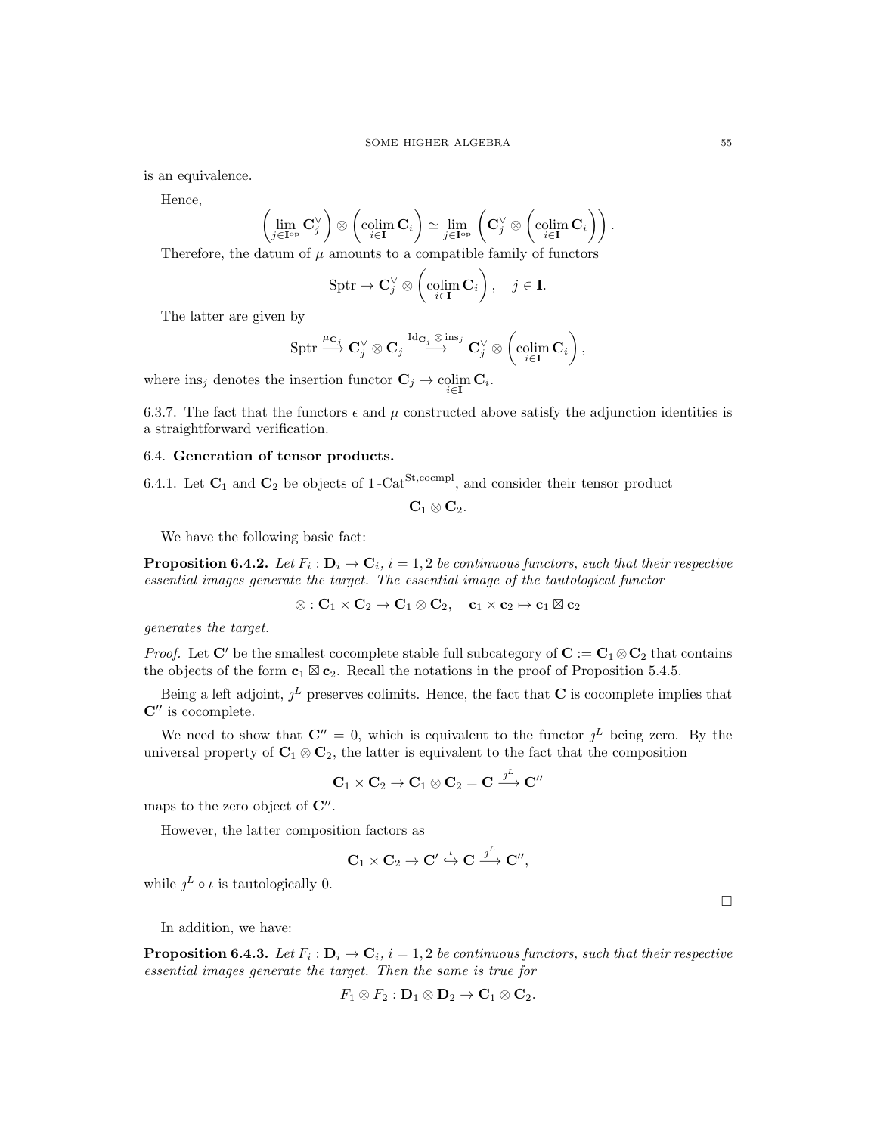is an equivalence.

Hence,

$$
\left(\lim_{j\in{\bf I}^{\rm op}}{\bf C}^{\vee}_j\right)\otimes \left(\operatornamewithlimits{colim}_{i\in{\bf I}}{\bf C}_i\right)\simeq \lim_{j\in{\bf I}^{\rm op}}\left({\bf C}^{\vee}_j\otimes \left(\operatornamewithlimits{colim}_{i\in{\bf I}}{\bf C}_i\right)\right).
$$

Therefore, the datum of  $\mu$  amounts to a compatible family of functors

$$
Sptr \to \mathbf{C}_j^{\vee} \otimes \left(\underset{i \in \mathbf{I}}{\text{colim }} \mathbf{C}_i\right), \quad j \in \mathbf{I}.
$$

The latter are given by

$$
\operatorname{Sptr} \stackrel{\mu_{\mathbf{C}_j}}{\longrightarrow} \mathbf{C}_j^\vee \otimes \mathbf{C}_j \stackrel{\operatorname{Id}_{\mathbf{C}_j} \otimes \operatorname{ins}_j}{\longrightarrow} \mathbf{C}_j^\vee \otimes \left(\operatorname*{colim}_{i \in \mathbf{I}} \mathbf{C}_i\right),
$$

where  $\text{ins}_j$  denotes the insertion functor  $\mathbf{C}_j \to \operatornamewithlimits{colim}_{i \in \mathbf{I}} \mathbf{C}_i$ .

6.3.7. The fact that the functors  $\epsilon$  and  $\mu$  constructed above satisfy the adjunction identities is a straightforward verification.

# 6.4. Generation of tensor products.

6.4.1. Let  $\mathbf{C}_1$  and  $\mathbf{C}_2$  be objects of 1-Cat<sup>St,cocmpl</sup>, and consider their tensor product

 $\mathbf{C}_1 \otimes \mathbf{C}_2.$ 

We have the following basic fact:

**Proposition 6.4.2.** Let  $F_i : D_i \to C_i$ ,  $i = 1, 2$  be continuous functors, such that their respective essential images generate the target. The essential image of the tautological functor

 $\otimes : \mathbf{C}_1 \times \mathbf{C}_2 \to \mathbf{C}_1 \otimes \mathbf{C}_2, \quad \mathbf{c}_1 \times \mathbf{c}_2 \mapsto \mathbf{c}_1 \boxtimes \mathbf{c}_2$ 

generates the target.

*Proof.* Let C' be the smallest cocomplete stable full subcategory of  $C := C_1 \otimes C_2$  that contains the objects of the form  $\mathbf{c}_1 \boxtimes \mathbf{c}_2$ . Recall the notations in the proof of Proposition 5.4.5.

Being a left adjoint,  $j^L$  preserves colimits. Hence, the fact that **C** is cocomplete implies that  $\mathbf{C}^{\prime\prime}$  is cocomplete.

We need to show that  $\mathbf{C}'' = 0$ , which is equivalent to the functor  $j^L$  being zero. By the universal property of  $\mathbf{C}_1 \otimes \mathbf{C}_2$ , the latter is equivalent to the fact that the composition

$$
\mathbf{C}_1 \times \mathbf{C}_2 \to \mathbf{C}_1 \otimes \mathbf{C}_2 = \mathbf{C} \xrightarrow{j^L} \mathbf{C}''
$$

maps to the zero object of  $\mathbb{C}^{\prime\prime}$ .

However, the latter composition factors as

$$
\mathbf{C}_1 \times \mathbf{C}_2 \to \mathbf{C}' \overset{\iota}{\hookrightarrow} \mathbf{C} \overset{\jmath^L}{\longrightarrow} \mathbf{C}'',
$$

while  $j^L \circ \iota$  is tautologically 0.

In addition, we have:

**Proposition 6.4.3.** Let  $F_i: \mathbf{D}_i \to \mathbf{C}_i$ ,  $i = 1, 2$  be continuous functors, such that their respective essential images generate the target. Then the same is true for

$$
F_1\otimes F_2:\mathbf{D}_1\otimes\mathbf{D}_2\to\mathbf{C}_1\otimes\mathbf{C}_2.
$$

 $\Box$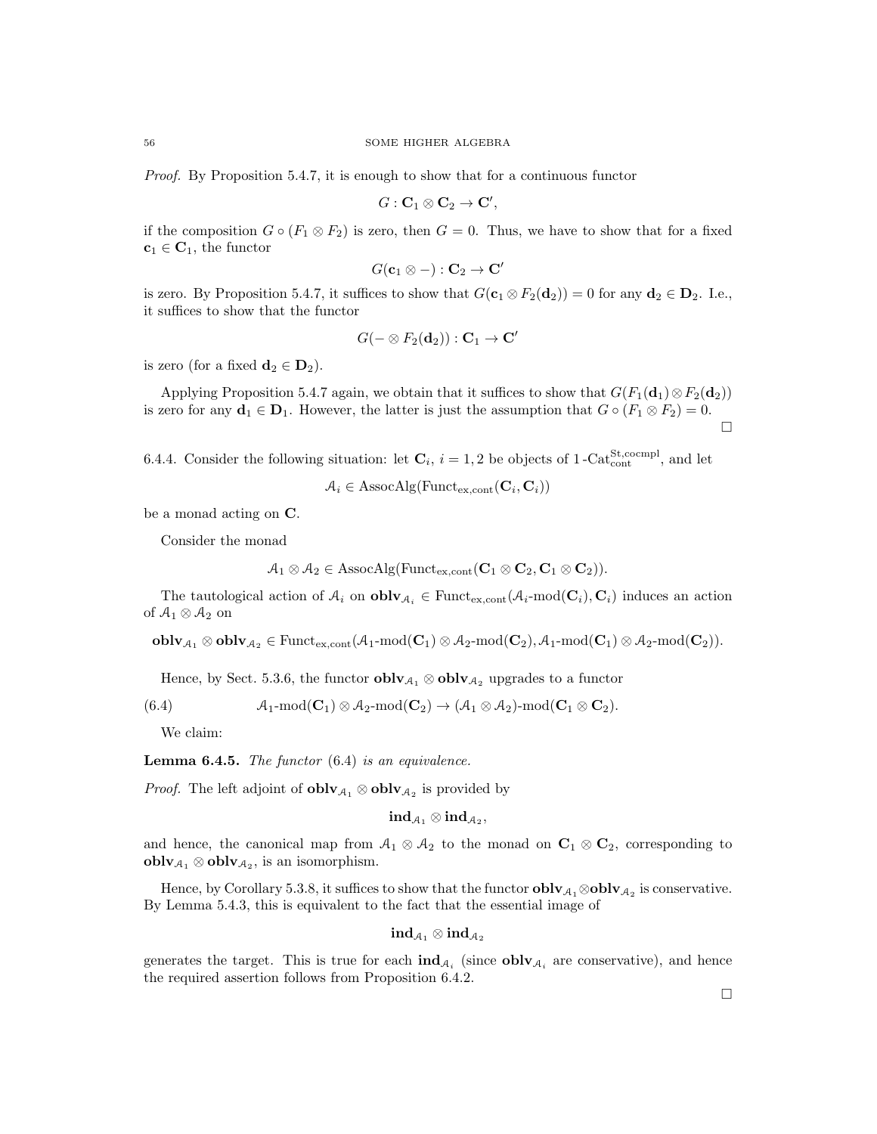Proof. By Proposition 5.4.7, it is enough to show that for a continuous functor

$$
G: \mathbf{C}_1 \otimes \mathbf{C}_2 \to \mathbf{C}',
$$

if the composition  $G \circ (F_1 \otimes F_2)$  is zero, then  $G = 0$ . Thus, we have to show that for a fixed  $c_1 \in C_1$ , the functor

$$
G(\mathbf{c}_1 \otimes -): \mathbf{C}_2 \to \mathbf{C}'
$$

is zero. By Proposition 5.4.7, it suffices to show that  $G(\mathbf{c}_1 \otimes F_2(\mathbf{d}_2)) = 0$  for any  $\mathbf{d}_2 \in \mathbf{D}_2$ . I.e., it suffices to show that the functor

$$
G(-\otimes F_2(\mathbf{d}_2)): \mathbf{C}_1\to \mathbf{C}'
$$

is zero (for a fixed  $\mathbf{d}_2 \in \mathbf{D}_2$ ).

Applying Proposition 5.4.7 again, we obtain that it suffices to show that  $G(F_1(\mathbf{d}_1) \otimes F_2(\mathbf{d}_2))$ is zero for any  $\mathbf{d}_1 \in \mathbf{D}_1$ . However, the latter is just the assumption that  $G \circ (F_1 \otimes F_2) = 0$ .  $\Box$ 

6.4.4. Consider the following situation: let  $\mathbf{C}_i$ ,  $i = 1, 2$  be objects of 1-Cat<sub>cont</sub><sup>St</sup>, cocmpl<sub>,</sub> and let

$$
A_i \in \mathrm{AssocAlg}(\mathrm{Funct}_{\mathrm{ex}, \mathrm{cont}}(\mathbf{C}_i, \mathbf{C}_i))
$$

be a monad acting on C.

Consider the monad

$$
\mathcal{A}_1 \otimes \mathcal{A}_2 \in \mathrm{AssocAlg}(\mathrm{Funct}_{\mathrm{ex},\mathrm{cont}}(\mathbf{C}_1 \otimes \mathbf{C}_2, \mathbf{C}_1 \otimes \mathbf{C}_2)).
$$

The tautological action of  $A_i$  on  $\text{oblv}_{A_i} \in \text{Funct}_{\text{ex,cont}}(\mathcal{A}_i\text{-mod}(\mathbf{C}_i), \mathbf{C}_i)$  induces an action of  $\mathcal{A}_1\otimes\mathcal{A}_2$  on

 $\textbf{oblv}_{\mathcal{A}_1} \otimes \textbf{oblv}_{\mathcal{A}_2} \in \text{Funct}_{\text{ex,cont}}(\mathcal{A}_1\text{-mod}(\mathbf{C}_1) \otimes \mathcal{A}_2\text{-mod}(\mathbf{C}_2), \mathcal{A}_1\text{-mod}(\mathbf{C}_1) \otimes \mathcal{A}_2\text{-mod}(\mathbf{C}_2)).$ 

Hence, by Sect. 5.3.6, the functor  $\textbf{oblv}_{\mathcal{A}_1} \otimes \textbf{oblv}_{\mathcal{A}_2}$  upgrades to a functor

(6.4)  $\mathcal{A}_1$ -mod $(\mathbf{C}_1) \otimes \mathcal{A}_2$ -mod $(\mathbf{C}_2) \rightarrow (\mathcal{A}_1 \otimes \mathcal{A}_2)$ -mod $(\mathbf{C}_1 \otimes \mathbf{C}_2)$ .

We claim:

**Lemma 6.4.5.** The functor  $(6.4)$  is an equivalence.

*Proof.* The left adjoint of  $\textbf{oblv}_{\mathcal{A}_1} \otimes \textbf{oblv}_{\mathcal{A}_2}$  is provided by

$$
\operatorname{ind}_{\mathcal{A}_1}\otimes\operatorname{ind}_{\mathcal{A}_2},
$$

and hence, the canonical map from  $A_1 \otimes A_2$  to the monad on  $\mathbb{C}_1 \otimes \mathbb{C}_2$ , corresponding to  $oblv_{\mathcal{A}_1}\otimes oblv_{\mathcal{A}_2}$ , is an isomorphism.

Hence, by Corollary 5.3.8, it suffices to show that the functor  $oblv_{\mathcal{A}_1}\otimes oblv_{\mathcal{A}_2}$  is conservative. By Lemma 5.4.3, this is equivalent to the fact that the essential image of

$$
\mathbf{ind}_{\mathcal{A}_1}\otimes \mathbf{ind}_{\mathcal{A}_2}
$$

generates the target. This is true for each  $\text{ind}_{\mathcal{A}_i}$  (since  $\text{oblv}_{\mathcal{A}_i}$  are conservative), and hence the required assertion follows from Proposition 6.4.2.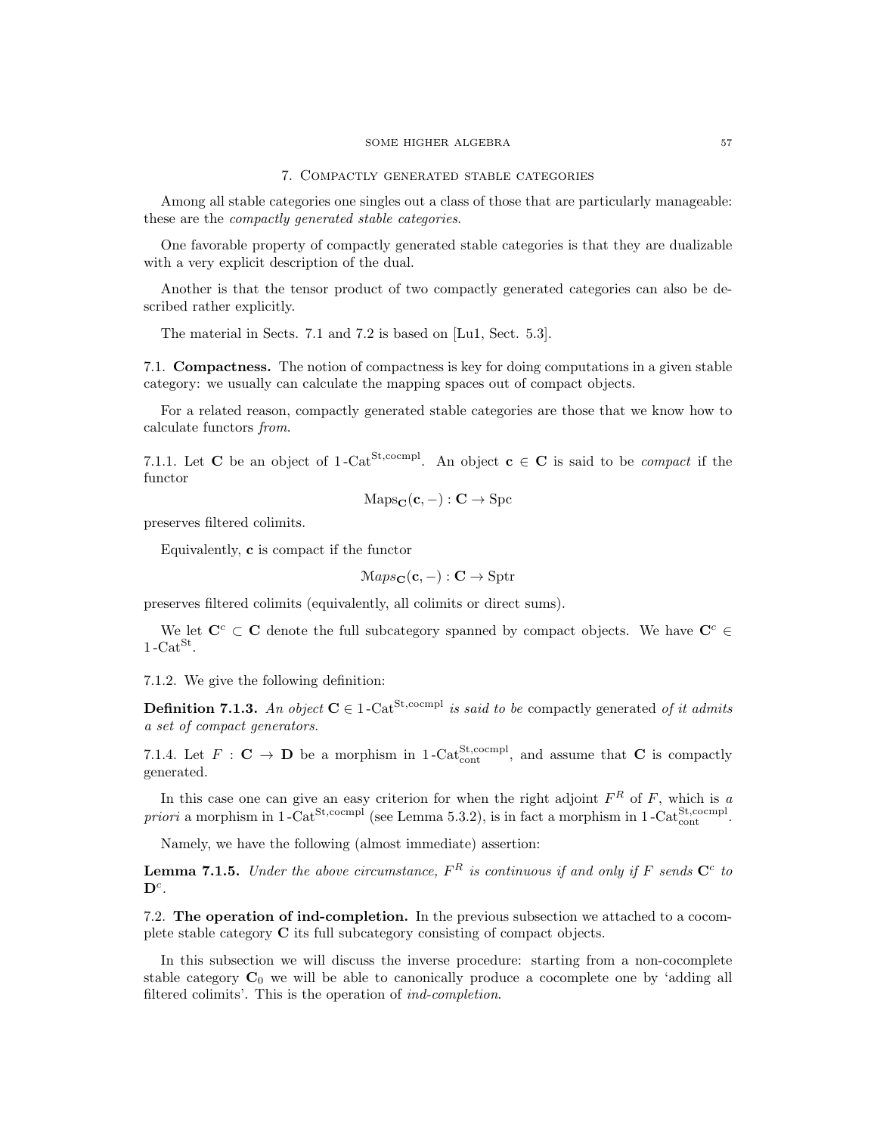### 7. Compactly generated stable categories

Among all stable categories one singles out a class of those that are particularly manageable: these are the compactly generated stable categories.

One favorable property of compactly generated stable categories is that they are dualizable with a very explicit description of the dual.

Another is that the tensor product of two compactly generated categories can also be described rather explicitly.

The material in Sects. 7.1 and 7.2 is based on [Lu1, Sect. 5.3].

7.1. Compactness. The notion of compactness is key for doing computations in a given stable category: we usually can calculate the mapping spaces out of compact objects.

For a related reason, compactly generated stable categories are those that we know how to calculate functors from.

7.1.1. Let **C** be an object of 1-Cat<sup>St,cocmpl</sup>. An object  $c \in C$  is said to be *compact* if the functor

$$
\mathrm{Maps}_{\mathbf{C}}(\mathbf{c}, -): \mathbf{C} \to \mathrm{Spc}
$$

preserves filtered colimits.

Equivalently, c is compact if the functor

$$
Maps_{\mathbf{C}}(\mathbf{c}, -): \mathbf{C} \to \text{Sptr}
$$

preserves filtered colimits (equivalently, all colimits or direct sums).

We let  $\mathbf{C}^c \subset \mathbf{C}$  denote the full subcategory spanned by compact objects. We have  $\mathbf{C}^c \in \mathbf{C}$  $1 - \text{Cat}^{\text{St}}$ .

7.1.2. We give the following definition:

**Definition 7.1.3.** An object  $C \in 1$ -Cat<sup>St,cocmpl</sup> is said to be compactly generated of it admits a set of compact generators.

7.1.4. Let  $F: \mathbf{C} \to \mathbf{D}$  be a morphism in 1-Cat<sup>St</sup>, cocmpl, and assume that **C** is compactly generated.

In this case one can give an easy criterion for when the right adjoint  $F^R$  of F, which is a priori a morphism in  $1$ -Cat<sup>St,cocmpl</sup> (see Lemma 5.3.2), is in fact a morphism in  $1$ -Cat $_{\text{cont}}^{\text{St,coempl}}$ .

Namely, we have the following (almost immediate) assertion:

**Lemma 7.1.5.** Under the above circumstance,  $F^R$  is continuous if and only if F sends  $C^c$  to  $\mathbf{D}^c$ .

7.2. The operation of ind-completion. In the previous subsection we attached to a cocomplete stable category C its full subcategory consisting of compact objects.

In this subsection we will discuss the inverse procedure: starting from a non-cocomplete stable category  $C_0$  we will be able to canonically produce a cocomplete one by 'adding all filtered colimits'. This is the operation of ind-completion.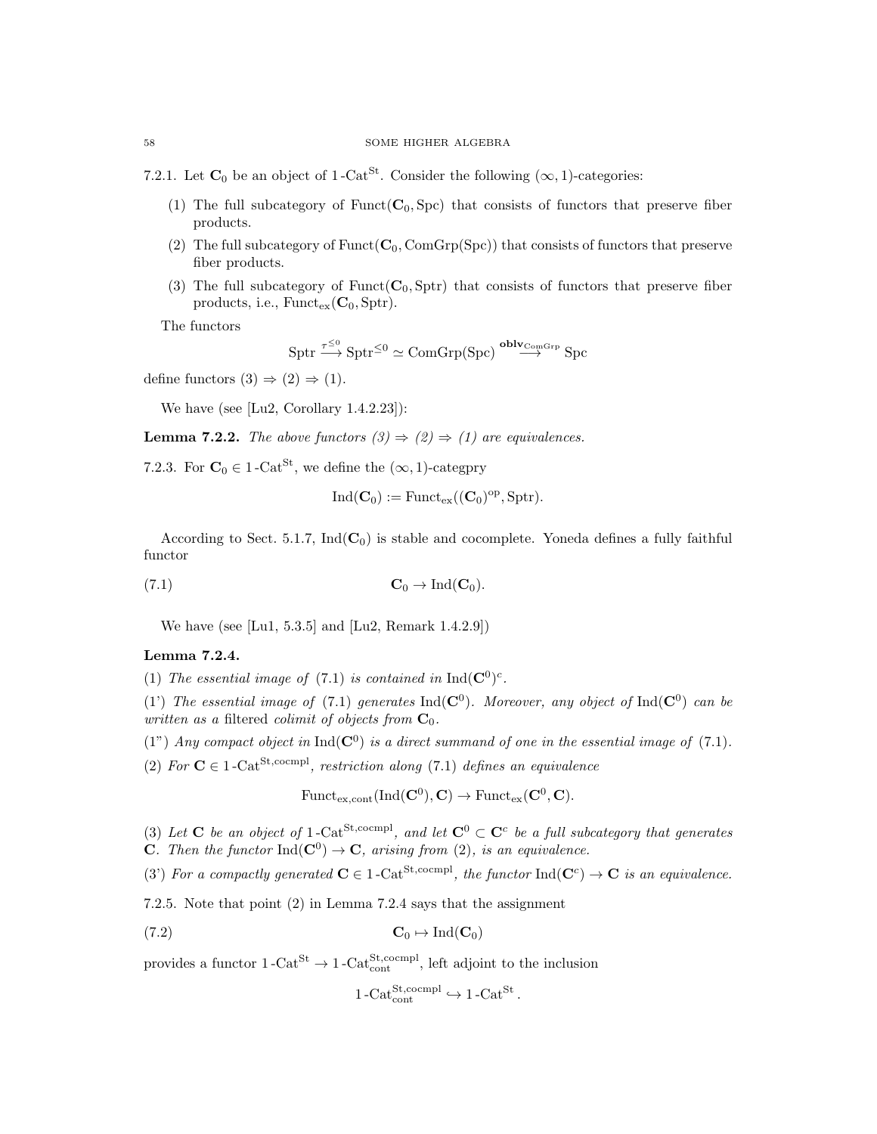- 7.2.1. Let  $\mathbf{C}_0$  be an object of 1-Cat<sup>St</sup>. Consider the following  $(\infty, 1)$ -categories:
	- (1) The full subcategory of Funct( $C_0$ , Spc) that consists of functors that preserve fiber products.
	- (2) The full subcategory of  $Funct(C_0, ComGrp(Spc))$  that consists of functors that preserve fiber products.
	- (3) The full subcategory of Funct( $C_0$ , Sptr) that consists of functors that preserve fiber products, i.e.,  $Funct_{ex}(\mathbf{C}_0, \text{Sptr}).$

The functors

$$
\text{Sptr} \xrightarrow{\tau^{\leq 0}} \text{Sptr}^{\leq 0} \simeq \text{ComGrp}(\text{Spc}) \xrightarrow{\text{oblv}_{\text{ComGrp}}} \text{Spc}
$$

define functors  $(3) \Rightarrow (2) \Rightarrow (1)$ .

We have (see [Lu2, Corollary 1.4.2.23]):

**Lemma 7.2.2.** The above functors  $(3) \Rightarrow (2) \Rightarrow (1)$  are equivalences.

7.2.3. For  $C_0 \in 1$  -Cat<sup>St</sup>, we define the  $(\infty, 1)$ -categpry

$$
\mathrm{Ind}(\mathbf{C}_0):=\mathrm{Funct}_{\mathrm{ex}}((\mathbf{C}_0)^{\mathrm{op}},\mathrm{Sptr}).
$$

According to Sect. 5.1.7,  $Ind(C_0)$  is stable and cocomplete. Yoneda defines a fully faithful functor

(7.1)  $\mathbf{C}_0 \to \text{Ind}(\mathbf{C}_0).$ 

We have (see [Lu1, 5.3.5] and [Lu2, Remark 1.4.2.9])

# Lemma 7.2.4.

(1) The essential image of (7.1) is contained in  $Ind(C^0)^c$ .

(1) The essential image of (7.1) generates  $\text{Ind}(\mathbf{C}^0)$ . Moreover, any object of  $\text{Ind}(\mathbf{C}^0)$  can be written as a filtered colimit of objects from  $C_0$ .

(1") Any compact object in  $Ind(C^0)$  is a direct summand of one in the essential image of (7.1).

(2) For  $C \in 1$ -Cat<sup>St,cocmpl</sup>, restriction along (7.1) defines an equivalence

 $\text{Funct}_{\text{ex},\text{cont}}(\text{Ind}(\mathbf{C}^0), \mathbf{C}) \to \text{Funct}_{\text{ex}}(\mathbf{C}^0, \mathbf{C}).$ 

(3) Let **C** be an object of 1-Cat<sup>St,cocmpl</sup>, and let  $\mathbf{C}^0 \subset \mathbf{C}^c$  be a full subcategory that generates **C**. Then the functor  $\text{Ind}(\mathbf{C}^0) \to \mathbf{C}$ , arising from (2), is an equivalence.

(3) For a compactly generated  $C \in 1$ -Cat<sup>St,cocmpl</sup>, the functor  $\text{Ind}(C^c) \to C$  is an equivalence.

7.2.5. Note that point (2) in Lemma 7.2.4 says that the assignment

$$
C_0 \mapsto \mathrm{Ind}(C_0)
$$

provides a functor  $1-\text{Cat}^{\text{St}} \to 1-\text{Cat}_{\text{cont}}^{\text{St,coempl}}$ , left adjoint to the inclusion

$$
1\text{-Cat}_{\text{cont}}^{\text{St,coempl}} \hookrightarrow 1\text{-Cat}^{\text{St}}.
$$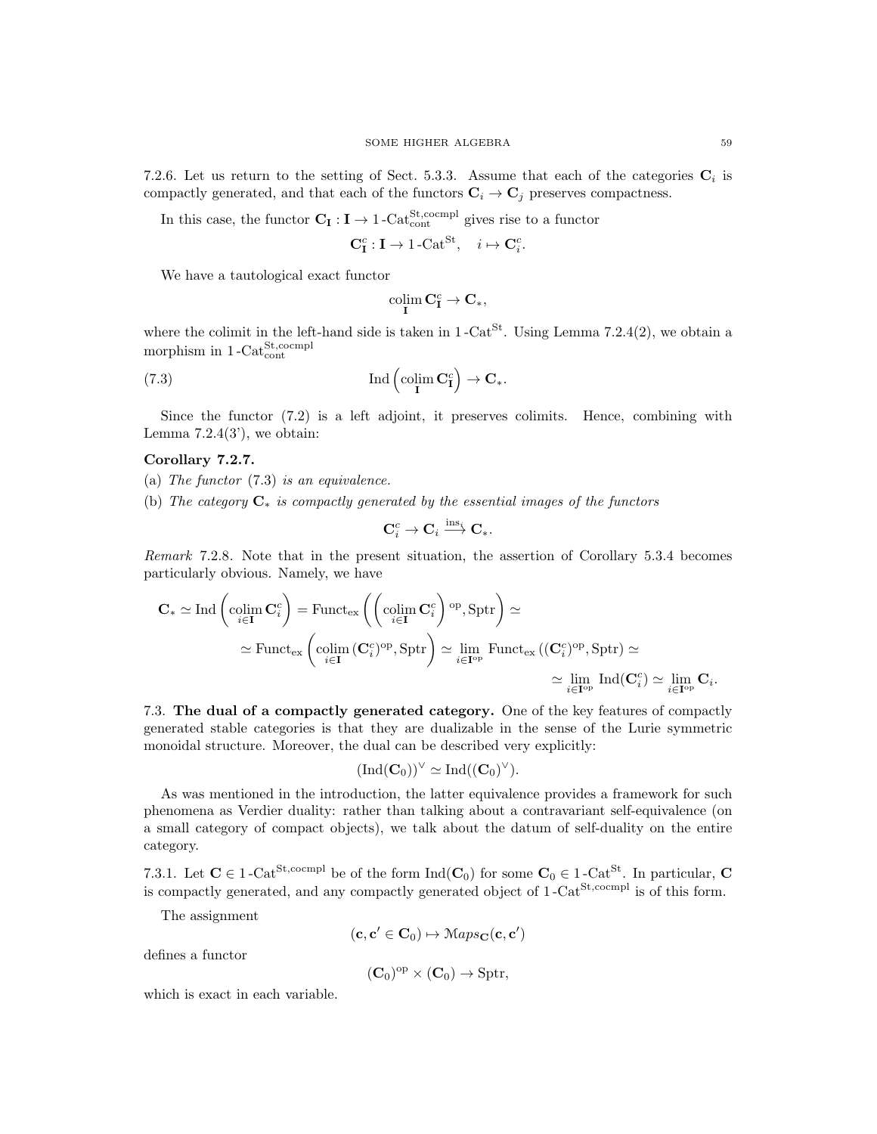7.2.6. Let us return to the setting of Sect. 5.3.3. Assume that each of the categories  $\mathbf{C}_i$  is compactly generated, and that each of the functors  $\mathbf{C}_i \to \mathbf{C}_j$  preserves compactness.

In this case, the functor  $C_I : I \to 1$ -Cat<sup>St</sup>,cocmpl gives rise to a functor

$$
\mathbf{C}_{\mathbf{I}}^c : \mathbf{I} \to 1\text{-}\mathrm{Cat}^{\mathrm{St}}, \quad i \mapsto \mathbf{C}_i^c.
$$

We have a tautological exact functor

$$
\operatornamewithlimits{colim}_I C^{\text{c}}_I \to C_*,
$$

where the colimit in the left-hand side is taken in  $1$ -Cat<sup>St</sup>. Using Lemma 7.2.4(2), we obtain a morphism in  $1-\text{Cat}^{\text{St,coempl}}_{\text{cont}}$ 

(7.3) 
$$
\operatorname{Ind}\left(\operatorname{colim}_{\mathbf{I}}\mathbf{C}_{\mathbf{I}}^c\right) \to \mathbf{C}_*.
$$

Since the functor (7.2) is a left adjoint, it preserves colimits. Hence, combining with Lemma  $7.2.4(3)$ , we obtain:

## Corollary 7.2.7.

- (a) The functor (7.3) is an equivalence.
- (b) The category  $C_*$  is compactly generated by the essential images of the functors

$$
\mathbf{C}_i^c \to \mathbf{C}_i \stackrel{\operatorname{ins}_i}{\longrightarrow} \mathbf{C}_*.
$$

Remark 7.2.8. Note that in the present situation, the assertion of Corollary 5.3.4 becomes particularly obvious. Namely, we have

$$
\mathbf{C}_{*} \simeq \text{Ind}\left(\underset{i \in \mathbf{I}}{\text{colim }} \mathbf{C}_{i}^{c}\right) = \text{Funct}_{\text{ex}}\left(\left(\underset{i \in \mathbf{I}}{\text{colim }} \mathbf{C}_{i}^{c}\right)^{\text{op}}, \text{Sptr}\right) \simeq
$$
\n
$$
\simeq \text{Funct}_{\text{ex}}\left(\underset{i \in \mathbf{I}}{\text{colim }} (\mathbf{C}_{i}^{c})^{\text{op}}, \text{Sptr}\right) \simeq \underset{i \in \mathbf{I}^{\text{op}}}{\text{lim }} \text{Funct}_{\text{ex}}\left((\mathbf{C}_{i}^{c})^{\text{op}}, \text{Sptr}\right) \simeq
$$
\n
$$
\simeq \underset{i \in \mathbf{I}^{\text{op}}}{\text{lim }} \text{Ind}(\mathbf{C}_{i}^{c}) \simeq \underset{i \in \mathbf{I}^{\text{op}}}{\text{lim }} \mathbf{C}_{i}.
$$

7.3. The dual of a compactly generated category. One of the key features of compactly generated stable categories is that they are dualizable in the sense of the Lurie symmetric monoidal structure. Moreover, the dual can be described very explicitly:

$$
(\mathrm{Ind}(\mathbf{C}_0))^\vee \simeq \mathrm{Ind}((\mathbf{C}_0)^\vee).
$$

As was mentioned in the introduction, the latter equivalence provides a framework for such phenomena as Verdier duality: rather than talking about a contravariant self-equivalence (on a small category of compact objects), we talk about the datum of self-duality on the entire category.

7.3.1. Let  $C \in 1$ -Cat<sup>St,cocmpl</sup> be of the form  $Ind(C_0)$  for some  $C_0 \in 1$ -Cat<sup>St</sup>. In particular, C is compactly generated, and any compactly generated object of  $1$ -Cat<sup>St,cocmpl</sup> is of this form.

The assignment

$$
(\mathbf{c},\mathbf{c}'\in\mathbf{C}_0)\mapsto \mathbb{M}aps_{\mathbf{C}}(\mathbf{c},\mathbf{c}')
$$

defines a functor

$$
(\mathbf{C}_0)^{op} \times (\mathbf{C}_0) \to \operatorname{Sptr},
$$

which is exact in each variable.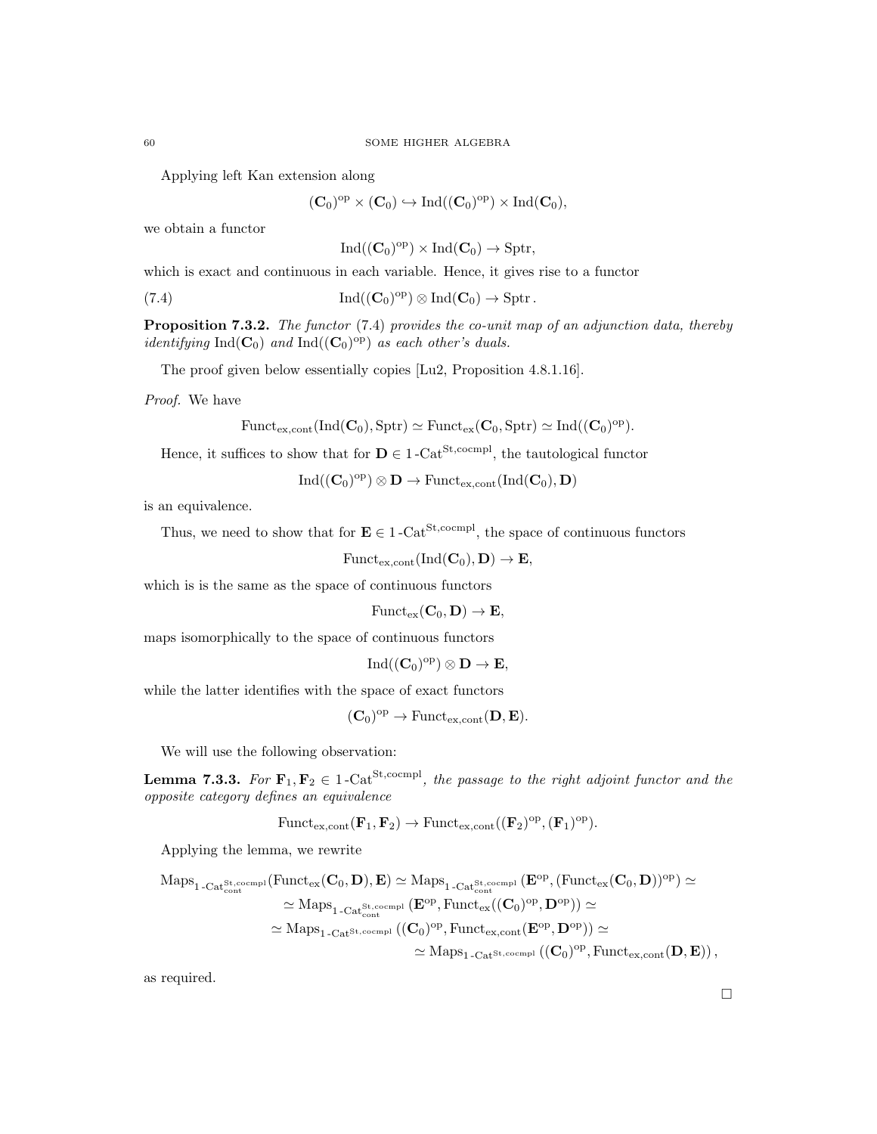Applying left Kan extension along

 $(\mathbf{C}_0)^{\mathrm{op}} \times (\mathbf{C}_0) \hookrightarrow \mathrm{Ind}((\mathbf{C}_0)^{\mathrm{op}}) \times \mathrm{Ind}(\mathbf{C}_0),$ 

we obtain a functor

 $\mathrm{Ind}((\mathbf{C}_0)^{\mathrm{op}})\times \mathrm{Ind}(\mathbf{C}_0)\to \mathrm{Sptr},$ 

which is exact and continuous in each variable. Hence, it gives rise to a functor

(7.4) 
$$
\operatorname{Ind}((\mathbf{C}_0)^{\mathrm{op}}) \otimes \operatorname{Ind}(\mathbf{C}_0) \to \operatorname{Spt}.
$$

**Proposition 7.3.2.** The functor  $(7.4)$  provides the co-unit map of an adjunction data, thereby *identifying* Ind( $\mathbf{C}_0$ ) and Ind( $(\mathbf{C}_0)^\text{op}$ ) as each other's duals.

The proof given below essentially copies [Lu2, Proposition 4.8.1.16].

Proof. We have

$$
\mathrm{Funct}_{\mathrm{ex},\mathrm{cont}}(\mathrm{Ind}(\mathbf{C}_0),\mathrm{Sptr})\simeq \mathrm{Funct}_{\mathrm{ex}}(\mathbf{C}_0,\mathrm{Sptr})\simeq \mathrm{Ind}((\mathbf{C}_0)^{\mathrm{op}}).
$$

Hence, it suffices to show that for  $\mathbf{D} \in 1$ -Cat<sup>St,cocmpl</sup>, the tautological functor

 $\mathrm{Ind}((\mathbf{C}_0)^{\mathrm{op}}) \otimes \mathbf{D} \to \mathrm{Funct}_{\mathrm{ex,cont}}(\mathrm{Ind}(\mathbf{C}_0), \mathbf{D})$ 

is an equivalence.

Thus, we need to show that for  $\mathbf{E} \in 1-\text{Cat}^{\text{St,coempl}}$ , the space of continuous functors

Funct<sub>ex,cont</sub> $\text{Ind}(\mathbf{C}_0), \mathbf{D} \rightarrow \mathbf{E}$ ,

which is is the same as the space of continuous functors

 $\text{Funct}_{\text{ex}}(\mathbf{C}_0, \mathbf{D}) \to \mathbf{E},$ 

maps isomorphically to the space of continuous functors

$$
\mathrm{Ind}((\mathbf{C}_0)^{\mathrm{op}})\otimes \mathbf{D}\to \mathbf{E},
$$

while the latter identifies with the space of exact functors

$$
(\mathbf{C}_0)^{\mathrm{op}} \to \mathrm{Funct}_{\mathrm{ex,cont}}(\mathbf{D}, \mathbf{E}).
$$

We will use the following observation:

**Lemma 7.3.3.** For  $\mathbf{F}_1, \mathbf{F}_2 \in 1$ -Cat<sup>St,cocmpl</sup>, the passage to the right adjoint functor and the opposite category defines an equivalence

$$
\mathrm{Funct}_{\mathrm{ex}, \mathrm{cont}}(\mathbf{F}_1, \mathbf{F}_2) \to \mathrm{Funct}_{\mathrm{ex}, \mathrm{cont}}((\mathbf{F}_2)^{\mathrm{op}}, (\mathbf{F}_1)^{\mathrm{op}}).
$$

Applying the lemma, we rewrite

$$
\begin{aligned} \mathrm{Maps}_{1\text{-}\mathrm{Cat}_{\mathrm{cont}}^{\mathrm{St},\mathrm{ccompl}}}(\mathrm{Funct}_{\mathrm{ex}}(\mathbf{C}_0,\mathbf{D}),\mathbf{E})&\simeq\mathrm{Maps}_{1\text{-}\mathrm{Cat}_{\mathrm{cont}}^{\mathrm{St},\mathrm{ccompl}}}(\mathbf{E}^{\mathrm{op}},(\mathrm{Funct}_{\mathrm{ex}}(\mathbf{C}_0,\mathbf{D}))^{\mathrm{op}})\simeq\\ &\simeq\mathrm{Maps}_{1\text{-}\mathrm{Cat}_{\mathrm{cont}}^{\mathrm{St},\mathrm{ccompl}}}(\mathbf{E}^{\mathrm{op}},\mathrm{Funct}_{\mathrm{ex}}((\mathbf{C}_0)^{\mathrm{op}},\mathbf{D}^{\mathrm{op}}))\simeq\\ &\simeq\mathrm{Maps}_{1\text{-}\mathrm{Cat}^{\mathrm{St},\mathrm{ccompl}}}((\mathbf{C}_0)^{\mathrm{op}},\mathrm{Funct}_{\mathrm{ex},\mathrm{cont}}(\mathbf{E}^{\mathrm{op}},\mathbf{D}^{\mathrm{op}}))\simeq\\ &\simeq\mathrm{Maps}_{1\text{-}\mathrm{Cat}^{\mathrm{St},\mathrm{ccompl}}}((\mathbf{C}_0)^{\mathrm{op}},\mathrm{Funct}_{\mathrm{ex},\mathrm{cont}}(\mathbf{D},\mathbf{E}))\,, \end{aligned}
$$

as required.

 $\Box$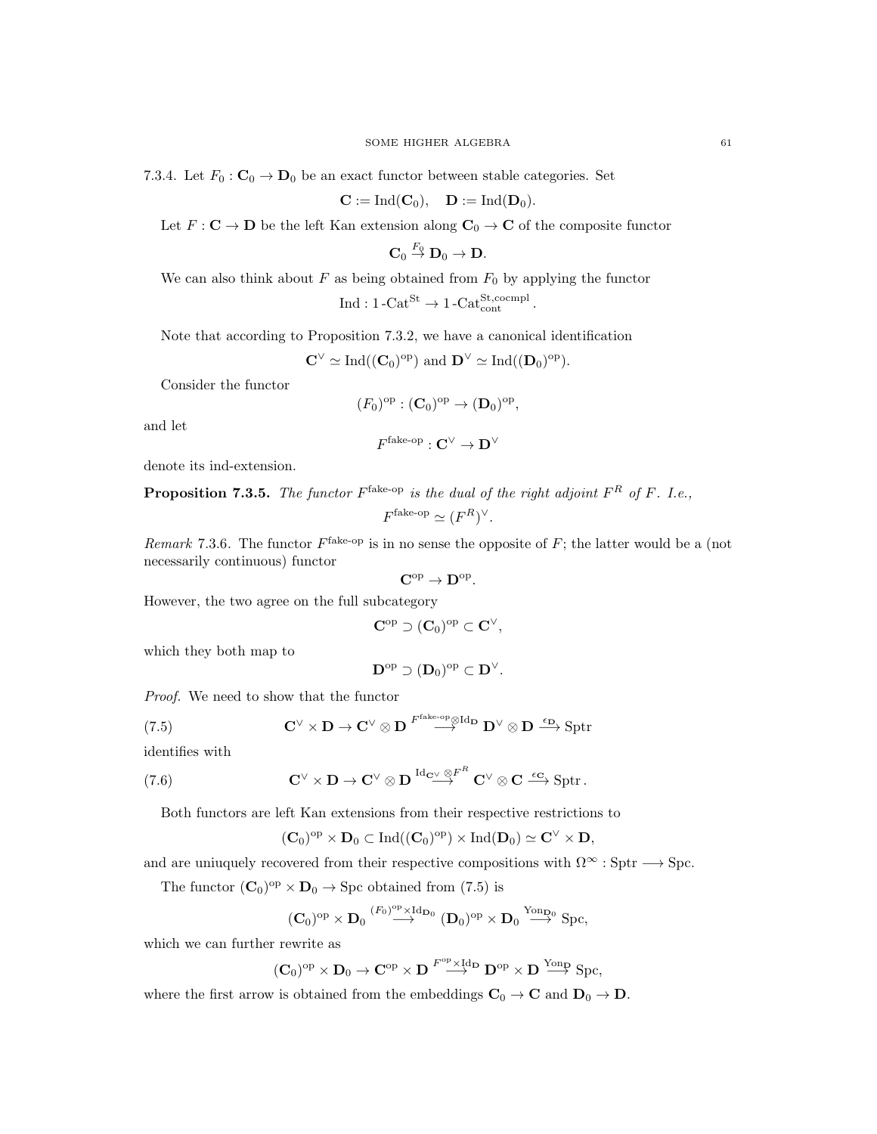7.3.4. Let  $F_0: \mathbb{C}_0 \to \mathbb{D}_0$  be an exact functor between stable categories. Set

$$
\mathbf{C} := \mathrm{Ind}(\mathbf{C}_0), \quad \mathbf{D} := \mathrm{Ind}(\mathbf{D}_0).
$$

Let  $F: \mathbf{C} \to \mathbf{D}$  be the left Kan extension along  $\mathbf{C}_0 \to \mathbf{C}$  of the composite functor

 $\mathbf{C}_0 \stackrel{F_0}{\rightarrow} \mathbf{D}_0 \rightarrow \mathbf{D}.$ 

We can also think about  $F$  as being obtained from  $F_0$  by applying the functor

$$
\operatorname{Ind}: 1\text{-}\mathrm{Cat}^{\mathrm{St}} \to 1\text{-}\mathrm{Cat}_{\mathrm{cont}}^{\mathrm{St, cocmpl}}.
$$

Note that according to Proposition 7.3.2, we have a canonical identification

 $\mathbf{C}^{\vee} \simeq \text{Ind}((\mathbf{C}_0)^{\text{op}})$  and  $\mathbf{D}^{\vee} \simeq \text{Ind}((\mathbf{D}_0)^{\text{op}})$ .

Consider the functor

$$
(F_0)^{\rm op} : (\mathbf{C}_0)^{\rm op} \to (\mathbf{D}_0)^{\rm op},
$$

and let

$$
F^{\text{fake-op}}: \mathbf{C}^\vee \to \mathbf{D}^\vee
$$

denote its ind-extension.

**Proposition 7.3.5.** The functor  $F^{\text{fake-op}}$  is the dual of the right adjoint  $F^R$  of  $F$ . I.e.,

$$
F^{\text{fake-op}} \simeq (F^R)^{\vee}.
$$

Remark 7.3.6. The functor  $F^{\text{fake-op}}$  is in no sense the opposite of F; the latter would be a (not necessarily continuous) functor

$$
\mathbf{C}^\mathrm{op} \to \mathbf{D}^\mathrm{op}.
$$

However, the two agree on the full subcategory

$$
\mathbf{C}^{\mathrm{op}} \supset (\mathbf{C}_0)^{\mathrm{op}} \subset \mathbf{C}^{\vee},
$$

which they both map to

$$
\mathbf{D}^{\mathrm{op}} \supset (\mathbf{D}_0)^{\mathrm{op}} \subset \mathbf{D}^{\vee}.
$$

Proof. We need to show that the functor

(7.5) 
$$
\mathbf{C}^{\vee} \times \mathbf{D} \to \mathbf{C}^{\vee} \otimes \mathbf{D} \xrightarrow{F^{\text{fake-op}} \otimes \text{Id}_{\mathbf{D}} \mathbf{D}^{\vee} \otimes \mathbf{D} \xrightarrow{\epsilon_{\mathbf{D}}} \text{Sptr}
$$

identifies with

(7.6) 
$$
\mathbf{C}^{\vee} \times \mathbf{D} \to \mathbf{C}^{\vee} \otimes \mathbf{D} \stackrel{\mathrm{Id}_{\mathbf{C}^{\vee}} \otimes F^{R}}{\longrightarrow} \mathbf{C}^{\vee} \otimes \mathbf{C} \stackrel{\epsilon_{\mathbf{C}}}{\longrightarrow} \mathrm{Sptr}.
$$

Both functors are left Kan extensions from their respective restrictions to

$$
(\mathbf{C}_0)^{\mathrm{op}} \times \mathbf{D}_0 \subset \mathrm{Ind}((\mathbf{C}_0)^{\mathrm{op}}) \times \mathrm{Ind}(\mathbf{D}_0) \simeq \mathbf{C}^{\vee} \times \mathbf{D},
$$

and are uniuquely recovered from their respective compositions with  $\Omega^{\infty}$  : Sptr  $\longrightarrow$  Spc.

The functor  $(C_0)^{op} \times D_0 \to \text{Spc}$  obtained from (7.5) is

$$
(\mathbf{C}_0)^{op} \times \mathbf{D}_0 \stackrel{(F_0)^{op} \times \mathrm{Id}_{\mathbf{D}_0}}{\longrightarrow} (\mathbf{D}_0)^{op} \times \mathbf{D}_0 \stackrel{\mathrm{Yon}_{\mathbf{D}_0}}{\longrightarrow} \mathrm{Spc},
$$

which we can further rewrite as

$$
(\mathbf{C}_0)^{\mathrm{op}} \times \mathbf{D}_0 \to \mathbf{C}^{\mathrm{op}} \times \mathbf{D} \overset{F^{\mathrm{op}} \times \mathrm{Id} \mathbf{D}}{\longrightarrow} \mathbf{D}^{\mathrm{op}} \times \mathbf{D} \overset{\mathrm{Y}\mathrm{on}}{\longrightarrow} \mathrm{Spc},
$$

where the first arrow is obtained from the embeddings  $C_0 \to C$  and  $D_0 \to D$ .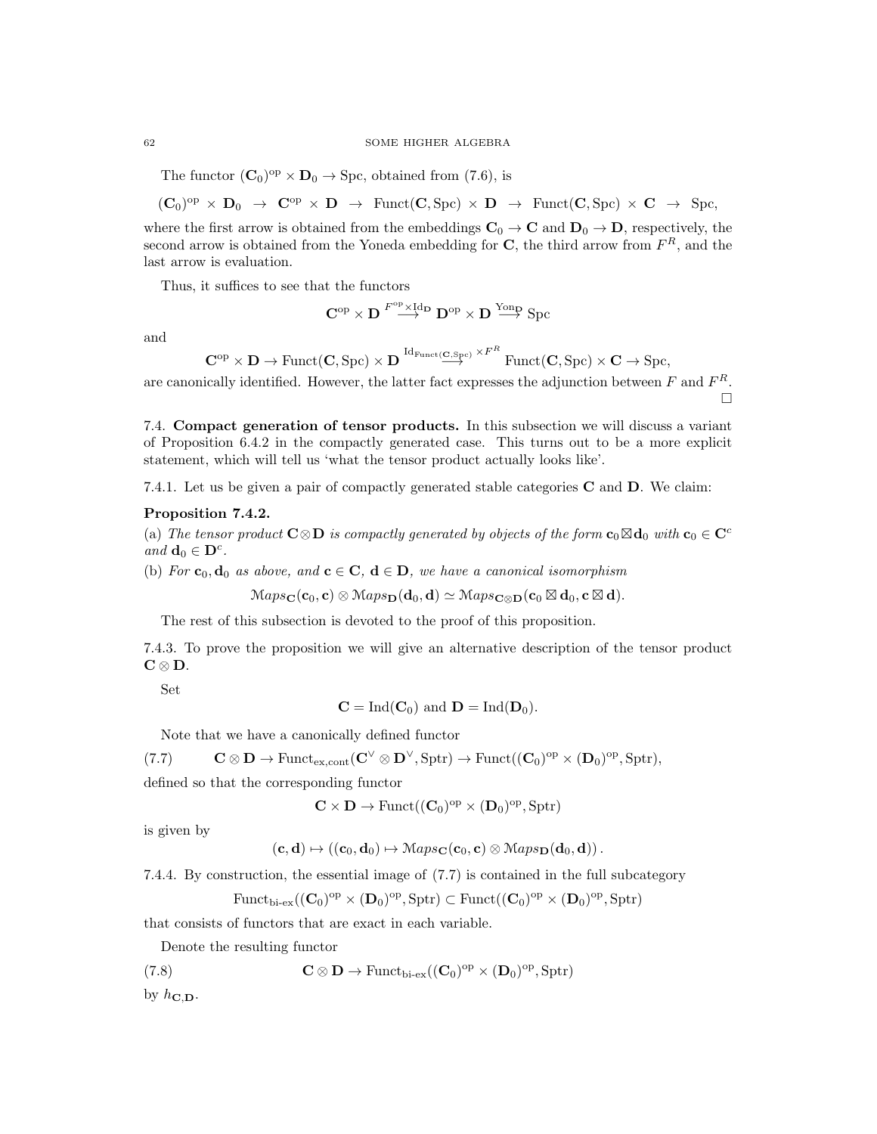The functor  $(C_0)^{op} \times D_0 \to \text{Spc}$ , obtained from (7.6), is

$$
(\mathbf{C}_0)^{\mathrm{op}} \times \mathbf{D}_0 \ \rightarrow \ \mathbf{C}^{\mathrm{op}} \times \mathbf{D} \ \rightarrow \ \mathrm{Funct}(\mathbf{C}, \mathrm{Spc}) \times \mathbf{D} \ \rightarrow \ \mathrm{Funct}(\mathbf{C}, \mathrm{Spc}) \times \mathbf{C} \ \rightarrow \ \mathrm{Spc},
$$

where the first arrow is obtained from the embeddings  $C_0 \rightarrow C$  and  $D_0 \rightarrow D$ , respectively, the second arrow is obtained from the Yoneda embedding for  $\mathbf{C}$ , the third arrow from  $F^{R}$ , and the last arrow is evaluation.

Thus, it suffices to see that the functors

$$
\mathbf{C}^\mathrm{op} \times \mathbf{D} \stackrel{F^\mathrm{op} \times \mathrm{Id}_\mathbf{D}}{\longrightarrow} \mathbf{D}^\mathrm{op} \times \mathbf{D} \stackrel{\mathrm{Yonp}}{\longrightarrow} \mathrm{Spc}
$$

and

$$
\mathbf{C}^{\mathrm{op}}\times \mathbf{D}\rightarrow \mathrm{Funct}(\mathbf{C},\mathrm{Spc})\times \mathbf{D} \xrightarrow{\mathrm{Id}_{\mathrm{Funct}}(\mathbf{C},\mathrm{Spc})}\times F^R \mathrm{Funct}(\mathbf{C},\mathrm{Spc})\times \mathbf{C}\rightarrow \mathrm{Spc},
$$

are canonically identified. However, the latter fact expresses the adjunction between  $F$  and  $F^R$ .  $\Box$ 

7.4. Compact generation of tensor products. In this subsection we will discuss a variant of Proposition 6.4.2 in the compactly generated case. This turns out to be a more explicit statement, which will tell us 'what the tensor product actually looks like'.

7.4.1. Let us be given a pair of compactly generated stable categories **C** and **D**. We claim:

### Proposition 7.4.2.

(a) The tensor product  $C \otimes D$  is compactly generated by objects of the form  $c_0 \boxtimes d_0$  with  $c_0 \in C^c$ and  $\mathbf{d}_0 \in \mathbf{D}^c$ .

(b) For  $c_0, d_0$  as above, and  $c \in C$ ,  $d \in D$ , we have a canonical isomorphism

 $\mathrm{Maps}_{\mathbf{C}}(\mathbf{c}_0, \mathbf{c}) \otimes \mathrm{Maps}_{\mathbf{D}}(\mathbf{d}_0, \mathbf{d}) \simeq \mathrm{Maps}_{\mathbf{C} \otimes \mathbf{D}}(\mathbf{c}_0 \boxtimes \mathbf{d}_0, \mathbf{c} \boxtimes \mathbf{d}).$ 

The rest of this subsection is devoted to the proof of this proposition.

7.4.3. To prove the proposition we will give an alternative description of the tensor product  $C \otimes D$ .

Set

$$
\mathbf{C} = \mathrm{Ind}(\mathbf{C}_0) \text{ and } \mathbf{D} = \mathrm{Ind}(\mathbf{D}_0).
$$

Note that we have a canonically defined functor

 $(C \otimes D \to \text{Funct}_{ex, cont} (C^{\vee} \otimes D^{\vee}, \text{Sptr}) \to \text{Funct}((C_0)^{\text{op}} \times (D_0)^{\text{op}}, \text{Sptr}),$ 

defined so that the corresponding functor

$$
\mathbf{C} \times \mathbf{D} \to \mathrm{Funct}((\mathbf{C}_0)^\mathrm{op} \times (\mathbf{D}_0)^\mathrm{op}, \mathrm{Sptr})
$$

is given by

$$
(\mathbf{c},\mathbf{d}) \mapsto ((\mathbf{c}_0,\mathbf{d}_0) \mapsto \mathcal{M}aps_{\mathbf{C}}(\mathbf{c}_0,\mathbf{c}) \otimes \mathcal{M}aps_{\mathbf{D}}(\mathbf{d}_0,\mathbf{d})).
$$

7.4.4. By construction, the essential image of (7.7) is contained in the full subcategory

$$
\mathrm{Funct}_{\mathrm{bi}\text{-}\mathrm{ex}}((\mathbf{C}_0)^{\mathrm{op}}\times(\mathbf{D}_0)^{\mathrm{op}},\mathrm{Sptr})\subset \mathrm{Funct}((\mathbf{C}_0)^{\mathrm{op}}\times(\mathbf{D}_0)^{\mathrm{op}},\mathrm{Sptr})
$$

that consists of functors that are exact in each variable.

Denote the resulting functor

(7.8) 
$$
\mathbf{C} \otimes \mathbf{D} \to \text{Funct}_{\text{bi-ex}}((\mathbf{C}_0)^{\text{op}} \times (\mathbf{D}_0)^{\text{op}}, \text{Sptr})
$$

by  $h_{\mathbf{C}.\mathbf{D}}$ .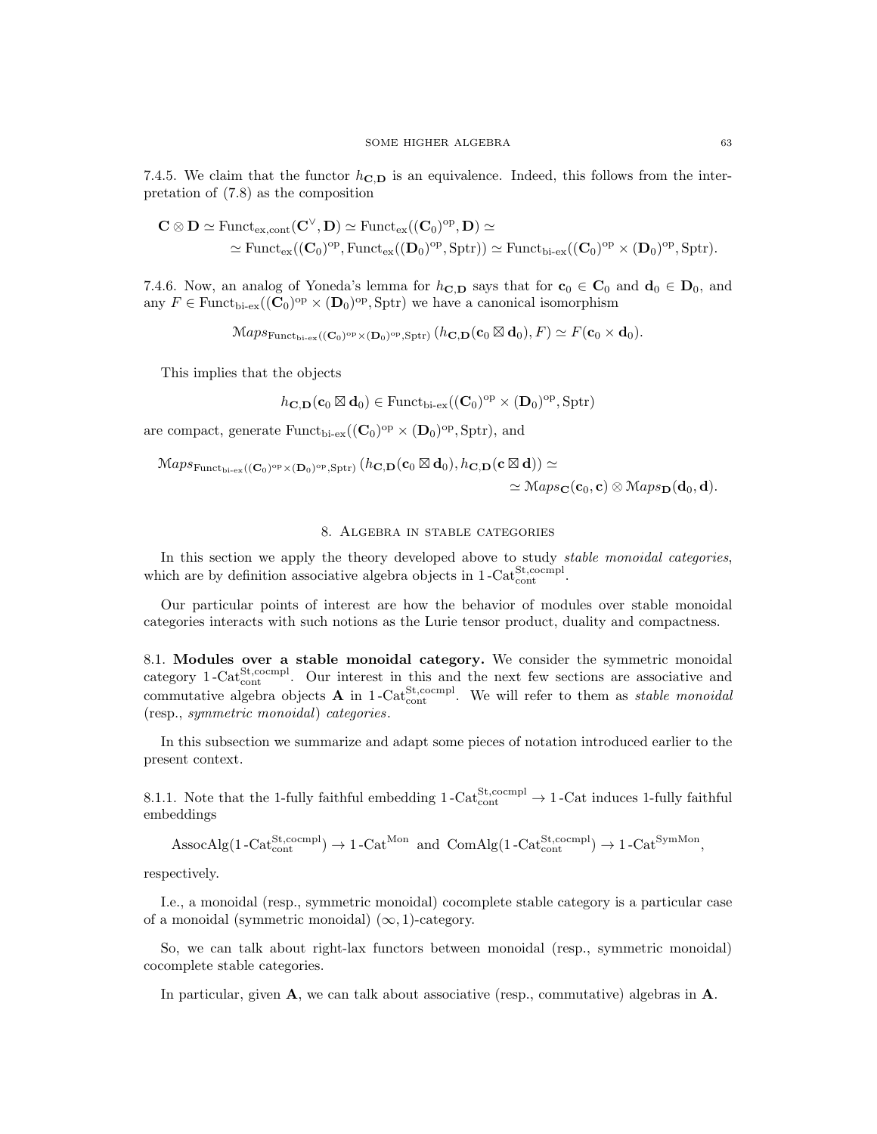7.4.5. We claim that the functor  $h_{\text{C},\text{D}}$  is an equivalence. Indeed, this follows from the interpretation of (7.8) as the composition

$$
\begin{aligned} \mathbf{C}\otimes \mathbf{D} &\simeq \mathrm{Funct}_{\mathrm{ex},\mathrm{cont}}(\mathbf{C}^{\vee},\mathbf{D})\simeq \mathrm{Funct}_{\mathrm{ex}}((\mathbf{C}_0)^{\mathrm{op}},\mathbf{D})\simeq \\ &\simeq \mathrm{Funct}_{\mathrm{ex}}((\mathbf{C}_0)^{\mathrm{op}},\mathrm{Funct}_{\mathrm{ex}}((\mathbf{D}_0)^{\mathrm{op}},\mathrm{Sptr}))\simeq \mathrm{Funct}_{\mathrm{bi}\text{-ex}}((\mathbf{C}_0)^{\mathrm{op}}\times(\mathbf{D}_0)^{\mathrm{op}},\mathrm{Sptr}). \end{aligned}
$$

7.4.6. Now, an analog of Yoneda's lemma for  $h_{\text{C},\text{D}}$  says that for  $c_0 \in \text{C}_0$  and  $d_0 \in \text{D}_0$ , and any  $F \in \text{Funct}_{\text{bi-ex}}((\mathbf{C}_0)^{\text{op}} \times (\mathbf{D}_0)^{\text{op}}, \text{Sptr})$  we have a canonical isomorphism

$$
\mathcal{M}aps_{\mathrm{Funct}_{\mathrm{bi-ex}}}((\mathbf{C}_0)^{\mathrm{op}} \times (\mathbf{D}_0)^{\mathrm{op}}, \mathrm{Sptr})}(h_{\mathbf{C},\mathbf{D}}(\mathbf{c}_0 \boxtimes \mathbf{d}_0), F) \simeq F(\mathbf{c}_0 \times \mathbf{d}_0).
$$

This implies that the objects

$$
\mathit{h}_{\mathbf{C},\mathbf{D}}(\mathbf{c}_0\boxtimes\mathbf{d}_0)\in\mathrm{Funct}_{\mathrm{bi-ex}}((\mathbf{C}_0)^{\mathrm{op}}\times(\mathbf{D}_0)^{\mathrm{op}},\mathrm{Sptr})
$$

are compact, generate  $\text{Funct}_{\text{bi-ex}}((\mathbf{C}_0)^{\text{op}} \times (\mathbf{D}_0)^{\text{op}}, \text{Sptr})$ , and

$$
\mathcal{M}aps_{\mathrm{Funct}_{\mathrm{bi}\text{-}\mathrm{ex}}((\mathbf{C}_0)^{\mathrm{op}}\times(\mathbf{D}_0)^{\mathrm{op}},\mathrm{Sptr})}(h_{\mathbf{C},\mathbf{D}}(\mathbf{c}_0\boxtimes\mathbf{d}_0),h_{\mathbf{C},\mathbf{D}}(\mathbf{c}\boxtimes\mathbf{d}))\simeq
$$

 $\simeq \mathcal{M}aps_{\mathbf{C}}(\mathbf{c}_0, \mathbf{c})\otimes \mathcal{M}aps_{\mathbf{D}}(\mathbf{d}_0, \mathbf{d}).$ 

#### 8. Algebra in stable categories

In this section we apply the theory developed above to study *stable monoidal categories*, which are by definition associative algebra objects in  $1-\text{Cat}^{\text{St,coempl}}_{\text{cont}}$ .

Our particular points of interest are how the behavior of modules over stable monoidal categories interacts with such notions as the Lurie tensor product, duality and compactness.

8.1. Modules over a stable monoidal category. We consider the symmetric monoidal category 1-Cat $_{\text{cont}}^{\text{St,coempl}}$ . Our interest in this and the next few sections are associative and commutative algebra objects **A** in 1-Cat<sup>St</sup>,cocmpl. We will refer to them as *stable monoidal* (resp., symmetric monoidal) categories.

In this subsection we summarize and adapt some pieces of notation introduced earlier to the present context.

8.1.1. Note that the 1-fully faithful embedding  $1$ -Cat<sup>St</sup>,cocmpl<sup>1</sup>  $\rightarrow$  1-Cat induces 1-fully faithful embeddings

 $\text{AssocAlg}(1-\text{Cat}_{\text{cont}}^{\text{St},\text{coempl}}) \rightarrow 1-\text{Cat}^{\text{Mon}}$  and  $\text{ComAlg}(1-\text{Cat}_{\text{cont}}^{\text{St},\text{coempl}}) \rightarrow 1-\text{Cat}^{\text{SymMon}}$ ,

respectively.

I.e., a monoidal (resp., symmetric monoidal) cocomplete stable category is a particular case of a monoidal (symmetric monoidal)  $(\infty, 1)$ -category.

So, we can talk about right-lax functors between monoidal (resp., symmetric monoidal) cocomplete stable categories.

In particular, given  $\bf{A}$ , we can talk about associative (resp., commutative) algebras in  $\bf{A}$ .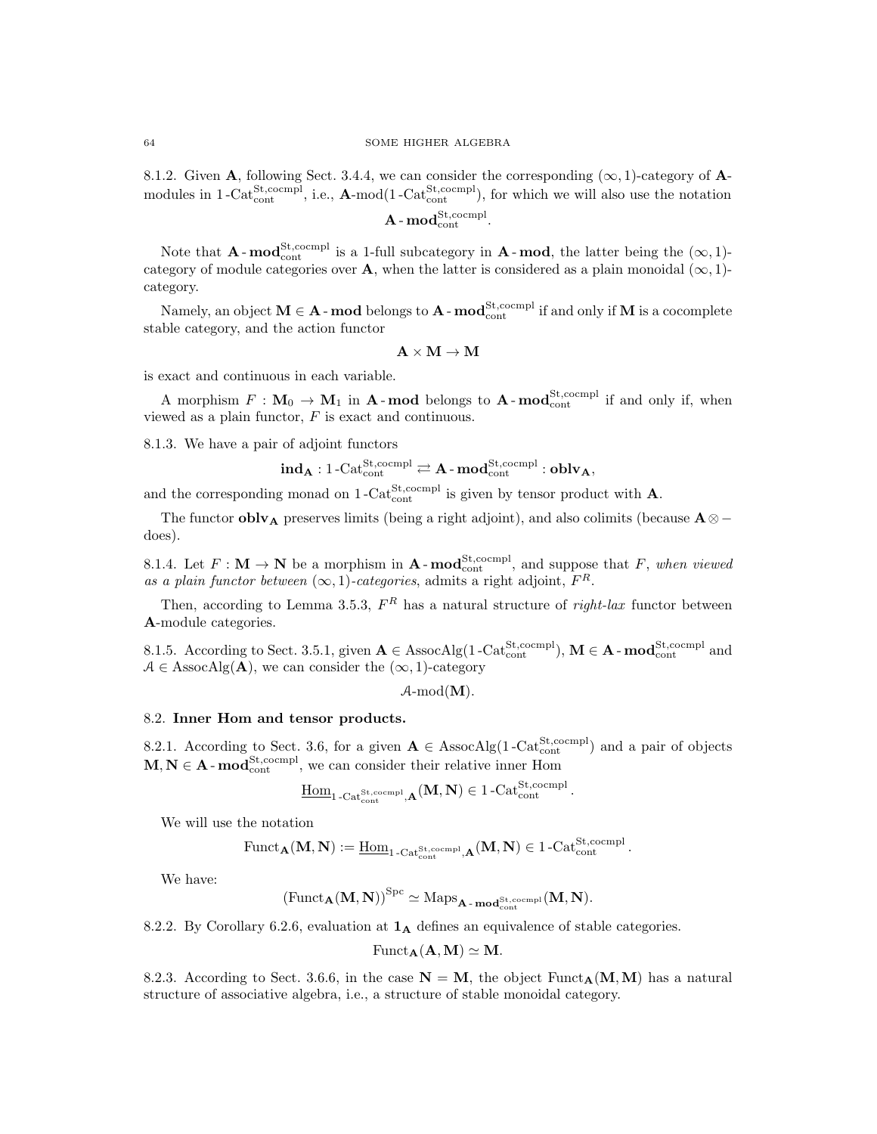8.1.2. Given A, following Sect. 3.4.4, we can consider the corresponding  $(\infty, 1)$ -category of Amodules in 1-Cat<sup>St</sup>,cocmpl<sub>,</sub> i.e.,  $A$ -mod(1-Cat<sup>St</sup>,cocmpl<sub>)</sub>, for which we will also use the notation

 $\mathbf{A}\operatorname{-mod}_{\operatorname{cont}}^{\operatorname{St},\operatorname{coempl}}.$ 

Note that  $\mathbf{A}$ -mod $_{\text{cont}}^{\text{St,coempl}}$  is a 1-full subcategory in  $\mathbf{A}$ -mod, the latter being the  $(\infty, 1)$ category of module categories over A, when the latter is considered as a plain monoidal ( $\infty$ , 1)category.

Namely, an object  $M \in A$  - mod belongs to  $A$  - mod $_{\text{cont}}^{\text{St,compl}}$  if and only if  $M$  is a cocomplete stable category, and the action functor

$$
\mathbf{A}\times\mathbf{M}\rightarrow\mathbf{M}
$$

is exact and continuous in each variable.

A morphism  $F: \mathbf{M}_0 \to \mathbf{M}_1$  in  $\mathbf{A}\text{-mod}$  belongs to  $\mathbf{A}\text{-mod}^{\text{St},\text{coempl}}$  if and only if, when viewed as a plain functor,  ${\cal F}$  is exact and continuous.

8.1.3. We have a pair of adjoint functors

$$
\mathbf{ind}_{\mathbf{A}} : 1\text{-}\mathrm{Cat}_{\mathrm{cont}}^{\mathrm{St},\mathrm{coempl}} \rightleftarrows \mathbf{A}\text{-}\mathbf{mod}_{\mathrm{cont}}^{\mathrm{St},\mathrm{coempl}}:\mathbf{oblv}_{\mathbf{A}},
$$

and the corresponding monad on 1-Cat<sup>St</sup>,cocmpl is given by tensor product with **A**.

The functor **oblv**<sub>A</sub> preserves limits (being a right adjoint), and also colimits (because  $A \otimes$ does).

8.1.4. Let  $F: \mathbf{M} \to \mathbf{N}$  be a morphism in  $\mathbf{A}\text{-mod}_{\text{cont}}^{\text{St, coempl}}$ , and suppose that  $F$ , when viewed as a plain functor between  $(\infty, 1)$ -categories, admits a right adjoint,  $F^R$ .

Then, according to Lemma 3.5.3,  $F<sup>R</sup>$  has a natural structure of *right-lax* functor between A-module categories.

8.1.5. According to Sect. 3.5.1, given  $\mathbf{A} \in \text{AssocAlg}(1-\text{Cat}_{\text{cont}}^{\text{St,ocompl}})$ ,  $\mathbf{M} \in \mathbf{A}$  -  $\text{mod}_{\text{cont}}^{\text{St,ocompl}}$  and  $A \in \text{AssocAlg}(\mathbf{A})$ , we can consider the  $(\infty, 1)$ -category

$$
\mathcal{A}\text{-}\mathrm{mod}(\mathbf{M}).
$$

#### 8.2. Inner Hom and tensor products.

8.2.1. According to Sect. 3.6, for a given  $\mathbf{A} \in \text{AssocAlg}(1-\text{Cat}_{\text{cont}}^{\text{St,coempl}})$  and a pair of objects  $M, N \in A$  -  $\text{mod}^{\text{St}, \text{coempl}}_{\text{cont}}$ , we can consider their relative inner Hom

$$
\underline{\mathrm{Hom}}_{1\text{-}\mathrm{Cat}_{\mathrm{cont}}^{\mathrm{St},\mathrm{coempl}},\mathbf{A}}(\mathbf{M},\mathbf{N})\in 1\text{-}\mathrm{Cat}_{\mathrm{cont}}^{\mathrm{St},\mathrm{coempl}}\,.
$$

We will use the notation

$$
\mathrm{Funct}_{\mathbf{A}}(\mathbf{M},\mathbf{N}):=\underline{\mathrm{Hom}}_{1\text{-}\mathrm{Cat}_{\mathrm{cont}}^{\mathrm{St},\mathrm{cocmpl}},\mathbf{A}}(\mathbf{M},\mathbf{N})\in 1\text{-}\mathrm{Cat}_{\mathrm{cont}}^{\mathrm{St},\mathrm{cocmpl}}.
$$

We have:

$$
\left(\mathrm{Funct}_{\mathbf{A}}(\mathbf{M},\mathbf{N})\right)^{\mathrm{Spc}} \simeq \mathrm{Maps}_{\mathbf{A}\operatorname{-\mathbf{mod}}_{\mathrm{cont}}^{\mathrm{St},\mathrm{coempl}}}(\mathbf{M},\mathbf{N}).
$$

8.2.2. By Corollary 6.2.6, evaluation at  $1_A$  defines an equivalence of stable categories.

$$
Funct_{\mathbf{A}}(\mathbf{A}, \mathbf{M}) \simeq \mathbf{M}.
$$

8.2.3. According to Sect. 3.6.6, in the case  $N = M$ , the object Funct<sub>A</sub>(M,M) has a natural structure of associative algebra, i.e., a structure of stable monoidal category.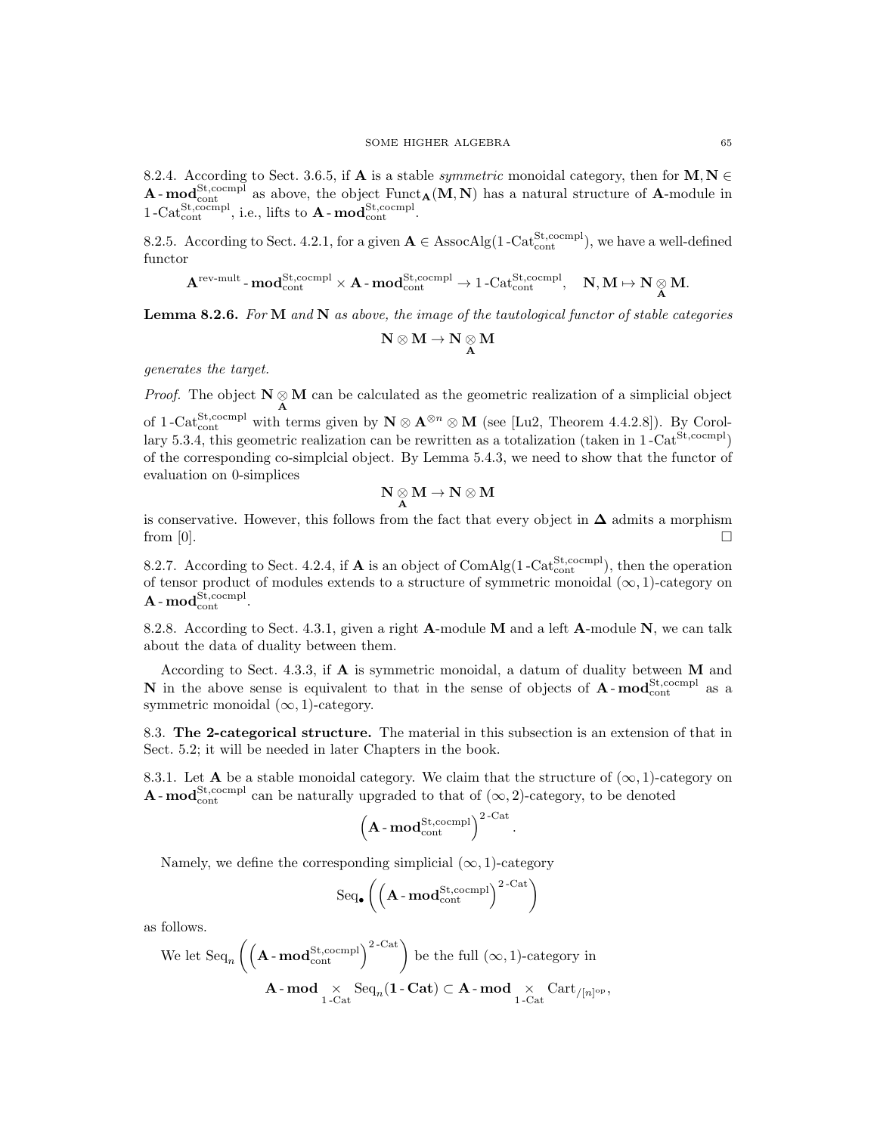8.2.4. According to Sect. 3.6.5, if **A** is a stable *symmetric* monoidal category, then for **M**, **N**  $\in$  $\bf{A}\text{-mod}_{\rm cont}^{\rm St, comm}$  as above, the object  $\rm Funct_{\bf A}({\bf M},{\bf N})$  has a natural structure of  $\bf{A}\text{-module in}$  $1-\text{Cat}_{\text{cont}}^{\text{St,coempl}}$ , i.e., lifts to  $\mathbf{A}-\text{mod}_{\text{cont}}^{\text{St,coempl}}$ .

8.2.5. According to Sect. 4.2.1, for a given  $\mathbf{A} \in \text{AssocAlg}(1-\text{Cat}_{\text{cont}}^{\text{St,coempl}})$ , we have a well-defined functor

$$
\mathbf{A}^{\mathrm{rev-mult}}\text{-}\mathbf{mod}_{\mathrm{cont}}^{\mathrm{St},\mathrm{coempl}} \times \mathbf{A}\text{-}\mathbf{mod}_{\mathrm{cont}}^{\mathrm{St},\mathrm{coempl}} \to 1\text{-}\mathrm{Cat}_{\mathrm{cont}}^{\mathrm{St},\mathrm{coempl}}, \quad \mathbf{N}, \mathbf{M} \mapsto \mathbf{N} \underset{\mathbf{A}}{\otimes} \mathbf{M}.
$$

**Lemma 8.2.6.** For  $M$  and  $N$  as above, the image of the tautological functor of stable categories

$$
N\otimes M\to N\underset{A}{\otimes} M
$$

generates the target.

*Proof.* The object  $N \underset{A}{\otimes} M$  can be calculated as the geometric realization of a simplicial object of 1-Cat<sup>St</sup>,cocmpl with terms given by  $N \otimes A^{\otimes n} \otimes M$  (see [Lu2, Theorem 4.4.2.8]). By Corollary 5.3.4, this geometric realization can be rewritten as a totalization (taken in  $1$ -Cat<sup>St,cocmpl</sup>) of the corresponding co-simplcial object. By Lemma 5.4.3, we need to show that the functor of evaluation on 0-simplices

$$
\mathbf{N}\underset{\mathbf{A}}{\otimes}\mathbf{M}\rightarrow\mathbf{N}\otimes\mathbf{M}
$$

is conservative. However, this follows from the fact that every object in  $\Delta$  admits a morphism from  $[0]$ .

8.2.7. According to Sect. 4.2.4, if **A** is an object of  $ComAlg(1-Cat_{cont}^{St, cocmpl})$ , then the operation of tensor product of modules extends to a structure of symmetric monoidal  $(\infty, 1)$ -category on  $\mathbf{A}\operatorname{-mod}_{\operatorname{cont}}^{\operatorname{St},\operatorname{coempl}}.$ 

8.2.8. According to Sect. 4.3.1, given a right A-module M and a left A-module N, we can talk about the data of duality between them.

According to Sect. 4.3.3, if  $\bf{A}$  is symmetric monoidal, a datum of duality between  $\bf{M}$  and **N** in the above sense is equivalent to that in the sense of objects of  $\mathbf{A}$ - $\mathbf{mod}_{\text{cont}}^{\text{St,coempl}}$  as a symmetric monoidal  $(\infty, 1)$ -category.

8.3. The 2-categorical structure. The material in this subsection is an extension of that in Sect. 5.2; it will be needed in later Chapters in the book.

8.3.1. Let **A** be a stable monoidal category. We claim that the structure of  $(\infty, 1)$ -category on **A**-mod<sup>St,cocmpl</sup> can be naturally upgraded to that of  $(\infty, 2)$ -category, to be denoted

$$
\left( \mathbf{A}\cdot \mathbf{mod}_{\mathrm{cont}}^{\mathrm{St},\mathrm{coempl}} \right)^{2\text{-}\mathrm{Cat}}.
$$

Namely, we define the corresponding simplicial  $(\infty, 1)$ -category

$$
\mathrm{Seq}_{\bullet}\left(\left(\mathbf{A}\cdot\mathbf{mod}_{\mathrm{cont}}^{\mathrm{St},\mathrm{cocmpl}}\right)^{2\text{-}\mathrm{Cat}}\right)
$$

as follows.

We let 
$$
\text{Seq}_n \left( \left( \mathbf{A} \cdot \text{mod}_{\text{cont}}^{\text{St,coempl}} \right)^{2-\text{Cat}} \right)
$$
 be the full  $(\infty, 1)$ -category in  

$$
\mathbf{A} \cdot \text{mod}_{1-\text{Cat}} \text{Seq}_n(\mathbf{1} - \text{Cat}) \subset \mathbf{A} \cdot \text{mod}_{1-\text{Cat}} \times \text{Cart}_{/[n]^{op}},
$$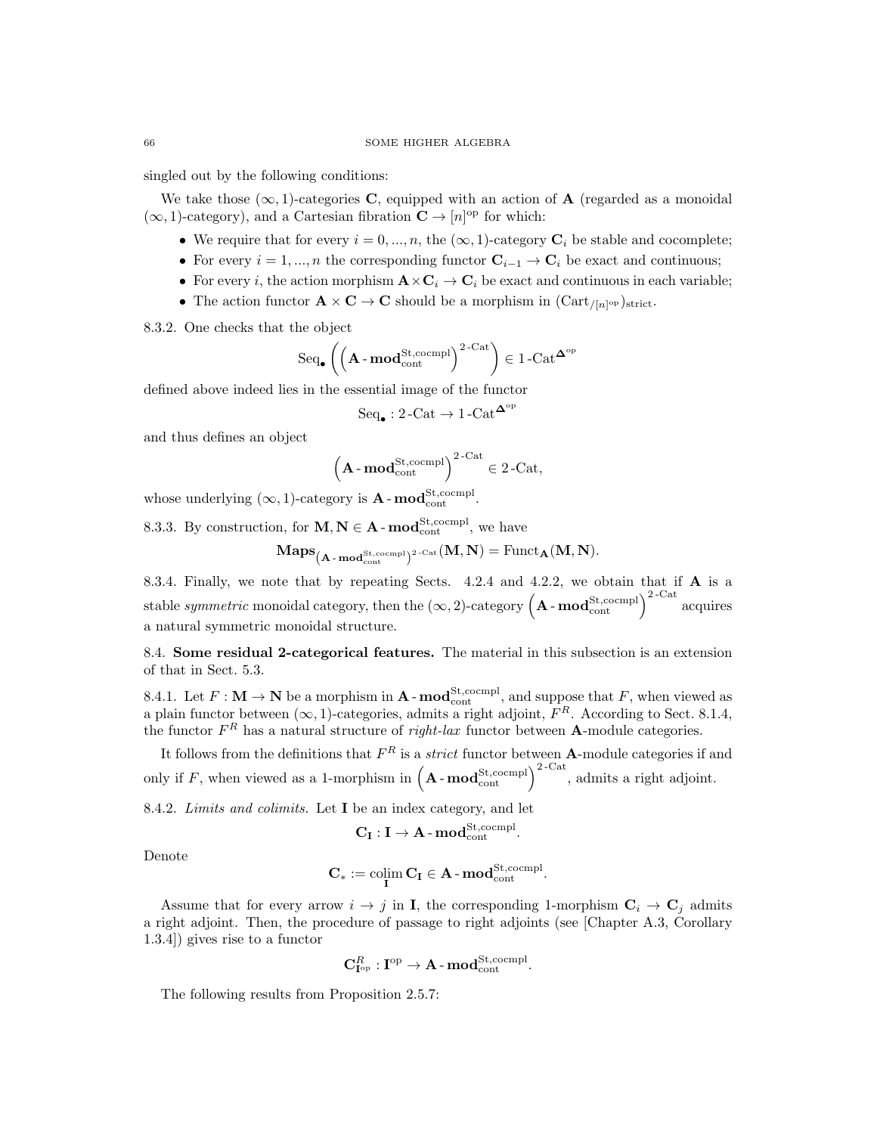singled out by the following conditions:

We take those  $(\infty, 1)$ -categories **C**, equipped with an action of **A** (regarded as a monoidal  $(\infty, 1)$ -category), and a Cartesian fibration  $\mathbf{C} \to [n]^{op}$  for which:

- We require that for every  $i = 0, ..., n$ , the  $(\infty, 1)$ -category  $\mathbf{C}_i$  be stable and cocomplete;
- For every  $i = 1, ..., n$  the corresponding functor  $\mathbf{C}_{i-1} \to \mathbf{C}_i$  be exact and continuous;
- For every i, the action morphism  $\mathbf{A} \times \mathbf{C}_i \to \mathbf{C}_i$  be exact and continuous in each variable;
- The action functor  $\mathbf{A} \times \mathbf{C} \to \mathbf{C}$  should be a morphism in  $(\text{Cart}_{/[n]^\text{op}})_{\text{strict}}$ .
- 8.3.2. One checks that the object

$$
\mathrm{Seq}_\bullet\left(\left(\mathbf{A}\cdot\mathbf{mod}_{\mathrm{cont}}^{\mathrm{St},\mathrm{coempl}}\right)^{2\text{-}\mathrm{Cat}}\right)\in 1\text{-}\mathrm{Cat}^{\mathbf{\Delta}^{\mathrm{op}}}
$$

defined above indeed lies in the essential image of the functor

$$
\mathrm{Seq}_\bullet: 2\text{-}\mathrm{Cat} \to 1\text{-}\mathrm{Cat}^{\mathbf{\Delta}^\mathrm{op}}
$$

and thus defines an object

$$
\left(\mathbf{A}\cdot\mathbf{mod}_{\mathrm{cont}}^{\mathrm{St},\mathrm{coempl}}\right)^{2-\mathrm{Cat}}\in 2-\mathrm{Cat},
$$

whose underlying  $(\infty, 1)$ -category is **A**-**mod**<sup>St,cocmpl</sup>.

8.3.3. By construction, for  $M, N \in A$  -  $\mathbf{mod}_{\text{cont}}^{\text{St,coempl}}$ , we have

$$
\mathbf{Maps}_{\mathbf{(A\text{-}mod_{\mathrm{cont}}^{\mathrm{St},\mathrm{cocmpl}})^2}\text{-}\mathrm{Cat}}(\mathbf{M},\mathbf{N})=\mathrm{Funct}_{\mathbf{A}}(\mathbf{M},\mathbf{N}).
$$

8.3.4. Finally, we note that by repeating Sects. 4.2.4 and 4.2.2, we obtain that if  $A$  is a stable *symmetric* monoidal category, then the  $(\infty, 2)$ -category  $(A - \text{mod}_{\text{cont}}^{\text{St}, \text{coempl}})^{2-\text{Cat}}$  acquires a natural symmetric monoidal structure.

8.4. Some residual 2-categorical features. The material in this subsection is an extension of that in Sect. 5.3.

8.4.1. Let  $F: \mathbf{M} \to \mathbf{N}$  be a morphism in  $\mathbf{A}$  -  $\mathbf{mod}_{\text{cont}}^{\text{St,coempl}}$ , and suppose that  $F$ , when viewed as a plain functor between  $(\infty, 1)$ -categories, admits a right adjoint,  $F<sup>R</sup>$ . According to Sect. 8.1.4, the functor  $F^R$  has a natural structure of *right-lax* functor between **A**-module categories.

It follows from the definitions that  $F^R$  is a *strict* functor between **A**-module categories if and only if F, when viewed as a 1-morphism in  $(A - \text{mod}^{\text{St}, \text{coempl}}_{\text{cont}})^{2-\text{Cat}}$ , admits a right adjoint.

8.4.2. Limits and colimits. Let I be an index category, and let

$$
\mathbf{C}_{\mathbf{I}} : \mathbf{I} \to \mathbf{A}\text{-}\mathbf{mod}_{\mathrm{cont}}^{\mathrm{St, coempl}}.
$$

Denote

$$
\mathbf{C}_* := \mathop{\textup{colim}}_{\mathbf{I}} \mathbf{C}_{\mathbf{I}} \in \mathbf{A}\textup{-mod}_{\textup{cont}}^{\textup{St},\textup{coempl}}.
$$

Assume that for every arrow  $i \to j$  in I, the corresponding 1-morphism  $C_i \to C_j$  admits a right adjoint. Then, the procedure of passage to right adjoints (see [Chapter A.3, Corollary 1.3.4]) gives rise to a functor

$$
\mathbf{C}_{\mathbf{I}^{\mathrm{op}}}^R:\mathbf{I}^{\mathrm{op}}\to\mathbf{A}\text{-}\mathbf{mod}_{\mathrm{cont}}^{\mathrm{St},\mathrm{coempl}}.
$$

The following results from Proposition 2.5.7: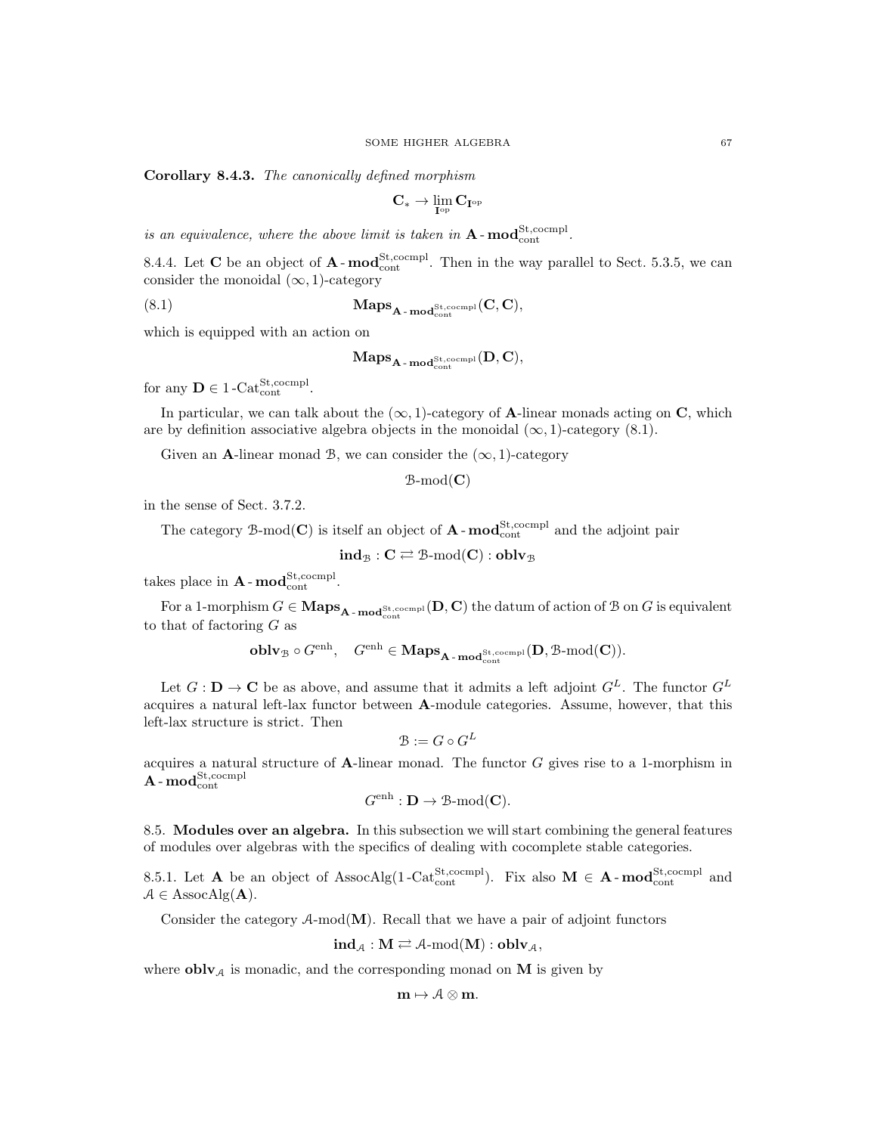Corollary 8.4.3. The canonically defined morphism

$$
\mathbf{C}_* \to \lim_{\mathbf{I}^\mathrm{op}} \mathbf{C}_{\mathbf{I}^\mathrm{op}}
$$

is an equivalence, where the above limit is taken in  $A$ - $mod_{cont}^{St, coempl}$ .

8.4.4. Let **C** be an object of  $\mathbf{A}$ - $\text{mod}^{\text{St},\text{cocmpl}}_{\text{cont}}$ . Then in the way parallel to Sect. 5.3.5, we can consider the monoidal  $(\infty, 1)$ -category

(8.1) 
$$
\mathbf{Maps}_{\mathbf{A}\text{-}\mathbf{mod}^{\mathrm{St},\mathrm{coempl}}_{\mathrm{cont}}}(C,C),
$$

which is equipped with an action on

$$
\mathbf{Maps}_{\mathbf{A}\operatorname{-mod}^{\mathrm{St},\mathrm{coempl}}_{\mathrm{cont}}}(\mathbf{D},\mathbf{C}),
$$

for any  $\mathbf{D} \in 1$ -Cat<sup>St</sup>, cocmpl.

In particular, we can talk about the  $(\infty, 1)$ -category of **A**-linear monads acting on **C**, which are by definition associative algebra objects in the monoidal  $(\infty, 1)$ -category (8.1).

Given an A-linear monad B, we can consider the  $(\infty, 1)$ -category

 $B\text{-mod}(\mathbf{C})$ 

in the sense of Sect. 3.7.2.

The category B-mod(C) is itself an object of  $A$ -mod $_{\text{cont}}^{\text{St,coempl}}$  and the adjoint pair

$$
\mathbf{ind}_{\mathcal{B}} : \mathbf{C} \rightleftarrows \mathbb{B}\text{-}\mathrm{mod}(\mathbf{C}) : \mathbf{oblv}_{\mathcal{B}}
$$

takes place in  $A$  -  $mod_{cont}^{St, coempl}$ .

For a 1-morphism  $G \in \mathbf{Maps}_{\mathbf{A}-\mathbf{mod}_{\mathrm{cont}}^{\mathrm{St},\mathrm{cocomp1}}}(\mathbf{D}, \mathbf{C})$  the datum of action of B on  $G$  is equivalent to that of factoring  $G$  as

$$
\textbf{oblv}_{\mathcal{B}}\circ G^{\text{enh}}, \quad G^{\text{enh}}\in \textbf{Maps}_{A\operatorname{-mod}^{\text{St},\text{ccomp1}}}_{\text{cont}}(D,\textbf{B}\text{-mod}(C)).
$$

Let  $G: \mathbf{D} \to \mathbf{C}$  be as above, and assume that it admits a left adjoint  $G^L$ . The functor  $G^L$ acquires a natural left-lax functor between A-module categories. Assume, however, that this left-lax structure is strict. Then

$$
\mathcal{B} := G \circ G^L
$$

acquires a natural structure of  $A$ -linear monad. The functor  $G$  gives rise to a 1-morphism in  $\mathbf{A}\operatorname{-mod}_{\operatorname{cont}}^{\operatorname{St},\operatorname{coempl}}$ 

$$
G^{\text{enh}}: \mathbf{D} \to \mathbf{\mathcal{B}}\text{-}\mathrm{mod}(\mathbf{C}).
$$

8.5. Modules over an algebra. In this subsection we will start combining the general features of modules over algebras with the specifics of dealing with cocomplete stable categories.

8.5.1. Let **A** be an object of AssocAlg(1-Cat<sup>St</sup>,cocmpl). Fix also  $M \in A$ -mod<sup>St</sup>,cocmpl and  $A \in \text{AssocAlg}(\mathbf{A}).$ 

Consider the category  $A$ -mod $(M)$ . Recall that we have a pair of adjoint functors

$$
\mathbf{ind}_{\mathcal{A}} : \mathbf{M} \rightleftarrows \mathcal{A}\text{-mod}(\mathbf{M}) : \mathbf{oblv}_{\mathcal{A}},
$$

where  $\bf{oblv}_{\mathcal{A}}$  is monadic, and the corresponding monad on M is given by

$$
\mathbf{m}\mapsto \mathcal{A}\otimes\mathbf{m}.
$$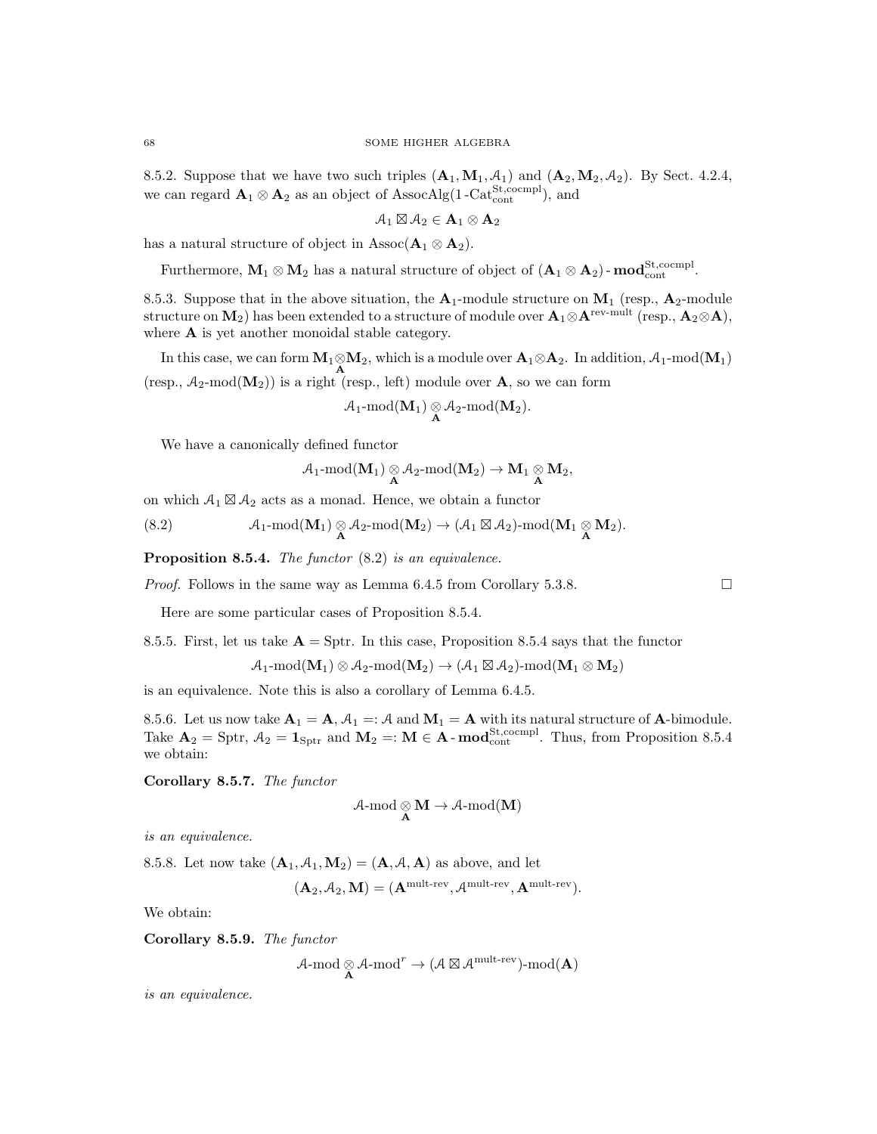8.5.2. Suppose that we have two such triples  $(A_1, M_1, A_1)$  and  $(A_2, M_2, A_2)$ . By Sect. 4.2.4, we can regard  $\mathbf{A}_1 \otimes \mathbf{A}_2$  as an object of AssocAlg(1-Cat<sup>St</sup>,cocmpl), and

$$
\mathcal{A}_1 \boxtimes \mathcal{A}_2 \in \mathbf{A}_1 \otimes \mathbf{A}_2
$$

has a natural structure of object in Assoc( $\mathbf{A}_1 \otimes \mathbf{A}_2$ ).

Furthermore,  $M_1 \otimes M_2$  has a natural structure of object of  $(A_1 \otimes A_2)$ - $\mathbf{mod}_{\text{cont}}^{\text{St,coempl}}$ .

8.5.3. Suppose that in the above situation, the  $A_1$ -module structure on  $M_1$  (resp.,  $A_2$ -module structure on  $M_2$ ) has been extended to a structure of module over  $\mathbf{A}_1 \otimes \mathbf{A}^{\text{rev-mult}}$  (resp.,  $\mathbf{A}_2 \otimes \mathbf{A}$ ), where **A** is yet another monoidal stable category.

In this case, we can form  $M_1 \otimes M_2$ , which is a module over  $A_1 \otimes A_2$ . In addition,  $A_1$ -mod $(M_1)$ (resp.,  $A_2$ -mod $(M_2)$ ) is a right (resp., left) module over A, so we can form

$$
\mathcal{A}_1\text{-mod}(\mathbf{M}_1)\underset{\mathbf{A}}{\otimes}\mathcal{A}_2\text{-mod}(\mathbf{M}_2).
$$

We have a canonically defined functor

$$
\mathcal{A}_1\text{-mod}({\mathbf{M}}_1)\underset{\mathbf{A}}{\otimes}\mathcal{A}_2\text{-mod}({\mathbf{M}}_2)\to{\mathbf{M}}_1\underset{\mathbf{A}}{\otimes}{\mathbf{M}}_2,
$$

on which  $A_1 \boxtimes A_2$  acts as a monad. Hence, we obtain a functor

$$
(8.2) \qquad \qquad {\mathcal A}_1\text{-mod}({\bf M}_1)\underset{{\bf A}}{\otimes}{\mathcal A}_2\text{-mod}({\bf M}_2)\to ({\mathcal A}_1\boxtimes{\mathcal A}_2)\text{-mod}({\bf M}_1\underset{{\bf A}}{\otimes}{\bf M}_2).
$$

Proposition 8.5.4. The functor  $(8.2)$  is an equivalence.

*Proof.* Follows in the same way as Lemma 6.4.5 from Corollary 5.3.8.

Here are some particular cases of Proposition 8.5.4.

8.5.5. First, let us take  $\mathbf{A} = \text{Sptr}$ . In this case, Proposition 8.5.4 says that the functor

 $\mathcal{A}_1\text{-mod}(\mathbf{M}_1)\otimes\mathcal{A}_2\text{-mod}(\mathbf{M}_2)\to(\mathcal{A}_1\boxtimes\mathcal{A}_2)\text{-mod}(\mathbf{M}_1\otimes\mathbf{M}_2)$ 

is an equivalence. Note this is also a corollary of Lemma 6.4.5.

8.5.6. Let us now take  $\mathbf{A}_1 = \mathbf{A}$ ,  $\mathcal{A}_1 =: \mathcal{A}$  and  $\mathbf{M}_1 = \mathbf{A}$  with its natural structure of  $\mathbf{A}$ -bimodule. Take  $\mathbf{A}_2 = \text{Sptr}, \mathcal{A}_2 = \mathbf{1}_{\text{Sptr}}$  and  $\mathbf{M}_2 =: \mathbf{M} \in \mathbf{A}$  -  $\mathbf{mod}_{\text{cont}}^{\text{St,coempl}}$ . Thus, from Proposition 8.5.4 we obtain:

Corollary 8.5.7. The functor

$$
\mathcal{A}\text{-}\mathrm{mod}\underset{A}{\otimes}M\to\mathcal{A}\text{-}\mathrm{mod}(M)
$$

is an equivalence.

8.5.8. Let now take  $(\mathbf{A}_1, \mathcal{A}_1, \mathbf{M}_2) = (\mathbf{A}, \mathcal{A}, \mathbf{A})$  as above, and let

$$
(\mathbf{A}_2, \mathcal{A}_2, \mathbf{M}) = (\mathbf{A}^{\text{mult-rev}}, \mathcal{A}^{\text{mult-rev}}, \mathbf{A}^{\text{mult-rev}}).
$$

We obtain:

Corollary 8.5.9. The functor

 $\mathcal{A}\text{-mod}\underset{\mathbf{A}}{\otimes} \mathcal{A}\text{-mod}^r \to (\mathcal{A}\boxtimes \mathcal{A}^{\text{mult-rev}})\text{-mod}(\mathbf{A})$ 

is an equivalence.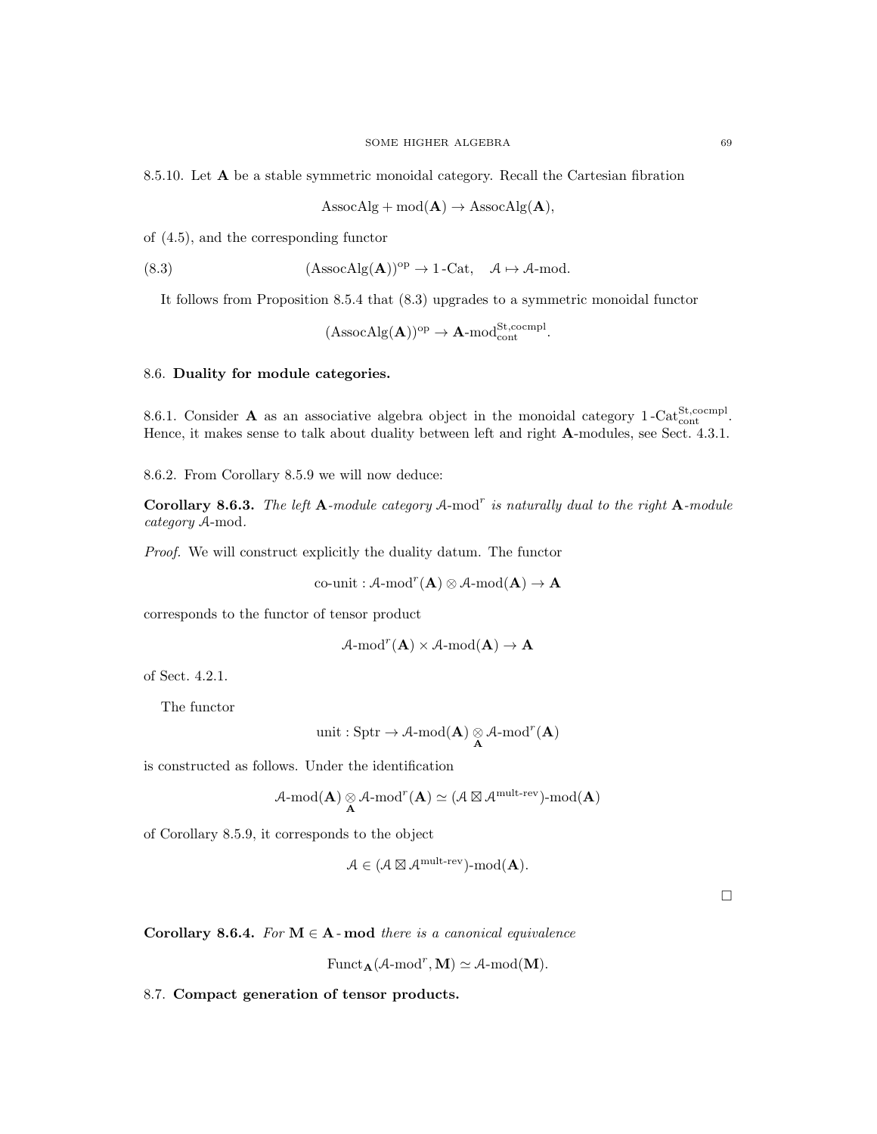8.5.10. Let A be a stable symmetric monoidal category. Recall the Cartesian fibration

 $\text{AssocAlg} + \text{mod}(\mathbf{A}) \rightarrow \text{AssocAlg}(\mathbf{A}),$ 

of (4.5), and the corresponding functor

(8.3)  $(AssocAlg(\mathbf{A}))^{op} \to 1$ -Cat,  $\mathcal{A} \mapsto \mathcal{A}\text{-mod.}$ 

It follows from Proposition 8.5.4 that (8.3) upgrades to a symmetric monoidal functor

$$
(\operatorname{AssocAlg}(\mathbf{A}))^{op}\rightarrow \mathbf{A}\text{-mod}_{\operatorname{cont}}^{\operatorname{St},\operatorname{coempl}}.
$$

### 8.6. Duality for module categories.

8.6.1. Consider **A** as an associative algebra object in the monoidal category  $1-\text{Cat}_{\text{cont}}^{\text{St,coempl}}$ . Hence, it makes sense to talk about duality between left and right A-modules, see Sect. 4.3.1.

8.6.2. From Corollary 8.5.9 we will now deduce:

Corollary 8.6.3. The left A-module category A-mod<sup>r</sup> is naturally dual to the right A-module category A-mod.

Proof. We will construct explicitly the duality datum. The functor

co-unit :  $A$ -mod ${}^r(A) \otimes A$ -mod $(A) \rightarrow A$ 

corresponds to the functor of tensor product

$$
\mathcal{A}\text{-mod}^r(\mathbf{A}) \times \mathcal{A}\text{-mod}(\mathbf{A}) \to \mathbf{A}
$$

of Sect. 4.2.1.

The functor

$$
\operatorname{unit} : \operatorname{Sptr} \to \operatorname{\mathcal{A}-mod}(A) \underset{\mathbf{A}}{\otimes} \operatorname{\mathcal{A}-mod}^r(\mathbf{A})
$$

is constructed as follows. Under the identification

$$
\mathcal{A}\text{-mod}({\mathbf{A}})\underset{{\mathbf{A}}}{\otimes}\mathcal{A}\text{-mod}^r({\mathbf{A}})\simeq(\mathcal{A}\boxtimes\mathcal{A}^{\text{mult-rev}})\text{-mod}({\mathbf{A}})
$$

of Corollary 8.5.9, it corresponds to the object

$$
\mathcal{A} \in (\mathcal{A} \boxtimes \mathcal{A}^{\text{mult-rev}}) \text{-mod}(\mathbf{A}).
$$

 $\Box$ 

Corollary 8.6.4. For  $M \in A$ -mod there is a canonical equivalence

$$
\mathrm{Funct}_{\mathbf{A}}(\mathcal{A}\text{-}\mathrm{mod}^r, \mathbf{M}) \simeq \mathcal{A}\text{-}\mathrm{mod}(\mathbf{M}).
$$

8.7. Compact generation of tensor products.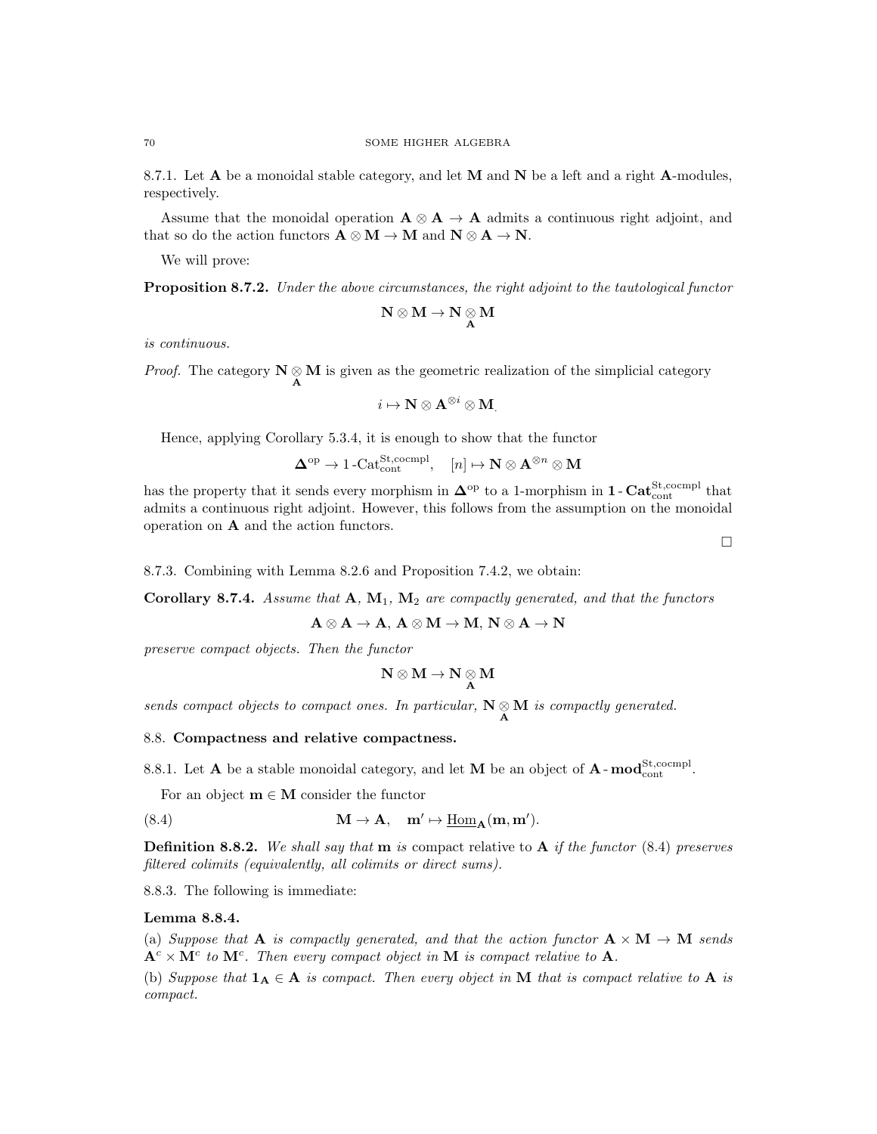8.7.1. Let  $A$  be a monoidal stable category, and let  $M$  and  $N$  be a left and a right  $A$ -modules, respectively.

Assume that the monoidal operation  $A \otimes A \rightarrow A$  admits a continuous right adjoint, and that so do the action functors  $\mathbf{A} \otimes \mathbf{M} \to \mathbf{M}$  and  $\mathbf{N} \otimes \mathbf{A} \to \mathbf{N}$ .

We will prove:

**Proposition 8.7.2.** Under the above circumstances, the right adjoint to the tautological functor

$$
N\otimes M\to N\underset{A}{\otimes} M
$$

is continuous.

*Proof.* The category  $N \underset{A}{\otimes} M$  is given as the geometric realization of the simplicial category

$$
i \mapsto \mathbf{N} \otimes \mathbf{A}^{\otimes i} \otimes \mathbf{M}
$$

Hence, applying Corollary 5.3.4, it is enough to show that the functor

$$
\mathbf{\Delta}^{\mathrm{op}} \to 1\text{-}\mathrm{Cat}_{\mathrm{cont}}^{\mathrm{St},\mathrm{coempl}}, \quad [n] \mapsto \mathbf{N} \otimes \mathbf{A}^{\otimes n} \otimes \mathbf{M}
$$

has the property that it sends every morphism in  $\Delta^{\text{op}}$  to a 1-morphism in **1** -  $\text{Cat}_{\text{cont}}^{\text{St,coempl}}$  that admits a continuous right adjoint. However, this follows from the assumption on the monoidal operation on A and the action functors.

 $\Box$ 

# 8.7.3. Combining with Lemma 8.2.6 and Proposition 7.4.2, we obtain:

Corollary 8.7.4. Assume that  $A, M_1, M_2$  are compactly generated, and that the functors

 $A \otimes A \to A$ ,  $A \otimes M \to M$ ,  $N \otimes A \to N$ 

preserve compact objects. Then the functor

$$
\mathbf{N}\otimes\mathbf{M}\to\mathbf{N}\underset{\mathbf{A}}{\otimes}\mathbf{M}
$$

sends compact objects to compact ones. In particular,  $N \underset{A}{\otimes} M$  is compactly generated.

### 8.8. Compactness and relative compactness.

8.8.1. Let **A** be a stable monoidal category, and let **M** be an object of **A**- $\text{mod}_{\text{cont}}^{\text{St,coempl}}$ .

For an object  $m \in M$  consider the functor

(8.4) 
$$
\mathbf{M} \to \mathbf{A}, \quad \mathbf{m}' \mapsto \underline{\text{Hom}}_{\mathbf{A}}(\mathbf{m}, \mathbf{m}').
$$

**Definition 8.8.2.** We shall say that **m** is compact relative to **A** if the functor  $(8.4)$  preserves filtered colimits (equivalently, all colimits or direct sums).

8.8.3. The following is immediate:

#### Lemma 8.8.4.

(a) Suppose that **A** is compactly generated, and that the action functor  $\mathbf{A} \times \mathbf{M} \to \mathbf{M}$  sends  ${\bf A}^c\times {\bf M}^c$  to  ${\bf M}^c$ . Then every compact object in M is compact relative to A.

(b) Suppose that  $1_A \in A$  is compact. Then every object in M that is compact relative to A is compact.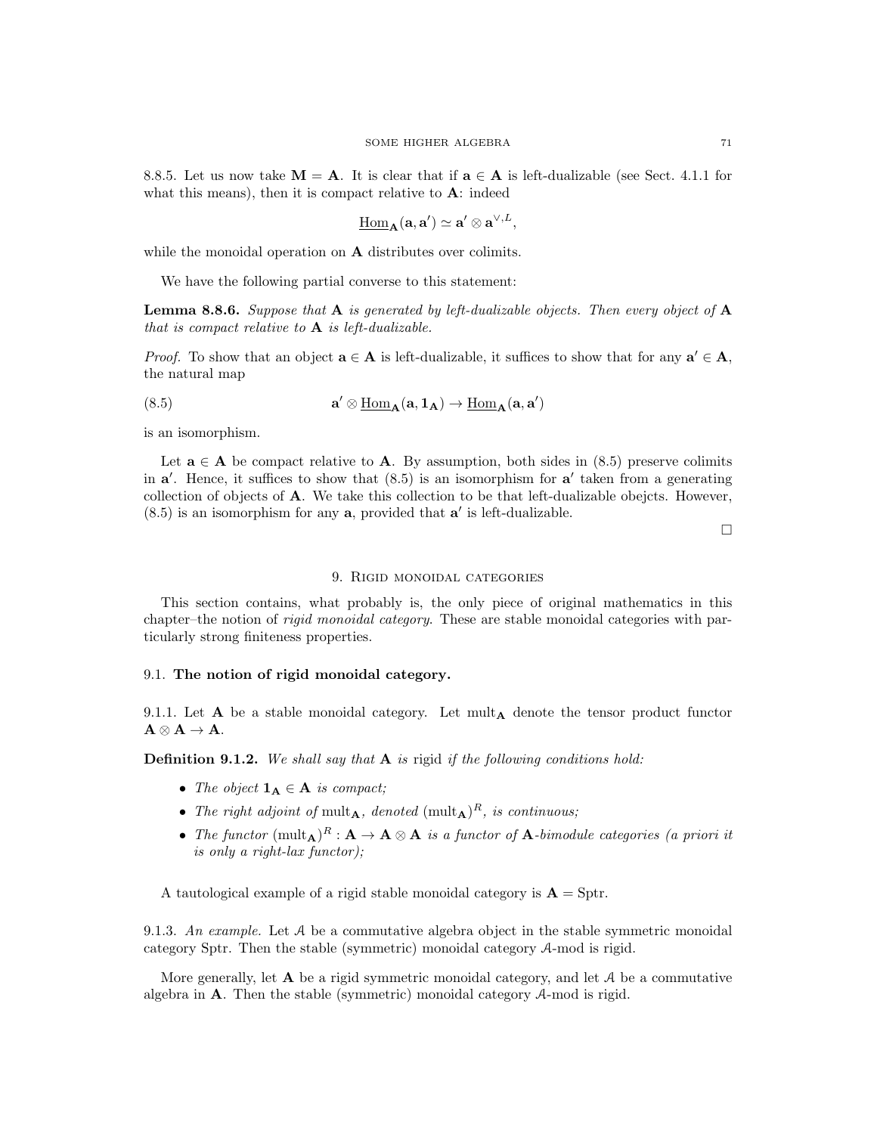8.8.5. Let us now take  $M = A$ . It is clear that if  $a \in A$  is left-dualizable (see Sect. 4.1.1 for what this means), then it is compact relative to **A**: indeed

$$
\underline{\mathrm{Hom}}_{\mathbf{A}}(\mathbf{a},\mathbf{a}')\simeq \mathbf{a}'\otimes \mathbf{a}^{\vee,L},
$$

while the monoidal operation on **A** distributes over colimits.

We have the following partial converse to this statement:

**Lemma 8.8.6.** Suppose that  $\bf{A}$  is generated by left-dualizable objects. Then every object of  $\bf{A}$ that is compact relative to  $A$  is left-dualizable.

*Proof.* To show that an object  $\mathbf{a} \in \mathbf{A}$  is left-dualizable, it suffices to show that for any  $\mathbf{a}' \in \mathbf{A}$ , the natural map

(8.5) 
$$
\mathbf{a}' \otimes \underline{\text{Hom}}_{\mathbf{A}}(\mathbf{a}, \mathbf{1}_{\mathbf{A}}) \rightarrow \underline{\text{Hom}}_{\mathbf{A}}(\mathbf{a}, \mathbf{a}')
$$

is an isomorphism.

Let  $a \in A$  be compact relative to A. By assumption, both sides in (8.5) preserve colimits in  $a'$ . Hence, it suffices to show that  $(8.5)$  is an isomorphism for  $a'$  taken from a generating collection of objects of A. We take this collection to be that left-dualizable obejcts. However,  $(8.5)$  is an isomorphism for any  $a$ , provided that  $a'$  is left-dualizable.

 $\Box$ 

### 9. Rigid monoidal categories

This section contains, what probably is, the only piece of original mathematics in this chapter–the notion of *rigid monoidal category*. These are stable monoidal categories with particularly strong finiteness properties.

# 9.1. The notion of rigid monoidal category.

9.1.1. Let  $A$  be a stable monoidal category. Let mult $_A$  denote the tensor product functor  $A \otimes A \rightarrow A$ .

**Definition 9.1.2.** We shall say that  $A$  is rigid if the following conditions hold:

- The object  $\mathbf{1}_{\mathbf{A}} \in \mathbf{A}$  is compact;
- The right adjoint of mult<sub>A</sub>, denoted  $(mult<sub>A</sub>)<sup>R</sup>$ , is continuous;
- The functor  $(\text{mult}_{\mathbf{A}})^R : \mathbf{A} \to \mathbf{A} \otimes \mathbf{A}$  is a functor of  $\mathbf{A}$ -bimodule categories (a priori it is only a right-lax functor);

A tautological example of a rigid stable monoidal category is  $\mathbf{A} = \text{Sptr}$ .

9.1.3. An example. Let  $A$  be a commutative algebra object in the stable symmetric monoidal category Sptr. Then the stable (symmetric) monoidal category A-mod is rigid.

More generally, let  $A$  be a rigid symmetric monoidal category, and let  $A$  be a commutative algebra in  $\bf{A}$ . Then the stable (symmetric) monoidal category  $\mathcal{A}$ -mod is rigid.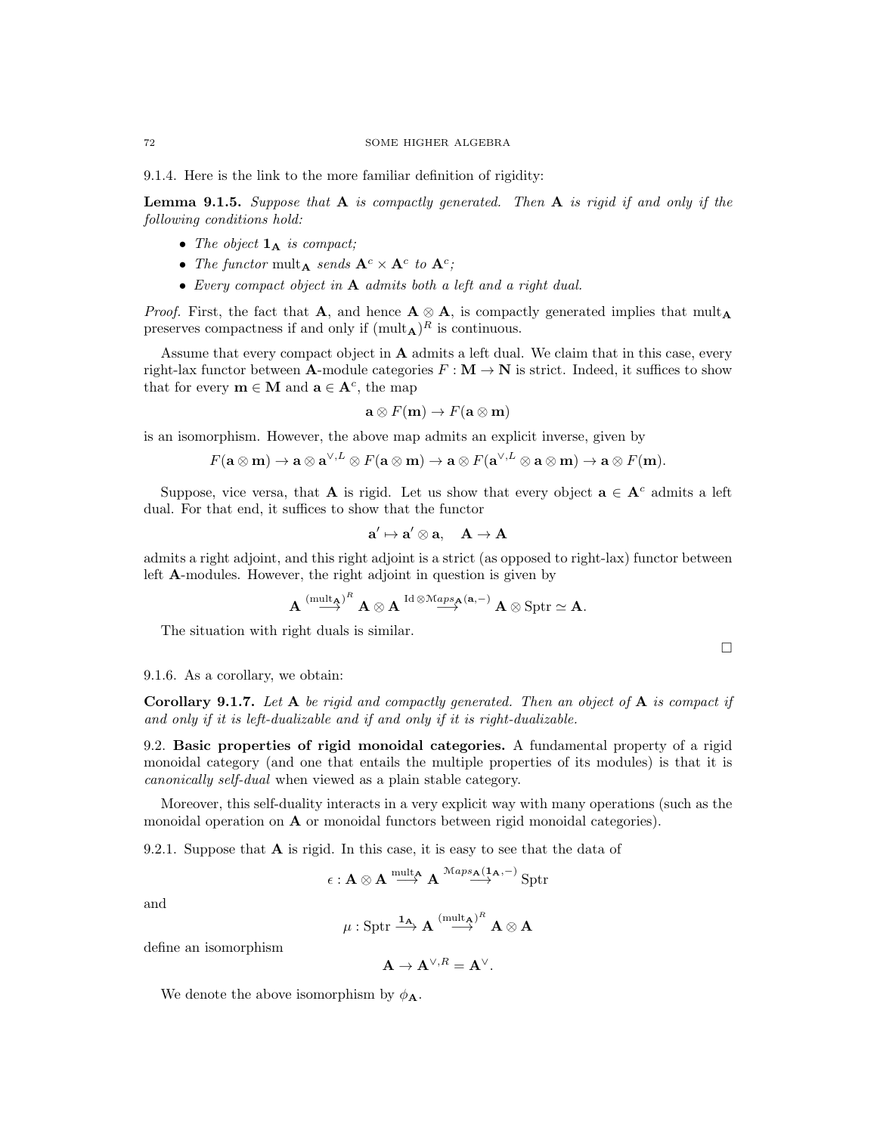9.1.4. Here is the link to the more familiar definition of rigidity:

**Lemma 9.1.5.** Suppose that  $A$  is compactly generated. Then  $A$  is rigid if and only if the following conditions hold:

- The object  $\mathbf{1}_{\mathbf{A}}$  is compact;
- The functor mult<sub>A</sub> sends  $A^c \times A^c$  to  $A^c$ ;
- Every compact object in A admits both a left and a right dual.

*Proof.* First, the fact that A, and hence  $A \otimes A$ , is compactly generated implies that mult<sub>A</sub> preserves compactness if and only if  $(\text{mult}_{\mathbf{A}})^R$  is continuous.

Assume that every compact object in  $A$  admits a left dual. We claim that in this case, every right-lax functor between **A**-module categories  $F : \mathbf{M} \to \mathbf{N}$  is strict. Indeed, it suffices to show that for every  $\mathbf{m} \in \mathbf{M}$  and  $\mathbf{a} \in \mathbf{A}^c$ , the map

$$
\mathbf{a} \otimes F(\mathbf{m}) \to F(\mathbf{a} \otimes \mathbf{m})
$$

is an isomorphism. However, the above map admits an explicit inverse, given by

$$
F(\mathbf{a} \otimes \mathbf{m}) \to \mathbf{a} \otimes \mathbf{a}^{\vee,L} \otimes F(\mathbf{a} \otimes \mathbf{m}) \to \mathbf{a} \otimes F(\mathbf{a}^{\vee,L} \otimes \mathbf{a} \otimes \mathbf{m}) \to \mathbf{a} \otimes F(\mathbf{m}).
$$

Suppose, vice versa, that **A** is rigid. Let us show that every object  $\mathbf{a} \in \mathbf{A}^c$  admits a left dual. For that end, it suffices to show that the functor

$$
\mathbf{a}' \mapsto \mathbf{a}' \otimes \mathbf{a}, \quad \mathbf{A} \to \mathbf{A}
$$

admits a right adjoint, and this right adjoint is a strict (as opposed to right-lax) functor between left A-modules. However, the right adjoint in question is given by

$$
\mathbf{A}\stackrel{(\mathrm{mult}_{\mathbf{A}})^R}{\longrightarrow} \mathbf{A}\otimes \mathbf{A}\stackrel{\mathrm{Id}\otimes\mathcal{M}aps_{\mathbf{A}}(\mathbf{a},-)}{\longrightarrow}\mathbf{A}\otimes \mathrm{Sptr}\simeq \mathbf{A}.
$$

The situation with right duals is similar.

# 9.1.6. As a corollary, we obtain:

Corollary 9.1.7. Let A be rigid and compactly generated. Then an object of A is compact if and only if it is left-dualizable and if and only if it is right-dualizable.

9.2. Basic properties of rigid monoidal categories. A fundamental property of a rigid monoidal category (and one that entails the multiple properties of its modules) is that it is canonically self-dual when viewed as a plain stable category.

Moreover, this self-duality interacts in a very explicit way with many operations (such as the monoidal operation on A or monoidal functors between rigid monoidal categories).

9.2.1. Suppose that **A** is rigid. In this case, it is easy to see that the data of

$$
\epsilon: A \otimes A \stackrel{\operatorname{mult}_A}{\longrightarrow} A \stackrel{\operatorname{Maps}_A(1_A, -)}{\longrightarrow} \operatorname{Sptr}
$$

and

$$
\mu: \operatorname{Sptr} \stackrel{\mathbf{1_A}}{\longrightarrow} \mathbf{A} \stackrel{(\operatorname{mult}_{\mathbf{A}})^R}{\longrightarrow} \mathbf{A} \otimes \mathbf{A}
$$

define an isomorphism

$$
\mathbf{A} \to \mathbf{A}^{\vee, R} = \mathbf{A}^{\vee}.
$$

We denote the above isomorphism by  $\phi_{\mathbf{A}}$ .

 $\Box$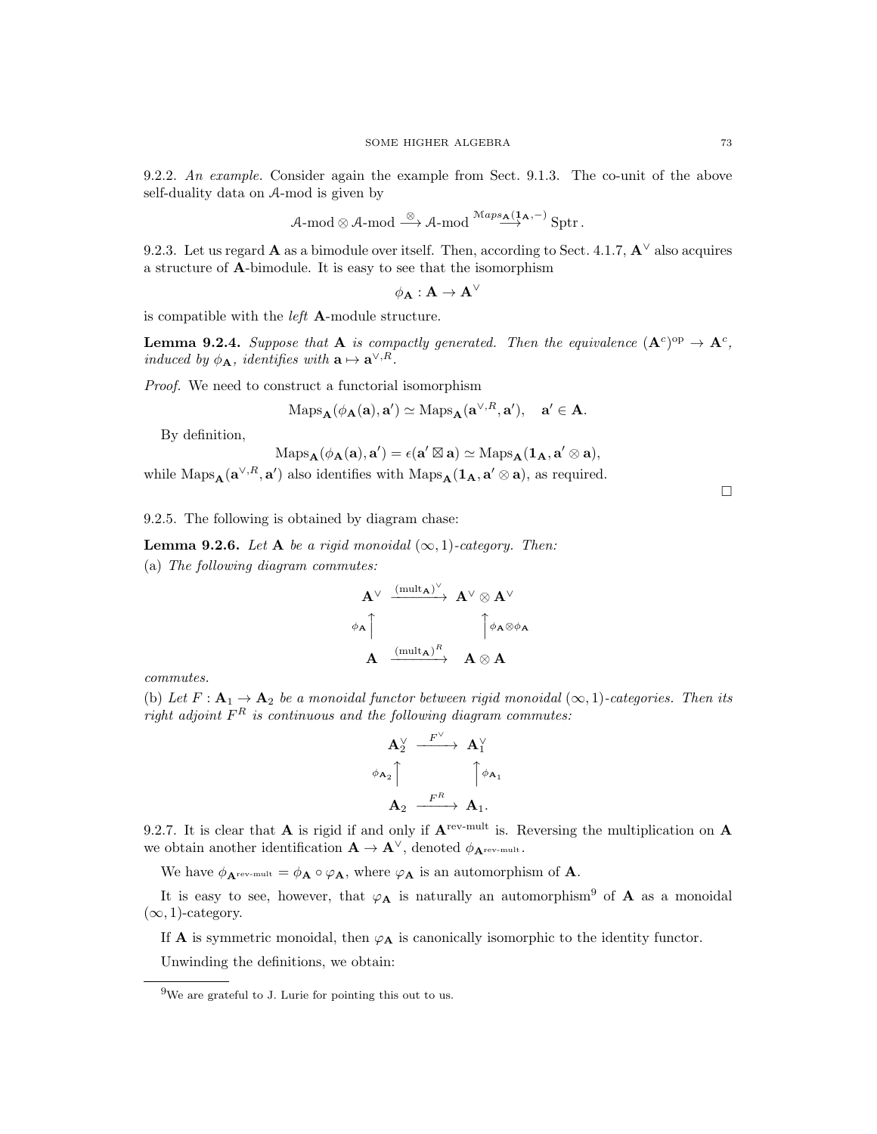9.2.2. An example. Consider again the example from Sect. 9.1.3. The co-unit of the above self-duality data on A-mod is given by

$$
\mathcal{A}\text{-mod}\otimes\mathcal{A}\text{-mod}\stackrel{\otimes}{\longrightarrow}\mathcal{A}\text{-mod}\stackrel{\mathcal{M}aps_{\mathbf{A}}(\mathbf{1}_{\mathbf{A}},-)}{\longrightarrow}\text{Sptr}\,.
$$

9.2.3. Let us regard **A** as a bimodule over itself. Then, according to Sect. 4.1.7,  $\mathbf{A}^{\vee}$  also acquires a structure of A-bimodule. It is easy to see that the isomorphism

$$
\phi_{\mathbf{A}}:\mathbf{A}\rightarrow \mathbf{A}^\vee
$$

is compatible with the *left*  $\bf{A}$ -module structure.

**Lemma 9.2.4.** Suppose that **A** is compactly generated. Then the equivalence  $(A^c)^{op} \to A^c$ , induced by  $\phi_{\mathbf{A}}$ , identifies with  $\mathbf{a} \mapsto \mathbf{a}^{\vee,R}$ .

Proof. We need to construct a functorial isomorphism

$$
\mathrm{Maps}_{\mathbf{A}}(\phi_{\mathbf{A}}(\mathbf{a}), \mathbf{a}') \simeq \mathrm{Maps}_{\mathbf{A}}(\mathbf{a}^{\vee, R}, \mathbf{a}'), \quad \mathbf{a}' \in \mathbf{A}.
$$

By definition,

$$
\mathrm{Maps}_{\mathbf{A}}(\phi_{\mathbf{A}}(\mathbf{a}), \mathbf{a}') = \epsilon(\mathbf{a}' \boxtimes \mathbf{a}) \simeq \mathrm{Maps}_{\mathbf{A}}(\mathbf{1}_{\mathbf{A}}, \mathbf{a}' \otimes \mathbf{a}),
$$

while  $\text{Maps}_{\mathbf{A}}(\mathbf{a}^{\vee,R}, \mathbf{a}')$  also identifies with  $\text{Maps}_{\mathbf{A}}(\mathbf{1}_{\mathbf{A}}, \mathbf{a}' \otimes \mathbf{a})$ , as required.

9.2.5. The following is obtained by diagram chase:

**Lemma 9.2.6.** Let **A** be a rigid monoidal  $(\infty, 1)$ -category. Then: (a) The following diagram commutes:

$$
\begin{array}{ccc}\nA^{\vee} & \xrightarrow{(\mathrm{mult}_A)^{\vee}} & A^{\vee} \otimes A^{\vee} \\
& & \\
\phi_A \uparrow & & \uparrow \phi_A \otimes \phi_A \\
& A & \xrightarrow{(\mathrm{mult}_A)^R} & A \otimes A\n\end{array}
$$

commutes.

(b) Let  $F: \mathbf{A}_1 \to \mathbf{A}_2$  be a monoidal functor between rigid monoidal  $(\infty, 1)$ -categories. Then its right adjoint  $F^R$  is continuous and the following diagram commutes:

$$
\begin{array}{ccc}\n\mathbf{A}_{2}^{\vee} & \xrightarrow{F^{\vee}} & \mathbf{A}_{1}^{\vee} \\
\phi_{\mathbf{A}_{2}} & & \uparrow \phi_{\mathbf{A}_{1}} \\
\mathbf{A}_{2} & \xrightarrow{F^{R}} & \mathbf{A}_{1}.\n\end{array}
$$

9.2.7. It is clear that **A** is rigid if and only if  $A^{rev-mult}$  is. Reversing the multiplication on  $A$ we obtain another identification  $\mathbf{A} \to \mathbf{A}^{\vee}$ , denoted  $\phi_{\mathbf{A}^{\text{rev-mult}}}.$ 

We have  $\phi_{\mathbf{A}^{\text{rev-mult}}} = \phi_{\mathbf{A}} \circ \varphi_{\mathbf{A}}$ , where  $\varphi_{\mathbf{A}}$  is an automorphism of  $\mathbf{A}$ .

It is easy to see, however, that  $\varphi_A$  is naturally an automorphism<sup>9</sup> of A as a monoidal  $(\infty, 1)$ -category.

If **A** is symmetric monoidal, then  $\varphi_A$  is canonically isomorphic to the identity functor.

Unwinding the definitions, we obtain:

 $9$ We are grateful to J. Lurie for pointing this out to us.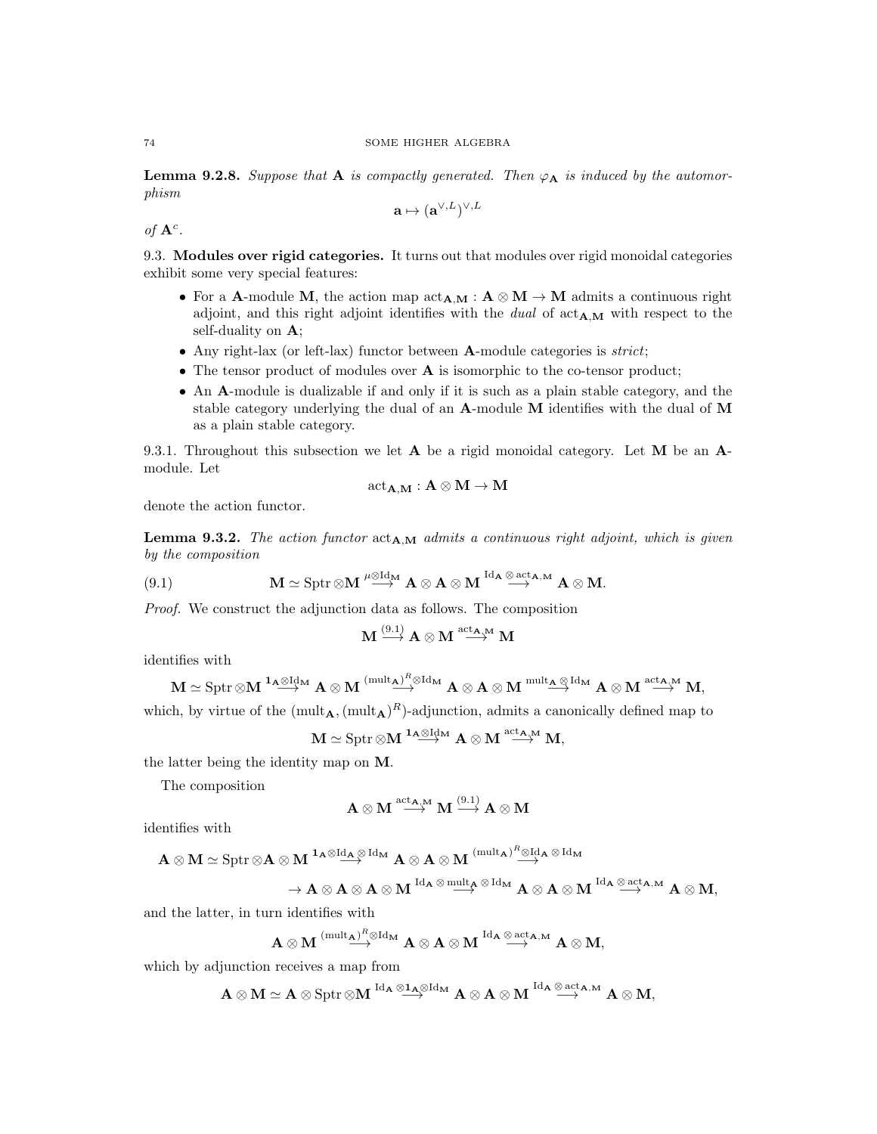**Lemma 9.2.8.** Suppose that **A** is compactly generated. Then  $\varphi_{\mathbf{A}}$  is induced by the automorphism

$$
\mathbf{a}\mapsto (\mathbf{a}^{\vee,L})^{\vee,L}
$$

of  $\mathbf{A}^c$ .

9.3. Modules over rigid categories. It turns out that modules over rigid monoidal categories exhibit some very special features:

- For a A-module M, the action map  $\text{act}_{A,M}: A \otimes M \to M$  admits a continuous right adjoint, and this right adjoint identifies with the dual of  $\text{act}_{A,M}$  with respect to the self-duality on A;
- Any right-lax (or left-lax) functor between **A**-module categories is *strict*;
- The tensor product of modules over **A** is isomorphic to the co-tensor product;
- An A-module is dualizable if and only if it is such as a plain stable category, and the stable category underlying the dual of an A-module M identifies with the dual of M as a plain stable category.

9.3.1. Throughout this subsection we let  $A$  be a rigid monoidal category. Let  $M$  be an  $A$ module. Let

$$
\mathrm{act}_{\mathbf{A},\mathbf{M}}:\mathbf{A}\otimes\mathbf{M}\to\mathbf{M}
$$

denote the action functor.

**Lemma 9.3.2.** The action functor  $\text{act}_{A,M}$  admits a continuous right adjoint, which is given by the composition

(9.1) 
$$
\mathbf{M} \simeq \text{Sptr} \otimes \mathbf{M} \stackrel{\mu \otimes \text{Id}_{\mathbf{M}}}{\longrightarrow} \mathbf{A} \otimes \mathbf{A} \otimes \mathbf{M} \stackrel{\text{Id}_{\mathbf{A}} \otimes \text{act}_{\mathbf{A},\mathbf{M}}}{\longrightarrow} \mathbf{A} \otimes \mathbf{M}.
$$

Proof. We construct the adjunction data as follows. The composition

$$
\mathbf{M} \stackrel{(9.1)}{\longrightarrow} \mathbf{A} \otimes \mathbf{M} \stackrel{\mathrm{act}_{\mathbf{A},\mathbf{M}}}{\longrightarrow} \mathbf{M}
$$

identifies with

$$
\mathbf{M} \simeq \mathrm{Sptr}\mathop{\otimes} \mathbf{M} \stackrel{\mathbf{1_A}\mathop{\otimes} \mathrm{Id}_\mathbf{M}}{\longrightarrow} \mathbf{A} \otimes \mathbf{M} \stackrel{(\mathrm{mult}_{\mathbf{A}})^R\mathop{\otimes} \mathrm{Id}_\mathbf{M}}{\longrightarrow} \mathbf{A} \otimes \mathbf{A} \otimes \mathbf{M} \stackrel{\mathrm{mult}_{\mathbf{A}}\mathop{\otimes} \mathrm{Id}_\mathbf{M}}{\longrightarrow} \mathbf{A} \otimes \mathbf{M} \stackrel{\mathrm{act}_{\mathbf{A},\mathbf{M}}}{\longrightarrow} \mathbf{M},
$$

which, by virtue of the  $(\text{mult}_{\mathbf{A}}, (\text{mult}_{\mathbf{A}})^R)$ -adjunction, admits a canonically defined map to

$$
\mathbf{M} \simeq \mathrm{Sptr} \otimes \mathbf{M} \overset{1_{\mathbf{A}} \otimes \mathrm{Id}_{\mathbf{M}}}{\longrightarrow} \mathbf{A} \otimes \mathbf{M} \overset{\mathrm{act}_{\mathbf{A},\mathbf{M}}}{\longrightarrow} \mathbf{M},
$$

the latter being the identity map on M.

The composition

$$
\mathbf{A}\otimes\mathbf{M}\stackrel{{\rm act}_{\mathbf{A},\mathbf{M}}}{\longrightarrow}\mathbf{M}\stackrel{(9.1)}{\longrightarrow}\mathbf{A}\otimes\mathbf{M}
$$

identifies with

$$
\mathbf{A} \otimes \mathbf{M} \simeq \mathrm{Sptr} \otimes \mathbf{A} \otimes \mathbf{M} \xrightarrow{\mathbf{1_A} \otimes \mathrm{Id}_{\mathbf{A}}} \mathbf{A} \otimes \mathbf{A} \otimes \mathbf{M} \xrightarrow{\mathrm{(mult_{\mathbf{A}})}^R \otimes \mathrm{Id}_{\mathbf{A}}} \mathbf{A} \otimes \mathrm{Id}_{\mathbf{M}}
$$

$$
\to \mathbf{A} \otimes \mathbf{A} \otimes \mathbf{A} \otimes \mathbf{M} \overset{\mathrm{Id}_\mathbf{A} \otimes \mathrm{mult}_\mathbf{A} \otimes \mathrm{Id}_\mathbf{M}}{\longrightarrow} \mathbf{A} \otimes \mathbf{A} \otimes \mathbf{M} \overset{\mathrm{Id}_\mathbf{A} \otimes \mathrm{act}_\mathbf{A,M}}{\longrightarrow} \mathbf{A} \otimes \mathbf{M},
$$

and the latter, in turn identifies with

$$
\mathbf{A}\otimes\mathbf{M}\stackrel{(\mathrm{mult}_{\mathbf{A}})^R\otimes\mathrm{Id}_\mathbf{M}}{\longrightarrow}\mathbf{A}\otimes\mathbf{A}\otimes\mathbf{M}\stackrel{\mathrm{Id}_\mathbf{A}\otimes\mathrm{act}_{\mathbf{A},\mathbf{M}}}{\longrightarrow}\mathbf{A}\otimes\mathbf{M},
$$

which by adjunction receives a map from

$$
\mathbf{A}\otimes M\simeq \mathbf{A}\otimes \operatorname{Sptr}\otimes M \stackrel{\mathrm{Id}_\mathbf{A}\otimes \mathbf{1}_\mathbf{A}\otimes \mathrm{Id}_M}{\longrightarrow} \mathbf{A}\otimes \mathbf{A}\otimes M \stackrel{\mathrm{Id}_\mathbf{A}\otimes \operatorname{act}_{\mathbf{A},M}}{\longrightarrow} \mathbf{A}\otimes M,
$$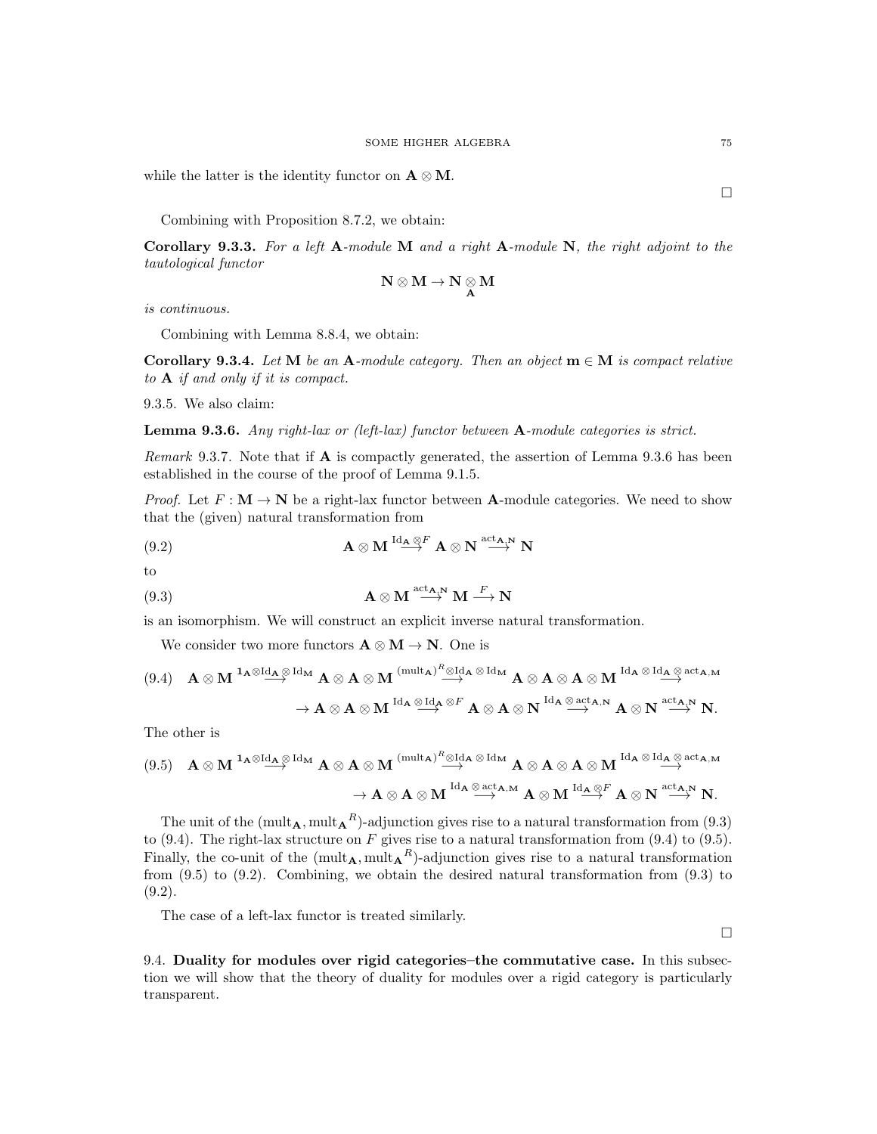while the latter is the identity functor on  $\mathbf{A} \otimes \mathbf{M}$ .

Combining with Proposition 8.7.2, we obtain:

Corollary 9.3.3. For a left  $A$ -module M and a right  $A$ -module N, the right adjoint to the tautological functor

$$
N\otimes M\to N\underset{A}{\otimes} M
$$

is continuous.

Combining with Lemma 8.8.4, we obtain:

Corollary 9.3.4. Let M be an A-module category. Then an object  $m \in M$  is compact relative to A if and only if it is compact.

9.3.5. We also claim:

**Lemma 9.3.6.** Any right-lax or (left-lax) functor between  $A$ -module categories is strict.

Remark 9.3.7. Note that if  $\bf{A}$  is compactly generated, the assertion of Lemma 9.3.6 has been established in the course of the proof of Lemma 9.1.5.

*Proof.* Let  $F: \mathbf{M} \to \mathbf{N}$  be a right-lax functor between **A**-module categories. We need to show that the (given) natural transformation from

(9.2) 
$$
\mathbf{A} \otimes \mathbf{M} \overset{\mathrm{Id}_{\mathbf{A}} \otimes F}{\longrightarrow} \mathbf{A} \otimes \mathbf{N} \overset{\mathrm{act}_{\mathbf{A},\mathbf{N}}}{\longrightarrow} \mathbf{N}
$$

to

(9.3) 
$$
\mathbf{A} \otimes \mathbf{M} \stackrel{\text{act}_{\mathbf{A},\mathbf{N}}}{\longrightarrow} \mathbf{M} \stackrel{F}{\longrightarrow} \mathbf{N}
$$

is an isomorphism. We will construct an explicit inverse natural transformation.

We consider two more functors  $\mathbf{A} \otimes \mathbf{M} \to \mathbf{N}$ . One is

$$
\begin{array}{cccc} (9.4) & \mathbf{A}\otimes \mathbf{M} \xrightarrow{\mathbf{1_A}\otimes \operatorname{Id}_{\mathbf{A}}}\mathbb{A}\otimes \mathbf{A}\otimes \mathbf{M} \xrightarrow{(\operatorname{mult}_{\mathbf{A}})^R\otimes \operatorname{Id}_{\mathbf{A}}}\mathbb{A}\otimes \mathbf{A}\otimes \mathbf{A}\otimes \mathbf{A}\otimes \mathbf{M} \xrightarrow{\operatorname{Id}_{\mathbf{A}}}\mathbb{A}\otimes \operatorname{Id}_{\mathbf{A},\mathbf{M}}\\ & \to \mathbf{A}\otimes \mathbf{A}\otimes \mathbf{M} \xrightarrow{\operatorname{Id}_{\mathbf{A}}}\mathbb{A}\otimes \operatorname{Id}_{\mathbf{A}}\otimes^F \mathbf{A}\otimes \mathbf{A}\otimes \mathbf{N} \xrightarrow{\operatorname{Id}_{\mathbf{A}}}\mathbb{A}\otimes \mathbf{N} \xrightarrow{\operatorname{act}_{\mathbf{A},\mathbf{N}}} \mathbf{A}\otimes \mathbf{N} \xrightarrow{\operatorname{act}_{\mathbf{A},\mathbf{N}}} \mathbf{N}.\end{array}
$$

The other is

$$
\begin{array}{cccc}\text{(9.5)} & \mathbf{A}\otimes\mathbf{M} \xrightarrow{\mathbf{1_A}\otimes\mathrm{Id}_{\mathbf{A}}}\mathbf{A}\otimes\mathbf{A}\otimes\mathbf{M} \xrightarrow{\text{(mult_A)}^R\otimes\mathrm{Id}_{\mathbf{A}}}\mathbb{A}\otimes\mathrm{Id}_{\mathbf{M}} \mathbf{A}\otimes\mathbf{A}\otimes\mathbf{A}\otimes\mathbf{M} \xrightarrow{\mathrm{Id}_{\mathbf{A}}}\mathbb{A}\otimes\mathrm{Id}_{\mathbf{A},\mathbf{M}} \\ & \to \mathbf{A}\otimes\mathbf{A}\otimes\mathbf{M} \xrightarrow{\mathrm{Id}_{\mathbf{A}}}\mathbb{A}\otimes\mathrm{act}_{\mathbf{A},\mathbf{M}} \mathbf{A}\otimes\mathbf{M} \xrightarrow{\mathrm{Id}_{\mathbf{A}}\otimes^F} \mathbf{A}\otimes\mathbf{N} \xrightarrow{\mathrm{act}_{\mathbf{A},\mathbf{N}}} \mathbf{N}.\end{array}
$$

The unit of the  $(\text{mult}_{\mathbf{A}}, \text{mult}_{\mathbf{A}}^R)$ -adjunction gives rise to a natural transformation from  $(9.3)$ to (9.4). The right-lax structure on F gives rise to a natural transformation from (9.4) to (9.5). Finally, the co-unit of the  $(\text{mult}_{\mathbf{A}}, \text{mult}_{\mathbf{A}}^R)$ -adjunction gives rise to a natural transformation from (9.5) to (9.2). Combining, we obtain the desired natural transformation from (9.3) to  $(9.2).$ 

The case of a left-lax functor is treated similarly.

 $\Box$ 

9.4. Duality for modules over rigid categories–the commutative case. In this subsection we will show that the theory of duality for modules over a rigid category is particularly transparent.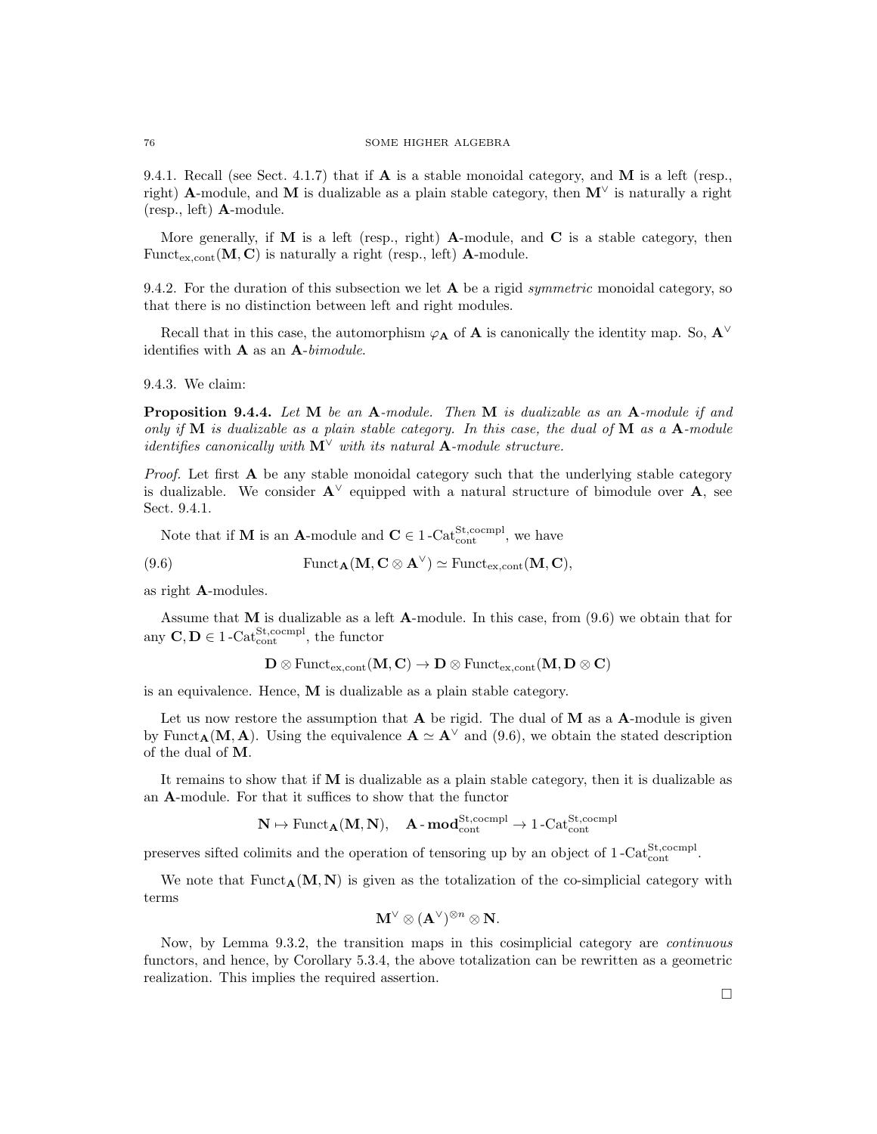9.4.1. Recall (see Sect. 4.1.7) that if  $\bf{A}$  is a stable monoidal category, and  $\bf{M}$  is a left (resp., right) A-module, and M is dualizable as a plain stable category, then  $M^{\vee}$  is naturally a right (resp., left) A-module.

More generally, if  $M$  is a left (resp., right) A-module, and  $C$  is a stable category, then Funct<sub>ex.cont</sub>  $(M, C)$  is naturally a right (resp., left) A-module.

9.4.2. For the duration of this subsection we let  $A$  be a rigid *symmetric* monoidal category, so that there is no distinction between left and right modules.

Recall that in this case, the automorphism  $\varphi_A$  of **A** is canonically the identity map. So,  $A^{\vee}$ identifies with  $A$  as an  $A$ -bimodule.

9.4.3. We claim:

Proposition 9.4.4. Let M be an A-module. Then M is dualizable as an A-module if and only if  $M$  is dualizable as a plain stable category. In this case, the dual of  $M$  as a  $A$ -module *identifies canonically with*  $M^{\vee}$  *with its natural* **A**-module structure.

*Proof.* Let first  $\bf{A}$  be any stable monoidal category such that the underlying stable category is dualizable. We consider  $\mathbf{A}^{\vee}$  equipped with a natural structure of bimodule over  $\mathbf{A}$ , see Sect. 9.4.1.

Note that if **M** is an **A**-module and  $C \in 1$ -Cat<sup>St</sup>,cocmpl<sub>,</sub> we have

(9.6) 
$$
\text{Funct}_{\mathbf{A}}(\mathbf{M}, \mathbf{C} \otimes \mathbf{A}^{\vee}) \simeq \text{Funct}_{\text{ex,cont}}(\mathbf{M}, \mathbf{C}),
$$

as right A-modules.

Assume that  $M$  is dualizable as a left  $A$ -module. In this case, from  $(9.6)$  we obtain that for any  $C, D \in 1$ -Cat<sup>St</sup>, cocmpl<sub>,</sub> the functor

$$
\mathbf{D} \otimes \mathrm{Funct}_{\mathrm{ex},\mathrm{cont}}(\mathbf{M},\mathbf{C}) \to \mathbf{D} \otimes \mathrm{Funct}_{\mathrm{ex},\mathrm{cont}}(\mathbf{M},\mathbf{D} \otimes \mathbf{C})
$$

is an equivalence. Hence, M is dualizable as a plain stable category.

Let us now restore the assumption that  $A$  be rigid. The dual of  $M$  as a  $A$ -module is given by Funct<sub>A</sub>(M, A). Using the equivalence  $\mathbf{A} \simeq \mathbf{A}^{\vee}$  and (9.6), we obtain the stated description of the dual of M.

It remains to show that if M is dualizable as a plain stable category, then it is dualizable as an A-module. For that it suffices to show that the functor

$$
\mathbf{N}\mapsto \mathrm{Funct}_{\mathbf{A}}(\mathbf{M},\mathbf{N}),\quad \mathbf{A}\text{-}\mathbf{mod}_{\mathrm{cont}}^{\mathrm{St},\mathrm{coempl}}\to 1\text{-}\mathrm{Cat}_{\mathrm{cont}}^{\mathrm{St},\mathrm{coempl}}
$$

preserves sifted colimits and the operation of tensoring up by an object of  $1-\text{Cat}_{\text{cont}}^{\text{St,coempl}}$ .

We note that  $Funct_{\mathbf{A}}(\mathbf{M}, \mathbf{N})$  is given as the totalization of the co-simplicial category with terms

$$
\mathbf{M}^\vee\otimes (\mathbf{A}^\vee)^{\otimes n}\otimes \mathbf{N}.
$$

Now, by Lemma 9.3.2, the transition maps in this cosimplicial category are continuous functors, and hence, by Corollary 5.3.4, the above totalization can be rewritten as a geometric realization. This implies the required assertion.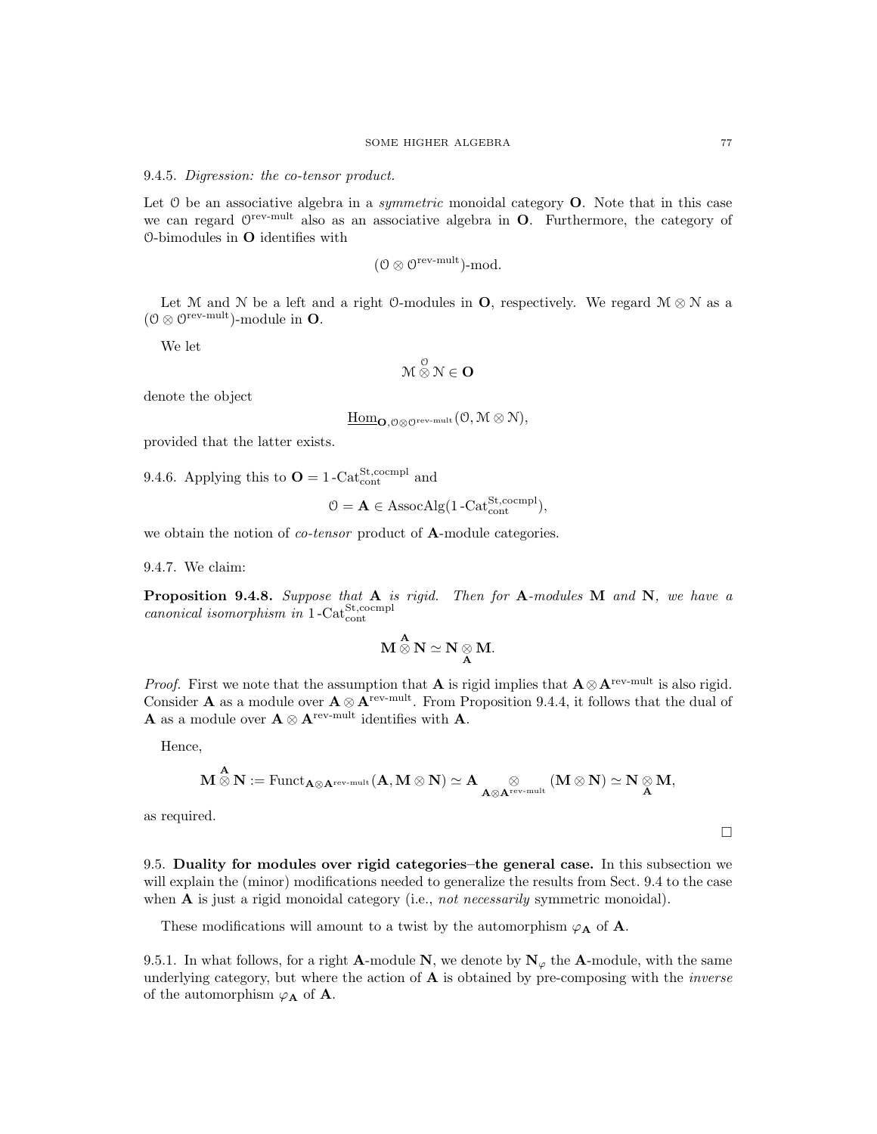#### 9.4.5. Digression: the co-tensor product.

Let  $\theta$  be an associative algebra in a *symmetric* monoidal category **O**. Note that in this case we can regard  $\mathbb{O}^{\text{rev-mult}}$  also as an associative algebra in **O**. Furthermore, the category of O-bimodules in  $\mathbf O$  identifies with

$$
(\mathcal{O}\otimes\mathcal{O}^{\mathrm{rev-mult}})\text{-mod}.
$$

Let M and N be a left and a right O-modules in **O**, respectively. We regard  $M \otimes N$  as a  $(0 \otimes 0^{\text{rev-mult}})$ -module in **O**.

We let

$$
\mathcal{M} \overset{\mathcal{O}}{\otimes} \mathcal{N} \in \mathbf{O}
$$

denote the object

$$
\underline{\mathrm{Hom}}_{\mathbf{O}, \mathcal{O} \otimes \mathcal{O}^{\mathrm{rev-mult}}}(\mathcal{O}, \mathcal{M} \otimes \mathcal{N})
$$

provided that the latter exists.

9.4.6. Applying this to  $\mathbf{O} = 1 - \text{Cat}_{\text{cont}}^{\text{St,coempl}}$  and

$$
\mathcal{O} = \mathbf{A} \in \mathrm{AssocAlg}(1\text{-Cat}_{\mathrm{cont}}^{\mathrm{St},\mathrm{coempl}}),
$$

we obtain the notion of *co-tensor* product of **A**-module categories.

9.4.7. We claim:

**Proposition 9.4.8.** Suppose that  $A$  is rigid. Then for  $A$ -modules  $M$  and  $N$ , we have a canonical isomorphism in  $1$ -Cat $_{\text{cont}}^{\text{St,comm}}$ 

$$
\mathbf{M} \overset{\mathbf{A}}{\otimes} \mathbf{N} \simeq \mathbf{N} \underset{\mathbf{A}}{\otimes} \mathbf{M}.
$$

*Proof.* First we note that the assumption that **A** is rigid implies that  $\mathbf{A} \otimes \mathbf{A}^{\text{rev-mult}}$  is also rigid. Consider A as a module over  $A \otimes A^{rev-mult}$ . From Proposition 9.4.4, it follows that the dual of **A** as a module over  $\mathbf{A} \otimes \mathbf{A}^{\text{rev-mult}}$  identifies with **A**.

Hence,

$$
\mathbf{M} \overset{\mathbf{A}}{\otimes} \mathbf{N} := \mathrm{Funct}_{\mathbf{A} \otimes \mathbf{A}^{\mathrm{rev-mult}}}(\mathbf{A}, \mathbf{M} \otimes \mathbf{N}) \simeq \mathbf{A} \underset{\mathbf{A} \otimes \mathbf{A}^{\mathrm{rev-mult}}}{\otimes} (\mathbf{M} \otimes \mathbf{N}) \simeq \mathbf{N} \underset{\mathbf{A}}{\otimes} \mathbf{M},
$$

as required.

9.5. Duality for modules over rigid categories–the general case. In this subsection we will explain the (minor) modifications needed to generalize the results from Sect. 9.4 to the case when  $A$  is just a rigid monoidal category (i.e., not necessarily symmetric monoidal).

These modifications will amount to a twist by the automorphism  $\varphi_{\mathbf{A}}$  of **A**.

9.5.1. In what follows, for a right **A**-module N, we denote by  $N_{\varphi}$  the **A**-module, with the same underlying category, but where the action of  $A$  is obtained by pre-composing with the *inverse* of the automorphism  $\varphi_{\mathbf{A}}$  of **A**.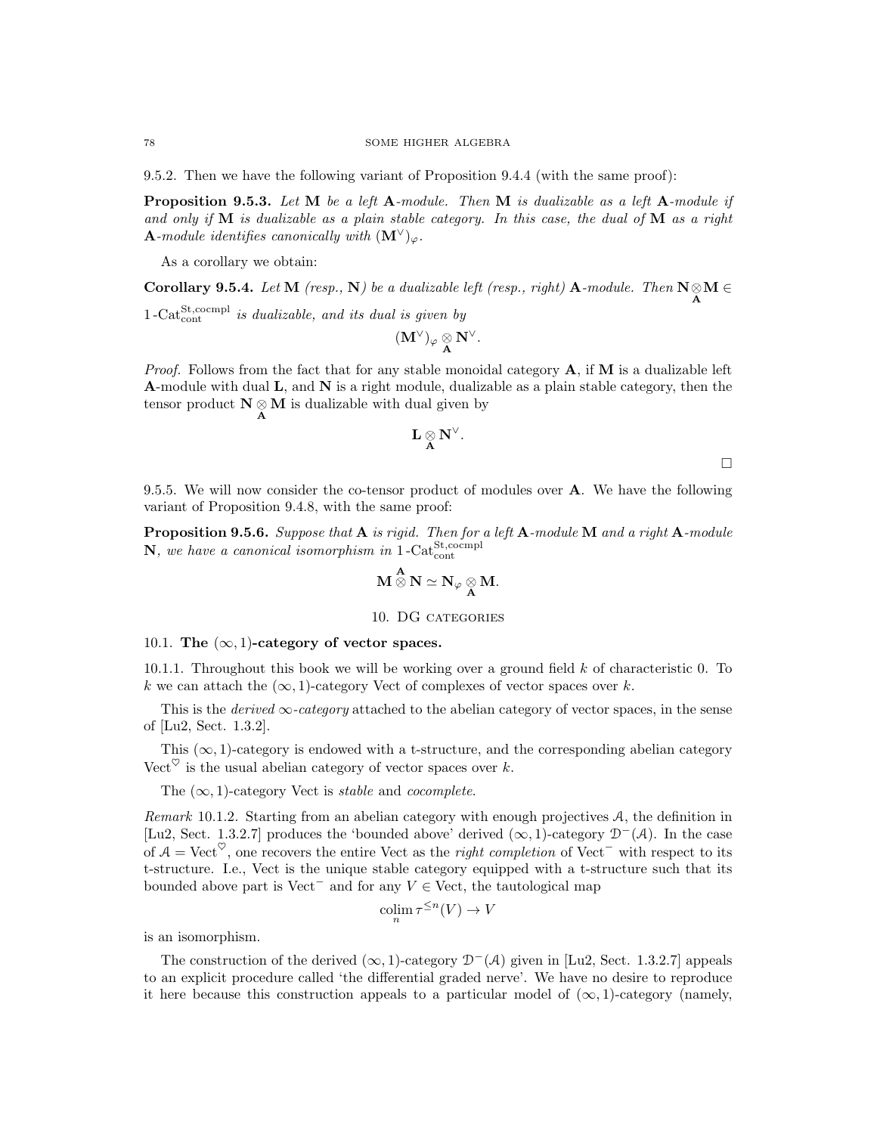9.5.2. Then we have the following variant of Proposition 9.4.4 (with the same proof):

**Proposition 9.5.3.** Let  $M$  be a left  $A$ -module. Then  $M$  is dualizable as a left  $A$ -module if and only if  $M$  is dualizable as a plain stable category. In this case, the dual of  $M$  as a right **A**-module identifies canonically with  $(M^{\vee})_{\varphi}$ .

As a corollary we obtain:

**Corollary 9.5.4.** Let  $M$  (resp.,  $N$ ) be a dualizable left (resp., right)  $A$ -module. Then  $N \underset{A}{\otimes} M \in$ 

 $1-\text{Cat}^{\text{St},\text{coempl}}_{\text{cont}}$  is dualizable, and its dual is given by

$$
(\mathbf{M}^\vee)_\varphi \underset{\mathbf{A}}{\otimes} \mathbf{N}^\vee.
$$

*Proof.* Follows from the fact that for any stable monoidal category  $A$ , if  $M$  is a dualizable left **A-module with dual L, and N is a right module, dualizable as a plain stable category, then the** tensor product  $N \otimes M$  is dualizable with dual given by A

$$
L\underset{A}{\otimes}N^{\vee}.
$$

 $\Box$ 

9.5.5. We will now consider the co-tensor product of modules over A. We have the following variant of Proposition 9.4.8, with the same proof:

Proposition 9.5.6. Suppose that A is rigid. Then for a left A-module M and a right A-module  $\mathbf{N},$  we have a canonical isomorphism in  $1$ -Cat $_{\text{cont}}^{\text{St,coempl}}$ 

$$
\mathbf{M} \overset{\mathbf{A}}{\otimes} \mathbf{N} \simeq \mathbf{N}_{\varphi} \underset{\mathbf{A}}{\otimes} \mathbf{M}.
$$

# 10. DG categories

### 10.1. The  $(\infty, 1)$ -category of vector spaces.

10.1.1. Throughout this book we will be working over a ground field  $k$  of characteristic 0. To k we can attach the  $(\infty, 1)$ -category Vect of complexes of vector spaces over k.

This is the *derived*  $\infty$ -category attached to the abelian category of vector spaces, in the sense of [Lu2, Sect. 1.3.2].

This  $(\infty, 1)$ -category is endowed with a t-structure, and the corresponding abelian category Vect<sup> $\heartsuit$ </sup> is the usual abelian category of vector spaces over k.

The  $(\infty, 1)$ -category Vect is *stable* and *cocomplete*.

Remark 10.1.2. Starting from an abelian category with enough projectives A, the definition in [Lu2, Sect. 1.3.2.7] produces the 'bounded above' derived  $(\infty, 1)$ -category  $\mathcal{D}^-(\mathcal{A})$ . In the case of  $\mathcal{A} = \text{Vect}^{\heartsuit}$ , one recovers the entire Vect as the *right completion* of Vect<sup>−</sup> with respect to its t-structure. I.e., Vect is the unique stable category equipped with a t-structure such that its bounded above part is Vect<sup>−</sup> and for any  $V \in$  Vect, the tautological map

$$
\operatorname{colim}_{n} \tau^{\leq n}(V) \to V
$$

is an isomorphism.

The construction of the derived  $(\infty, 1)$ -category  $\mathcal{D}^{-}(\mathcal{A})$  given in [Lu2, Sect. 1.3.2.7] appeals to an explicit procedure called 'the differential graded nerve'. We have no desire to reproduce it here because this construction appeals to a particular model of  $(\infty, 1)$ -category (namely,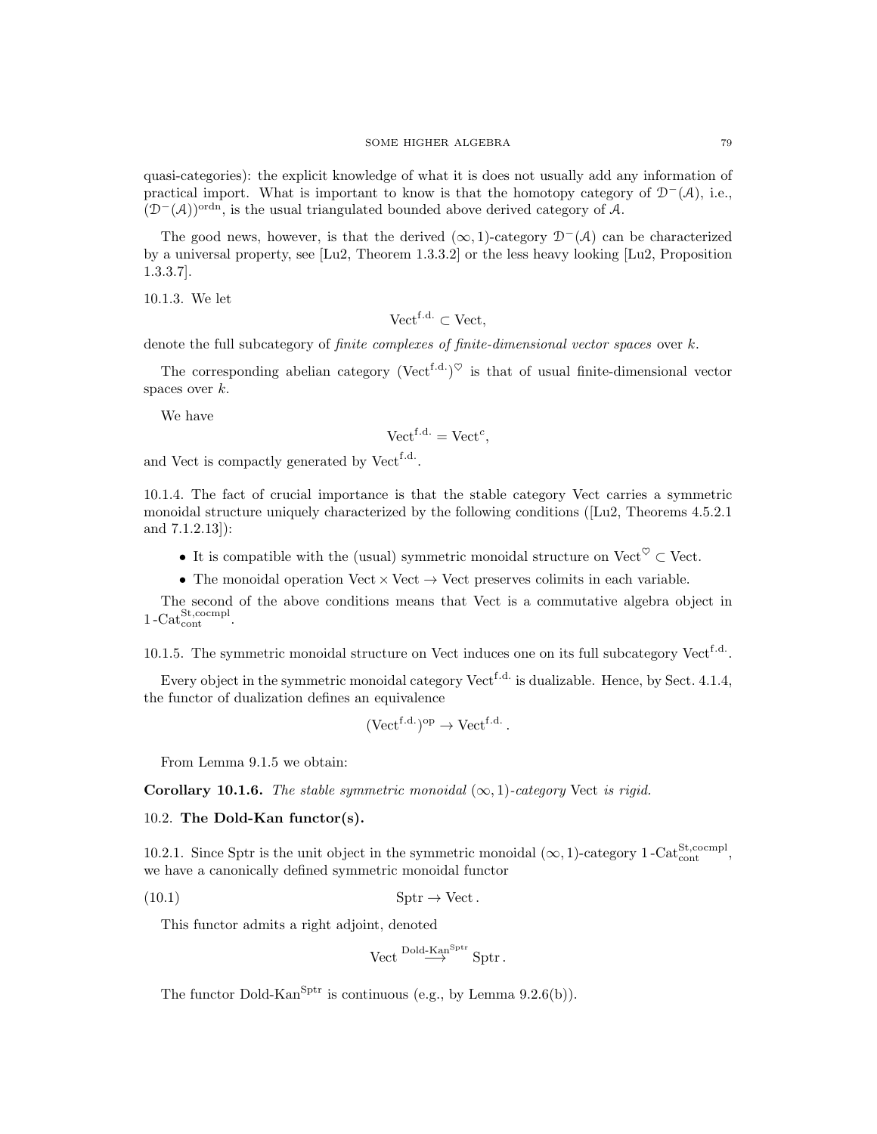quasi-categories): the explicit knowledge of what it is does not usually add any information of practical import. What is important to know is that the homotopy category of  $\mathcal{D}^-(\mathcal{A})$ , i.e.,  $(D<sup>-</sup>(A))<sup>ordn</sup>$ , is the usual triangulated bounded above derived category of A.

The good news, however, is that the derived  $(\infty, 1)$ -category  $\mathcal{D}^{-}(\mathcal{A})$  can be characterized by a universal property, see [Lu2, Theorem 1.3.3.2] or the less heavy looking [Lu2, Proposition 1.3.3.7].

10.1.3. We let

Vect<sup>f.d.</sup>  $\subset$  Vect,

denote the full subcategory of *finite complexes of finite-dimensional vector spaces* over k.

The corresponding abelian category (Vect<sup>f.d.</sup>)<sup> $\heartsuit$ </sup> is that of usual finite-dimensional vector spaces over  $k$ .

We have

$$
\text{Vect}^{\text{f.d.}} = \text{Vect}^c,
$$

and Vect is compactly generated by Vect<sup>f.d.</sup>.

10.1.4. The fact of crucial importance is that the stable category Vect carries a symmetric monoidal structure uniquely characterized by the following conditions ([Lu2, Theorems 4.5.2.1 and 7.1.2.13]):

- It is compatible with the (usual) symmetric monoidal structure on Vect<sup> $\heartsuit \subset \text{Vect}$ .</sup>
- The monoidal operation Vect  $\times$  Vect  $\rightarrow$  Vect preserves colimits in each variable.

The second of the above conditions means that Vect is a commutative algebra object in  $1-\text{Cat}_{\text{cont}}^{\text{St,coempl}}$ .

10.1.5. The symmetric monoidal structure on Vect induces one on its full subcategory Vect<sup>f.d.</sup>.

Every object in the symmetric monoidal category  $\mathrm{Vect}^{\text{f.d.}}$  is dualizable. Hence, by Sect. 4.1.4, the functor of dualization defines an equivalence

$$
(\text{Vect}^{\text{f.d.}})^{\text{op}} \to \text{Vect}^{\text{f.d.}}.
$$

From Lemma 9.1.5 we obtain:

**Corollary 10.1.6.** The stable symmetric monoidal  $(\infty, 1)$ -category Vect is rigid.

10.2. The Dold-Kan functor(s).

10.2.1. Since Sptr is the unit object in the symmetric monoidal  $(\infty, 1)$ -category 1-Cat<sup>St</sup>,<sup>cocmpl</sup>, we have a canonically defined symmetric monoidal functor

(10.1) Sptr → Vect.

This functor admits a right adjoint, denoted

$$
\text{Vect} \stackrel{\text{Dold-Kan}^{\text{Sptr}}}{\longrightarrow} \text{Sptr}\,.
$$

The functor Dold-Kan<sup>Sptr</sup> is continuous (e.g., by Lemma  $9.2.6(b)$ ).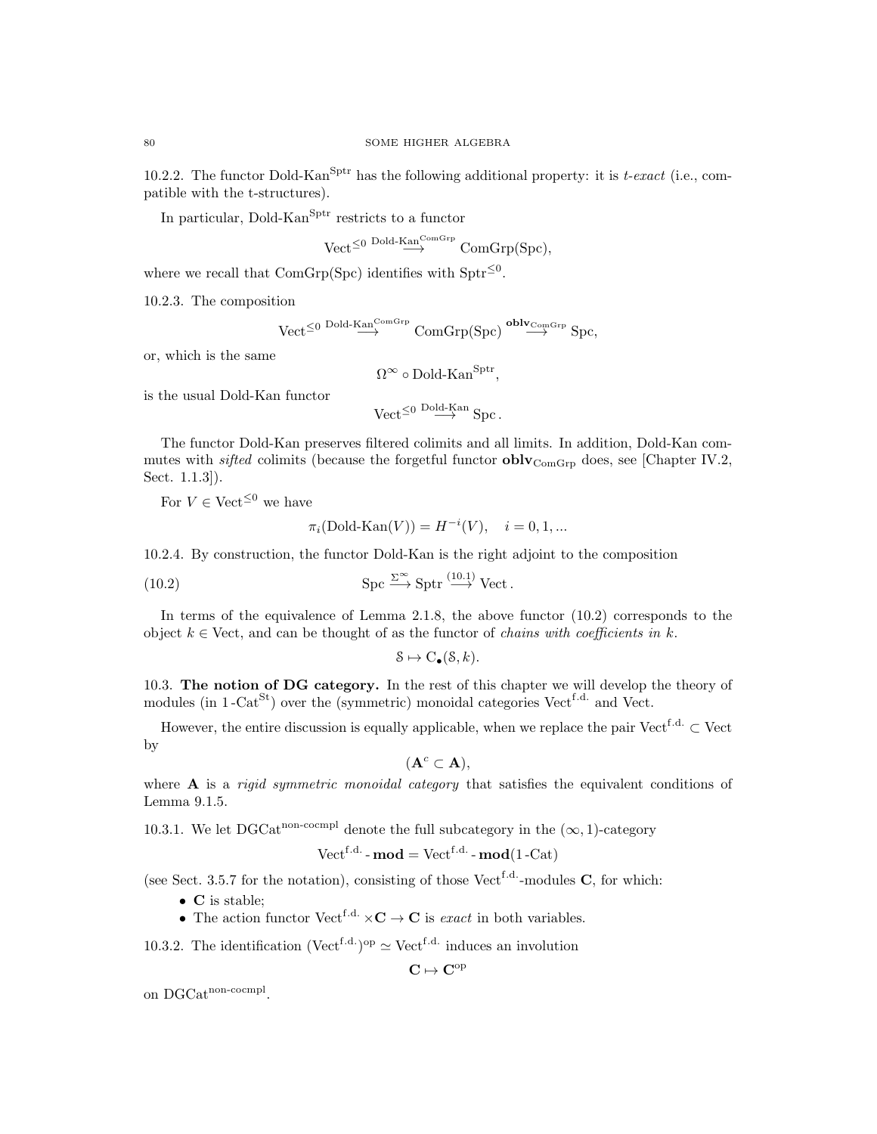10.2.2. The functor Dold-Kan<sup>Sptr</sup> has the following additional property: it is t-exact (i.e., compatible with the t-structures).

In particular, Dold-Kan<sup>Sptr</sup> restricts to a functor

$$
\text{Vect}^{\leq 0 \text{ Dold-Kan}^{\text{ComGrp}}}_{\longrightarrow} \text{ComGrp}(\text{Spc}),
$$

where we recall that  $ComGrp(Spc)$  identifies with  $Sptr^{\leq 0}$ .

10.2.3. The composition

$$
\text{Vect}^{\leq 0}\stackrel{\text{Dold-Kan}^{\text{ComGrp}}}{\longrightarrow}\text{ComGrp}(\text{Spc})\stackrel{\textbf{oblv}_{\text{ComGrp}}}{\longrightarrow}\text{Spc},
$$

or, which is the same

 $\Omega^{\infty} \circ \mathrm{Dold\text{-}Kan}^{\mathrm{Sptr}},$ 

is the usual Dold-Kan functor

 $\text{Vect}^{\leq 0} \overset{\text{Dold-Kan}}{\longrightarrow} \text{Spc}.$ 

The functor Dold-Kan preserves filtered colimits and all limits. In addition, Dold-Kan commutes with *sifted* colimits (because the forgetful functor  $oblv_{ComGrp}$  does, see [Chapter IV.2, Sect. 1.1.3]).

For  $V \in \text{Vect}^{\leq 0}$  we have

$$
\pi_i(\text{Dold-Kan}(V)) = H^{-i}(V), \quad i = 0, 1, ...
$$

10.2.4. By construction, the functor Dold-Kan is the right adjoint to the composition

(10.2) 
$$
\text{Spc} \xrightarrow{\Sigma^{\infty}} \text{Sptr} \xrightarrow{(10.1)} \text{Vect}.
$$

In terms of the equivalence of Lemma 2.1.8, the above functor (10.2) corresponds to the object  $k \in$  Vect, and can be thought of as the functor of *chains with coefficients in k*.

$$
\mathcal{S} \mapsto C_{\bullet}(\mathcal{S}, k).
$$

10.3. The notion of DG category. In the rest of this chapter we will develop the theory of modules (in  $1$ -Cat<sup>St</sup>) over the (symmetric) monoidal categories Vect<sup>f.d.</sup> and Vect.

However, the entire discussion is equally applicable, when we replace the pair Vect<sup>f.d.</sup> ⊂ Vect by

$$
(\mathbf{A}^c \subset \mathbf{A}),
$$

where  $A$  is a *rigid symmetric monoidal category* that satisfies the equivalent conditions of Lemma 9.1.5.

10.3.1. We let DGCat<sup>non-cocmpl</sup> denote the full subcategory in the  $(\infty, 1)$ -category

$$
\text{Vect}^{\text{f.d.}}\text{-}\mathbf{mod} = \text{Vect}^{\text{f.d.}}\text{-}\mathbf{mod}(1\text{-}\text{Cat})
$$

(see Sect. 3.5.7 for the notation), consisting of those Vect<sup>f.d.</sup>-modules  $C$ , for which:

- C is stable;
- The action functor  $Vect^{f.d.} \times \mathbf{C} \to \mathbf{C}$  is *exact* in both variables.

10.3.2. The identification (Vect<sup>f.d.</sup>)<sup>op</sup>  $\simeq$  Vect<sup>f.d.</sup> induces an involution

 $C \mapsto C^{op}$ 

on DGCat<sup>non-cocmpl</sup>.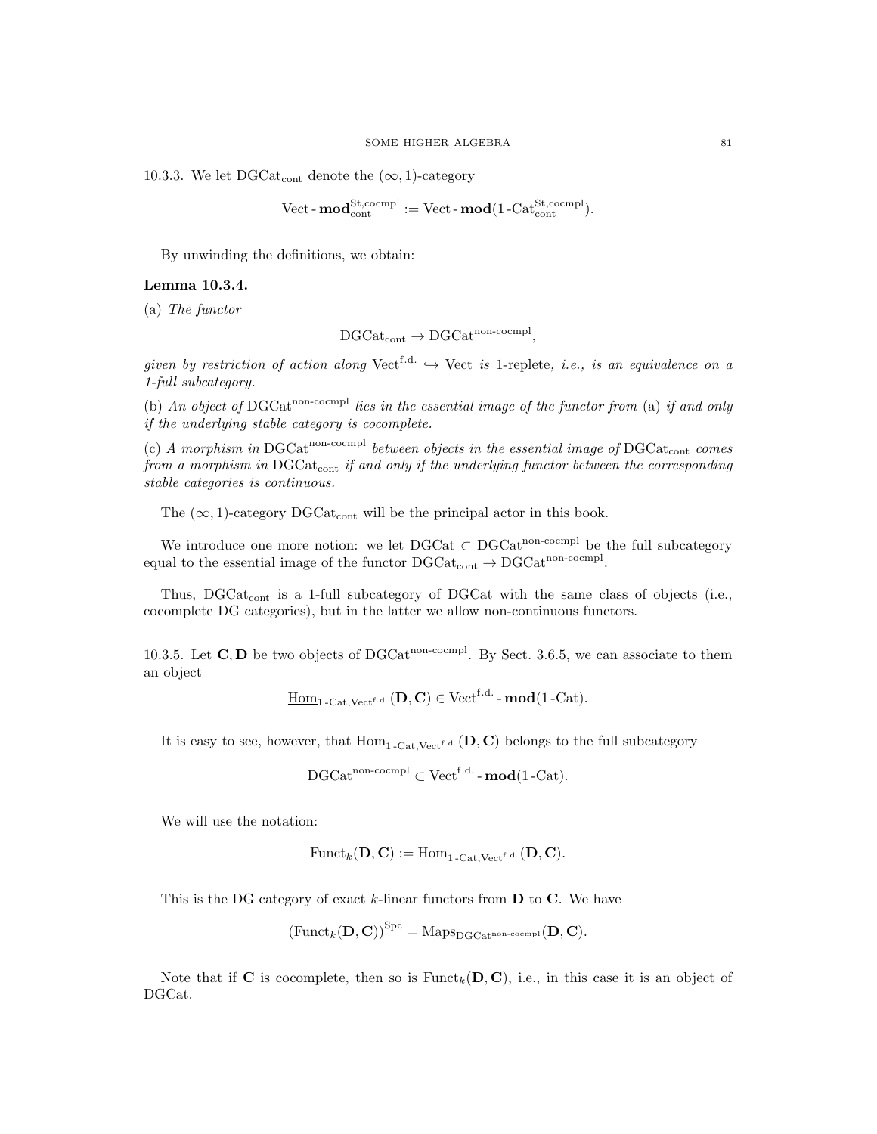10.3.3. We let DGCat<sub>cont</sub> denote the  $(\infty, 1)$ -category

$$
\text{Vect-}\mathbf{mod}_{\text{cont}}^{\text{St,coempl}} := \text{Vect-}\mathbf{mod}(1\text{-Cat}_{\text{cont}}^{\text{St,coempl}}).
$$

By unwinding the definitions, we obtain:

# Lemma 10.3.4.

(a) The functor

$$
\mathrm{DGCat}_\mathrm{cont} \to \mathrm{DGCat}^\mathrm{non\text{-}coempl},
$$

given by restriction of action along  $Vect^{f.d.} \hookrightarrow Vect$  is 1-replete, i.e., is an equivalence on a 1-full subcategory.

(b) An object of DGCat<sup>non-cocmpl</sup> lies in the essential image of the functor from (a) if and only if the underlying stable category is cocomplete.

(c) A morphism in DGCat<sup>non-cocmpl</sup> between objects in the essential image of  $DGCat_{cont}$  comes from a morphism in  $DGCat_{cont}$  if and only if the underlying functor between the corresponding stable categories is continuous.

The  $(\infty, 1)$ -category DGCat<sub>cont</sub> will be the principal actor in this book.

We introduce one more notion: we let  $DGCat \subset DGCat^{non-coempl}$  be the full subcategory equal to the essential image of the functor  $DGCat_{cont} \rightarrow DGCat^{non-coempl}$ .

Thus, DGCat<sub>cont</sub> is a 1-full subcategory of DGCat with the same class of objects (i.e., cocomplete DG categories), but in the latter we allow non-continuous functors.

10.3.5. Let  $\mathbf{C}, \mathbf{D}$  be two objects of DGCat<sup>non-cocmpl</sup>. By Sect. 3.6.5, we can associate to them an object

$$
\underline{\mathrm{Hom}}_{1\operatorname{-Cat},\mathrm{Vect}^{\mathrm{f.d.}}}(\mathbf{D},\mathbf{C}) \in \mathrm{Vect}^{\mathrm{f.d.}}\operatorname{-\mathbf{mod}}(1\operatorname{-Cat}).
$$

It is easy to see, however, that  $\underline{\text{Hom}}_{1-\text{Cat.Vect}}(D, C)$  belongs to the full subcategory

$$
\mathrm{DGCat}^{\mathrm{non\text{-}coempl}} \subset \mathrm{Vect}^{f.d.} \text{-}\mathbf{mod}(1\text{-}\mathrm{Cat}).
$$

We will use the notation:

$$
\mathrm{Funct}_{k}(\mathbf{D},\mathbf{C}):=\underline{\mathrm{Hom}}_{1\text{-Cat},\mathrm{Vect}^{\mathrm{f.d.}}}(\mathbf{D},\mathbf{C}).
$$

This is the DG category of exact  $k$ -linear functors from  $D$  to  $C$ . We have

$$
\left(\mathrm{Funct}_{k}(\mathbf{D},\mathbf{C})\right)^{\mathrm{Spc}} = \mathrm{Maps}_{\mathrm{DGCat}^{\mathrm{non-cocmpl}}}(\mathbf{D},\mathbf{C}).
$$

Note that if C is cocomplete, then so is  $\text{Funct}_k(D, C)$ , i.e., in this case it is an object of DGCat.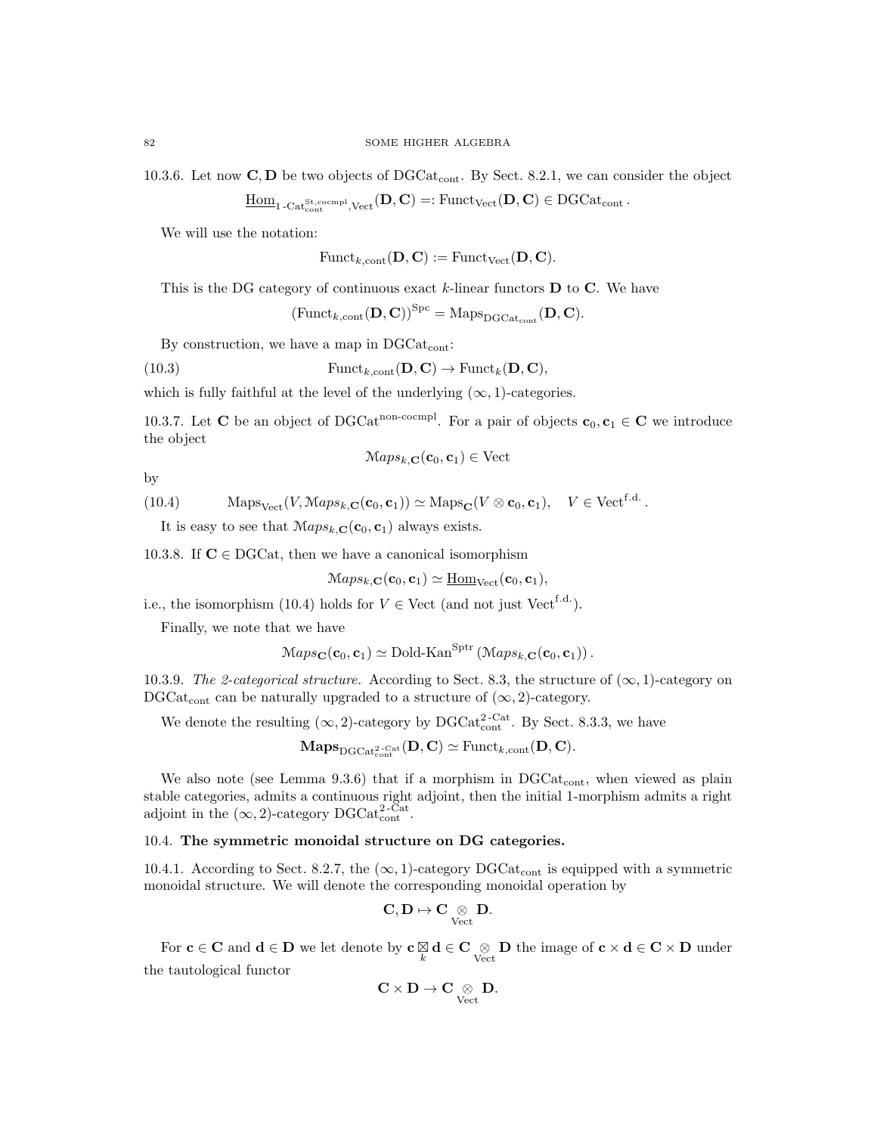10.3.6. Let now  $\mathbf{C}, \mathbf{D}$  be two objects of DGCat<sub>cont</sub>. By Sect. 8.2.1, we can consider the object

 $\underline{\mathrm{Hom}}_{1\text{-}\mathrm{Cat}^\mathrm{St, coempl}, \mathrm{Vect}}(\mathbf{D},\mathbf{C})=: \mathrm{Funct}_{\mathrm{Vect}}(\mathbf{D},\mathbf{C})\in \mathrm{DGCat}_{\mathrm{cont}}\,.$ 

We will use the notation:

$$
\mathrm{Funct}_{k,\mathrm{cont}}(\mathbf{D},\mathbf{C}) := \mathrm{Funct}_{\mathrm{Vect}}(\mathbf{D},\mathbf{C}).
$$

This is the DG category of continuous exact  $k$ -linear functors  **to**  $**C**$ **. We have** 

 $(\text{Funct}_{k,\text{cont}}(\mathbf{D}, \mathbf{C}))^{\text{Spc}} = \text{Maps}_{\text{DGCat}_{\text{cont}}}(\mathbf{D}, \mathbf{C}).$ 

By construction, we have a map in  $DGCat_{cont}$ :

(10.3) 
$$
\text{Funct}_{k,\text{cont}}(\mathbf{D},\mathbf{C}) \to \text{Funct}_{k}(\mathbf{D},\mathbf{C}),
$$

which is fully faithful at the level of the underlying  $(\infty, 1)$ -categories.

10.3.7. Let **C** be an object of DGCat<sup>non-cocmpl</sup>. For a pair of objects  $\mathbf{c}_0, \mathbf{c}_1 \in \mathbf{C}$  we introduce the object

$$
Maps_{k,\mathbf{C}}(\mathbf{c}_0, \mathbf{c}_1) \in Vect
$$

by

(10.4) 
$$
\operatorname{Maps}_{\operatorname{Vect}}(V, \operatorname{Maps}_{k, \mathbf{C}}(\mathbf{c}_0, \mathbf{c}_1)) \simeq \operatorname{Maps}_{\mathbf{C}}(V \otimes \mathbf{c}_0, \mathbf{c}_1), \quad V \in \operatorname{Vect}^{\mathrm{f.d.}}.
$$

It is easy to see that  $\mathcal{M}aps_{k,\mathbf{C}}(\mathbf{c}_0, \mathbf{c}_1)$  always exists.

10.3.8. If  $C \in DGCat$ , then we have a canonical isomorphism

$$
Maps_{k,\mathbf{C}}(\mathbf{c}_0,\mathbf{c}_1) \simeq \underline{\mathrm{Hom}}_{\mathrm{Vect}}(\mathbf{c}_0,\mathbf{c}_1),
$$

i.e., the isomorphism (10.4) holds for  $V \in$  Vect (and not just Vect<sup>f.d.</sup>).

Finally, we note that we have

$$
Maps_{\mathbf{C}}(\mathbf{c}_0, \mathbf{c}_1) \simeq \mathrm{Dold\text{-}Kan}^{\mathrm{Sptr}}(\mathrm{Maps}_{k,\mathbf{C}}(\mathbf{c}_0, \mathbf{c}_1)).
$$

10.3.9. The 2-categorical structure. According to Sect. 8.3, the structure of  $(\infty, 1)$ -category on DGCat<sub>cont</sub> can be naturally upgraded to a structure of  $(\infty, 2)$ -category.

We denote the resulting  $(\infty, 2)$ -category by DGCat<sub>cont</sub>. By Sect. 8.3.3, we have

 $\mathbf{Maps}_{\mathrm{DGCat}^{2\text{-}\mathrm{Cat}}_{\mathrm{cont}}}(\mathbf{D},\mathbf{C})\simeq \mathrm{Funct}_{k,\mathrm{cont}}(\mathbf{D},\mathbf{C}).$ 

We also note (see Lemma 9.3.6) that if a morphism in  $DGCat_{cont}$ , when viewed as plain stable categories, admits a continuous right adjoint, then the initial 1-morphism admits a right adjoint in the  $(\infty, 2)$ -category DGCat<sup>2-Cat</sup>.

# 10.4. The symmetric monoidal structure on DG categories.

10.4.1. According to Sect. 8.2.7, the  $(\infty, 1)$ -category DGCat<sub>cont</sub> is equipped with a symmetric monoidal structure. We will denote the corresponding monoidal operation by

$$
\mathbf{C}, \mathbf{D} \mapsto \mathbf{C} \underset{\mathrm{Vect}}{\otimes} \mathbf{D}.
$$

For  $c \in \mathbf{C}$  and  $d \in \mathbf{D}$  we let denote by  $c \underset{k}{\boxtimes} d \in \mathbf{C} \underset{Vect}{\otimes} \mathbf{D}$  the image of  $c \times d \in \mathbf{C} \times \mathbf{D}$  under the tautological functor

$$
\mathbf{C}\times \mathbf{D}\rightarrow \mathbf{C}\underset{\mathrm{Vect}}{\otimes}\mathbf{D}.
$$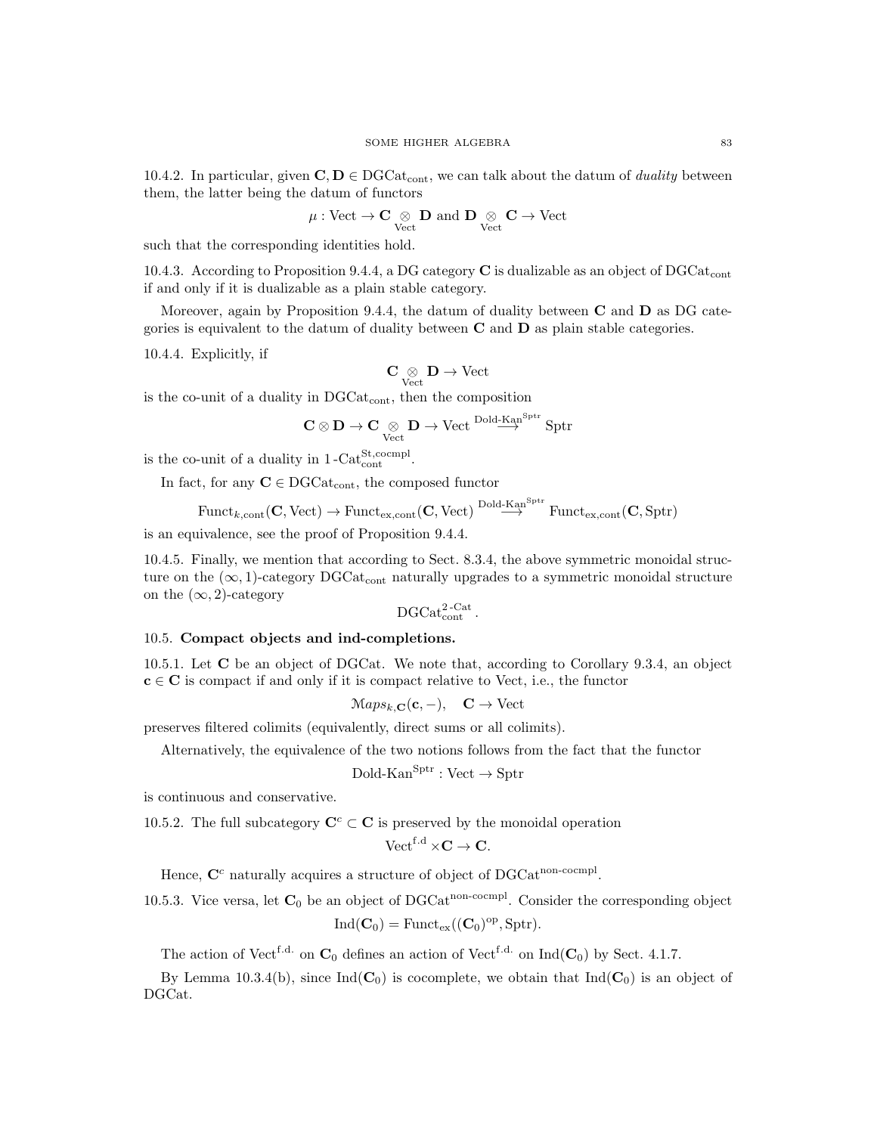$$
\mu: \text{Vect} \to \mathbf{C} \underset{\text{Vect}}{\otimes} \mathbf{D} \text{ and } \mathbf{D} \underset{\text{Vect}}{\otimes} \mathbf{C} \to \text{Vect}
$$

such that the corresponding identities hold.

10.4.3. According to Proposition 9.4.4, a DG category  $\bf{C}$  is dualizable as an object of DGCat<sub>cont</sub> if and only if it is dualizable as a plain stable category.

Moreover, again by Proposition 9.4.4, the datum of duality between  $C$  and  $D$  as DG categories is equivalent to the datum of duality between  $C$  and  $D$  as plain stable categories.

10.4.4. Explicitly, if

$$
\mathbf{C}\underset{\mathrm{Vect}}{\otimes}\mathbf{D}\to\mathrm{Vect}
$$

is the co-unit of a duality in  $DGCat_{cont}$ , then the composition

$$
\mathbf{C} \otimes \mathbf{D} \to \mathbf{C} \underset{\mathrm{Vect}}{\otimes} \mathbf{D} \to \mathrm{Vect} \overset{\mathrm{Dold-Kan}^{\mathrm{Sptr}}}{\longrightarrow} \mathrm{Sptr}
$$

is the co-unit of a duality in  $1-\text{Cat}_{\text{cont}}^{\text{St,coempl}}$ .

In fact, for any  $\mathbf{C}\in \text{DGCat}_\text{cont},$  the composed functor

$$
\mathrm{Funct}_{k,\mathrm{cont}}(\mathbf{C},\mathrm{Vect})\to\mathrm{Funct}_{\mathrm{ex},\mathrm{cont}}(\mathbf{C},\mathrm{Vect})\stackrel{\mathrm{Dold-Kan}^{\mathrm{Sptr}}}{\longrightarrow}\mathrm{Funct}_{\mathrm{ex},\mathrm{cont}}(\mathbf{C},\mathrm{Sptr})
$$

is an equivalence, see the proof of Proposition 9.4.4.

10.4.5. Finally, we mention that according to Sect. 8.3.4, the above symmetric monoidal structure on the  $(\infty, 1)$ -category DGCat<sub>cont</sub> naturally upgrades to a symmetric monoidal structure on the  $(\infty, 2)$ -category

$$
\mathrm{DGCat}_{\mathrm{cont}}^{\mathrm{2\text{-}Cat}}.
$$

#### 10.5. Compact objects and ind-completions.

10.5.1. Let C be an object of DGCat. We note that, according to Corollary 9.3.4, an object  $c \in C$  is compact if and only if it is compact relative to Vect, i.e., the functor

$$
Maps_{k,\mathbf{C}}(\mathbf{c},-), \quad \mathbf{C} \to \text{Vect}
$$

preserves filtered colimits (equivalently, direct sums or all colimits).

Alternatively, the equivalence of the two notions follows from the fact that the functor

$$
Dold-KanSptr: Vect \to Sptr
$$

is continuous and conservative.

10.5.2. The full subcategory  $\mathbf{C}^c \subset \mathbf{C}$  is preserved by the monoidal operation

$$
\text{Vect}^{\text{f.d}} \times \mathbf{C} \to \mathbf{C}.
$$

Hence,  $\mathbf{C}^c$  naturally acquires a structure of object of DGCat<sup>non-cocmpl</sup>.

10.5.3. Vice versa, let  $C_0$  be an object of DGCat<sup>non-cocmpl</sup>. Consider the corresponding object

$$
\mathrm{Ind}(\mathbf{C}_0)=\mathrm{Funct}_{\mathrm{ex}}((\mathbf{C}_0)^{\mathrm{op}}, \mathrm{Sptr}).
$$

The action of Vect<sup>f.d.</sup> on  $\mathbf{C}_0$  defines an action of Vect<sup>f.d.</sup> on Ind( $\mathbf{C}_0$ ) by Sect. 4.1.7.

By Lemma 10.3.4(b), since  $Ind(C_0)$  is cocomplete, we obtain that  $Ind(C_0)$  is an object of DGCat.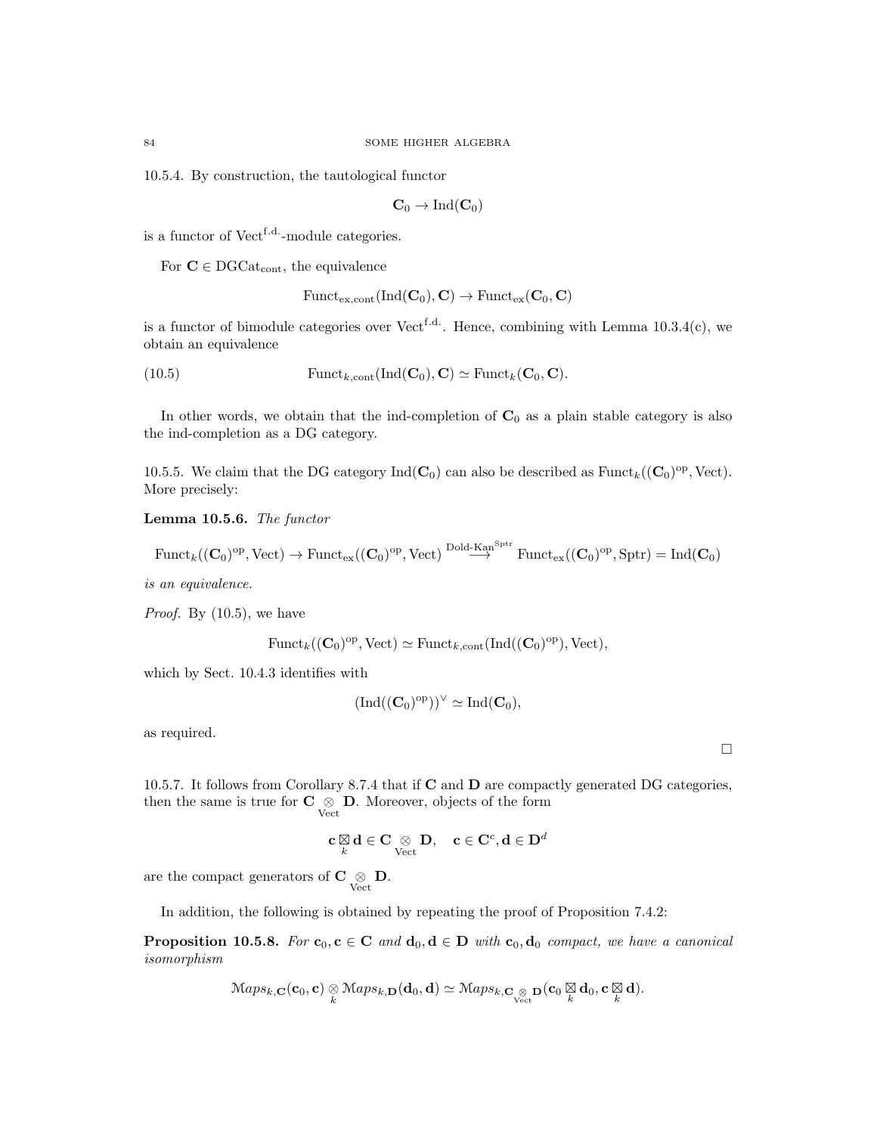10.5.4. By construction, the tautological functor

$$
\mathbf{C}_0 \to \mathrm{Ind}(\mathbf{C}_0)
$$

is a functor of Vect<sup>f.d.</sup>-module categories.

For  $C \in DGCat_{cont}$ , the equivalence

$$
\mathrm{Funct}_{\mathrm{ex},\mathrm{cont}}(\mathrm{Ind}(\mathbf{C}_0),\mathbf{C}) \to \mathrm{Funct}_{\mathrm{ex}}(\mathbf{C}_0,\mathbf{C})
$$

is a functor of bimodule categories over Vect<sup>f.d.</sup>. Hence, combining with Lemma  $10.3.4(c)$ , we obtain an equivalence

(10.5) 
$$
\text{Funct}_{k,\text{cont}}(\text{Ind}(\mathbf{C}_0), \mathbf{C}) \simeq \text{Funct}_k(\mathbf{C}_0, \mathbf{C}).
$$

In other words, we obtain that the ind-completion of  $C_0$  as a plain stable category is also the ind-completion as a DG category.

10.5.5. We claim that the DG category  $\text{Ind}(\mathbf{C}_0)$  can also be described as  $\text{Funct}_{k}((\mathbf{C}_0)^{\text{op}}, \text{Vect})$ . More precisely:

Lemma 10.5.6. The functor

 $\text{Funct}_{k}((\mathbf{C}_{0})^{\text{op}}, \text{Vect}) \to \text{Funct}_{\text{ex}}((\mathbf{C}_{0})^{\text{op}}, \text{Vect}) \stackrel{\text{Dold-Kan}^{\text{Sptr}}}{\longrightarrow} \text{Funct}_{\text{ex}}((\mathbf{C}_{0})^{\text{op}}, \text{Sptr}) = \text{Ind}(\mathbf{C}_{0})$ 

is an equivalence.

*Proof.* By  $(10.5)$ , we have

$$
\mathrm{Funct}_{k}((\mathbf{C}_{0})^{\mathrm{op}}, \mathrm{Vect}) \simeq \mathrm{Funct}_{k, \mathrm{cont}}(\mathrm{Ind}((\mathbf{C}_{0})^{\mathrm{op}}), \mathrm{Vect}),
$$

which by Sect. 10.4.3 identifies with

$$
(\mathrm{Ind}((\mathbf{C}_0)^{\mathrm{op}}))^\vee \simeq \mathrm{Ind}(\mathbf{C}_0),
$$

as required.

10.5.7. It follows from Corollary 8.7.4 that if  $C$  and  $D$  are compactly generated DG categories, then the same is true for  $C \underset{Vect}{\otimes} D$ . Moreover, objects of the form

$$
\mathbf{c} \bigotimes_k \mathbf{d} \in \mathbf{C} \underset{\mathrm{Vect}}{\otimes} \mathbf{D}, \quad \mathbf{c} \in \mathbf{C}^c, \mathbf{d} \in \mathbf{D}^d
$$

are the compact generators of  $C \underset{\text{Vect}}{\otimes} \mathbf{D}$ .

In addition, the following is obtained by repeating the proof of Proposition 7.4.2:

**Proposition 10.5.8.** For  $\mathbf{c}_0, \mathbf{c} \in \mathbf{C}$  and  $\mathbf{d}_0, \mathbf{d} \in \mathbf{D}$  with  $\mathbf{c}_0, \mathbf{d}_0$  compact, we have a canonical isomorphism

$$
Maps_{k,\mathbf{C}}(\mathbf{c}_0,\mathbf{c}) \underset{k}{\otimes} Maps_{k,\mathbf{D}}(\mathbf{d}_0,\mathbf{d}) \simeq Maps_{k,\mathbf{C}_{\underset{Vect}}{\otimes}} \mathbf{D}(\mathbf{c}_0 \underset{k}{\boxtimes} \mathbf{d}_0, \mathbf{c} \underset{k}{\boxtimes} \mathbf{d}).
$$